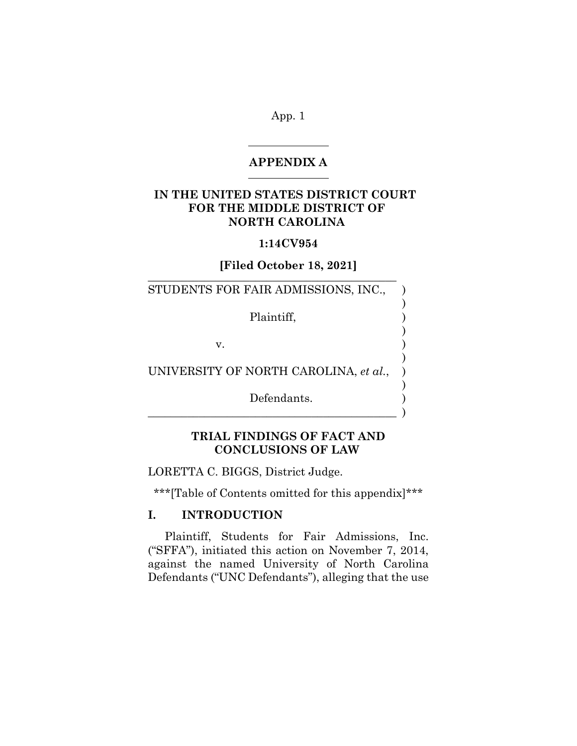#### **APPENDIX A**

# **IN THE UNITED STATES DISTRICT COURT FOR THE MIDDLE DISTRICT OF NORTH CAROLINA**

#### **1:14CV954**

#### **[Filed October 18, 2021]** \_\_\_\_\_\_\_\_\_\_\_\_\_\_\_\_\_\_\_\_\_\_\_\_\_\_\_\_\_\_\_\_\_\_\_\_\_\_\_\_\_\_\_\_

)

)

)

)

STUDENTS FOR FAIR ADMISSIONS, INC.,

Plaintiff, )

 $\mathbf v.$  )

UNIVERSITY OF NORTH CAROLINA, et al.,

Defendants.  $\qquad \qquad \qquad$ 

# **TRIAL FINDINGS OF FACT AND CONCLUSIONS OF LAW**

LORETTA C. BIGGS, District Judge.

\*\*\*[Table of Contents omitted for this appendix]\*\*\*

# **I. INTRODUCTION**

Plaintiff, Students for Fair Admissions, Inc. ("SFFA"), initiated this action on November 7, 2014, against the named University of North Carolina Defendants ("UNC Defendants"), alleging that the use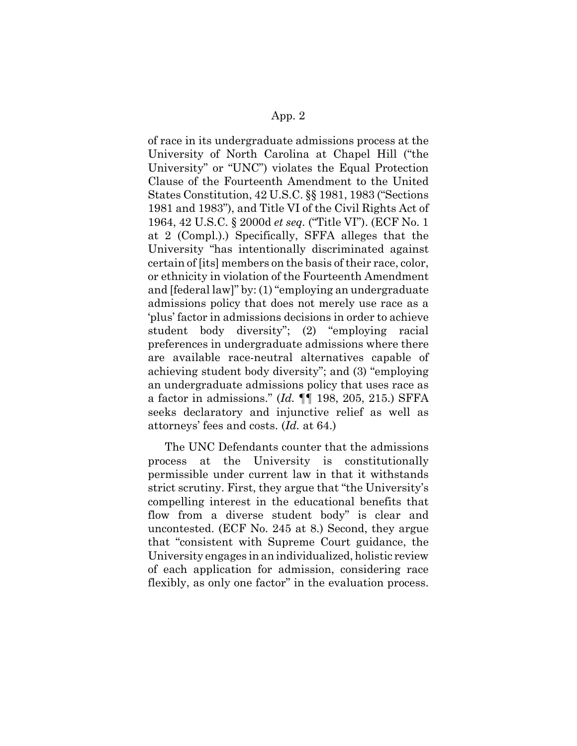of race in its undergraduate admissions process at the University of North Carolina at Chapel Hill ("the University" or "UNC") violates the Equal Protection Clause of the Fourteenth Amendment to the United States Constitution, 42 U.S.C. §§ 1981, 1983 ("Sections 1981 and 1983"), and Title VI of the Civil Rights Act of 1964, 42 U.S.C. § 2000d *et seq.* ("Title VI"). (ECF No. 1 at 2 (Compl.).) Specifically, SFFA alleges that the University "has intentionally discriminated against certain of [its] members on the basis of their race, color, or ethnicity in violation of the Fourteenth Amendment and [federal law]" by: (1) "employing an undergraduate admissions policy that does not merely use race as a 'plus' factor in admissions decisions in order to achieve student body diversity"; (2) "employing racial preferences in undergraduate admissions where there are available race-neutral alternatives capable of achieving student body diversity"; and (3) "employing an undergraduate admissions policy that uses race as a factor in admissions." (*Id.* ¶¶ 198, 205, 215.) SFFA seeks declaratory and injunctive relief as well as attorneys' fees and costs. (*Id.* at 64.)

The UNC Defendants counter that the admissions process at the University is constitutionally permissible under current law in that it withstands strict scrutiny. First, they argue that "the University's compelling interest in the educational benefits that flow from a diverse student body" is clear and uncontested. (ECF No. 245 at 8.) Second, they argue that "consistent with Supreme Court guidance, the University engages in an individualized, holistic review of each application for admission, considering race flexibly, as only one factor" in the evaluation process.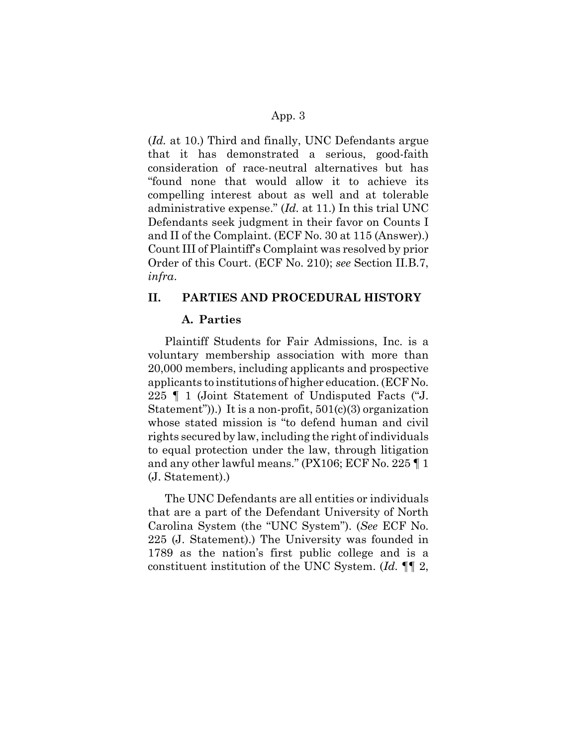(*Id.* at 10.) Third and finally, UNC Defendants argue that it has demonstrated a serious, good-faith consideration of race-neutral alternatives but has "found none that would allow it to achieve its compelling interest about as well and at tolerable administrative expense." (*Id.* at 11.) In this trial UNC Defendants seek judgment in their favor on Counts I and II of the Complaint. (ECF No. 30 at 115 (Answer).) Count III of Plaintiff's Complaint was resolved by prior Order of this Court. (ECF No. 210); *see* Section II.B.7, *infra*.

### **II. PARTIES AND PROCEDURAL HISTORY**

#### **A. Parties**

Plaintiff Students for Fair Admissions, Inc. is a voluntary membership association with more than 20,000 members, including applicants and prospective applicants to institutions of higher education. (ECF No. 225 ¶ 1 (Joint Statement of Undisputed Facts ("J. Statement")).) It is a non-profit,  $501(c)(3)$  organization whose stated mission is "to defend human and civil rights secured by law, including the right of individuals to equal protection under the law, through litigation and any other lawful means." (PX106; ECF No. 225 ¶ 1 (J. Statement).)

The UNC Defendants are all entities or individuals that are a part of the Defendant University of North Carolina System (the "UNC System"). (*See* ECF No. 225 (J. Statement).) The University was founded in 1789 as the nation's first public college and is a constituent institution of the UNC System. (*Id.* ¶¶ 2,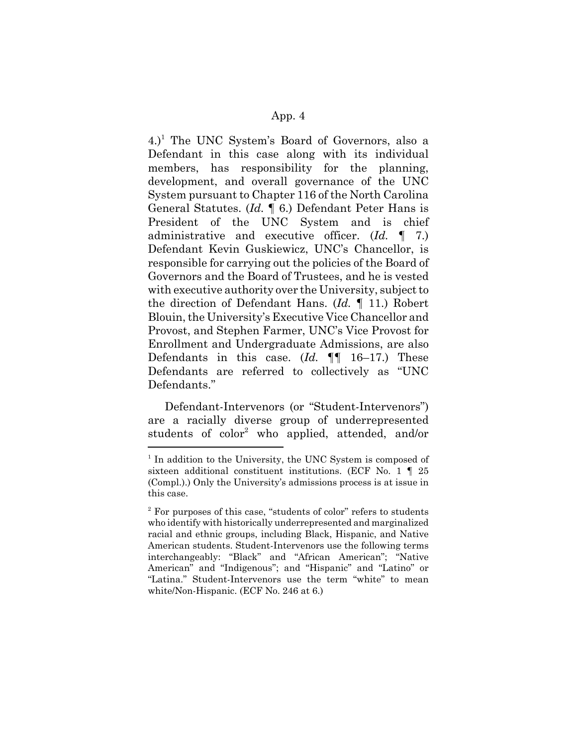4.)<sup>1</sup> The UNC System's Board of Governors, also a Defendant in this case along with its individual members, has responsibility for the planning, development, and overall governance of the UNC System pursuant to Chapter 116 of the North Carolina General Statutes. (*Id.* ¶ 6.) Defendant Peter Hans is President of the UNC System and is chief administrative and executive officer. (*Id.* ¶ 7.) Defendant Kevin Guskiewicz, UNC's Chancellor, is responsible for carrying out the policies of the Board of Governors and the Board of Trustees, and he is vested with executive authority over the University, subject to the direction of Defendant Hans. (*Id.* ¶ 11.) Robert Blouin, the University's Executive Vice Chancellor and Provost, and Stephen Farmer, UNC's Vice Provost for Enrollment and Undergraduate Admissions, are also Defendants in this case. (*Id.* ¶¶ 16–17.) These Defendants are referred to collectively as "UNC Defendants."

Defendant-Intervenors (or "Student-Intervenors") are a racially diverse group of underrepresented students of color<sup>2</sup> who applied, attended, and/or

<sup>&</sup>lt;sup>1</sup> In addition to the University, the UNC System is composed of sixteen additional constituent institutions. (ECF No. 1 ¶ 25 (Compl.).) Only the University's admissions process is at issue in this case.

<sup>&</sup>lt;sup>2</sup> For purposes of this case, "students of color" refers to students who identify with historically underrepresented and marginalized racial and ethnic groups, including Black, Hispanic, and Native American students. Student-Intervenors use the following terms interchangeably: "Black" and "African American"; "Native American" and "Indigenous"; and "Hispanic" and "Latino" or "Latina." Student-Intervenors use the term "white" to mean white/Non-Hispanic. (ECF No. 246 at 6.)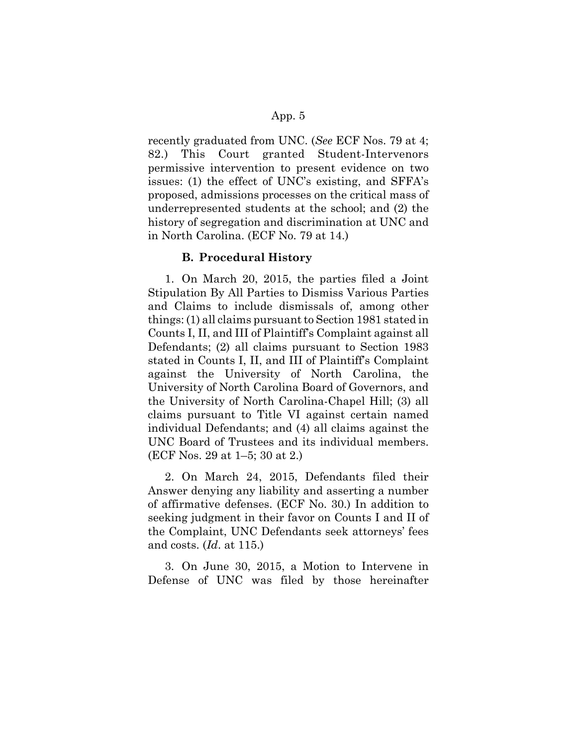recently graduated from UNC. (*See* ECF Nos. 79 at 4; 82.) This Court granted Student-Intervenors permissive intervention to present evidence on two issues: (1) the effect of UNC's existing, and SFFA's proposed, admissions processes on the critical mass of underrepresented students at the school; and (2) the history of segregation and discrimination at UNC and in North Carolina. (ECF No. 79 at 14.)

#### **B. Procedural History**

1. On March 20, 2015, the parties filed a Joint Stipulation By All Parties to Dismiss Various Parties and Claims to include dismissals of, among other things: (1) all claims pursuant to Section 1981 stated in Counts I, II, and III of Plaintiff's Complaint against all Defendants; (2) all claims pursuant to Section 1983 stated in Counts I, II, and III of Plaintiff's Complaint against the University of North Carolina, the University of North Carolina Board of Governors, and the University of North Carolina-Chapel Hill; (3) all claims pursuant to Title VI against certain named individual Defendants; and (4) all claims against the UNC Board of Trustees and its individual members. (ECF Nos. 29 at 1–5; 30 at 2.)

2. On March 24, 2015, Defendants filed their Answer denying any liability and asserting a number of affirmative defenses. (ECF No. 30.) In addition to seeking judgment in their favor on Counts I and II of the Complaint, UNC Defendants seek attorneys' fees and costs. (*Id*. at 115.)

3. On June 30, 2015, a Motion to Intervene in Defense of UNC was filed by those hereinafter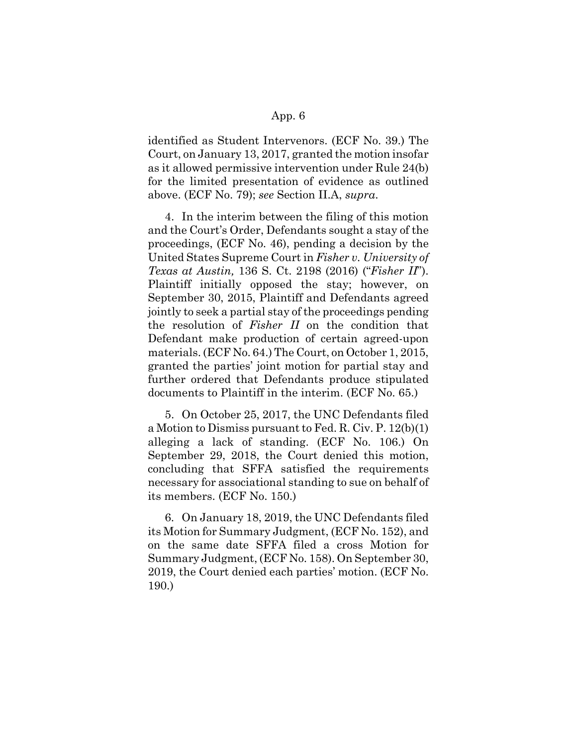identified as Student Intervenors. (ECF No. 39.) The Court, on January 13, 2017, granted the motion insofar as it allowed permissive intervention under Rule 24(b) for the limited presentation of evidence as outlined above. (ECF No. 79); *see* Section II.A, *supra*.

4. In the interim between the filing of this motion and the Court's Order, Defendants sought a stay of the proceedings, (ECF No. 46), pending a decision by the United States Supreme Court in *Fisher v. University of Texas at Austin,* 136 S. Ct. 2198 (2016) ("*Fisher II*"). Plaintiff initially opposed the stay; however, on September 30, 2015, Plaintiff and Defendants agreed jointly to seek a partial stay of the proceedings pending the resolution of *Fisher II* on the condition that Defendant make production of certain agreed-upon materials. (ECF No. 64.) The Court, on October 1, 2015, granted the parties' joint motion for partial stay and further ordered that Defendants produce stipulated documents to Plaintiff in the interim. (ECF No. 65.)

5. On October 25, 2017, the UNC Defendants filed a Motion to Dismiss pursuant to Fed. R. Civ. P. 12(b)(1) alleging a lack of standing. (ECF No. 106.) On September 29, 2018, the Court denied this motion, concluding that SFFA satisfied the requirements necessary for associational standing to sue on behalf of its members. (ECF No. 150.)

6. On January 18, 2019, the UNC Defendants filed its Motion for Summary Judgment, (ECF No. 152), and on the same date SFFA filed a cross Motion for Summary Judgment, (ECF No. 158). On September 30, 2019, the Court denied each parties' motion. (ECF No. 190.)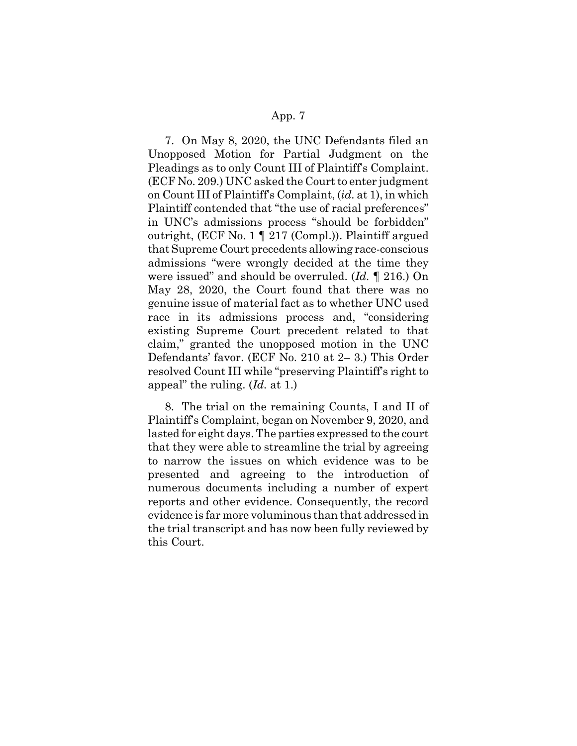7. On May 8, 2020, the UNC Defendants filed an Unopposed Motion for Partial Judgment on the Pleadings as to only Count III of Plaintiff's Complaint. (ECF No. 209.) UNC asked the Court to enter judgment on Count III of Plaintiff's Complaint, (*id.* at 1), in which Plaintiff contended that "the use of racial preferences" in UNC's admissions process "should be forbidden" outright, (ECF No. 1 ¶ 217 (Compl.)). Plaintiff argued that Supreme Court precedents allowing race-conscious admissions "were wrongly decided at the time they were issued" and should be overruled. (*Id.* ¶ 216.) On May 28, 2020, the Court found that there was no genuine issue of material fact as to whether UNC used race in its admissions process and, "considering existing Supreme Court precedent related to that claim," granted the unopposed motion in the UNC Defendants' favor. (ECF No. 210 at 2– 3.) This Order resolved Count III while "preserving Plaintiff's right to appeal" the ruling. (*Id.* at 1.)

8. The trial on the remaining Counts, I and II of Plaintiff's Complaint, began on November 9, 2020, and lasted for eight days. The parties expressed to the court that they were able to streamline the trial by agreeing to narrow the issues on which evidence was to be presented and agreeing to the introduction of numerous documents including a number of expert reports and other evidence. Consequently, the record evidence is far more voluminous than that addressed in the trial transcript and has now been fully reviewed by this Court.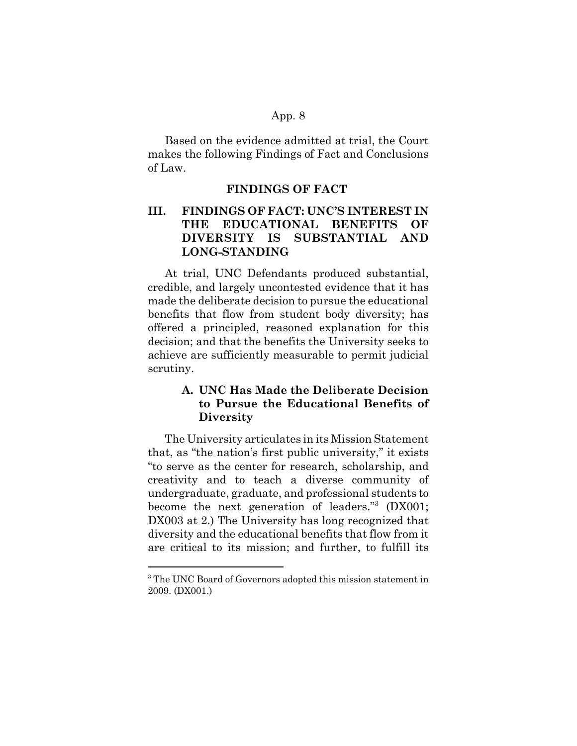Based on the evidence admitted at trial, the Court makes the following Findings of Fact and Conclusions of Law.

#### **FINDINGS OF FACT**

# **III. FINDINGS OF FACT: UNC'S INTEREST IN THE EDUCATIONAL BENEFITS OF DIVERSITY IS SUBSTANTIAL AND LONG-STANDING**

At trial, UNC Defendants produced substantial, credible, and largely uncontested evidence that it has made the deliberate decision to pursue the educational benefits that flow from student body diversity; has offered a principled, reasoned explanation for this decision; and that the benefits the University seeks to achieve are sufficiently measurable to permit judicial scrutiny.

# **A. UNC Has Made the Deliberate Decision to Pursue the Educational Benefits of Diversity**

The University articulates in its Mission Statement that, as "the nation's first public university," it exists "to serve as the center for research, scholarship, and creativity and to teach a diverse community of undergraduate, graduate, and professional students to become the next generation of leaders."<sup>3</sup> (DX001; DX003 at 2.) The University has long recognized that diversity and the educational benefits that flow from it are critical to its mission; and further, to fulfill its

<sup>&</sup>lt;sup>3</sup> The UNC Board of Governors adopted this mission statement in 2009. (DX001.)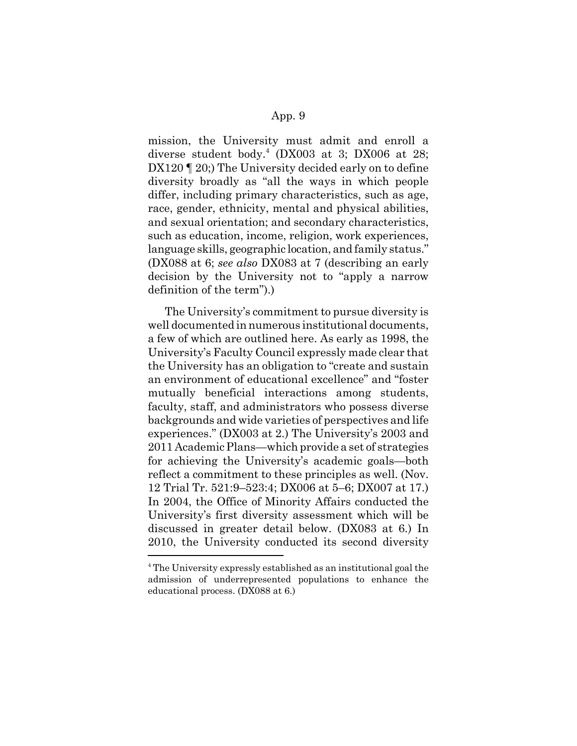mission, the University must admit and enroll a diverse student body.<sup>4</sup> (DX003 at 3; DX006 at 28; DX120 [ 20;) The University decided early on to define diversity broadly as "all the ways in which people differ, including primary characteristics, such as age, race, gender, ethnicity, mental and physical abilities, and sexual orientation; and secondary characteristics, such as education, income, religion, work experiences, language skills, geographic location, and family status." (DX088 at 6; *see also* DX083 at 7 (describing an early decision by the University not to "apply a narrow definition of the term").)

The University's commitment to pursue diversity is well documented in numerous institutional documents, a few of which are outlined here. As early as 1998, the University's Faculty Council expressly made clear that the University has an obligation to "create and sustain an environment of educational excellence" and "foster mutually beneficial interactions among students, faculty, staff, and administrators who possess diverse backgrounds and wide varieties of perspectives and life experiences." (DX003 at 2.) The University's 2003 and 2011 Academic Plans—which provide a set of strategies for achieving the University's academic goals—both reflect a commitment to these principles as well. (Nov. 12 Trial Tr. 521:9–523:4; DX006 at 5–6; DX007 at 17.) In 2004, the Office of Minority Affairs conducted the University's first diversity assessment which will be discussed in greater detail below. (DX083 at 6.) In 2010, the University conducted its second diversity

<sup>&</sup>lt;sup>4</sup> The University expressly established as an institutional goal the admission of underrepresented populations to enhance the educational process. (DX088 at 6.)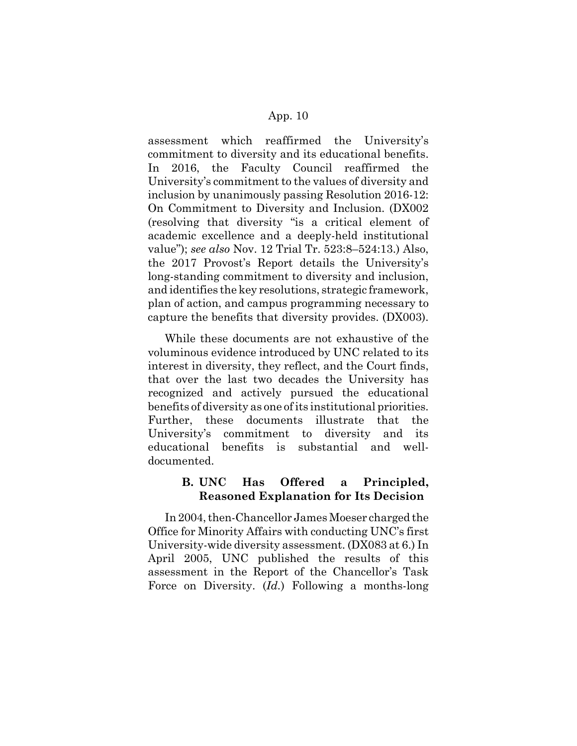assessment which reaffirmed the University's commitment to diversity and its educational benefits. In 2016, the Faculty Council reaffirmed the University's commitment to the values of diversity and inclusion by unanimously passing Resolution 2016-12: On Commitment to Diversity and Inclusion. (DX002 (resolving that diversity "is a critical element of academic excellence and a deeply-held institutional value"); *see also* Nov. 12 Trial Tr. 523:8–524:13.) Also, the 2017 Provost's Report details the University's long-standing commitment to diversity and inclusion, and identifies the key resolutions, strategic framework, plan of action, and campus programming necessary to capture the benefits that diversity provides. (DX003).

While these documents are not exhaustive of the voluminous evidence introduced by UNC related to its interest in diversity, they reflect, and the Court finds, that over the last two decades the University has recognized and actively pursued the educational benefits of diversity as one of its institutional priorities. Further, these documents illustrate that the University's commitment to diversity and its educational benefits is substantial and welldocumented.

# **B. UNC Has Offered a Principled, Reasoned Explanation for Its Decision**

In 2004, then-Chancellor James Moeser charged the Office for Minority Affairs with conducting UNC's first University-wide diversity assessment. (DX083 at 6.) In April 2005, UNC published the results of this assessment in the Report of the Chancellor's Task Force on Diversity. (*Id.*) Following a months-long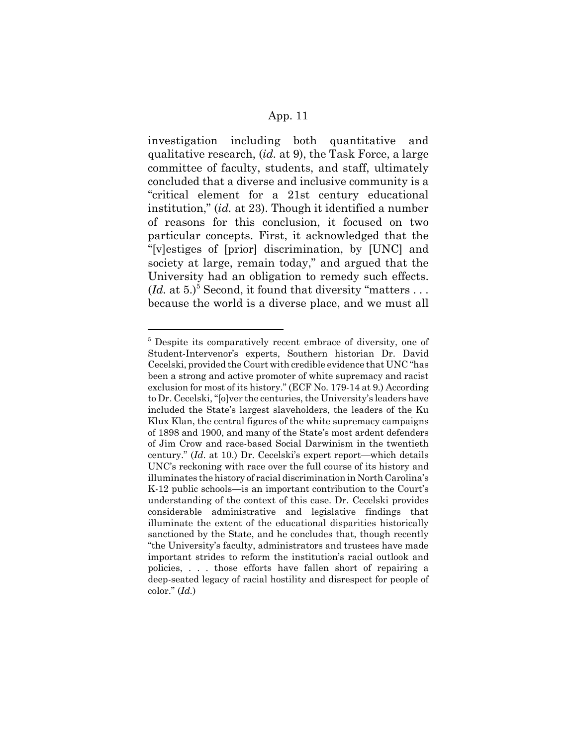investigation including both quantitative and qualitative research, (*id.* at 9), the Task Force, a large committee of faculty, students, and staff, ultimately concluded that a diverse and inclusive community is a "critical element for a 21st century educational institution," (*id.* at 23). Though it identified a number of reasons for this conclusion, it focused on two particular concepts. First, it acknowledged that the "[v]estiges of [prior] discrimination, by [UNC] and society at large, remain today," and argued that the University had an obligation to remedy such effects.  $(Id. at 5.)^5$  Second, it found that diversity "matters ... because the world is a diverse place, and we must all

<sup>&</sup>lt;sup>5</sup> Despite its comparatively recent embrace of diversity, one of Student-Intervenor's experts, Southern historian Dr. David Cecelski, provided the Court with credible evidence that UNC "has been a strong and active promoter of white supremacy and racist exclusion for most of its history." (ECF No. 179-14 at 9.) According to Dr. Cecelski, "[o]ver the centuries, the University's leaders have included the State's largest slaveholders, the leaders of the Ku Klux Klan, the central figures of the white supremacy campaigns of 1898 and 1900, and many of the State's most ardent defenders of Jim Crow and race-based Social Darwinism in the twentieth century." (*Id*. at 10.) Dr. Cecelski's expert report—which details UNC's reckoning with race over the full course of its history and illuminates the history of racial discrimination in North Carolina's K-12 public schools—is an important contribution to the Court's understanding of the context of this case. Dr. Cecelski provides considerable administrative and legislative findings that illuminate the extent of the educational disparities historically sanctioned by the State, and he concludes that, though recently "the University's faculty, administrators and trustees have made important strides to reform the institution's racial outlook and policies, . . . those efforts have fallen short of repairing a deep-seated legacy of racial hostility and disrespect for people of color." (*Id.*)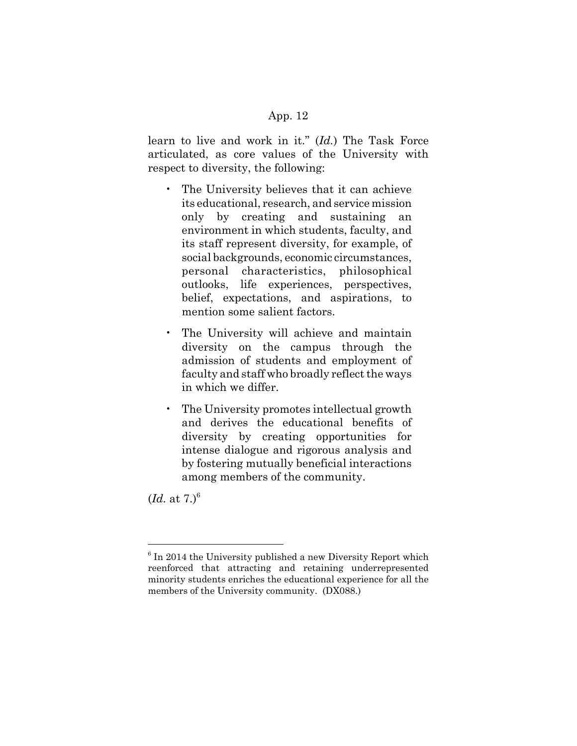learn to live and work in it." (*Id.*) The Task Force articulated, as core values of the University with respect to diversity, the following:

- The University believes that it can achieve its educational, research, and service mission only by creating and sustaining an environment in which students, faculty, and its staff represent diversity, for example, of social backgrounds, economic circumstances, personal characteristics, philosophical outlooks, life experiences, perspectives, belief, expectations, and aspirations, to mention some salient factors.
- The University will achieve and maintain diversity on the campus through the admission of students and employment of faculty and staff who broadly reflect the ways in which we differ.
- The University promotes intellectual growth and derives the educational benefits of diversity by creating opportunities for intense dialogue and rigorous analysis and by fostering mutually beneficial interactions among members of the community.

 $$ 

<sup>&</sup>lt;sup>6</sup> In 2014 the University published a new Diversity Report which reenforced that attracting and retaining underrepresented minority students enriches the educational experience for all the members of the University community. (DX088.)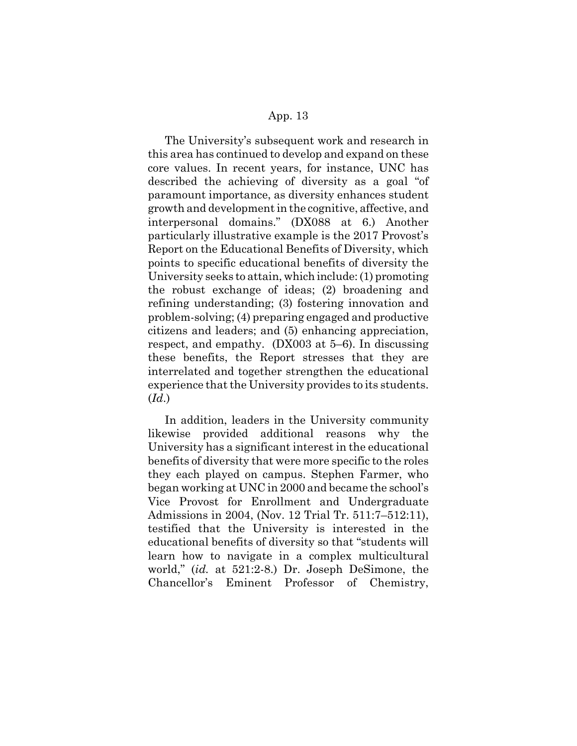The University's subsequent work and research in this area has continued to develop and expand on these core values. In recent years, for instance, UNC has described the achieving of diversity as a goal "of paramount importance, as diversity enhances student growth and development in the cognitive, affective, and interpersonal domains." (DX088 at 6.) Another particularly illustrative example is the 2017 Provost's Report on the Educational Benefits of Diversity, which points to specific educational benefits of diversity the University seeks to attain, which include: (1) promoting the robust exchange of ideas; (2) broadening and refining understanding; (3) fostering innovation and problem-solving; (4) preparing engaged and productive citizens and leaders; and (5) enhancing appreciation, respect, and empathy. (DX003 at 5–6). In discussing these benefits, the Report stresses that they are interrelated and together strengthen the educational experience that the University provides to its students. (*Id*.)

In addition, leaders in the University community likewise provided additional reasons why the University has a significant interest in the educational benefits of diversity that were more specific to the roles they each played on campus. Stephen Farmer, who began working at UNC in 2000 and became the school's Vice Provost for Enrollment and Undergraduate Admissions in 2004, (Nov. 12 Trial Tr. 511:7–512:11), testified that the University is interested in the educational benefits of diversity so that "students will learn how to navigate in a complex multicultural world," (*id.* at 521:2-8.) Dr. Joseph DeSimone, the Chancellor's Eminent Professor of Chemistry,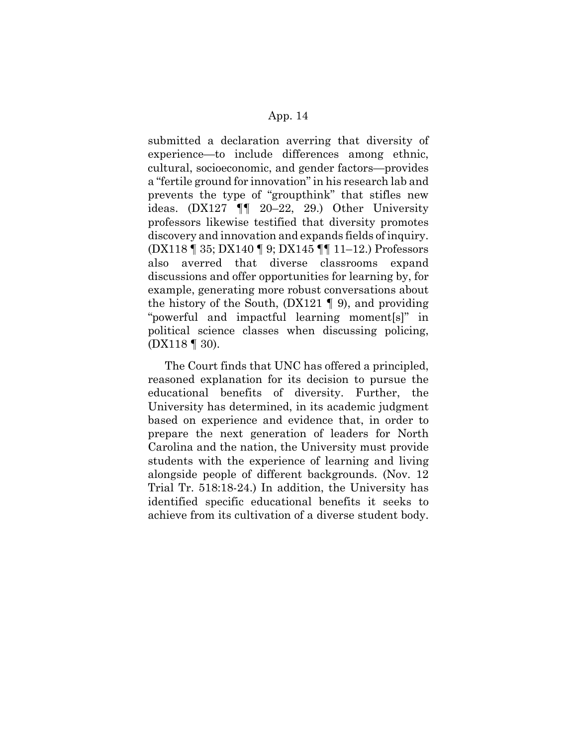submitted a declaration averring that diversity of experience—to include differences among ethnic, cultural, socioeconomic, and gender factors—provides a "fertile ground for innovation" in his research lab and prevents the type of "groupthink" that stifles new ideas. (DX127 ¶¶ 20–22, 29.) Other University professors likewise testified that diversity promotes discovery and innovation and expands fields of inquiry. (DX118 ¶ 35; DX140 ¶ 9; DX145 ¶¶ 11–12.) Professors also averred that diverse classrooms expand discussions and offer opportunities for learning by, for example, generating more robust conversations about the history of the South,  $(DX121 \parallel 9)$ , and providing "powerful and impactful learning moment[s]" in political science classes when discussing policing, (DX118 ¶ 30).

The Court finds that UNC has offered a principled, reasoned explanation for its decision to pursue the educational benefits of diversity. Further, the University has determined, in its academic judgment based on experience and evidence that, in order to prepare the next generation of leaders for North Carolina and the nation, the University must provide students with the experience of learning and living alongside people of different backgrounds. (Nov. 12 Trial Tr. 518:18-24.) In addition, the University has identified specific educational benefits it seeks to achieve from its cultivation of a diverse student body.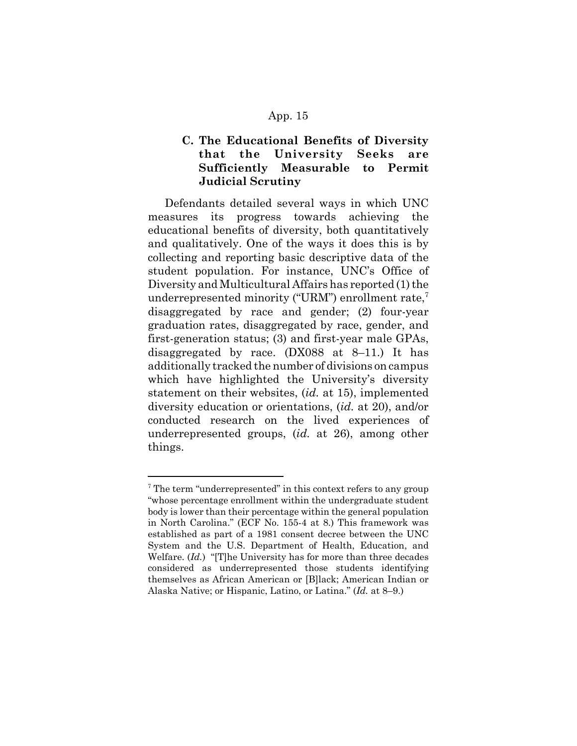# **C. The Educational Benefits of Diversity that the University Seeks are Sufficiently Measurable to Permit Judicial Scrutiny**

Defendants detailed several ways in which UNC measures its progress towards achieving the educational benefits of diversity, both quantitatively and qualitatively. One of the ways it does this is by collecting and reporting basic descriptive data of the student population. For instance, UNC's Office of Diversity and Multicultural Affairs has reported (1) the underrepresented minority ("URM") enrollment rate, $7$ disaggregated by race and gender; (2) four-year graduation rates, disaggregated by race, gender, and first-generation status; (3) and first-year male GPAs, disaggregated by race. (DX088 at 8–11.) It has additionally tracked the number of divisions on campus which have highlighted the University's diversity statement on their websites, (*id.* at 15), implemented diversity education or orientations, (*id.* at 20), and/or conducted research on the lived experiences of underrepresented groups, (*id.* at 26), among other things.

<sup>&</sup>lt;sup>7</sup> The term "underrepresented" in this context refers to any group "whose percentage enrollment within the undergraduate student body is lower than their percentage within the general population in North Carolina." (ECF No. 155-4 at 8.) This framework was established as part of a 1981 consent decree between the UNC System and the U.S. Department of Health, Education, and Welfare. (*Id.*) "[T]he University has for more than three decades considered as underrepresented those students identifying themselves as African American or [B]lack; American Indian or Alaska Native; or Hispanic, Latino, or Latina." (*Id.* at 8–9.)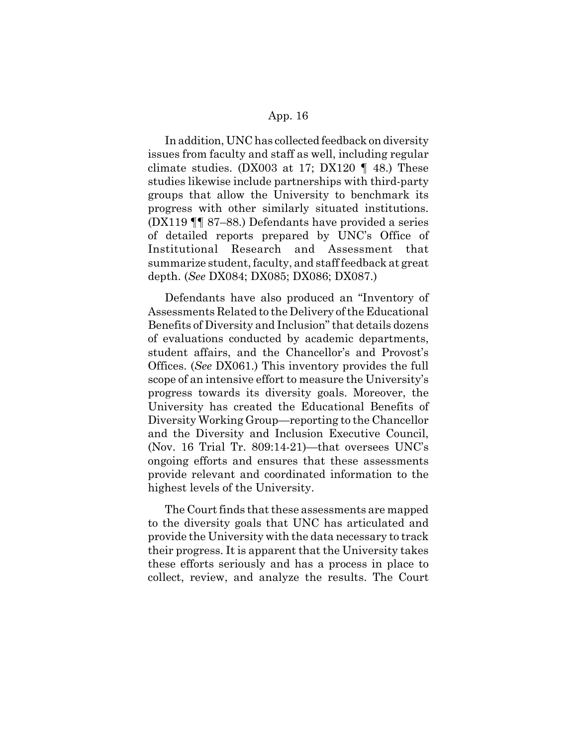In addition, UNC has collected feedback on diversity issues from faculty and staff as well, including regular climate studies. (DX003 at 17; DX120  $\parallel$  48.) These studies likewise include partnerships with third-party groups that allow the University to benchmark its progress with other similarly situated institutions. (DX119 ¶¶ 87–88.) Defendants have provided a series of detailed reports prepared by UNC's Office of Institutional Research and Assessment that summarize student, faculty, and staff feedback at great depth. (*See* DX084; DX085; DX086; DX087.)

Defendants have also produced an "Inventory of Assessments Related to the Delivery of the Educational Benefits of Diversity and Inclusion" that details dozens of evaluations conducted by academic departments, student affairs, and the Chancellor's and Provost's Offices. (*See* DX061.) This inventory provides the full scope of an intensive effort to measure the University's progress towards its diversity goals. Moreover, the University has created the Educational Benefits of Diversity Working Group—reporting to the Chancellor and the Diversity and Inclusion Executive Council, (Nov. 16 Trial Tr. 809:14-21)—that oversees UNC's ongoing efforts and ensures that these assessments provide relevant and coordinated information to the highest levels of the University.

The Court finds that these assessments are mapped to the diversity goals that UNC has articulated and provide the University with the data necessary to track their progress. It is apparent that the University takes these efforts seriously and has a process in place to collect, review, and analyze the results. The Court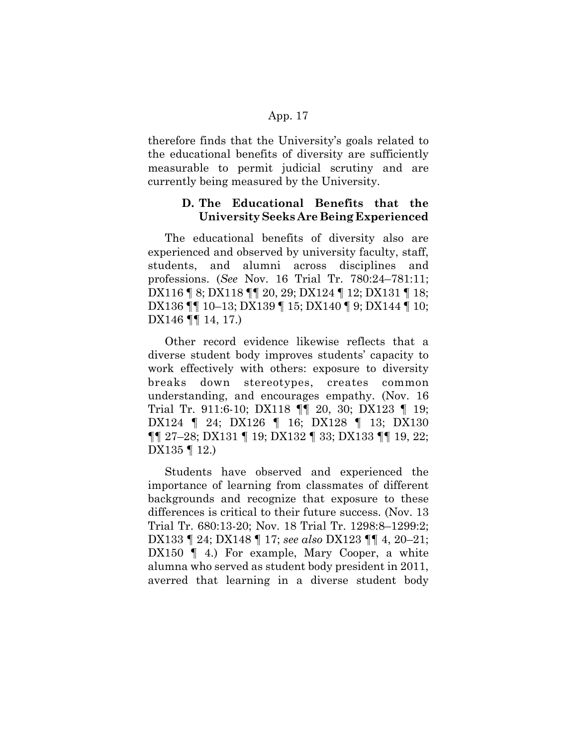therefore finds that the University's goals related to the educational benefits of diversity are sufficiently measurable to permit judicial scrutiny and are currently being measured by the University.

## **D. The Educational Benefits that the University Seeks Are Being Experienced**

The educational benefits of diversity also are experienced and observed by university faculty, staff, students, and alumni across disciplines and professions. (*See* Nov. 16 Trial Tr. 780:24–781:11; DX116 ¶ 8; DX118 ¶¶ 20, 29; DX124 ¶ 12; DX131 ¶ 18; DX136 ¶¶ 10–13; DX139 ¶ 15; DX140 ¶ 9; DX144 ¶ 10; DX146 **[14, 17.**)

Other record evidence likewise reflects that a diverse student body improves students' capacity to work effectively with others: exposure to diversity breaks down stereotypes, creates common understanding, and encourages empathy. (Nov. 16 Trial Tr. 911:6-10; DX118 ¶¶ 20, 30; DX123 ¶ 19; DX124 ¶ 24; DX126 ¶ 16; DX128 ¶ 13; DX130 ¶¶ 27–28; DX131 ¶ 19; DX132 ¶ 33; DX133 ¶¶ 19, 22; DX135 | 12.)

Students have observed and experienced the importance of learning from classmates of different backgrounds and recognize that exposure to these differences is critical to their future success. (Nov. 13 Trial Tr. 680:13-20; Nov. 18 Trial Tr. 1298:8–1299:2; DX133 ¶ 24; DX148 ¶ 17; *see also* DX123 ¶¶ 4, 20–21; DX150 (4.) For example, Mary Cooper, a white alumna who served as student body president in 2011, averred that learning in a diverse student body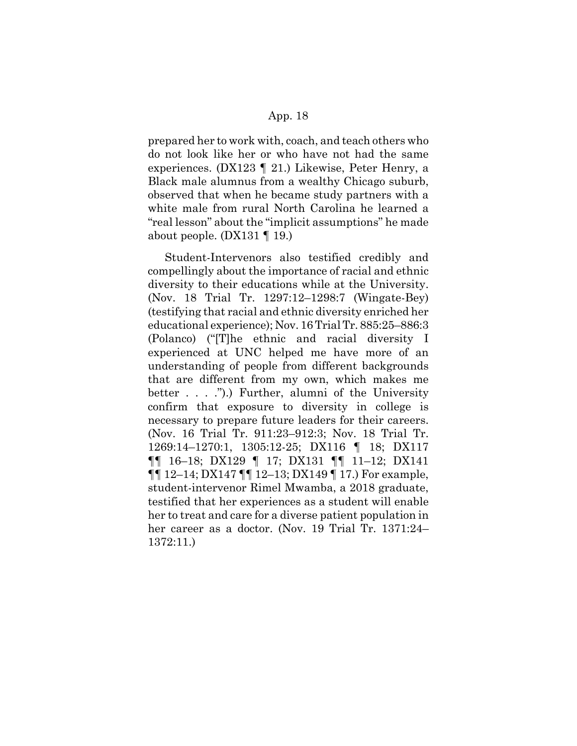prepared her to work with, coach, and teach others who do not look like her or who have not had the same experiences. (DX123 ¶ 21.) Likewise, Peter Henry, a Black male alumnus from a wealthy Chicago suburb, observed that when he became study partners with a white male from rural North Carolina he learned a "real lesson" about the "implicit assumptions" he made about people. (DX131 ¶ 19.)

Student-Intervenors also testified credibly and compellingly about the importance of racial and ethnic diversity to their educations while at the University. (Nov. 18 Trial Tr. 1297:12–1298:7 (Wingate-Bey) (testifying that racial and ethnic diversity enriched her educational experience); Nov. 16 Trial Tr. 885:25–886:3 (Polanco) ("[T]he ethnic and racial diversity I experienced at UNC helped me have more of an understanding of people from different backgrounds that are different from my own, which makes me better . . . .").) Further, alumni of the University confirm that exposure to diversity in college is necessary to prepare future leaders for their careers. (Nov. 16 Trial Tr. 911:23–912:3; Nov. 18 Trial Tr. 1269:14–1270:1, 1305:12-25; DX116 ¶ 18; DX117 ¶¶ 16–18; DX129 ¶ 17; DX131 ¶¶ 11–12; DX141 ¶¶ 12–14; DX147 ¶¶ 12–13; DX149 ¶ 17.) For example, student-intervenor Rimel Mwamba, a 2018 graduate, testified that her experiences as a student will enable her to treat and care for a diverse patient population in her career as a doctor. (Nov. 19 Trial Tr. 1371:24– 1372:11.)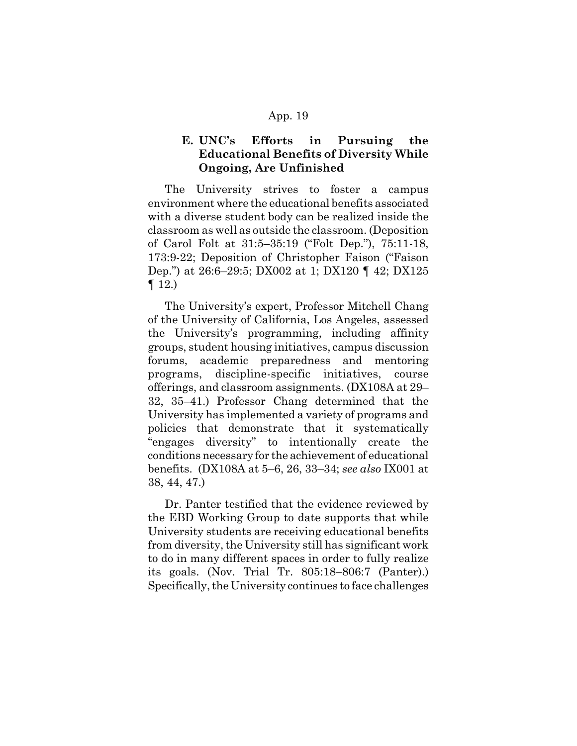# **E. UNC's Efforts in Pursuing the Educational Benefits of Diversity While Ongoing, Are Unfinished**

The University strives to foster a campus environment where the educational benefits associated with a diverse student body can be realized inside the classroom as well as outside the classroom. (Deposition of Carol Folt at 31:5–35:19 ("Folt Dep."), 75:11-18, 173:9-22; Deposition of Christopher Faison ("Faison Dep.") at 26:6–29:5; DX002 at 1; DX120 ¶ 42; DX125  $\P$  12.)

The University's expert, Professor Mitchell Chang of the University of California, Los Angeles, assessed the University's programming, including affinity groups, student housing initiatives, campus discussion forums, academic preparedness and mentoring programs, discipline-specific initiatives, course offerings, and classroom assignments. (DX108A at 29– 32, 35–41.) Professor Chang determined that the University has implemented a variety of programs and policies that demonstrate that it systematically "engages diversity" to intentionally create the conditions necessary for the achievement of educational benefits. (DX108A at 5–6, 26, 33–34; *see also* IX001 at 38, 44, 47.)

Dr. Panter testified that the evidence reviewed by the EBD Working Group to date supports that while University students are receiving educational benefits from diversity, the University still has significant work to do in many different spaces in order to fully realize its goals. (Nov. Trial Tr. 805:18–806:7 (Panter).) Specifically, the University continues to face challenges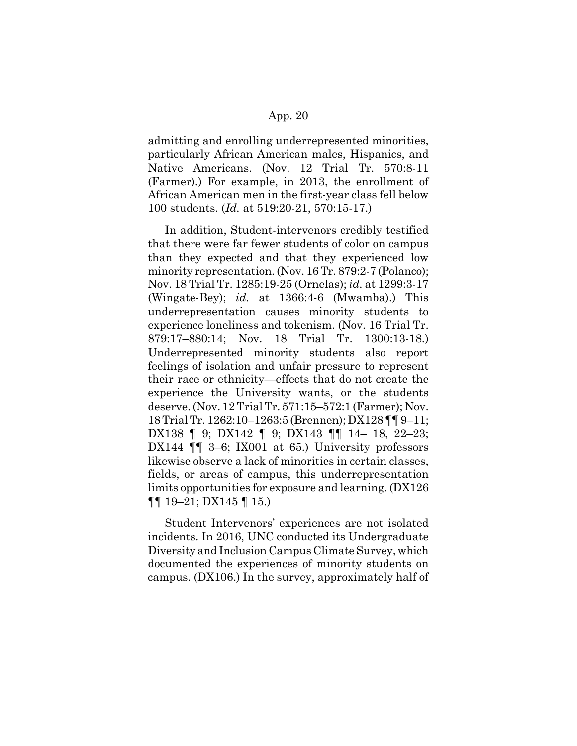admitting and enrolling underrepresented minorities, particularly African American males, Hispanics, and Native Americans. (Nov. 12 Trial Tr. 570:8-11 (Farmer).) For example, in 2013, the enrollment of African American men in the first-year class fell below 100 students. (*Id.* at 519:20-21, 570:15-17.)

In addition, Student-intervenors credibly testified that there were far fewer students of color on campus than they expected and that they experienced low minority representation. (Nov. 16 Tr. 879:2-7 (Polanco); Nov. 18 Trial Tr. 1285:19-25 (Ornelas); *id.* at 1299:3-17 (Wingate-Bey); *id.* at 1366:4-6 (Mwamba).) This underrepresentation causes minority students to experience loneliness and tokenism. (Nov. 16 Trial Tr. 879:17–880:14; Nov. 18 Trial Tr. 1300:13-18.) Underrepresented minority students also report feelings of isolation and unfair pressure to represent their race or ethnicity—effects that do not create the experience the University wants, or the students deserve. (Nov. 12 Trial Tr. 571:15–572:1 (Farmer); Nov. 18 Trial Tr. 1262:10–1263:5 (Brennen); DX128 ¶¶ 9–11; DX138 ¶ 9; DX142 ¶ 9; DX143 ¶¶ 14– 18, 22–23; DX144  $\P$  3–6; IX001 at 65.) University professors likewise observe a lack of minorities in certain classes, fields, or areas of campus, this underrepresentation limits opportunities for exposure and learning. (DX126 ¶¶ 19–21; DX145 ¶ 15.)

Student Intervenors' experiences are not isolated incidents. In 2016, UNC conducted its Undergraduate Diversity and Inclusion Campus Climate Survey, which documented the experiences of minority students on campus. (DX106.) In the survey, approximately half of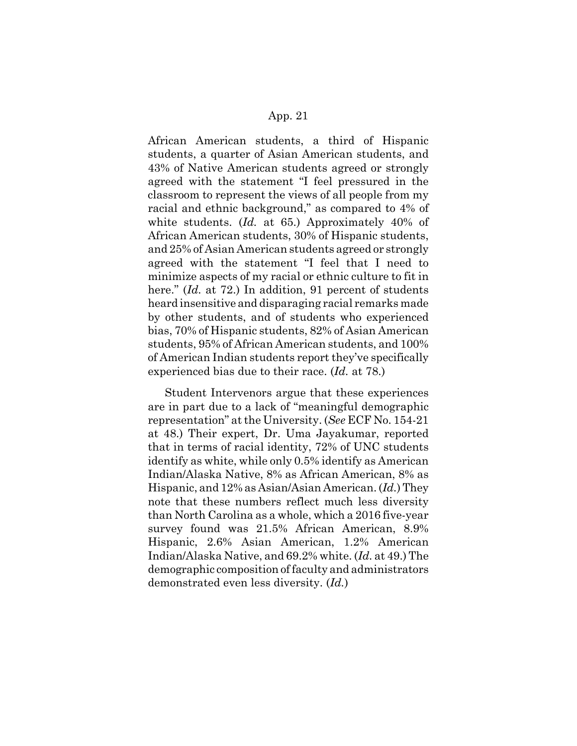African American students, a third of Hispanic students, a quarter of Asian American students, and 43% of Native American students agreed or strongly agreed with the statement "I feel pressured in the classroom to represent the views of all people from my racial and ethnic background," as compared to 4% of white students. (*Id.* at 65.) Approximately 40% of African American students, 30% of Hispanic students, and 25% of Asian American students agreed or strongly agreed with the statement "I feel that I need to minimize aspects of my racial or ethnic culture to fit in here." (*Id.* at 72.) In addition, 91 percent of students heard insensitive and disparaging racial remarks made by other students, and of students who experienced bias, 70% of Hispanic students, 82% of Asian American students, 95% of African American students, and 100% of American Indian students report they've specifically experienced bias due to their race. (*Id.* at 78.)

Student Intervenors argue that these experiences are in part due to a lack of "meaningful demographic representation" at the University. (*See* ECF No. 154-21 at 48.) Their expert, Dr. Uma Jayakumar, reported that in terms of racial identity, 72% of UNC students identify as white, while only 0.5% identify as American Indian/Alaska Native, 8% as African American, 8% as Hispanic, and 12% as Asian/Asian American. (*Id.*) They note that these numbers reflect much less diversity than North Carolina as a whole, which a 2016 five-year survey found was 21.5% African American, 8.9% Hispanic, 2.6% Asian American, 1.2% American Indian/Alaska Native, and 69.2% white. (*Id.* at 49.) The demographic composition of faculty and administrators demonstrated even less diversity. (*Id.*)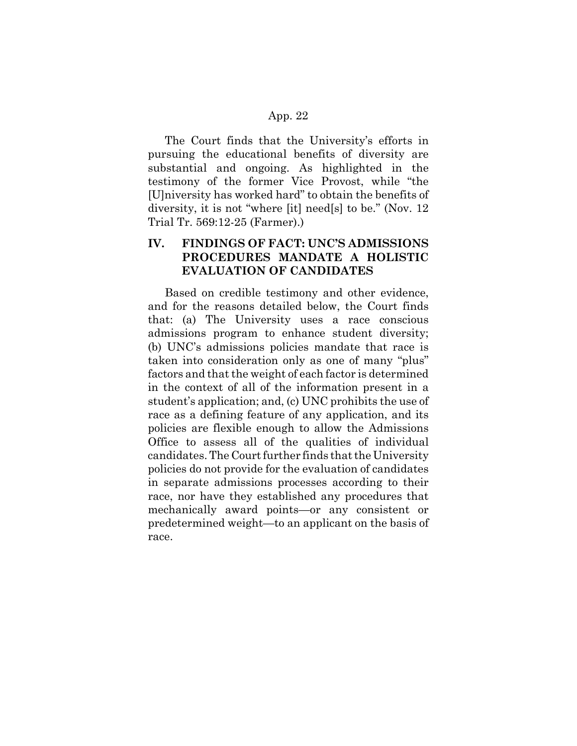The Court finds that the University's efforts in pursuing the educational benefits of diversity are substantial and ongoing. As highlighted in the testimony of the former Vice Provost, while "the [U]niversity has worked hard" to obtain the benefits of diversity, it is not "where [it] need[s] to be." (Nov. 12 Trial Tr. 569:12-25 (Farmer).)

# **IV. FINDINGS OF FACT: UNC'S ADMISSIONS PROCEDURES MANDATE A HOLISTIC EVALUATION OF CANDIDATES**

Based on credible testimony and other evidence, and for the reasons detailed below, the Court finds that: (a) The University uses a race conscious admissions program to enhance student diversity; (b) UNC's admissions policies mandate that race is taken into consideration only as one of many "plus" factors and that the weight of each factor is determined in the context of all of the information present in a student's application; and, (c) UNC prohibits the use of race as a defining feature of any application, and its policies are flexible enough to allow the Admissions Office to assess all of the qualities of individual candidates. The Court further finds that the University policies do not provide for the evaluation of candidates in separate admissions processes according to their race, nor have they established any procedures that mechanically award points—or any consistent or predetermined weight—to an applicant on the basis of race.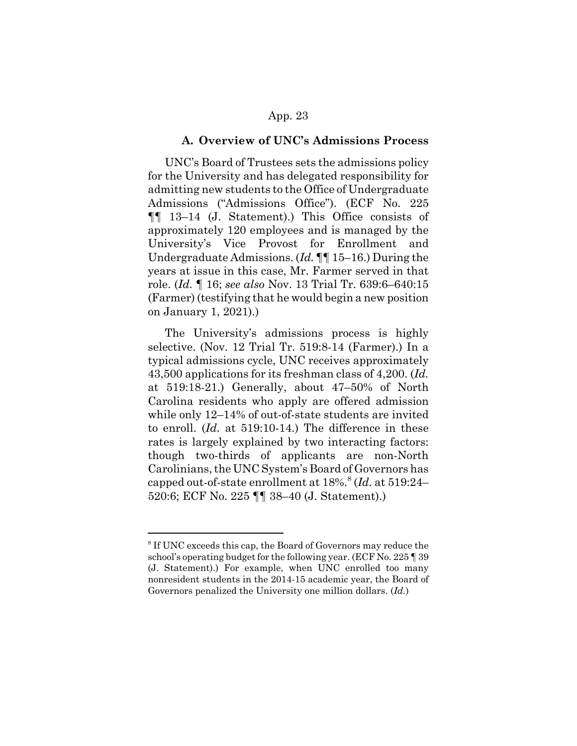#### **A. Overview of UNC's Admissions Process**

UNC's Board of Trustees sets the admissions policy for the University and has delegated responsibility for admitting new students to the Office of Undergraduate Admissions ("Admissions Office"). (ECF No. 225 ¶¶ 13–14 (J. Statement).) This Office consists of approximately 120 employees and is managed by the University's Vice Provost for Enrollment and Undergraduate Admissions. (*Id.* ¶¶ 15–16.) During the years at issue in this case, Mr. Farmer served in that role. (*Id.* ¶ 16; *see also* Nov. 13 Trial Tr. 639:6–640:15 (Farmer) (testifying that he would begin a new position on January 1, 2021).)

The University's admissions process is highly selective. (Nov. 12 Trial Tr. 519:8-14 (Farmer).) In a typical admissions cycle, UNC receives approximately 43,500 applications for its freshman class of 4,200. (*Id.* at 519:18-21.) Generally, about 47–50% of North Carolina residents who apply are offered admission while only 12–14% of out-of-state students are invited to enroll. (*Id.* at 519:10-14.) The difference in these rates is largely explained by two interacting factors: though two-thirds of applicants are non-North Carolinians, the UNC System's Board of Governors has capped out-of-state enrollment at 18%.<sup>8</sup> (*Id.* at 519:24– 520:6; ECF No. 225 ¶¶ 38–40 (J. Statement).)

<sup>&</sup>lt;sup>8</sup> If UNC exceeds this cap, the Board of Governors may reduce the school's operating budget for the following year. (ECF No. 225 ¶ 39 (J. Statement).) For example, when UNC enrolled too many nonresident students in the 2014-15 academic year, the Board of Governors penalized the University one million dollars. (*Id.*)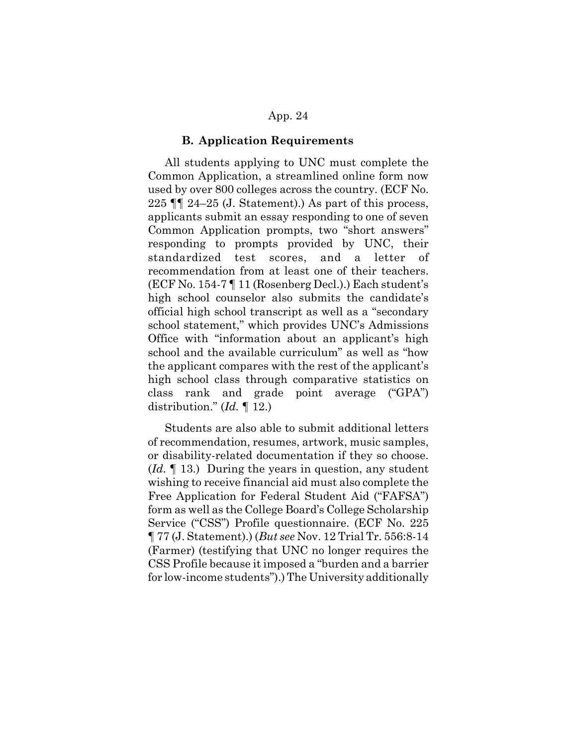#### **B. Application Requirements**

All students applying to UNC must complete the Common Application, a streamlined online form now used by over 800 colleges across the country. (ECF No. 225 ¶¶ 24–25 (J. Statement).) As part of this process, applicants submit an essay responding to one of seven Common Application prompts, two "short answers" responding to prompts provided by UNC, their standardized test scores, and a letter of recommendation from at least one of their teachers. (ECF No. 154-7 ¶ 11 (Rosenberg Decl.).) Each student's high school counselor also submits the candidate's official high school transcript as well as a "secondary school statement," which provides UNC's Admissions Office with "information about an applicant's high school and the available curriculum" as well as "how the applicant compares with the rest of the applicant's high school class through comparative statistics on class rank and grade point average ("GPA") distribution." (*Id.* ¶ 12.)

Students are also able to submit additional letters of recommendation, resumes, artwork, music samples, or disability-related documentation if they so choose. (*Id.* ¶ 13.) During the years in question, any student wishing to receive financial aid must also complete the Free Application for Federal Student Aid ("FAFSA") form as well as the College Board's College Scholarship Service ("CSS") Profile questionnaire. (ECF No. 225 ¶ 77 (J. Statement).) (*But see* Nov. 12 Trial Tr. 556:8-14 (Farmer) (testifying that UNC no longer requires the CSS Profile because it imposed a "burden and a barrier for low-income students").) The University additionally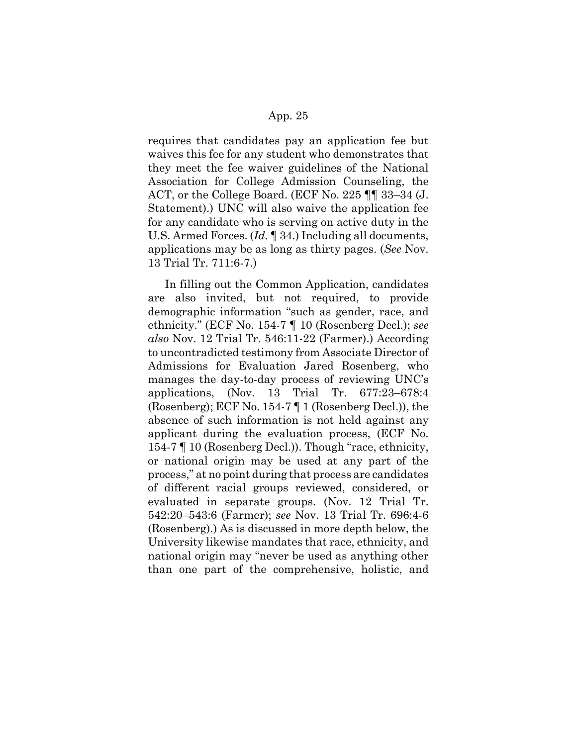requires that candidates pay an application fee but waives this fee for any student who demonstrates that they meet the fee waiver guidelines of the National Association for College Admission Counseling, the ACT, or the College Board. (ECF No. 225 ¶¶ 33–34 (J. Statement).) UNC will also waive the application fee for any candidate who is serving on active duty in the U.S. Armed Forces. (*Id.* ¶ 34.) Including all documents, applications may be as long as thirty pages. (*See* Nov. 13 Trial Tr. 711:6-7.)

In filling out the Common Application, candidates are also invited, but not required, to provide demographic information "such as gender, race, and ethnicity." (ECF No. 154-7 ¶ 10 (Rosenberg Decl.); *see also* Nov. 12 Trial Tr. 546:11-22 (Farmer).) According to uncontradicted testimony from Associate Director of Admissions for Evaluation Jared Rosenberg, who manages the day-to-day process of reviewing UNC's applications, (Nov. 13 Trial Tr. 677:23–678:4 (Rosenberg); ECF No. 154-7 ¶ 1 (Rosenberg Decl.)), the absence of such information is not held against any applicant during the evaluation process, (ECF No. 154-7 ¶ 10 (Rosenberg Decl.)). Though "race, ethnicity, or national origin may be used at any part of the process," at no point during that process are candidates of different racial groups reviewed, considered, or evaluated in separate groups. (Nov. 12 Trial Tr. 542:20–543:6 (Farmer); *see* Nov. 13 Trial Tr. 696:4-6 (Rosenberg).) As is discussed in more depth below, the University likewise mandates that race, ethnicity, and national origin may "never be used as anything other than one part of the comprehensive, holistic, and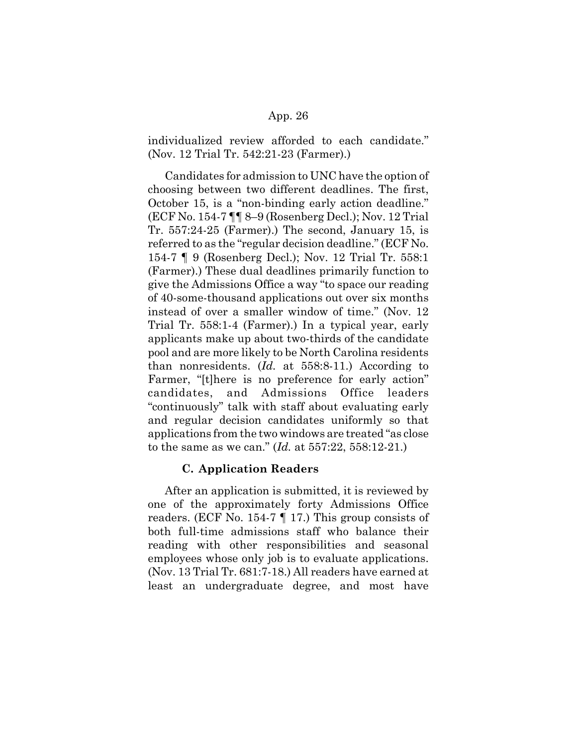individualized review afforded to each candidate." (Nov. 12 Trial Tr. 542:21-23 (Farmer).)

Candidates for admission to UNC have the option of choosing between two different deadlines. The first, October 15, is a "non-binding early action deadline." (ECF No. 154-7 ¶¶ 8–9 (Rosenberg Decl.); Nov. 12 Trial Tr. 557:24-25 (Farmer).) The second, January 15, is referred to as the "regular decision deadline." (ECF No. 154-7 ¶ 9 (Rosenberg Decl.); Nov. 12 Trial Tr. 558:1 (Farmer).) These dual deadlines primarily function to give the Admissions Office a way "to space our reading of 40-some-thousand applications out over six months instead of over a smaller window of time." (Nov. 12 Trial Tr. 558:1-4 (Farmer).) In a typical year, early applicants make up about two-thirds of the candidate pool and are more likely to be North Carolina residents than nonresidents. (*Id.* at 558:8-11.) According to Farmer, "[t]here is no preference for early action" candidates, and Admissions Office leaders "continuously" talk with staff about evaluating early and regular decision candidates uniformly so that applications from the two windows are treated "as close to the same as we can." (*Id.* at 557:22, 558:12-21.)

#### **C. Application Readers**

After an application is submitted, it is reviewed by one of the approximately forty Admissions Office readers. (ECF No. 154-7 ¶ 17.) This group consists of both full-time admissions staff who balance their reading with other responsibilities and seasonal employees whose only job is to evaluate applications. (Nov. 13 Trial Tr. 681:7-18.) All readers have earned at least an undergraduate degree, and most have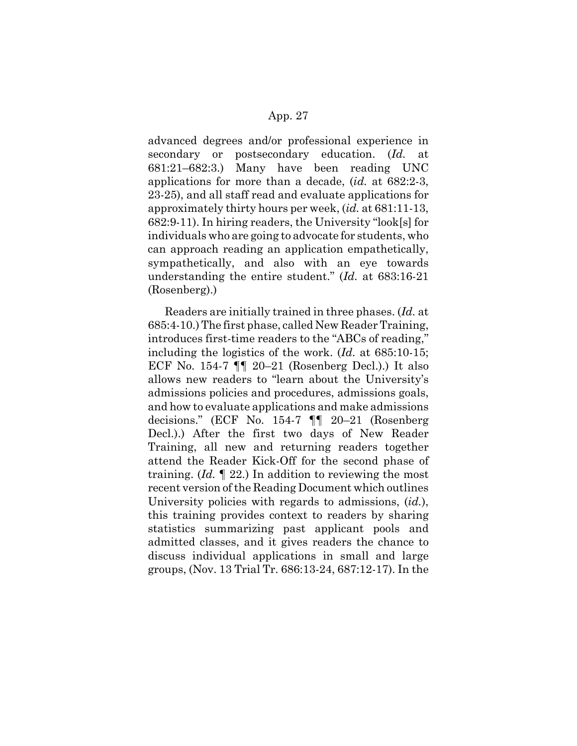advanced degrees and/or professional experience in secondary or postsecondary education. (*Id.* at 681:21–682:3.) Many have been reading UNC applications for more than a decade, (*id.* at 682:2-3, 23-25), and all staff read and evaluate applications for approximately thirty hours per week, (*id.* at 681:11-13, 682:9-11). In hiring readers, the University "look[s] for individuals who are going to advocate for students, who can approach reading an application empathetically, sympathetically, and also with an eye towards understanding the entire student." (*Id.* at 683:16-21 (Rosenberg).)

Readers are initially trained in three phases. (*Id.* at 685:4-10.) The first phase, called New Reader Training, introduces first-time readers to the "ABCs of reading," including the logistics of the work. (*Id.* at 685:10-15; ECF No. 154-7 ¶¶ 20–21 (Rosenberg Decl.).) It also allows new readers to "learn about the University's admissions policies and procedures, admissions goals, and how to evaluate applications and make admissions decisions." (ECF No. 154-7 ¶¶ 20–21 (Rosenberg Decl.).) After the first two days of New Reader Training, all new and returning readers together attend the Reader Kick-Off for the second phase of training. (*Id.* ¶ 22.) In addition to reviewing the most recent version of the Reading Document which outlines University policies with regards to admissions, (*id.*), this training provides context to readers by sharing statistics summarizing past applicant pools and admitted classes, and it gives readers the chance to discuss individual applications in small and large groups, (Nov. 13 Trial Tr. 686:13-24, 687:12-17). In the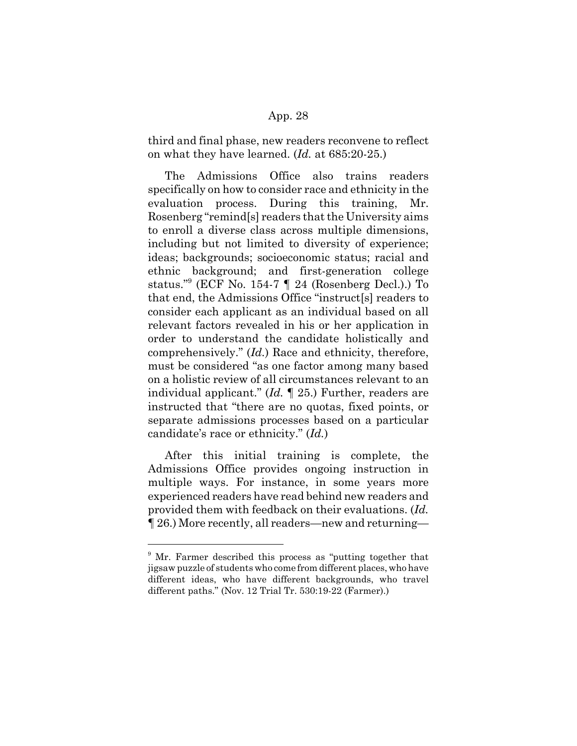third and final phase, new readers reconvene to reflect on what they have learned. (*Id.* at 685:20-25.)

The Admissions Office also trains readers specifically on how to consider race and ethnicity in the evaluation process. During this training, Mr. Rosenberg "remind[s] readers that the University aims to enroll a diverse class across multiple dimensions, including but not limited to diversity of experience; ideas; backgrounds; socioeconomic status; racial and ethnic background; and first-generation college status."9 (ECF No. 154-7 ¶ 24 (Rosenberg Decl.).) To that end, the Admissions Office "instruct[s] readers to consider each applicant as an individual based on all relevant factors revealed in his or her application in order to understand the candidate holistically and comprehensively." (*Id.*) Race and ethnicity, therefore, must be considered "as one factor among many based on a holistic review of all circumstances relevant to an individual applicant." (*Id.* ¶ 25.) Further, readers are instructed that "there are no quotas, fixed points, or separate admissions processes based on a particular candidate's race or ethnicity." (*Id.*)

After this initial training is complete, the Admissions Office provides ongoing instruction in multiple ways. For instance, in some years more experienced readers have read behind new readers and provided them with feedback on their evaluations. (*Id.* ¶ 26.) More recently, all readers—new and returning—

<sup>&</sup>lt;sup>9</sup> Mr. Farmer described this process as "putting together that jigsaw puzzle of students who come from different places, who have different ideas, who have different backgrounds, who travel different paths." (Nov. 12 Trial Tr. 530:19-22 (Farmer).)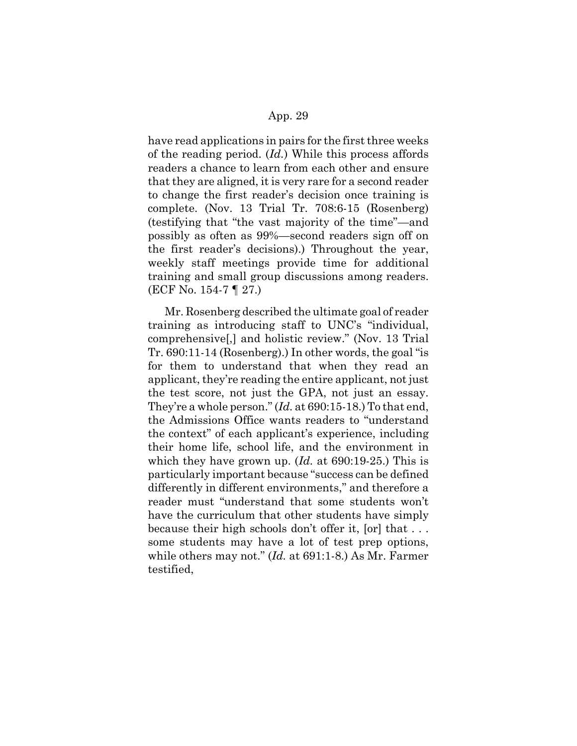have read applications in pairs for the first three weeks of the reading period. (*Id.*) While this process affords readers a chance to learn from each other and ensure that they are aligned, it is very rare for a second reader to change the first reader's decision once training is complete. (Nov. 13 Trial Tr. 708:6-15 (Rosenberg) (testifying that "the vast majority of the time"—and possibly as often as 99%—second readers sign off on the first reader's decisions).) Throughout the year, weekly staff meetings provide time for additional training and small group discussions among readers. (ECF No. 154-7 ¶ 27.)

Mr. Rosenberg described the ultimate goal of reader training as introducing staff to UNC's "individual, comprehensive[,] and holistic review." (Nov. 13 Trial Tr. 690:11-14 (Rosenberg).) In other words, the goal "is for them to understand that when they read an applicant, they're reading the entire applicant, not just the test score, not just the GPA, not just an essay. They're a whole person." (*Id.* at 690:15-18.) To that end, the Admissions Office wants readers to "understand the context" of each applicant's experience, including their home life, school life, and the environment in which they have grown up. (*Id.* at 690:19-25.) This is particularly important because "success can be defined differently in different environments," and therefore a reader must "understand that some students won't have the curriculum that other students have simply because their high schools don't offer it, [or] that . . . some students may have a lot of test prep options, while others may not." (*Id.* at 691:1-8.) As Mr. Farmer testified,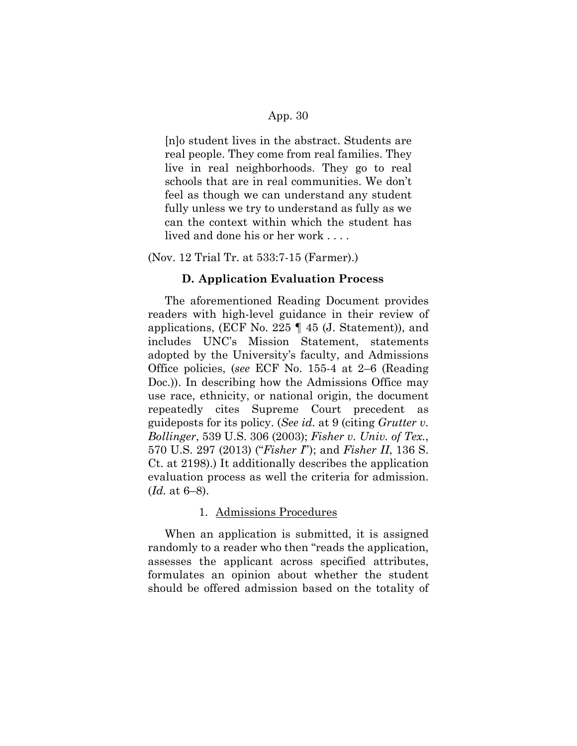[n]o student lives in the abstract. Students are real people. They come from real families. They live in real neighborhoods. They go to real schools that are in real communities. We don't feel as though we can understand any student fully unless we try to understand as fully as we can the context within which the student has lived and done his or her work . . . .

(Nov. 12 Trial Tr. at 533:7-15 (Farmer).)

## **D. Application Evaluation Process**

The aforementioned Reading Document provides readers with high-level guidance in their review of applications, (ECF No. 225 ¶ 45 (J. Statement)), and includes UNC's Mission Statement, statements adopted by the University's faculty, and Admissions Office policies, (*see* ECF No. 155-4 at 2–6 (Reading Doc.)). In describing how the Admissions Office may use race, ethnicity, or national origin, the document repeatedly cites Supreme Court precedent as guideposts for its policy. (*See id.* at 9 (citing *Grutter v. Bollinger*, 539 U.S. 306 (2003); *Fisher v. Univ. of Tex.*, 570 U.S. 297 (2013) ("*Fisher I*"); and *Fisher II*, 136 S. Ct. at 2198).) It additionally describes the application evaluation process as well the criteria for admission. (*Id.* at 6–8).

## 1. Admissions Procedures

When an application is submitted, it is assigned randomly to a reader who then "reads the application, assesses the applicant across specified attributes, formulates an opinion about whether the student should be offered admission based on the totality of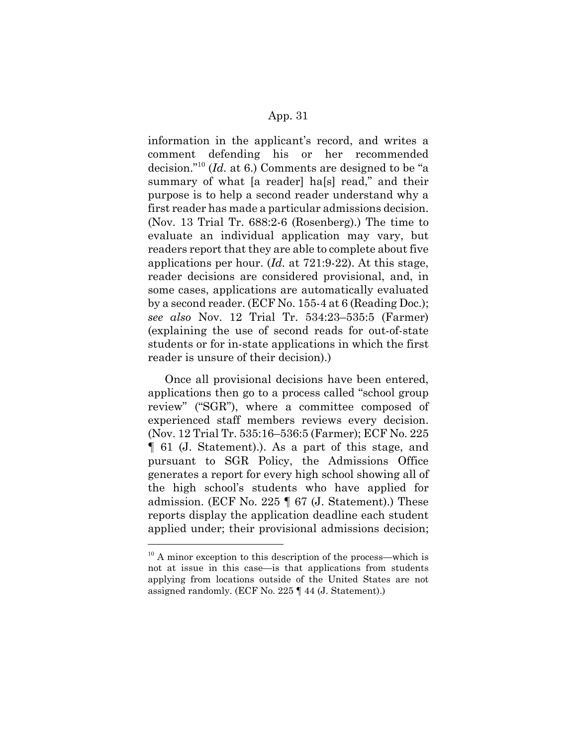information in the applicant's record, and writes a comment defending his or her recommended decision."10 (*Id.* at 6.) Comments are designed to be "a summary of what [a reader] ha[s] read," and their purpose is to help a second reader understand why a first reader has made a particular admissions decision. (Nov. 13 Trial Tr. 688:2-6 (Rosenberg).) The time to evaluate an individual application may vary, but readers report that they are able to complete about five applications per hour. (*Id.* at 721:9-22). At this stage, reader decisions are considered provisional, and, in some cases, applications are automatically evaluated by a second reader. (ECF No. 155-4 at 6 (Reading Doc.); *see also* Nov. 12 Trial Tr. 534:23–535:5 (Farmer) (explaining the use of second reads for out-of-state students or for in-state applications in which the first reader is unsure of their decision).)

Once all provisional decisions have been entered, applications then go to a process called "school group review" ("SGR"), where a committee composed of experienced staff members reviews every decision. (Nov. 12 Trial Tr. 535:16–536:5 (Farmer); ECF No. 225 ¶ 61 (J. Statement).). As a part of this stage, and pursuant to SGR Policy, the Admissions Office generates a report for every high school showing all of the high school's students who have applied for admission. (ECF No. 225 ¶ 67 (J. Statement).) These reports display the application deadline each student applied under; their provisional admissions decision;

 $10$  A minor exception to this description of the process—which is not at issue in this case—is that applications from students applying from locations outside of the United States are not assigned randomly. (ECF No. 225 ¶ 44 (J. Statement).)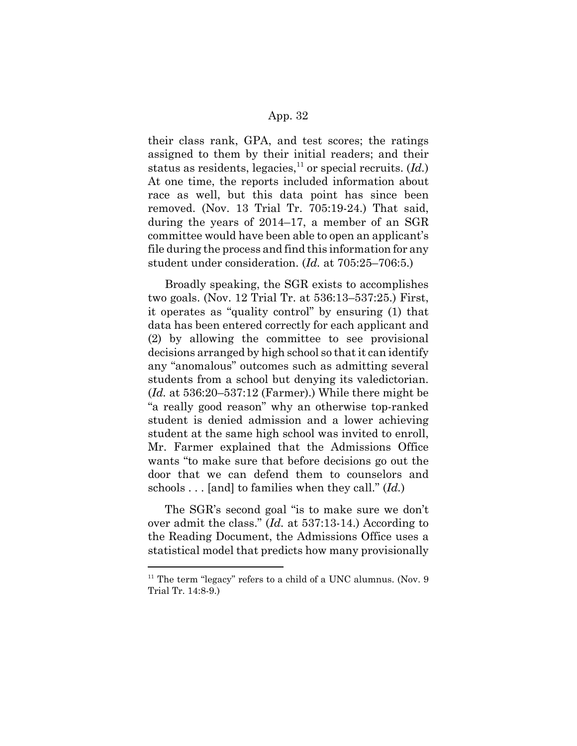their class rank, GPA, and test scores; the ratings assigned to them by their initial readers; and their status as residents, legacies, $^{11}$  or special recruits.  $(Id.)$ At one time, the reports included information about race as well, but this data point has since been removed. (Nov. 13 Trial Tr. 705:19-24.) That said, during the years of 2014–17, a member of an SGR committee would have been able to open an applicant's file during the process and find this information for any student under consideration. (*Id.* at 705:25–706:5.)

Broadly speaking, the SGR exists to accomplishes two goals. (Nov. 12 Trial Tr. at 536:13–537:25.) First, it operates as "quality control" by ensuring (1) that data has been entered correctly for each applicant and (2) by allowing the committee to see provisional decisions arranged by high school so that it can identify any "anomalous" outcomes such as admitting several students from a school but denying its valedictorian. (*Id.* at 536:20–537:12 (Farmer).) While there might be "a really good reason" why an otherwise top-ranked student is denied admission and a lower achieving student at the same high school was invited to enroll, Mr. Farmer explained that the Admissions Office wants "to make sure that before decisions go out the door that we can defend them to counselors and schools . . . [and] to families when they call." (*Id.*)

The SGR's second goal "is to make sure we don't over admit the class." (*Id.* at 537:13-14.) According to the Reading Document, the Admissions Office uses a statistical model that predicts how many provisionally

 $11$  The term "legacy" refers to a child of a UNC alumnus. (Nov. 9) Trial Tr. 14:8-9.)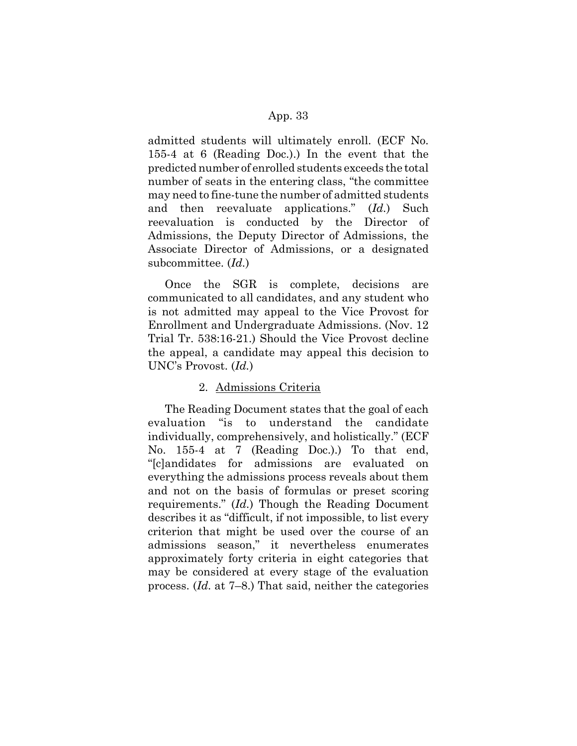admitted students will ultimately enroll. (ECF No. 155-4 at 6 (Reading Doc.).) In the event that the predicted number of enrolled students exceeds the total number of seats in the entering class, "the committee may need to fine-tune the number of admitted students and then reevaluate applications." (*Id.*) Such reevaluation is conducted by the Director of Admissions, the Deputy Director of Admissions, the Associate Director of Admissions, or a designated subcommittee. (*Id.*)

Once the SGR is complete, decisions are communicated to all candidates, and any student who is not admitted may appeal to the Vice Provost for Enrollment and Undergraduate Admissions. (Nov. 12 Trial Tr. 538:16-21.) Should the Vice Provost decline the appeal, a candidate may appeal this decision to UNC's Provost. (*Id.*)

#### 2. Admissions Criteria

The Reading Document states that the goal of each evaluation "is to understand the candidate individually, comprehensively, and holistically." (ECF No. 155-4 at 7 (Reading Doc.).) To that end, "[c]andidates for admissions are evaluated on everything the admissions process reveals about them and not on the basis of formulas or preset scoring requirements." (*Id.*) Though the Reading Document describes it as "difficult, if not impossible, to list every criterion that might be used over the course of an admissions season," it nevertheless enumerates approximately forty criteria in eight categories that may be considered at every stage of the evaluation process. (*Id.* at 7–8.) That said, neither the categories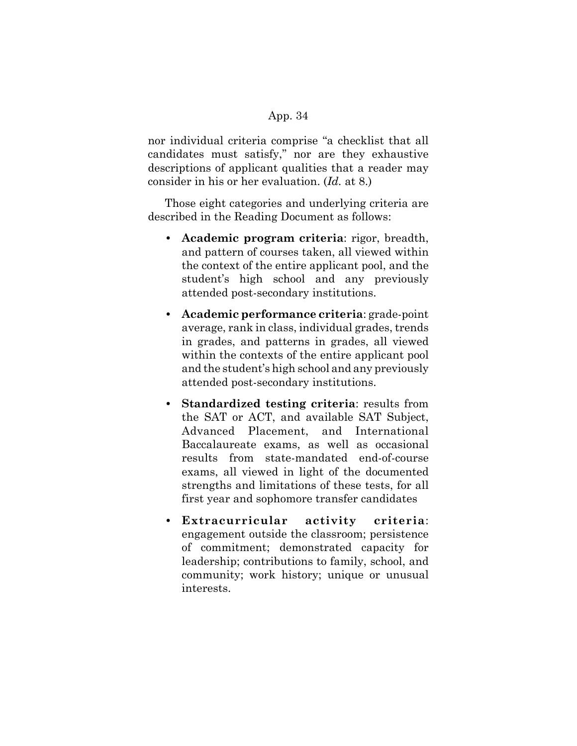nor individual criteria comprise "a checklist that all candidates must satisfy," nor are they exhaustive descriptions of applicant qualities that a reader may consider in his or her evaluation. (*Id.* at 8.)

Those eight categories and underlying criteria are described in the Reading Document as follows:

- **Academic program criteria**: rigor, breadth, and pattern of courses taken, all viewed within the context of the entire applicant pool, and the student's high school and any previously attended post-secondary institutions.
- **Academic performance criteria**: grade-point average, rank in class, individual grades, trends in grades, and patterns in grades, all viewed within the contexts of the entire applicant pool and the student's high school and any previously attended post-secondary institutions.
- **Standardized testing criteria**: results from the SAT or ACT, and available SAT Subject, Advanced Placement, and International Baccalaureate exams, as well as occasional results from state-mandated end-of-course exams, all viewed in light of the documented strengths and limitations of these tests, for all first year and sophomore transfer candidates
- **Extracurricular activity criteria**: engagement outside the classroom; persistence of commitment; demonstrated capacity for leadership; contributions to family, school, and community; work history; unique or unusual interests.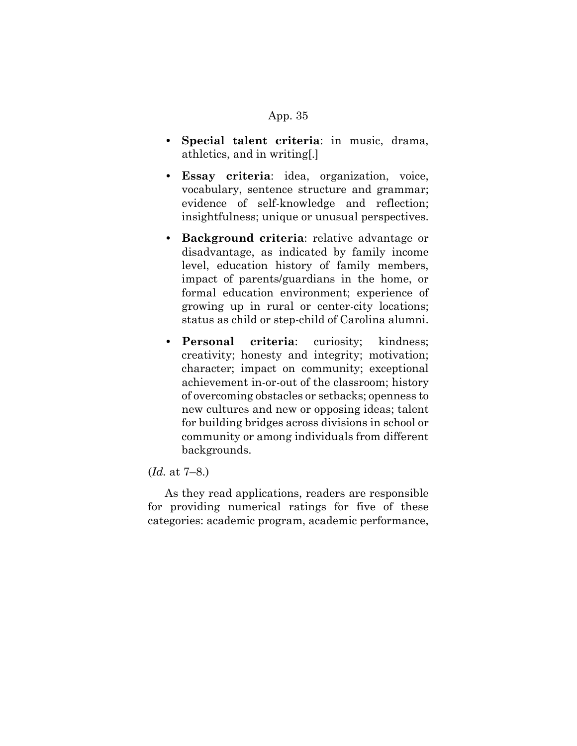- **Special talent criteria**: in music, drama, athletics, and in writing[.]
- **Essay criteria**: idea, organization, voice, vocabulary, sentence structure and grammar; evidence of self-knowledge and reflection; insightfulness; unique or unusual perspectives.
- **Background criteria**: relative advantage or disadvantage, as indicated by family income level, education history of family members, impact of parents/guardians in the home, or formal education environment; experience of growing up in rural or center-city locations; status as child or step-child of Carolina alumni.
- **Personal criteria**: curiosity; kindness; creativity; honesty and integrity; motivation; character; impact on community; exceptional achievement in-or-out of the classroom; history of overcoming obstacles or setbacks; openness to new cultures and new or opposing ideas; talent for building bridges across divisions in school or community or among individuals from different backgrounds.

# (*Id.* at 7–8.)

As they read applications, readers are responsible for providing numerical ratings for five of these categories: academic program, academic performance,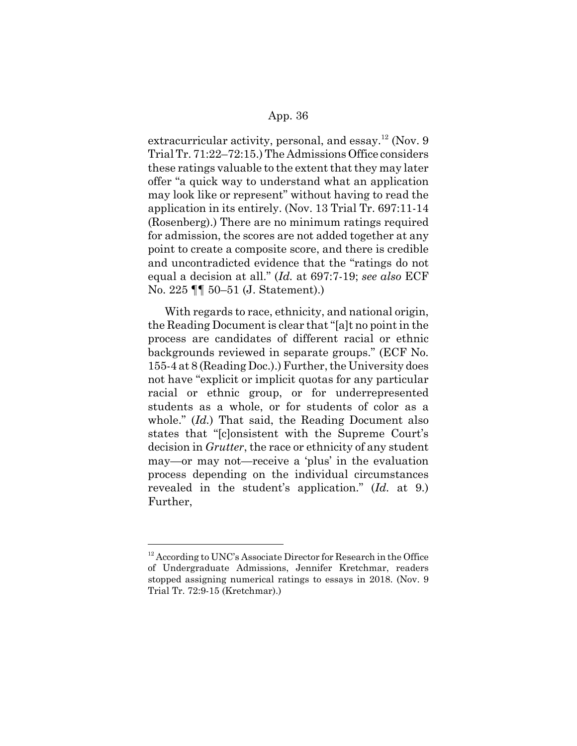extracurricular activity, personal, and essay.<sup>12</sup> (Nov. 9) Trial Tr. 71:22–72:15.) The Admissions Office considers these ratings valuable to the extent that they may later offer "a quick way to understand what an application may look like or represent" without having to read the application in its entirely. (Nov. 13 Trial Tr. 697:11-14 (Rosenberg).) There are no minimum ratings required for admission, the scores are not added together at any point to create a composite score, and there is credible and uncontradicted evidence that the "ratings do not equal a decision at all." (*Id.* at 697:7-19; *see also* ECF No. 225 ¶¶ 50–51 (J. Statement).)

With regards to race, ethnicity, and national origin, the Reading Document is clear that "[a]t no point in the process are candidates of different racial or ethnic backgrounds reviewed in separate groups." (ECF No. 155-4 at 8 (Reading Doc.).) Further, the University does not have "explicit or implicit quotas for any particular racial or ethnic group, or for underrepresented students as a whole, or for students of color as a whole." (*Id.*) That said, the Reading Document also states that "[c]onsistent with the Supreme Court's decision in *Grutter*, the race or ethnicity of any student may—or may not—receive a 'plus' in the evaluation process depending on the individual circumstances revealed in the student's application." (*Id.* at 9.) Further,

 $12$  According to UNC's Associate Director for Research in the Office of Undergraduate Admissions, Jennifer Kretchmar, readers stopped assigning numerical ratings to essays in 2018. (Nov. 9 Trial Tr. 72:9-15 (Kretchmar).)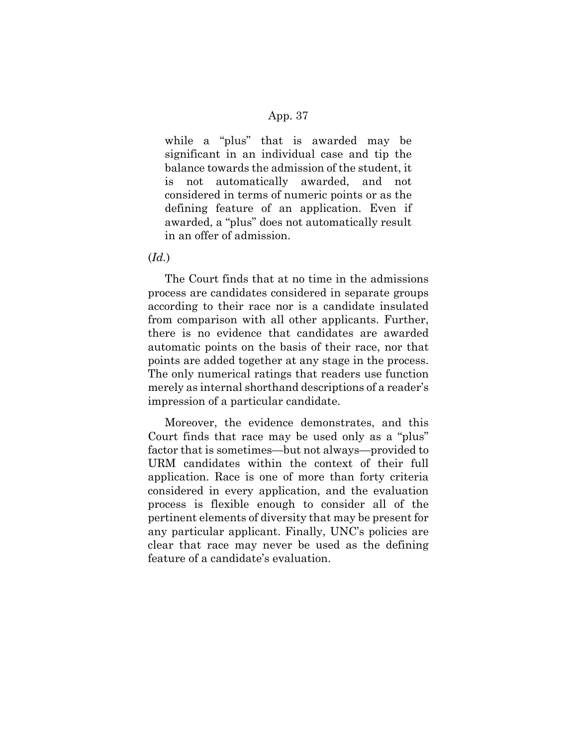while a "plus" that is awarded may be significant in an individual case and tip the balance towards the admission of the student, it is not automatically awarded, and not considered in terms of numeric points or as the defining feature of an application. Even if awarded, a "plus" does not automatically result in an offer of admission.

(*Id.*)

The Court finds that at no time in the admissions process are candidates considered in separate groups according to their race nor is a candidate insulated from comparison with all other applicants. Further, there is no evidence that candidates are awarded automatic points on the basis of their race, nor that points are added together at any stage in the process. The only numerical ratings that readers use function merely as internal shorthand descriptions of a reader's impression of a particular candidate.

Moreover, the evidence demonstrates, and this Court finds that race may be used only as a "plus" factor that is sometimes—but not always—provided to URM candidates within the context of their full application. Race is one of more than forty criteria considered in every application, and the evaluation process is flexible enough to consider all of the pertinent elements of diversity that may be present for any particular applicant. Finally, UNC's policies are clear that race may never be used as the defining feature of a candidate's evaluation.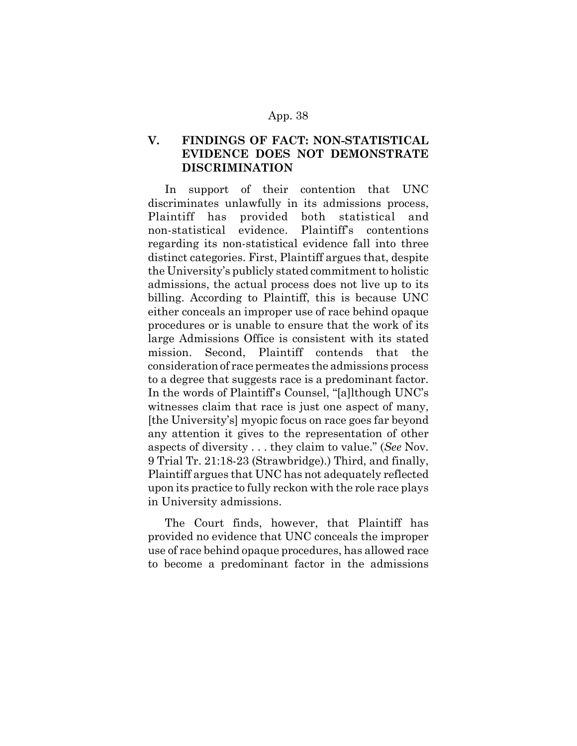# **V. FINDINGS OF FACT: NON-STATISTICAL EVIDENCE DOES NOT DEMONSTRATE DISCRIMINATION**

In support of their contention that UNC discriminates unlawfully in its admissions process, Plaintiff has provided both statistical and non-statistical evidence. Plaintiff's contentions regarding its non-statistical evidence fall into three distinct categories. First, Plaintiff argues that, despite the University's publicly stated commitment to holistic admissions, the actual process does not live up to its billing. According to Plaintiff, this is because UNC either conceals an improper use of race behind opaque procedures or is unable to ensure that the work of its large Admissions Office is consistent with its stated mission. Second, Plaintiff contends that the consideration of race permeates the admissions process to a degree that suggests race is a predominant factor. In the words of Plaintiff's Counsel, "[a]lthough UNC's witnesses claim that race is just one aspect of many, [the University's] myopic focus on race goes far beyond any attention it gives to the representation of other aspects of diversity . . . they claim to value." (*See* Nov. 9 Trial Tr. 21:18-23 (Strawbridge).) Third, and finally, Plaintiff argues that UNC has not adequately reflected upon its practice to fully reckon with the role race plays in University admissions.

The Court finds, however, that Plaintiff has provided no evidence that UNC conceals the improper use of race behind opaque procedures, has allowed race to become a predominant factor in the admissions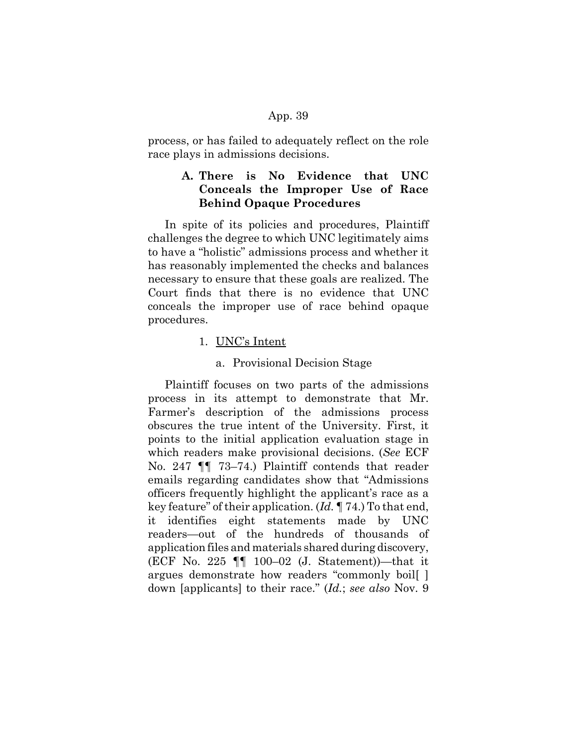process, or has failed to adequately reflect on the role race plays in admissions decisions.

# **A. There is No Evidence that UNC Conceals the Improper Use of Race Behind Opaque Procedures**

In spite of its policies and procedures, Plaintiff challenges the degree to which UNC legitimately aims to have a "holistic" admissions process and whether it has reasonably implemented the checks and balances necessary to ensure that these goals are realized. The Court finds that there is no evidence that UNC conceals the improper use of race behind opaque procedures.

# 1. UNC's Intent

#### a. Provisional Decision Stage

Plaintiff focuses on two parts of the admissions process in its attempt to demonstrate that Mr. Farmer's description of the admissions process obscures the true intent of the University. First, it points to the initial application evaluation stage in which readers make provisional decisions. (*See* ECF No. 247 ¶¶ 73–74.) Plaintiff contends that reader emails regarding candidates show that "Admissions officers frequently highlight the applicant's race as a key feature" of their application. (*Id.* ¶ 74.) To that end, it identifies eight statements made by UNC readers—out of the hundreds of thousands of application files and materials shared during discovery, (ECF No. 225 ¶¶ 100–02 (J. Statement))—that it argues demonstrate how readers "commonly boil[ ] down [applicants] to their race." (*Id.*; *see also* Nov. 9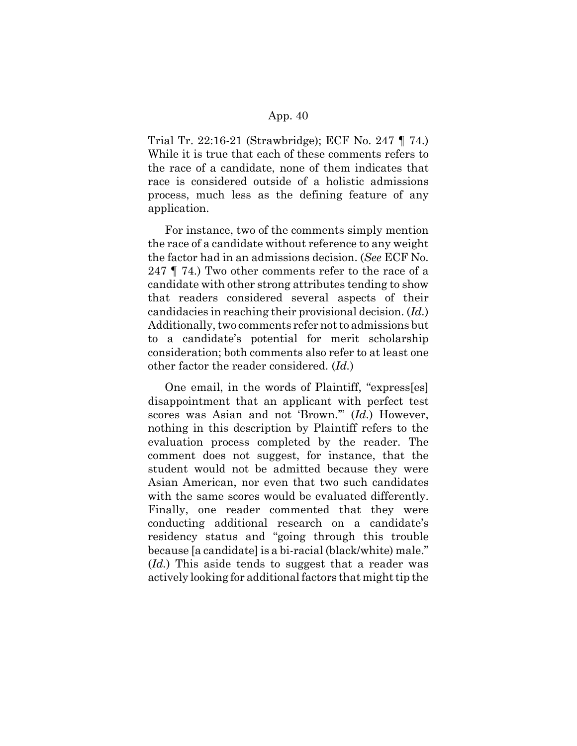Trial Tr. 22:16-21 (Strawbridge); ECF No. 247 ¶ 74.) While it is true that each of these comments refers to the race of a candidate, none of them indicates that race is considered outside of a holistic admissions process, much less as the defining feature of any application.

For instance, two of the comments simply mention the race of a candidate without reference to any weight the factor had in an admissions decision. (*See* ECF No. 247 ¶ 74.) Two other comments refer to the race of a candidate with other strong attributes tending to show that readers considered several aspects of their candidacies in reaching their provisional decision. (*Id.*) Additionally, two comments refer not to admissions but to a candidate's potential for merit scholarship consideration; both comments also refer to at least one other factor the reader considered. (*Id.*)

One email, in the words of Plaintiff, "express[es] disappointment that an applicant with perfect test scores was Asian and not 'Brown.'" (*Id.*) However, nothing in this description by Plaintiff refers to the evaluation process completed by the reader. The comment does not suggest, for instance, that the student would not be admitted because they were Asian American, nor even that two such candidates with the same scores would be evaluated differently. Finally, one reader commented that they were conducting additional research on a candidate's residency status and "going through this trouble because [a candidate] is a bi-racial (black/white) male." (*Id.*) This aside tends to suggest that a reader was actively looking for additional factors that might tip the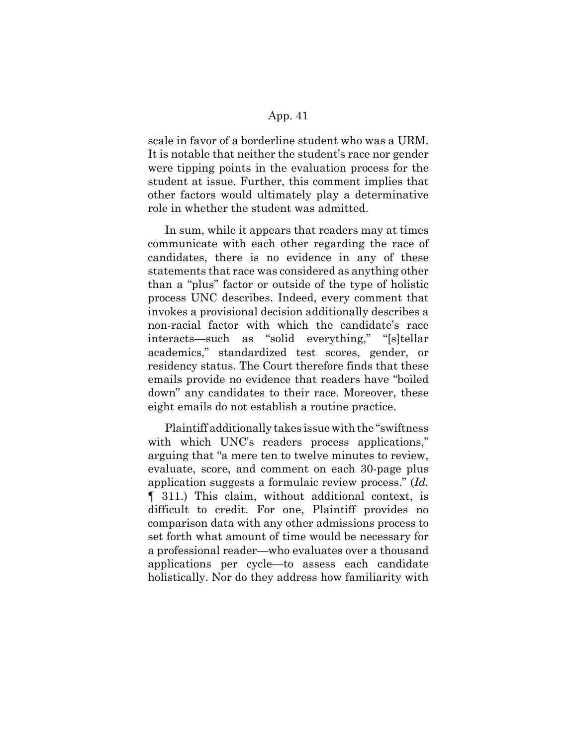scale in favor of a borderline student who was a URM. It is notable that neither the student's race nor gender were tipping points in the evaluation process for the student at issue. Further, this comment implies that other factors would ultimately play a determinative role in whether the student was admitted.

In sum, while it appears that readers may at times communicate with each other regarding the race of candidates, there is no evidence in any of these statements that race was considered as anything other than a "plus" factor or outside of the type of holistic process UNC describes. Indeed, every comment that invokes a provisional decision additionally describes a non-racial factor with which the candidate's race interacts—such as "solid everything," "[s]tellar academics," standardized test scores, gender, or residency status. The Court therefore finds that these emails provide no evidence that readers have "boiled down" any candidates to their race. Moreover, these eight emails do not establish a routine practice.

Plaintiff additionally takes issue with the "swiftness with which UNC's readers process applications," arguing that "a mere ten to twelve minutes to review, evaluate, score, and comment on each 30-page plus application suggests a formulaic review process." (*Id.* ¶ 311.) This claim, without additional context, is difficult to credit. For one, Plaintiff provides no comparison data with any other admissions process to set forth what amount of time would be necessary for a professional reader—who evaluates over a thousand applications per cycle—to assess each candidate holistically. Nor do they address how familiarity with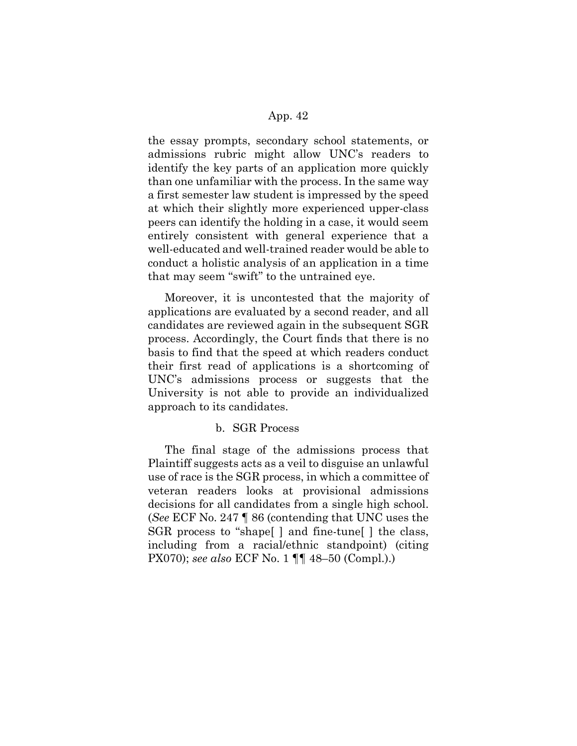the essay prompts, secondary school statements, or admissions rubric might allow UNC's readers to identify the key parts of an application more quickly than one unfamiliar with the process. In the same way a first semester law student is impressed by the speed at which their slightly more experienced upper-class peers can identify the holding in a case, it would seem entirely consistent with general experience that a well-educated and well-trained reader would be able to conduct a holistic analysis of an application in a time that may seem "swift" to the untrained eye.

Moreover, it is uncontested that the majority of applications are evaluated by a second reader, and all candidates are reviewed again in the subsequent SGR process. Accordingly, the Court finds that there is no basis to find that the speed at which readers conduct their first read of applications is a shortcoming of UNC's admissions process or suggests that the University is not able to provide an individualized approach to its candidates.

#### b. SGR Process

The final stage of the admissions process that Plaintiff suggests acts as a veil to disguise an unlawful use of race is the SGR process, in which a committee of veteran readers looks at provisional admissions decisions for all candidates from a single high school. (*See* ECF No. 247 ¶ 86 (contending that UNC uses the SGR process to "shape[ ] and fine-tune[ ] the class, including from a racial/ethnic standpoint) (citing PX070); *see also* ECF No. 1 ¶¶ 48–50 (Compl.).)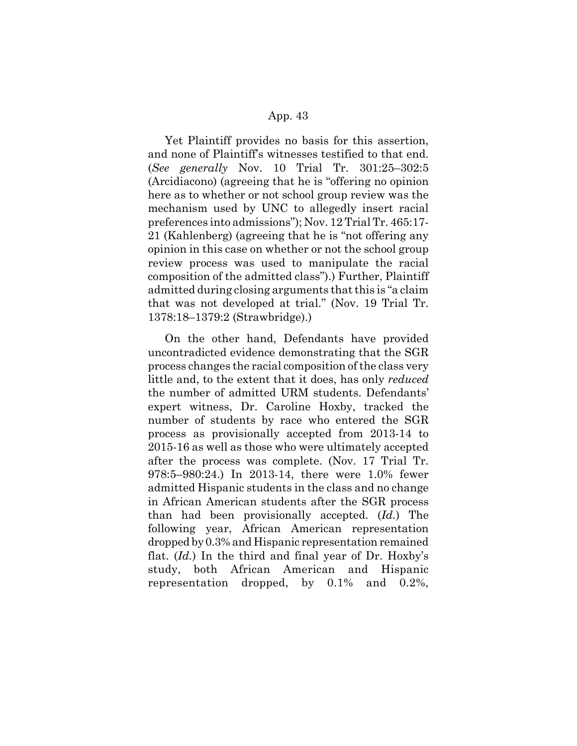Yet Plaintiff provides no basis for this assertion, and none of Plaintiff's witnesses testified to that end. (*See generally* Nov. 10 Trial Tr. 301:25–302:5 (Arcidiacono) (agreeing that he is "offering no opinion here as to whether or not school group review was the mechanism used by UNC to allegedly insert racial preferences into admissions"); Nov. 12 Trial Tr. 465:17- 21 (Kahlenberg) (agreeing that he is "not offering any opinion in this case on whether or not the school group review process was used to manipulate the racial composition of the admitted class").) Further, Plaintiff admitted during closing arguments that this is "a claim that was not developed at trial." (Nov. 19 Trial Tr. 1378:18–1379:2 (Strawbridge).)

On the other hand, Defendants have provided uncontradicted evidence demonstrating that the SGR process changes the racial composition of the class very little and, to the extent that it does, has only *reduced* the number of admitted URM students. Defendants' expert witness, Dr. Caroline Hoxby, tracked the number of students by race who entered the SGR process as provisionally accepted from 2013-14 to 2015-16 as well as those who were ultimately accepted after the process was complete. (Nov. 17 Trial Tr. 978:5–980:24.) In 2013-14, there were 1.0% fewer admitted Hispanic students in the class and no change in African American students after the SGR process than had been provisionally accepted. (*Id.*) The following year, African American representation dropped by 0.3% and Hispanic representation remained flat. (*Id.*) In the third and final year of Dr. Hoxby's study, both African American and Hispanic representation dropped, by 0.1% and 0.2%,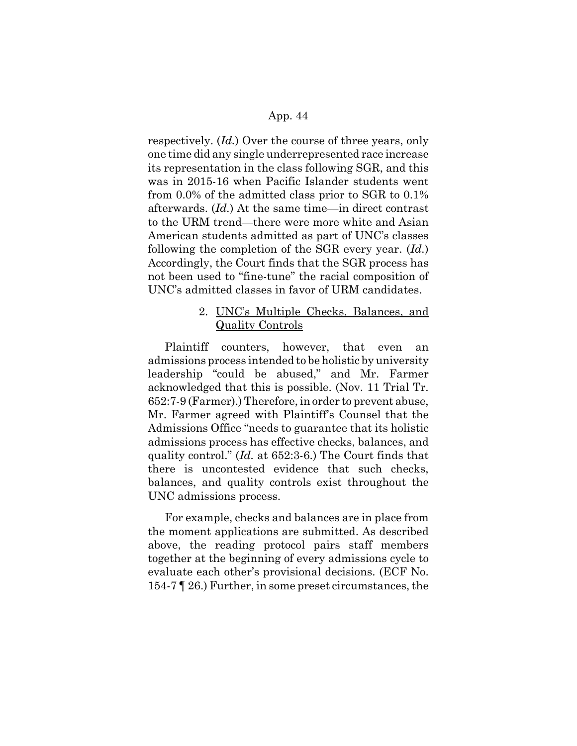respectively. (*Id.*) Over the course of three years, only one time did any single underrepresented race increase its representation in the class following SGR, and this was in 2015-16 when Pacific Islander students went from 0.0% of the admitted class prior to SGR to 0.1% afterwards. (*Id.*) At the same time—in direct contrast to the URM trend—there were more white and Asian American students admitted as part of UNC's classes following the completion of the SGR every year. (*Id.*) Accordingly, the Court finds that the SGR process has not been used to "fine-tune" the racial composition of UNC's admitted classes in favor of URM candidates.

# 2. UNC's Multiple Checks, Balances, and Quality Controls

Plaintiff counters, however, that even an admissions process intended to be holistic by university leadership "could be abused," and Mr. Farmer acknowledged that this is possible. (Nov. 11 Trial Tr. 652:7-9 (Farmer).) Therefore, in order to prevent abuse, Mr. Farmer agreed with Plaintiff's Counsel that the Admissions Office "needs to guarantee that its holistic admissions process has effective checks, balances, and quality control." (*Id.* at 652:3-6.) The Court finds that there is uncontested evidence that such checks, balances, and quality controls exist throughout the UNC admissions process.

For example, checks and balances are in place from the moment applications are submitted. As described above, the reading protocol pairs staff members together at the beginning of every admissions cycle to evaluate each other's provisional decisions. (ECF No. 154-7 ¶ 26.) Further, in some preset circumstances, the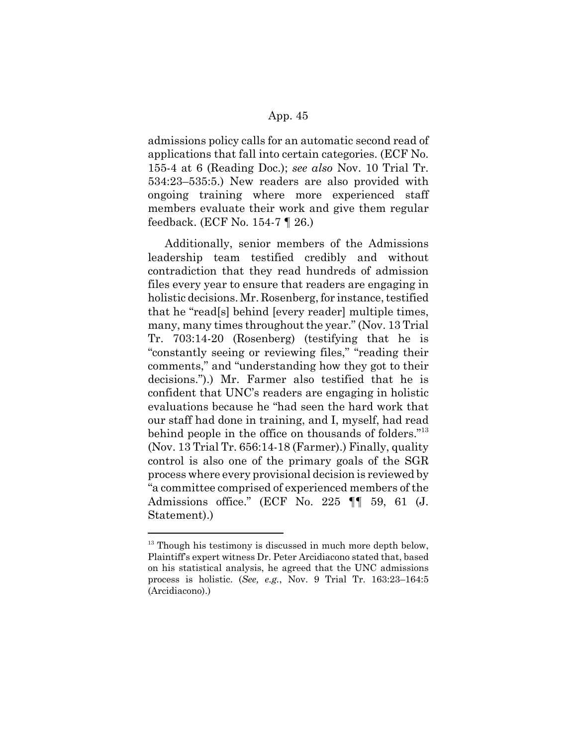admissions policy calls for an automatic second read of applications that fall into certain categories. (ECF No. 155-4 at 6 (Reading Doc.); *see also* Nov. 10 Trial Tr. 534:23–535:5.) New readers are also provided with ongoing training where more experienced staff members evaluate their work and give them regular feedback. (ECF No. 154-7 ¶ 26.)

Additionally, senior members of the Admissions leadership team testified credibly and without contradiction that they read hundreds of admission files every year to ensure that readers are engaging in holistic decisions. Mr. Rosenberg, for instance, testified that he "read[s] behind [every reader] multiple times, many, many times throughout the year." (Nov. 13 Trial Tr. 703:14-20 (Rosenberg) (testifying that he is "constantly seeing or reviewing files," "reading their comments," and "understanding how they got to their decisions.").) Mr. Farmer also testified that he is confident that UNC's readers are engaging in holistic evaluations because he "had seen the hard work that our staff had done in training, and I, myself, had read behind people in the office on thousands of folders.<sup>"13</sup> (Nov. 13 Trial Tr. 656:14-18 (Farmer).) Finally, quality control is also one of the primary goals of the SGR process where every provisional decision is reviewed by "a committee comprised of experienced members of the Admissions office." (ECF No. 225 ¶¶ 59, 61 (J. Statement).)

 $13$  Though his testimony is discussed in much more depth below, Plaintiff's expert witness Dr. Peter Arcidiacono stated that, based on his statistical analysis, he agreed that the UNC admissions process is holistic. (*See, e.g.*, Nov. 9 Trial Tr. 163:23–164:5 (Arcidiacono).)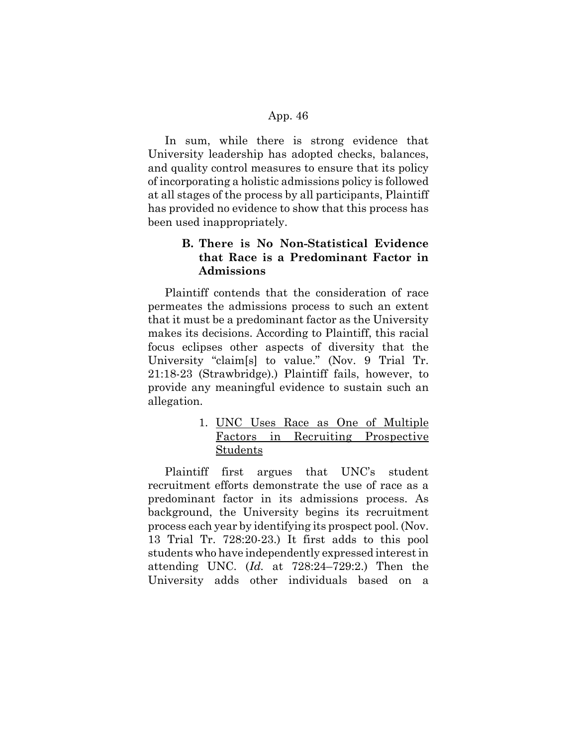In sum, while there is strong evidence that University leadership has adopted checks, balances, and quality control measures to ensure that its policy of incorporating a holistic admissions policy is followed at all stages of the process by all participants, Plaintiff has provided no evidence to show that this process has been used inappropriately.

# **B. There is No Non-Statistical Evidence that Race is a Predominant Factor in Admissions**

Plaintiff contends that the consideration of race permeates the admissions process to such an extent that it must be a predominant factor as the University makes its decisions. According to Plaintiff, this racial focus eclipses other aspects of diversity that the University "claim[s] to value." (Nov. 9 Trial Tr. 21:18-23 (Strawbridge).) Plaintiff fails, however, to provide any meaningful evidence to sustain such an allegation.

# 1. UNC Uses Race as One of Multiple Factors in Recruiting Prospective Students

Plaintiff first argues that UNC's student recruitment efforts demonstrate the use of race as a predominant factor in its admissions process. As background, the University begins its recruitment process each year by identifying its prospect pool. (Nov. 13 Trial Tr. 728:20-23.) It first adds to this pool students who have independently expressed interest in attending UNC. (*Id.* at 728:24–729:2.) Then the University adds other individuals based on a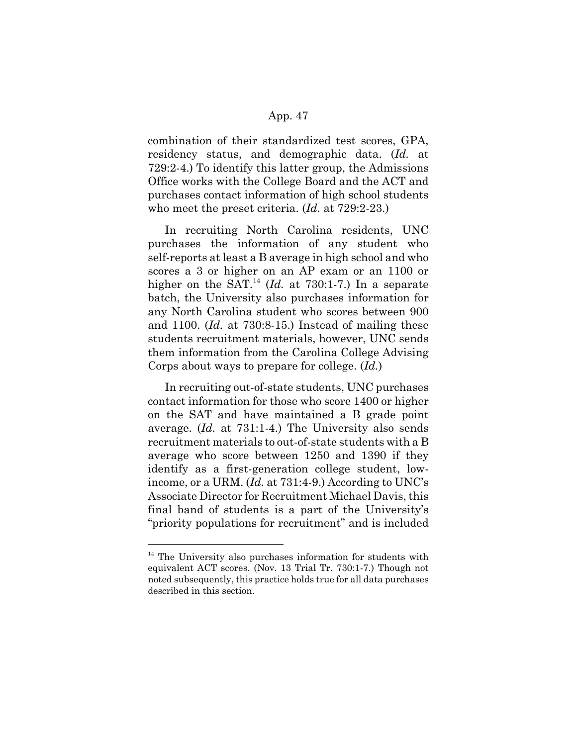combination of their standardized test scores, GPA, residency status, and demographic data. (*Id.* at 729:2-4.) To identify this latter group, the Admissions Office works with the College Board and the ACT and purchases contact information of high school students who meet the preset criteria. (*Id.* at 729:2-23.)

In recruiting North Carolina residents, UNC purchases the information of any student who self-reports at least a B average in high school and who scores a 3 or higher on an AP exam or an 1100 or higher on the SAT.<sup>14</sup> (*Id.* at 730:1-7.) In a separate batch, the University also purchases information for any North Carolina student who scores between 900 and 1100. (*Id.* at 730:8-15.) Instead of mailing these students recruitment materials, however, UNC sends them information from the Carolina College Advising Corps about ways to prepare for college. (*Id.*)

In recruiting out-of-state students, UNC purchases contact information for those who score 1400 or higher on the SAT and have maintained a B grade point average. (*Id.* at 731:1-4.) The University also sends recruitment materials to out-of-state students with a B average who score between 1250 and 1390 if they identify as a first-generation college student, lowincome, or a URM. (*Id.* at 731:4-9.) According to UNC's Associate Director for Recruitment Michael Davis, this final band of students is a part of the University's "priority populations for recruitment" and is included

 $14$  The University also purchases information for students with equivalent ACT scores. (Nov. 13 Trial Tr. 730:1-7.) Though not noted subsequently, this practice holds true for all data purchases described in this section.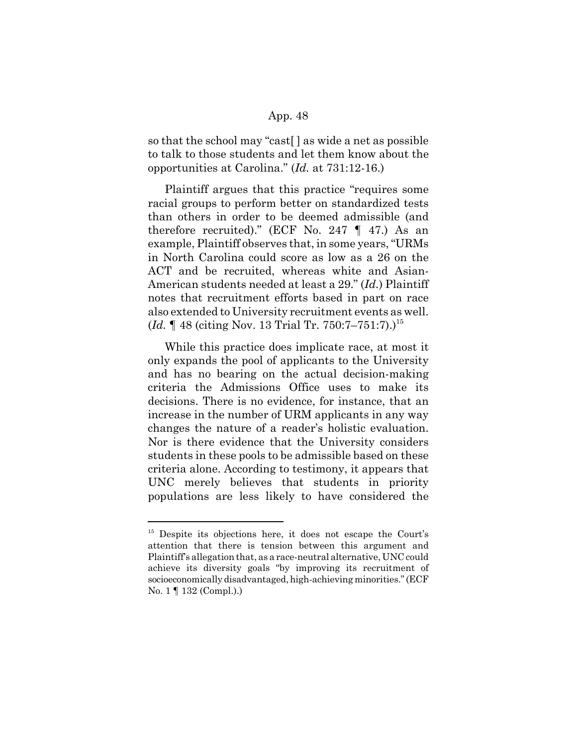so that the school may "cast[ ] as wide a net as possible to talk to those students and let them know about the opportunities at Carolina." (*Id.* at 731:12-16.)

Plaintiff argues that this practice "requires some racial groups to perform better on standardized tests than others in order to be deemed admissible (and therefore recruited)." (ECF No. 247  $\P$  47.) As an example, Plaintiff observes that, in some years, "URMs in North Carolina could score as low as a 26 on the ACT and be recruited, whereas white and Asian-American students needed at least a 29." (*Id.*) Plaintiff notes that recruitment efforts based in part on race also extended to University recruitment events as well. (*Id.* 148 (citing Nov. 13 Trial Tr. 750:7–751:7).)<sup>15</sup>

While this practice does implicate race, at most it only expands the pool of applicants to the University and has no bearing on the actual decision-making criteria the Admissions Office uses to make its decisions. There is no evidence, for instance, that an increase in the number of URM applicants in any way changes the nature of a reader's holistic evaluation. Nor is there evidence that the University considers students in these pools to be admissible based on these criteria alone. According to testimony, it appears that UNC merely believes that students in priority populations are less likely to have considered the

<sup>&</sup>lt;sup>15</sup> Despite its objections here, it does not escape the Court's attention that there is tension between this argument and Plaintiff's allegation that, as a race-neutral alternative, UNC could achieve its diversity goals "by improving its recruitment of socioeconomically disadvantaged, high-achieving minorities." (ECF No. 1 ¶ 132 (Compl.).)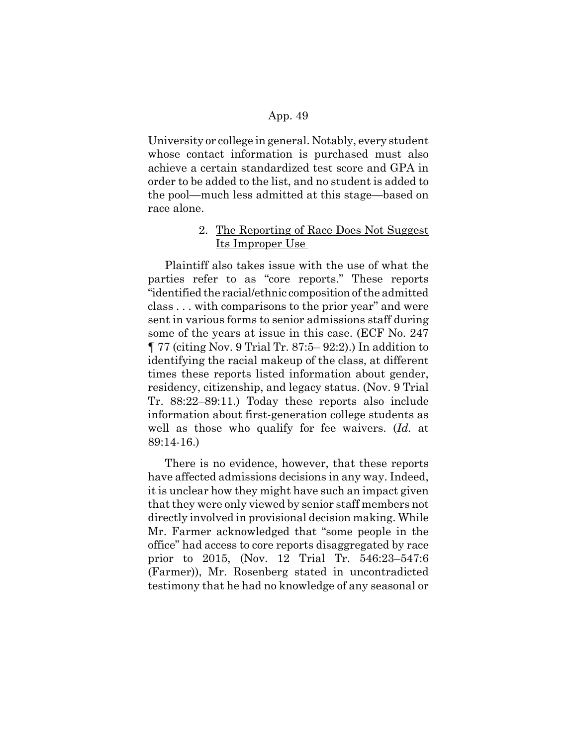University or college in general. Notably, every student whose contact information is purchased must also achieve a certain standardized test score and GPA in order to be added to the list, and no student is added to the pool—much less admitted at this stage—based on race alone.

# 2. The Reporting of Race Does Not Suggest Its Improper Use

Plaintiff also takes issue with the use of what the parties refer to as "core reports." These reports "identified the racial/ethnic composition of the admitted class . . . with comparisons to the prior year" and were sent in various forms to senior admissions staff during some of the years at issue in this case. (ECF No. 247 ¶ 77 (citing Nov. 9 Trial Tr. 87:5– 92:2).) In addition to identifying the racial makeup of the class, at different times these reports listed information about gender, residency, citizenship, and legacy status. (Nov. 9 Trial Tr. 88:22–89:11.) Today these reports also include information about first-generation college students as well as those who qualify for fee waivers. (*Id.* at 89:14-16.)

There is no evidence, however, that these reports have affected admissions decisions in any way. Indeed, it is unclear how they might have such an impact given that they were only viewed by senior staff members not directly involved in provisional decision making. While Mr. Farmer acknowledged that "some people in the office" had access to core reports disaggregated by race prior to 2015, (Nov. 12 Trial Tr. 546:23–547:6 (Farmer)), Mr. Rosenberg stated in uncontradicted testimony that he had no knowledge of any seasonal or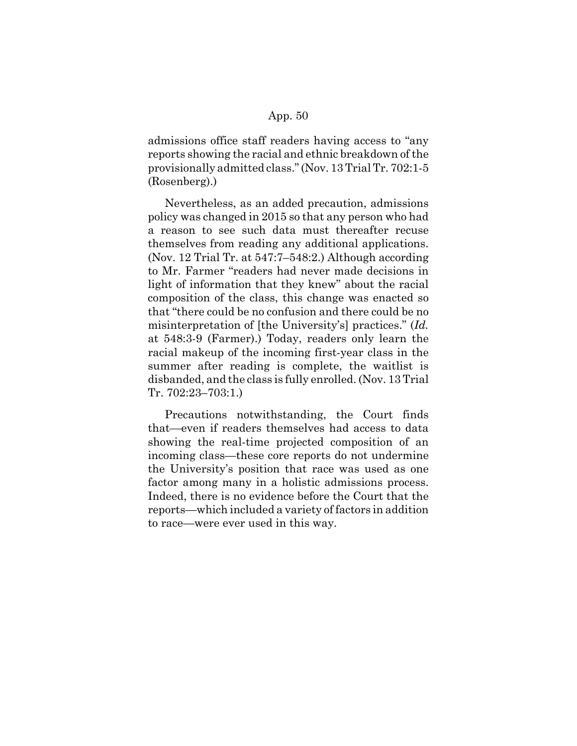admissions office staff readers having access to "any reports showing the racial and ethnic breakdown of the provisionally admitted class." (Nov. 13 Trial Tr. 702:1-5 (Rosenberg).)

Nevertheless, as an added precaution, admissions policy was changed in 2015 so that any person who had a reason to see such data must thereafter recuse themselves from reading any additional applications. (Nov. 12 Trial Tr. at 547:7–548:2.) Although according to Mr. Farmer "readers had never made decisions in light of information that they knew" about the racial composition of the class, this change was enacted so that "there could be no confusion and there could be no misinterpretation of [the University's] practices." (*Id.* at 548:3-9 (Farmer).) Today, readers only learn the racial makeup of the incoming first-year class in the summer after reading is complete, the waitlist is disbanded, and the class is fully enrolled. (Nov. 13 Trial Tr. 702:23–703:1.)

Precautions notwithstanding, the Court finds that—even if readers themselves had access to data showing the real-time projected composition of an incoming class—these core reports do not undermine the University's position that race was used as one factor among many in a holistic admissions process. Indeed, there is no evidence before the Court that the reports—which included a variety of factors in addition to race—were ever used in this way.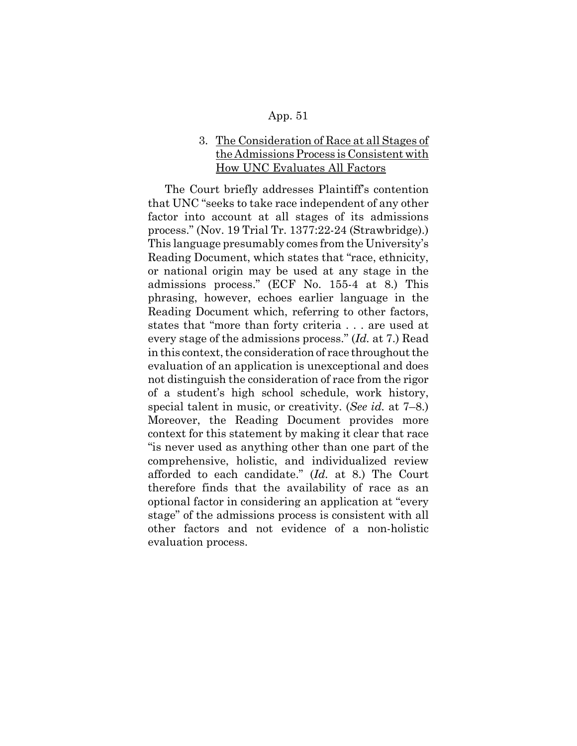# 3. The Consideration of Race at all Stages of the Admissions Process is Consistent with How UNC Evaluates All Factors

The Court briefly addresses Plaintiff's contention that UNC "seeks to take race independent of any other factor into account at all stages of its admissions process." (Nov. 19 Trial Tr. 1377:22-24 (Strawbridge).) This language presumably comes from the University's Reading Document, which states that "race, ethnicity, or national origin may be used at any stage in the admissions process." (ECF No. 155-4 at 8.) This phrasing, however, echoes earlier language in the Reading Document which, referring to other factors, states that "more than forty criteria . . . are used at every stage of the admissions process." (*Id.* at 7.) Read in this context, the consideration of race throughout the evaluation of an application is unexceptional and does not distinguish the consideration of race from the rigor of a student's high school schedule, work history, special talent in music, or creativity. (*See id.* at 7–8.) Moreover, the Reading Document provides more context for this statement by making it clear that race "is never used as anything other than one part of the comprehensive, holistic, and individualized review afforded to each candidate." (*Id.* at 8.) The Court therefore finds that the availability of race as an optional factor in considering an application at "every stage" of the admissions process is consistent with all other factors and not evidence of a non-holistic evaluation process.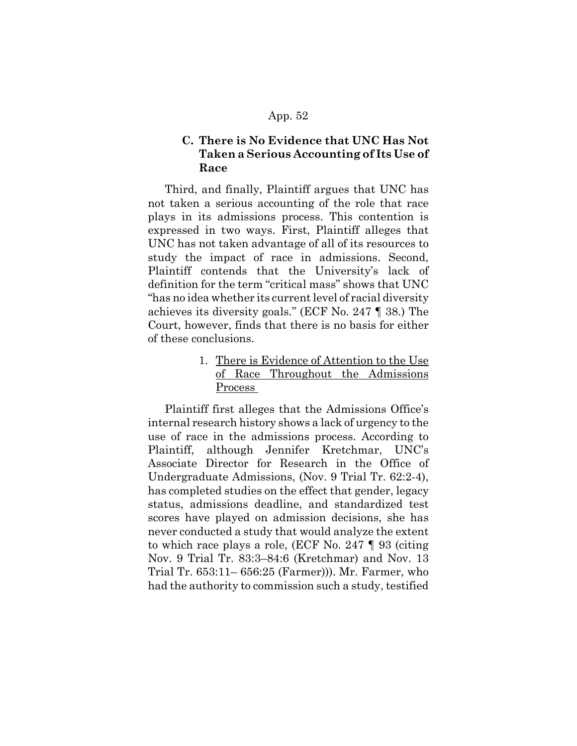# **C. There is No Evidence that UNC Has Not Taken a Serious Accounting of Its Use of Race**

Third, and finally, Plaintiff argues that UNC has not taken a serious accounting of the role that race plays in its admissions process. This contention is expressed in two ways. First, Plaintiff alleges that UNC has not taken advantage of all of its resources to study the impact of race in admissions. Second, Plaintiff contends that the University's lack of definition for the term "critical mass" shows that UNC "has no idea whether its current level of racial diversity achieves its diversity goals." (ECF No. 247 ¶ 38.) The Court, however, finds that there is no basis for either of these conclusions.

> 1. There is Evidence of Attention to the Use of Race Throughout the Admissions Process

Plaintiff first alleges that the Admissions Office's internal research history shows a lack of urgency to the use of race in the admissions process. According to Plaintiff, although Jennifer Kretchmar, UNC's Associate Director for Research in the Office of Undergraduate Admissions, (Nov. 9 Trial Tr. 62:2-4), has completed studies on the effect that gender, legacy status, admissions deadline, and standardized test scores have played on admission decisions, she has never conducted a study that would analyze the extent to which race plays a role, (ECF No. 247 ¶ 93 (citing Nov. 9 Trial Tr. 83:3–84:6 (Kretchmar) and Nov. 13 Trial Tr. 653:11– 656:25 (Farmer))). Mr. Farmer, who had the authority to commission such a study, testified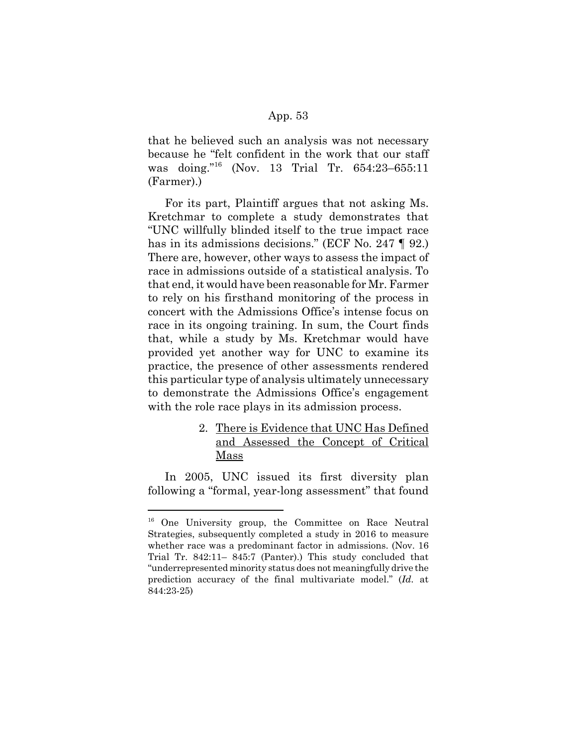that he believed such an analysis was not necessary because he "felt confident in the work that our staff was doing."16 (Nov. 13 Trial Tr. 654:23–655:11 (Farmer).)

For its part, Plaintiff argues that not asking Ms. Kretchmar to complete a study demonstrates that "UNC willfully blinded itself to the true impact race has in its admissions decisions." (ECF No. 247 ¶ 92.) There are, however, other ways to assess the impact of race in admissions outside of a statistical analysis. To that end, it would have been reasonable for Mr. Farmer to rely on his firsthand monitoring of the process in concert with the Admissions Office's intense focus on race in its ongoing training. In sum, the Court finds that, while a study by Ms. Kretchmar would have provided yet another way for UNC to examine its practice, the presence of other assessments rendered this particular type of analysis ultimately unnecessary to demonstrate the Admissions Office's engagement with the role race plays in its admission process.

# 2. There is Evidence that UNC Has Defined and Assessed the Concept of Critical Mass

In 2005, UNC issued its first diversity plan following a "formal, year-long assessment" that found

<sup>&</sup>lt;sup>16</sup> One University group, the Committee on Race Neutral Strategies, subsequently completed a study in 2016 to measure whether race was a predominant factor in admissions. (Nov. 16 Trial Tr. 842:11– 845:7 (Panter).) This study concluded that "underrepresented minority status does not meaningfully drive the prediction accuracy of the final multivariate model." (*Id.* at 844:23-25)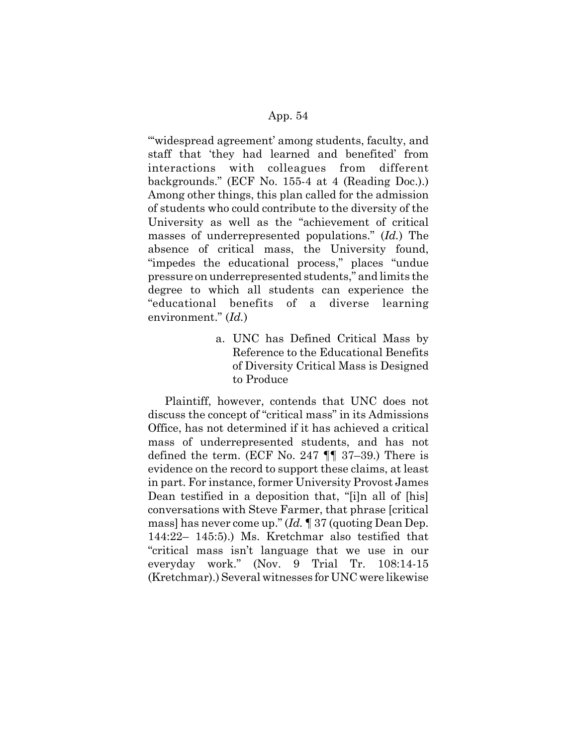"'widespread agreement' among students, faculty, and staff that 'they had learned and benefited' from interactions with colleagues from different backgrounds." (ECF No. 155-4 at 4 (Reading Doc.).) Among other things, this plan called for the admission of students who could contribute to the diversity of the University as well as the "achievement of critical masses of underrepresented populations." (*Id.*) The absence of critical mass, the University found, "impedes the educational process," places "undue pressure on underrepresented students," and limits the degree to which all students can experience the "educational benefits of a diverse learning environment." (*Id.*)

> a. UNC has Defined Critical Mass by Reference to the Educational Benefits of Diversity Critical Mass is Designed to Produce

Plaintiff, however, contends that UNC does not discuss the concept of "critical mass" in its Admissions Office, has not determined if it has achieved a critical mass of underrepresented students, and has not defined the term. (ECF No. 247  $\P$  $\P$  37–39.) There is evidence on the record to support these claims, at least in part. For instance, former University Provost James Dean testified in a deposition that, "[i]n all of [his] conversations with Steve Farmer, that phrase [critical mass] has never come up." (*Id.* ¶ 37 (quoting Dean Dep. 144:22– 145:5).) Ms. Kretchmar also testified that "critical mass isn't language that we use in our everyday work." (Nov. 9 Trial Tr. 108:14-15 (Kretchmar).) Several witnesses for UNC were likewise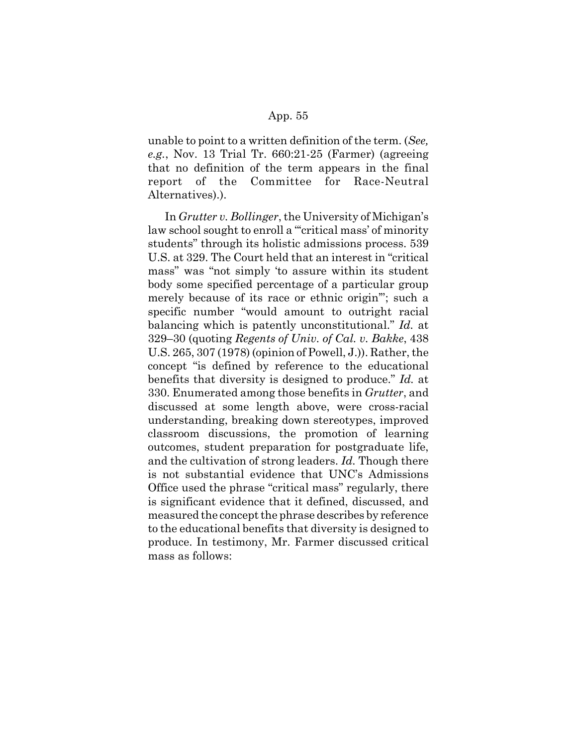unable to point to a written definition of the term. (*See, e.g.*, Nov. 13 Trial Tr. 660:21-25 (Farmer) (agreeing that no definition of the term appears in the final report of the Committee for Race-Neutral Alternatives).).

In *Grutter v. Bollinger*, the University of Michigan's law school sought to enroll a "'critical mass' of minority students" through its holistic admissions process. 539 U.S. at 329. The Court held that an interest in "critical mass" was "not simply 'to assure within its student body some specified percentage of a particular group merely because of its race or ethnic origin'"; such a specific number "would amount to outright racial balancing which is patently unconstitutional." *Id.* at 329–30 (quoting *Regents of Univ. of Cal. v. Bakke*, 438 U.S. 265, 307 (1978) (opinion of Powell, J.)). Rather, the concept "is defined by reference to the educational benefits that diversity is designed to produce." *Id.* at 330. Enumerated among those benefits in *Grutter*, and discussed at some length above, were cross-racial understanding, breaking down stereotypes, improved classroom discussions, the promotion of learning outcomes, student preparation for postgraduate life, and the cultivation of strong leaders. *Id.* Though there is not substantial evidence that UNC's Admissions Office used the phrase "critical mass" regularly, there is significant evidence that it defined, discussed, and measured the concept the phrase describes by reference to the educational benefits that diversity is designed to produce. In testimony, Mr. Farmer discussed critical mass as follows: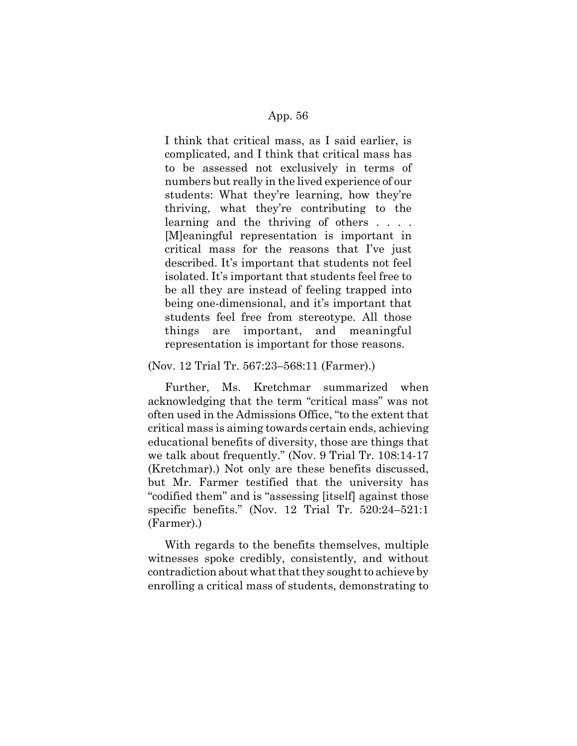I think that critical mass, as I said earlier, is complicated, and I think that critical mass has to be assessed not exclusively in terms of numbers but really in the lived experience of our students: What they're learning, how they're thriving, what they're contributing to the learning and the thriving of others . . . . [M]eaningful representation is important in critical mass for the reasons that I've just described. It's important that students not feel isolated. It's important that students feel free to be all they are instead of feeling trapped into being one-dimensional, and it's important that students feel free from stereotype. All those things are important, and meaningful representation is important for those reasons.

#### (Nov. 12 Trial Tr. 567:23–568:11 (Farmer).)

Further, Ms. Kretchmar summarized when acknowledging that the term "critical mass" was not often used in the Admissions Office, "to the extent that critical mass is aiming towards certain ends, achieving educational benefits of diversity, those are things that we talk about frequently." (Nov. 9 Trial Tr. 108:14-17 (Kretchmar).) Not only are these benefits discussed, but Mr. Farmer testified that the university has "codified them" and is "assessing [itself] against those specific benefits." (Nov. 12 Trial Tr. 520:24–521:1 (Farmer).)

With regards to the benefits themselves, multiple witnesses spoke credibly, consistently, and without contradiction about what that they sought to achieve by enrolling a critical mass of students, demonstrating to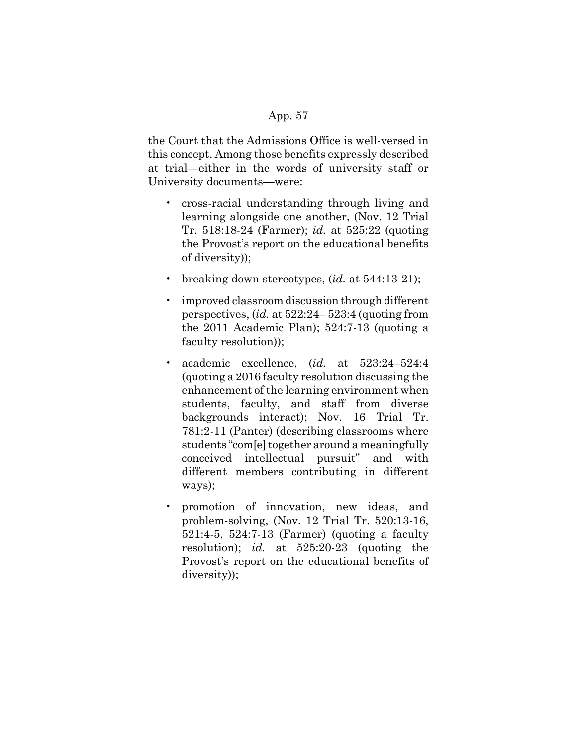the Court that the Admissions Office is well-versed in this concept. Among those benefits expressly described at trial—either in the words of university staff or University documents—were:

- cross-racial understanding through living and learning alongside one another, (Nov. 12 Trial Tr. 518:18-24 (Farmer); *id.* at 525:22 (quoting the Provost's report on the educational benefits of diversity));
- breaking down stereotypes, (*id.* at 544:13-21);
- improved classroom discussion through different perspectives, (*id.* at 522:24– 523:4 (quoting from the 2011 Academic Plan); 524:7-13 (quoting a faculty resolution));
- academic excellence, (*id.* at 523:24–524:4 (quoting a 2016 faculty resolution discussing the enhancement of the learning environment when students, faculty, and staff from diverse backgrounds interact); Nov. 16 Trial Tr. 781:2-11 (Panter) (describing classrooms where students "com[e] together around a meaningfully conceived intellectual pursuit" and with different members contributing in different ways);
- promotion of innovation, new ideas, and problem-solving, (Nov. 12 Trial Tr. 520:13-16, 521:4-5, 524:7-13 (Farmer) (quoting a faculty resolution); *id.* at 525:20-23 (quoting the Provost's report on the educational benefits of diversity));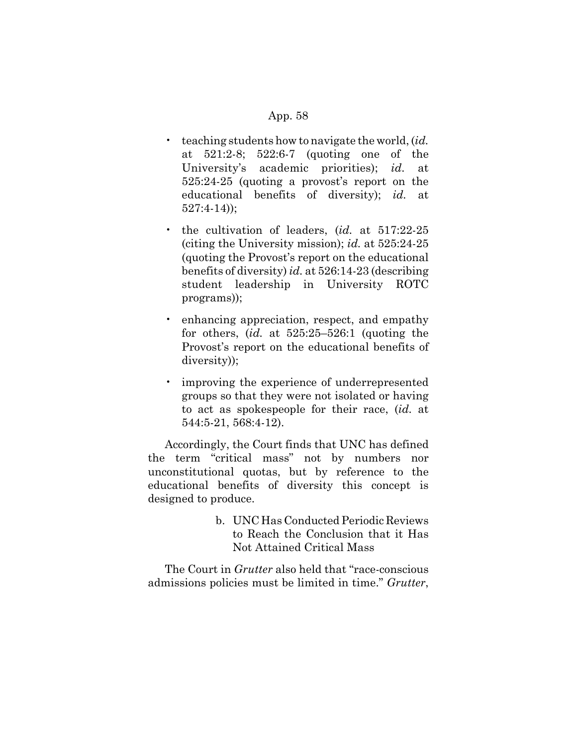- teaching students how to navigate the world, (*id.* at 521:2-8; 522:6-7 (quoting one of the University's academic priorities); *id.* at 525:24-25 (quoting a provost's report on the educational benefits of diversity); *id.* at 527:4-14));
- the cultivation of leaders, (*id.* at 517:22-25 (citing the University mission); *id.* at 525:24-25 (quoting the Provost's report on the educational benefits of diversity) *id.* at 526:14-23 (describing student leadership in University ROTC programs));
- enhancing appreciation, respect, and empathy for others, (*id.* at 525:25–526:1 (quoting the Provost's report on the educational benefits of diversity));
- improving the experience of underrepresented groups so that they were not isolated or having to act as spokespeople for their race, (*id.* at 544:5-21, 568:4-12).

Accordingly, the Court finds that UNC has defined the term "critical mass" not by numbers nor unconstitutional quotas, but by reference to the educational benefits of diversity this concept is designed to produce.

> b. UNC Has Conducted Periodic Reviews to Reach the Conclusion that it Has Not Attained Critical Mass

The Court in *Grutter* also held that "race-conscious admissions policies must be limited in time." *Grutter*,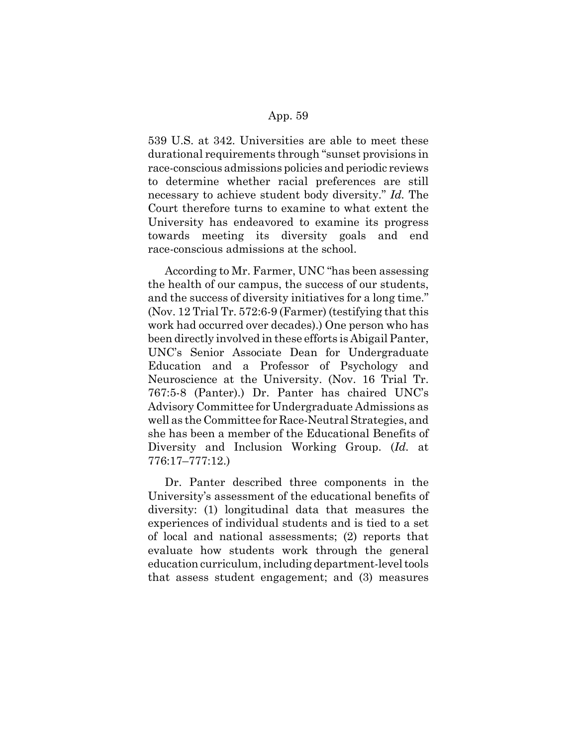539 U.S. at 342. Universities are able to meet these durational requirements through "sunset provisions in race-conscious admissions policies and periodic reviews to determine whether racial preferences are still necessary to achieve student body diversity." *Id.* The Court therefore turns to examine to what extent the University has endeavored to examine its progress towards meeting its diversity goals and end race-conscious admissions at the school.

According to Mr. Farmer, UNC "has been assessing the health of our campus, the success of our students, and the success of diversity initiatives for a long time." (Nov. 12 Trial Tr. 572:6-9 (Farmer) (testifying that this work had occurred over decades).) One person who has been directly involved in these efforts is Abigail Panter, UNC's Senior Associate Dean for Undergraduate Education and a Professor of Psychology and Neuroscience at the University. (Nov. 16 Trial Tr. 767:5-8 (Panter).) Dr. Panter has chaired UNC's Advisory Committee for Undergraduate Admissions as well as the Committee for Race-Neutral Strategies, and she has been a member of the Educational Benefits of Diversity and Inclusion Working Group. (*Id.* at 776:17–777:12.)

Dr. Panter described three components in the University's assessment of the educational benefits of diversity: (1) longitudinal data that measures the experiences of individual students and is tied to a set of local and national assessments; (2) reports that evaluate how students work through the general education curriculum, including department-level tools that assess student engagement; and (3) measures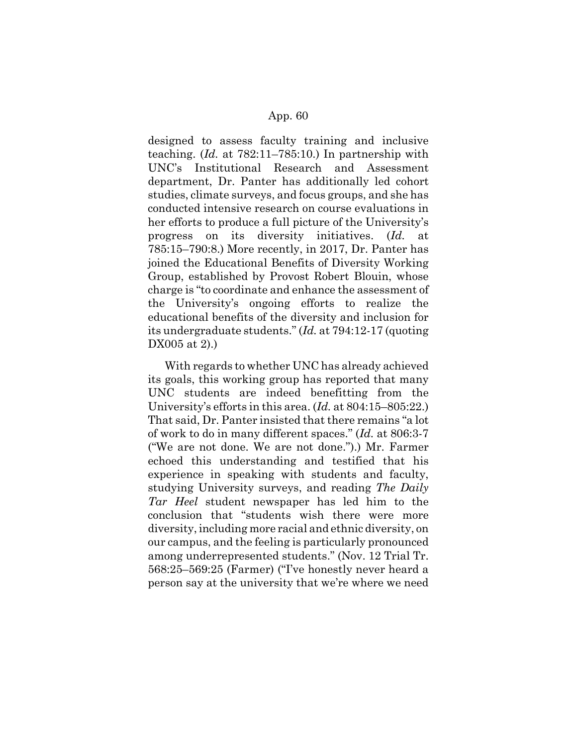designed to assess faculty training and inclusive teaching. (*Id.* at 782:11–785:10.) In partnership with UNC's Institutional Research and Assessment department, Dr. Panter has additionally led cohort studies, climate surveys, and focus groups, and she has conducted intensive research on course evaluations in her efforts to produce a full picture of the University's progress on its diversity initiatives. (*Id.* at 785:15–790:8.) More recently, in 2017, Dr. Panter has joined the Educational Benefits of Diversity Working Group, established by Provost Robert Blouin, whose charge is "to coordinate and enhance the assessment of the University's ongoing efforts to realize the educational benefits of the diversity and inclusion for its undergraduate students." (*Id.* at 794:12-17 (quoting DX005 at 2).)

With regards to whether UNC has already achieved its goals, this working group has reported that many UNC students are indeed benefitting from the University's efforts in this area. (*Id.* at 804:15–805:22.) That said, Dr. Panter insisted that there remains "a lot of work to do in many different spaces." (*Id.* at 806:3-7 ("We are not done. We are not done.").) Mr. Farmer echoed this understanding and testified that his experience in speaking with students and faculty, studying University surveys, and reading *The Daily Tar Heel* student newspaper has led him to the conclusion that "students wish there were more diversity, including more racial and ethnic diversity, on our campus, and the feeling is particularly pronounced among underrepresented students." (Nov. 12 Trial Tr. 568:25–569:25 (Farmer) ("I've honestly never heard a person say at the university that we're where we need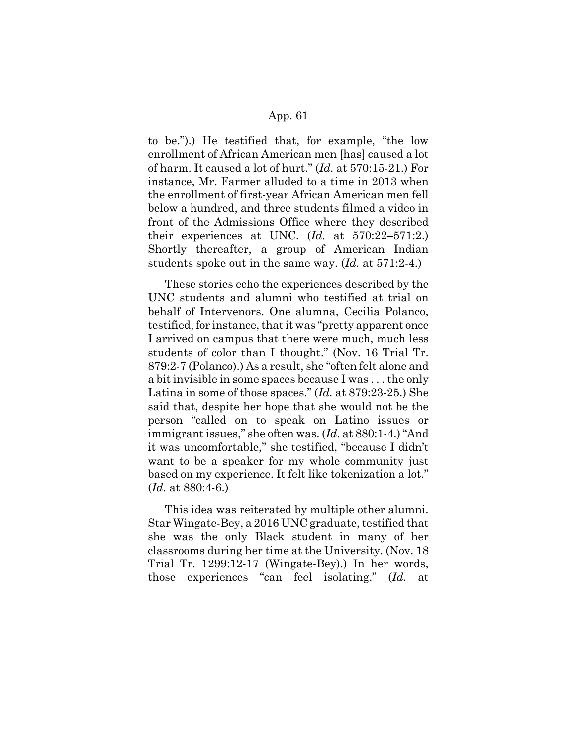to be.").) He testified that, for example, "the low enrollment of African American men [has] caused a lot of harm. It caused a lot of hurt." (*Id.* at 570:15-21.) For instance, Mr. Farmer alluded to a time in 2013 when the enrollment of first-year African American men fell below a hundred, and three students filmed a video in front of the Admissions Office where they described their experiences at UNC. (*Id.* at 570:22–571:2.) Shortly thereafter, a group of American Indian students spoke out in the same way. (*Id.* at 571:2-4.)

These stories echo the experiences described by the UNC students and alumni who testified at trial on behalf of Intervenors. One alumna, Cecilia Polanco, testified, for instance, that it was "pretty apparent once I arrived on campus that there were much, much less students of color than I thought." (Nov. 16 Trial Tr. 879:2-7 (Polanco).) As a result, she "often felt alone and a bit invisible in some spaces because I was . . . the only Latina in some of those spaces." (*Id.* at 879:23-25.) She said that, despite her hope that she would not be the person "called on to speak on Latino issues or immigrant issues," she often was. (*Id.* at 880:1-4.) "And it was uncomfortable," she testified, "because I didn't want to be a speaker for my whole community just based on my experience. It felt like tokenization a lot." (*Id.* at 880:4-6.)

This idea was reiterated by multiple other alumni. Star Wingate-Bey, a 2016 UNC graduate, testified that she was the only Black student in many of her classrooms during her time at the University. (Nov. 18 Trial Tr. 1299:12-17 (Wingate-Bey).) In her words, those experiences "can feel isolating." (*Id.* at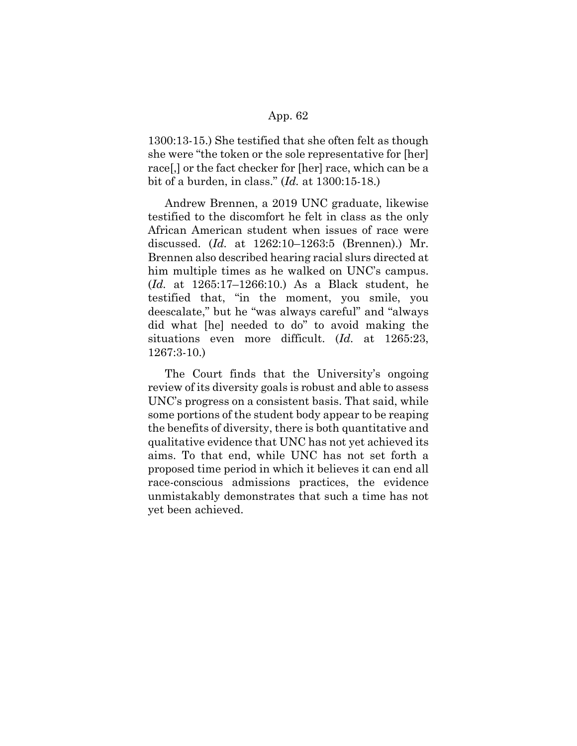1300:13-15.) She testified that she often felt as though she were "the token or the sole representative for [her] race[,] or the fact checker for [her] race, which can be a bit of a burden, in class." (*Id.* at 1300:15-18.)

Andrew Brennen, a 2019 UNC graduate, likewise testified to the discomfort he felt in class as the only African American student when issues of race were discussed. (*Id.* at 1262:10–1263:5 (Brennen).) Mr. Brennen also described hearing racial slurs directed at him multiple times as he walked on UNC's campus. (*Id.* at 1265:17–1266:10.) As a Black student, he testified that, "in the moment, you smile, you deescalate," but he "was always careful" and "always did what [he] needed to do" to avoid making the situations even more difficult. (*Id.* at 1265:23, 1267:3-10.)

The Court finds that the University's ongoing review of its diversity goals is robust and able to assess UNC's progress on a consistent basis. That said, while some portions of the student body appear to be reaping the benefits of diversity, there is both quantitative and qualitative evidence that UNC has not yet achieved its aims. To that end, while UNC has not set forth a proposed time period in which it believes it can end all race-conscious admissions practices, the evidence unmistakably demonstrates that such a time has not yet been achieved.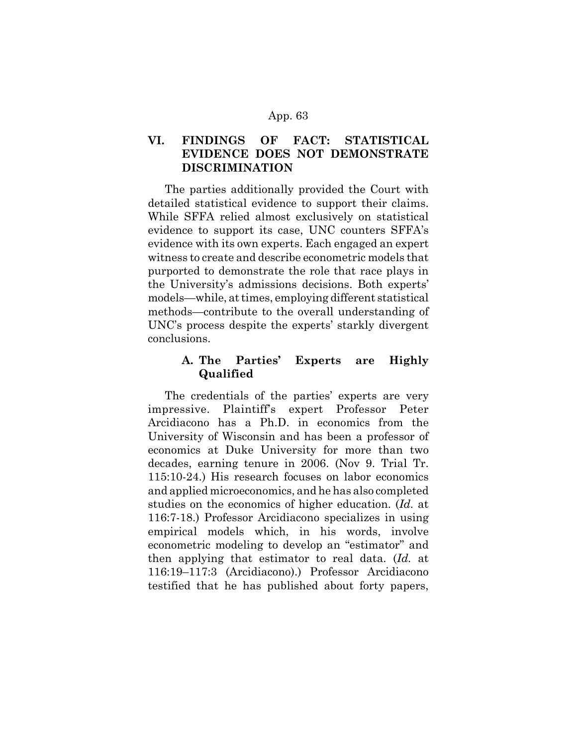# **VI. FINDINGS OF FACT: STATISTICAL EVIDENCE DOES NOT DEMONSTRATE DISCRIMINATION**

The parties additionally provided the Court with detailed statistical evidence to support their claims. While SFFA relied almost exclusively on statistical evidence to support its case, UNC counters SFFA's evidence with its own experts. Each engaged an expert witness to create and describe econometric models that purported to demonstrate the role that race plays in the University's admissions decisions. Both experts' models—while, at times, employing different statistical methods—contribute to the overall understanding of UNC's process despite the experts' starkly divergent conclusions.

# **A. The Parties' Experts are Highly Qualified**

The credentials of the parties' experts are very impressive. Plaintiff's expert Professor Peter Arcidiacono has a Ph.D. in economics from the University of Wisconsin and has been a professor of economics at Duke University for more than two decades, earning tenure in 2006. (Nov 9. Trial Tr. 115:10-24.) His research focuses on labor economics and applied microeconomics, and he has also completed studies on the economics of higher education. (*Id.* at 116:7-18.) Professor Arcidiacono specializes in using empirical models which, in his words, involve econometric modeling to develop an "estimator" and then applying that estimator to real data. (*Id.* at 116:19–117:3 (Arcidiacono).) Professor Arcidiacono testified that he has published about forty papers,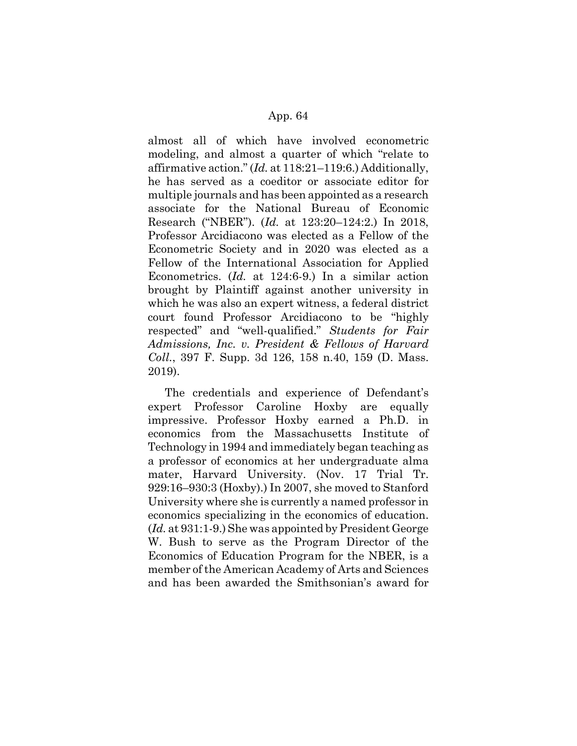almost all of which have involved econometric modeling, and almost a quarter of which "relate to affirmative action." (*Id.* at 118:21–119:6.) Additionally, he has served as a coeditor or associate editor for multiple journals and has been appointed as a research associate for the National Bureau of Economic Research ("NBER"). (*Id.* at 123:20–124:2.) In 2018, Professor Arcidiacono was elected as a Fellow of the Econometric Society and in 2020 was elected as a Fellow of the International Association for Applied Econometrics. (*Id.* at 124:6-9.) In a similar action brought by Plaintiff against another university in which he was also an expert witness, a federal district court found Professor Arcidiacono to be "highly respected" and "well-qualified." *Students for Fair Admissions, Inc. v. President & Fellows of Harvard Coll.*, 397 F. Supp. 3d 126, 158 n.40, 159 (D. Mass. 2019).

The credentials and experience of Defendant's expert Professor Caroline Hoxby are equally impressive. Professor Hoxby earned a Ph.D. in economics from the Massachusetts Institute of Technology in 1994 and immediately began teaching as a professor of economics at her undergraduate alma mater, Harvard University. (Nov. 17 Trial Tr. 929:16–930:3 (Hoxby).) In 2007, she moved to Stanford University where she is currently a named professor in economics specializing in the economics of education. (*Id.* at 931:1-9.) She was appointed by President George W. Bush to serve as the Program Director of the Economics of Education Program for the NBER, is a member of the American Academy of Arts and Sciences and has been awarded the Smithsonian's award for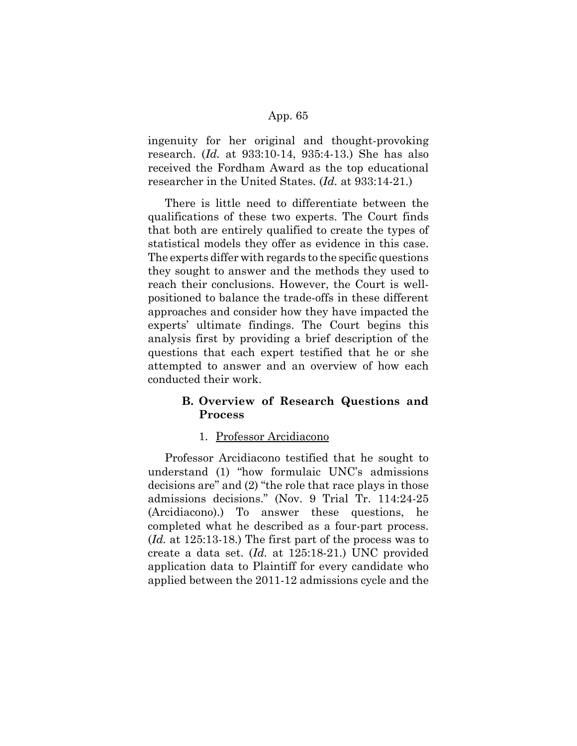ingenuity for her original and thought-provoking research. (*Id.* at 933:10-14, 935:4-13.) She has also received the Fordham Award as the top educational researcher in the United States. (*Id.* at 933:14-21.)

There is little need to differentiate between the qualifications of these two experts. The Court finds that both are entirely qualified to create the types of statistical models they offer as evidence in this case. The experts differ with regards to the specific questions they sought to answer and the methods they used to reach their conclusions. However, the Court is wellpositioned to balance the trade-offs in these different approaches and consider how they have impacted the experts' ultimate findings. The Court begins this analysis first by providing a brief description of the questions that each expert testified that he or she attempted to answer and an overview of how each conducted their work.

# **B. Overview of Research Questions and Process**

#### 1. Professor Arcidiacono

Professor Arcidiacono testified that he sought to understand (1) "how formulaic UNC's admissions decisions are" and (2) "the role that race plays in those admissions decisions." (Nov. 9 Trial Tr. 114:24-25 (Arcidiacono).) To answer these questions, he completed what he described as a four-part process. (*Id.* at 125:13-18.) The first part of the process was to create a data set. (*Id.* at 125:18-21.) UNC provided application data to Plaintiff for every candidate who applied between the 2011-12 admissions cycle and the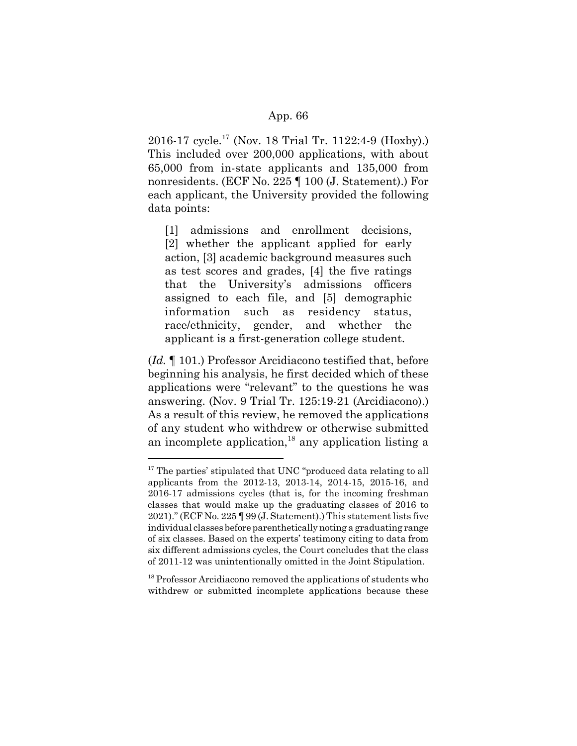2016-17 cycle.17 (Nov. 18 Trial Tr. 1122:4-9 (Hoxby).) This included over 200,000 applications, with about 65,000 from in-state applicants and 135,000 from nonresidents. (ECF No. 225 ¶ 100 (J. Statement).) For each applicant, the University provided the following data points:

[1] admissions and enrollment decisions, [2] whether the applicant applied for early action, [3] academic background measures such as test scores and grades, [4] the five ratings that the University's admissions officers assigned to each file, and [5] demographic information such as residency status, race/ethnicity, gender, and whether the applicant is a first-generation college student.

(*Id.* ¶ 101.) Professor Arcidiacono testified that, before beginning his analysis, he first decided which of these applications were "relevant" to the questions he was answering. (Nov. 9 Trial Tr. 125:19-21 (Arcidiacono).) As a result of this review, he removed the applications of any student who withdrew or otherwise submitted an incomplete application,  $^{18}$  any application listing a

 $17$  The parties' stipulated that UNC "produced data relating to all applicants from the 2012-13, 2013-14, 2014-15, 2015-16, and 2016-17 admissions cycles (that is, for the incoming freshman classes that would make up the graduating classes of 2016 to 2021)." (ECF No. 225 ¶ 99 (J. Statement).) This statement lists five individual classes before parenthetically noting a graduating range of six classes. Based on the experts' testimony citing to data from six different admissions cycles, the Court concludes that the class of 2011-12 was unintentionally omitted in the Joint Stipulation.

<sup>&</sup>lt;sup>18</sup> Professor Arcidiacono removed the applications of students who withdrew or submitted incomplete applications because these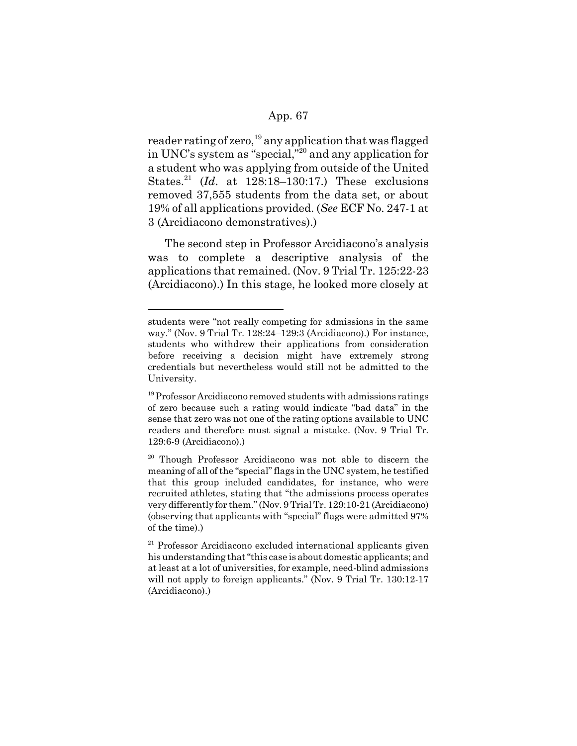reader rating of zero,<sup>19</sup> any application that was flagged in UNC's system as "special,"20 and any application for a student who was applying from outside of the United States.21 (*Id*. at 128:18–130:17.) These exclusions removed 37,555 students from the data set, or about 19% of all applications provided. (*See* ECF No. 247-1 at 3 (Arcidiacono demonstratives).)

The second step in Professor Arcidiacono's analysis was to complete a descriptive analysis of the applications that remained. (Nov. 9 Trial Tr. 125:22-23 (Arcidiacono).) In this stage, he looked more closely at

students were "not really competing for admissions in the same way." (Nov. 9 Trial Tr. 128:24–129:3 (Arcidiacono).) For instance, students who withdrew their applications from consideration before receiving a decision might have extremely strong credentials but nevertheless would still not be admitted to the University.

<sup>&</sup>lt;sup>19</sup> Professor Arcidiacono removed students with admissions ratings of zero because such a rating would indicate "bad data" in the sense that zero was not one of the rating options available to UNC readers and therefore must signal a mistake. (Nov. 9 Trial Tr. 129:6-9 (Arcidiacono).)

<sup>20</sup> Though Professor Arcidiacono was not able to discern the meaning of all of the "special" flags in the UNC system, he testified that this group included candidates, for instance, who were recruited athletes, stating that "the admissions process operates very differently for them." (Nov. 9 Trial Tr. 129:10-21 (Arcidiacono) (observing that applicants with "special" flags were admitted 97% of the time).)

 $21$  Professor Arcidiacono excluded international applicants given his understanding that "this case is about domestic applicants; and at least at a lot of universities, for example, need-blind admissions will not apply to foreign applicants." (Nov. 9 Trial Tr. 130:12-17 (Arcidiacono).)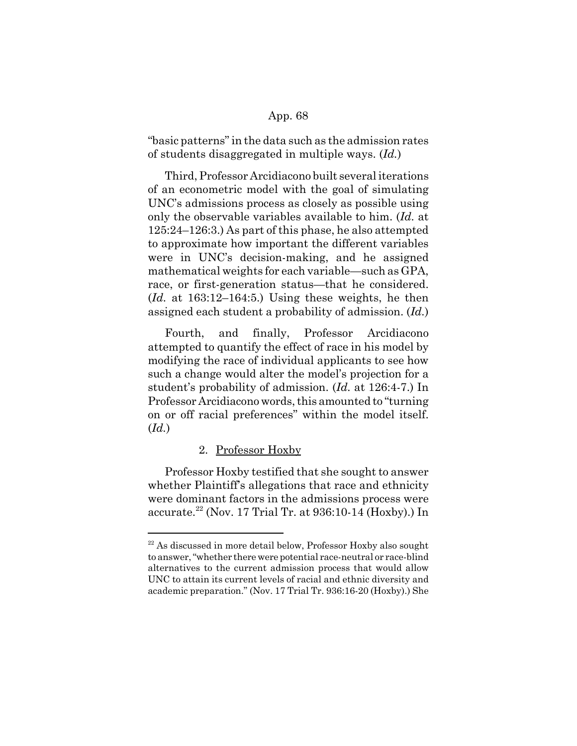"basic patterns" in the data such as the admission rates of students disaggregated in multiple ways. (*Id.*)

Third, Professor Arcidiacono built several iterations of an econometric model with the goal of simulating UNC's admissions process as closely as possible using only the observable variables available to him. (*Id.* at 125:24–126:3.) As part of this phase, he also attempted to approximate how important the different variables were in UNC's decision-making, and he assigned mathematical weights for each variable—such as GPA, race, or first-generation status—that he considered. (*Id.* at 163:12–164:5.) Using these weights, he then assigned each student a probability of admission. (*Id.*)

Fourth, and finally, Professor Arcidiacono attempted to quantify the effect of race in his model by modifying the race of individual applicants to see how such a change would alter the model's projection for a student's probability of admission. (*Id.* at 126:4-7.) In Professor Arcidiacono words, this amounted to "turning on or off racial preferences" within the model itself. (*Id.*)

#### 2. Professor Hoxby

Professor Hoxby testified that she sought to answer whether Plaintiff's allegations that race and ethnicity were dominant factors in the admissions process were accurate.22 (Nov. 17 Trial Tr. at 936:10-14 (Hoxby).) In

 $22$  As discussed in more detail below, Professor Hoxby also sought to answer, "whether there were potential race-neutral or race-blind alternatives to the current admission process that would allow UNC to attain its current levels of racial and ethnic diversity and academic preparation." (Nov. 17 Trial Tr. 936:16-20 (Hoxby).) She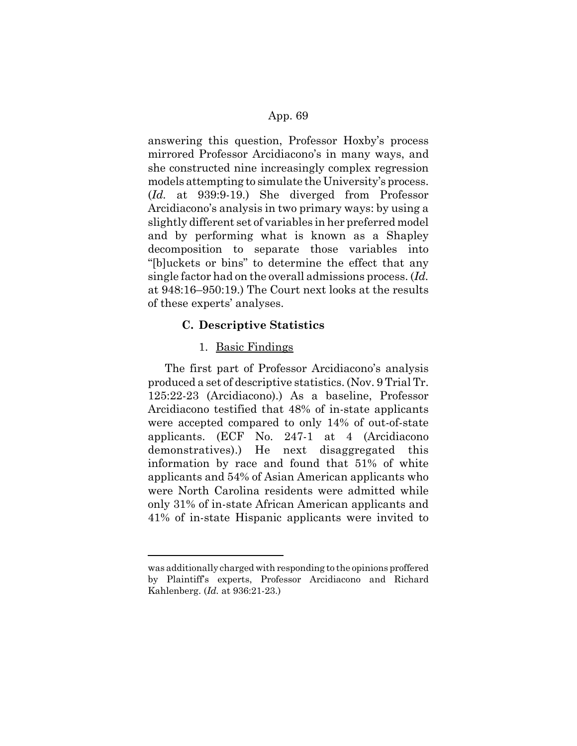answering this question, Professor Hoxby's process mirrored Professor Arcidiacono's in many ways, and she constructed nine increasingly complex regression models attempting to simulate the University's process. (*Id.* at 939:9-19.) She diverged from Professor Arcidiacono's analysis in two primary ways: by using a slightly different set of variables in her preferred model and by performing what is known as a Shapley decomposition to separate those variables into "[b]uckets or bins" to determine the effect that any single factor had on the overall admissions process. (*Id.* at 948:16–950:19.) The Court next looks at the results of these experts' analyses.

#### **C. Descriptive Statistics**

#### 1. Basic Findings

The first part of Professor Arcidiacono's analysis produced a set of descriptive statistics. (Nov. 9 Trial Tr. 125:22-23 (Arcidiacono).) As a baseline, Professor Arcidiacono testified that 48% of in-state applicants were accepted compared to only 14% of out-of-state applicants. (ECF No. 247-1 at 4 (Arcidiacono demonstratives).) He next disaggregated this information by race and found that 51% of white applicants and 54% of Asian American applicants who were North Carolina residents were admitted while only 31% of in-state African American applicants and 41% of in-state Hispanic applicants were invited to

was additionally charged with responding to the opinions proffered by Plaintiff's experts, Professor Arcidiacono and Richard Kahlenberg. (*Id.* at 936:21-23.)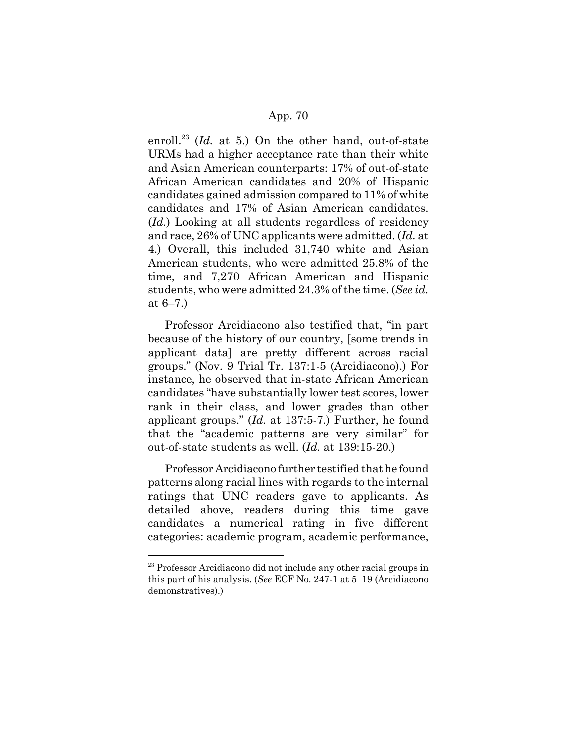enroll.<sup>23</sup> (*Id.* at 5.) On the other hand, out-of-state URMs had a higher acceptance rate than their white and Asian American counterparts: 17% of out-of-state African American candidates and 20% of Hispanic candidates gained admission compared to 11% of white candidates and 17% of Asian American candidates. (*Id.*) Looking at all students regardless of residency and race, 26% of UNC applicants were admitted. (*Id.* at 4.) Overall, this included 31,740 white and Asian American students, who were admitted 25.8% of the time, and 7,270 African American and Hispanic students, who were admitted 24.3% of the time. (*See id.* at 6–7.)

Professor Arcidiacono also testified that, "in part because of the history of our country, [some trends in applicant data] are pretty different across racial groups." (Nov. 9 Trial Tr. 137:1-5 (Arcidiacono).) For instance, he observed that in-state African American candidates "have substantially lower test scores, lower rank in their class, and lower grades than other applicant groups." (*Id.* at 137:5-7.) Further, he found that the "academic patterns are very similar" for out-of-state students as well. (*Id.* at 139:15-20.)

Professor Arcidiacono further testified that he found patterns along racial lines with regards to the internal ratings that UNC readers gave to applicants. As detailed above, readers during this time gave candidates a numerical rating in five different categories: academic program, academic performance,

 $23$  Professor Arcidiacono did not include any other racial groups in this part of his analysis. (*See* ECF No. 247-1 at 5–19 (Arcidiacono demonstratives).)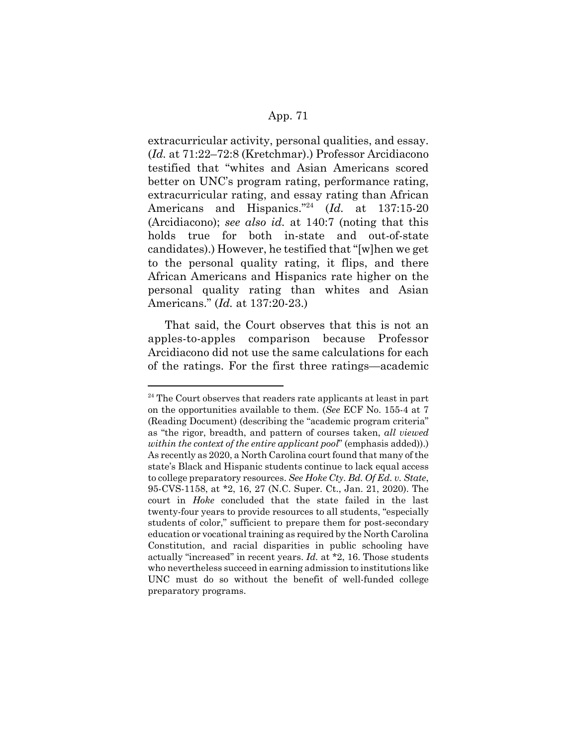extracurricular activity, personal qualities, and essay. (*Id.* at 71:22–72:8 (Kretchmar).) Professor Arcidiacono testified that "whites and Asian Americans scored better on UNC's program rating, performance rating, extracurricular rating, and essay rating than African Americans and Hispanics."24 (*Id.* at 137:15-20 (Arcidiacono); *see also id.* at 140:7 (noting that this holds true for both in-state and out-of-state candidates).) However, he testified that "[w]hen we get to the personal quality rating, it flips, and there African Americans and Hispanics rate higher on the personal quality rating than whites and Asian Americans." (*Id.* at 137:20-23.)

That said, the Court observes that this is not an apples-to-apples comparison because Professor Arcidiacono did not use the same calculations for each of the ratings. For the first three ratings—academic

 $24$  The Court observes that readers rate applicants at least in part on the opportunities available to them. (*See* ECF No. 155-4 at 7 (Reading Document) (describing the "academic program criteria" as "the rigor, breadth, and pattern of courses taken, *all viewed within the context of the entire applicant pool*" (emphasis added)).) As recently as 2020, a North Carolina court found that many of the state's Black and Hispanic students continue to lack equal access to college preparatory resources. *See Hoke Cty. Bd. Of Ed. v. State*, 95-CVS-1158, at \*2, 16, 27 (N.C. Super. Ct., Jan. 21, 2020). The court in *Hoke* concluded that the state failed in the last twenty-four years to provide resources to all students, "especially students of color," sufficient to prepare them for post-secondary education or vocational training as required by the North Carolina Constitution, and racial disparities in public schooling have actually "increased" in recent years. *Id.* at \*2, 16. Those students who nevertheless succeed in earning admission to institutions like UNC must do so without the benefit of well-funded college preparatory programs.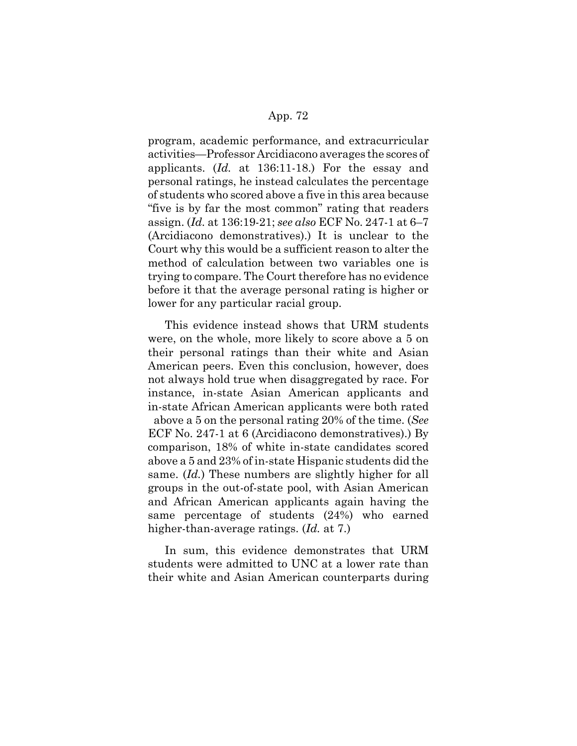program, academic performance, and extracurricular activities—Professor Arcidiacono averages the scores of applicants. (*Id.* at 136:11-18.) For the essay and personal ratings, he instead calculates the percentage of students who scored above a five in this area because "five is by far the most common" rating that readers assign. (*Id.* at 136:19-21; *see also* ECF No. 247-1 at 6–7 (Arcidiacono demonstratives).) It is unclear to the Court why this would be a sufficient reason to alter the method of calculation between two variables one is trying to compare. The Court therefore has no evidence before it that the average personal rating is higher or lower for any particular racial group.

This evidence instead shows that URM students were, on the whole, more likely to score above a 5 on their personal ratings than their white and Asian American peers. Even this conclusion, however, does not always hold true when disaggregated by race. For instance, in-state Asian American applicants and in-state African American applicants were both rated above a 5 on the personal rating 20% of the time. (*See* ECF No. 247-1 at 6 (Arcidiacono demonstratives).) By comparison, 18% of white in-state candidates scored above a 5 and 23% of in-state Hispanic students did the same. (*Id.*) These numbers are slightly higher for all groups in the out-of-state pool, with Asian American and African American applicants again having the same percentage of students (24%) who earned higher-than-average ratings. (*Id.* at 7.)

In sum, this evidence demonstrates that URM students were admitted to UNC at a lower rate than their white and Asian American counterparts during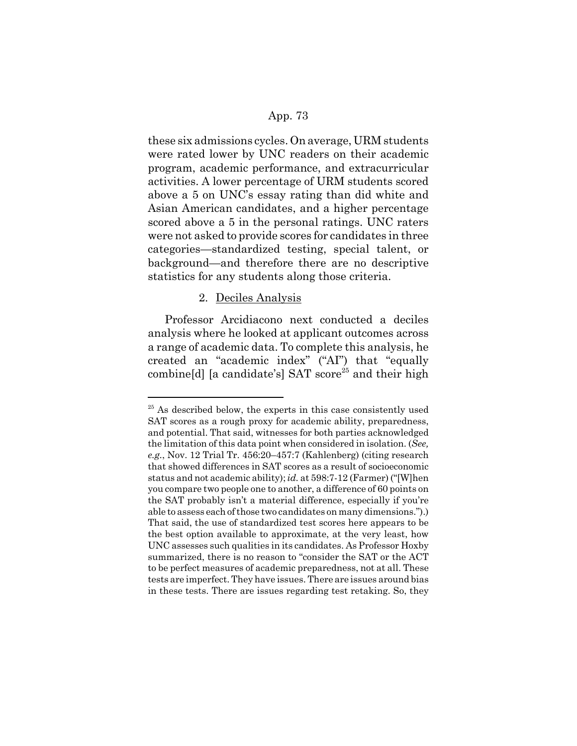these six admissions cycles. On average, URM students were rated lower by UNC readers on their academic program, academic performance, and extracurricular activities. A lower percentage of URM students scored above a 5 on UNC's essay rating than did white and Asian American candidates, and a higher percentage scored above a 5 in the personal ratings. UNC raters were not asked to provide scores for candidates in three categories—standardized testing, special talent, or background—and therefore there are no descriptive statistics for any students along those criteria.

# 2. Deciles Analysis

Professor Arcidiacono next conducted a deciles analysis where he looked at applicant outcomes across a range of academic data. To complete this analysis, he created an "academic index" ("AI") that "equally combine[d] [a candidate's] SAT  $score^{25}$  and their high

 $25$  As described below, the experts in this case consistently used SAT scores as a rough proxy for academic ability, preparedness, and potential. That said, witnesses for both parties acknowledged the limitation of this data point when considered in isolation. (*See, e.g.*, Nov. 12 Trial Tr. 456:20–457:7 (Kahlenberg) (citing research that showed differences in SAT scores as a result of socioeconomic status and not academic ability); *id.* at 598:7-12 (Farmer) ("[W]hen you compare two people one to another, a difference of 60 points on the SAT probably isn't a material difference, especially if you're able to assess each of those two candidates on many dimensions.").) That said, the use of standardized test scores here appears to be the best option available to approximate, at the very least, how UNC assesses such qualities in its candidates. As Professor Hoxby summarized, there is no reason to "consider the SAT or the ACT to be perfect measures of academic preparedness, not at all. These tests are imperfect. They have issues. There are issues around bias in these tests. There are issues regarding test retaking. So, they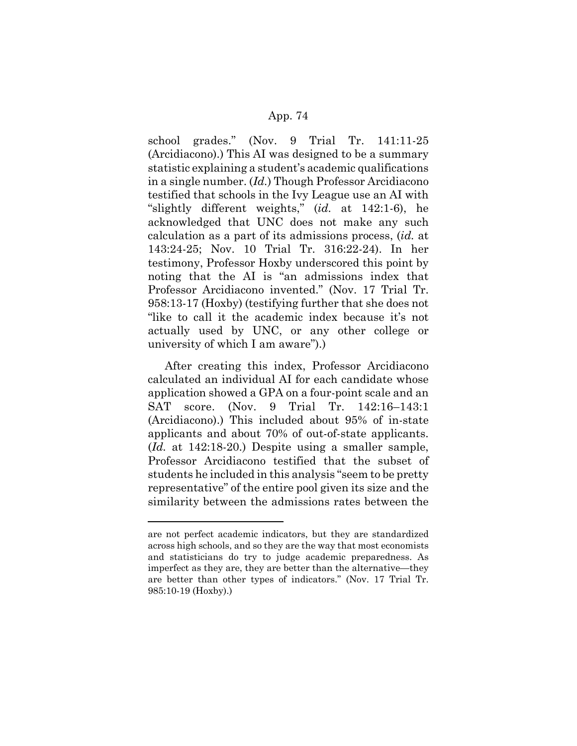school grades." (Nov. 9 Trial Tr. 141:11-25 (Arcidiacono).) This AI was designed to be a summary statistic explaining a student's academic qualifications in a single number. (*Id.*) Though Professor Arcidiacono testified that schools in the Ivy League use an AI with "slightly different weights," (*id.* at 142:1-6), he acknowledged that UNC does not make any such calculation as a part of its admissions process, (*id.* at 143:24-25; Nov. 10 Trial Tr. 316:22-24). In her testimony, Professor Hoxby underscored this point by noting that the AI is "an admissions index that Professor Arcidiacono invented." (Nov. 17 Trial Tr. 958:13-17 (Hoxby) (testifying further that she does not "like to call it the academic index because it's not actually used by UNC, or any other college or university of which I am aware").)

After creating this index, Professor Arcidiacono calculated an individual AI for each candidate whose application showed a GPA on a four-point scale and an SAT score. (Nov. 9 Trial Tr. 142:16–143:1 (Arcidiacono).) This included about 95% of in-state applicants and about 70% of out-of-state applicants. (*Id.* at 142:18-20.) Despite using a smaller sample, Professor Arcidiacono testified that the subset of students he included in this analysis "seem to be pretty representative" of the entire pool given its size and the similarity between the admissions rates between the

are not perfect academic indicators, but they are standardized across high schools, and so they are the way that most economists and statisticians do try to judge academic preparedness. As imperfect as they are, they are better than the alternative—they are better than other types of indicators." (Nov. 17 Trial Tr. 985:10-19 (Hoxby).)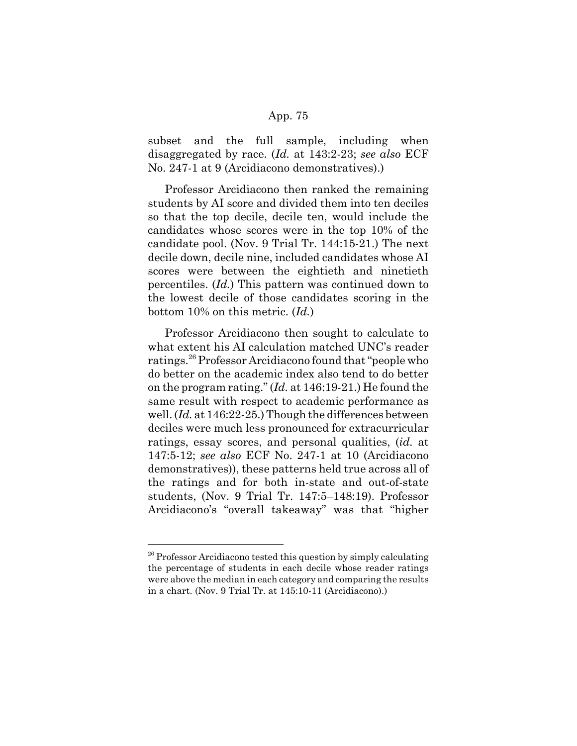subset and the full sample, including when disaggregated by race. (*Id.* at 143:2-23; *see also* ECF No. 247-1 at 9 (Arcidiacono demonstratives).)

Professor Arcidiacono then ranked the remaining students by AI score and divided them into ten deciles so that the top decile, decile ten, would include the candidates whose scores were in the top 10% of the candidate pool. (Nov. 9 Trial Tr. 144:15-21.) The next decile down, decile nine, included candidates whose AI scores were between the eightieth and ninetieth percentiles. (*Id.*) This pattern was continued down to the lowest decile of those candidates scoring in the bottom 10% on this metric. (*Id.*)

Professor Arcidiacono then sought to calculate to what extent his AI calculation matched UNC's reader ratings.26 Professor Arcidiacono found that "people who do better on the academic index also tend to do better on the program rating." (*Id.* at 146:19-21.) He found the same result with respect to academic performance as well. (*Id.* at 146:22-25.) Though the differences between deciles were much less pronounced for extracurricular ratings, essay scores, and personal qualities, (*id.* at 147:5-12; *see also* ECF No. 247-1 at 10 (Arcidiacono demonstratives)), these patterns held true across all of the ratings and for both in-state and out-of-state students, (Nov. 9 Trial Tr. 147:5–148:19). Professor Arcidiacono's "overall takeaway" was that "higher

 $26$  Professor Arcidiacono tested this question by simply calculating the percentage of students in each decile whose reader ratings were above the median in each category and comparing the results in a chart. (Nov. 9 Trial Tr. at 145:10-11 (Arcidiacono).)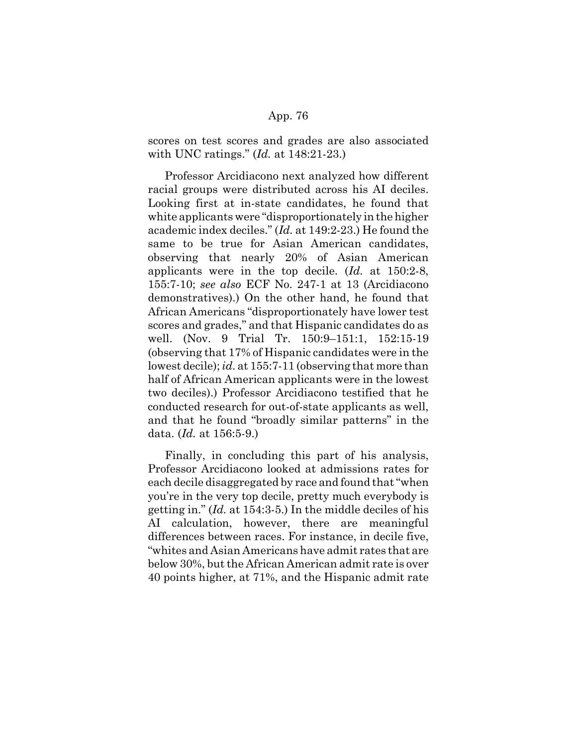scores on test scores and grades are also associated with UNC ratings." (*Id.* at 148:21-23.)

Professor Arcidiacono next analyzed how different racial groups were distributed across his AI deciles. Looking first at in-state candidates, he found that white applicants were "disproportionately in the higher academic index deciles." (*Id.* at 149:2-23.) He found the same to be true for Asian American candidates, observing that nearly 20% of Asian American applicants were in the top decile. (*Id.* at 150:2-8, 155:7-10; *see also* ECF No. 247-1 at 13 (Arcidiacono demonstratives).) On the other hand, he found that African Americans "disproportionately have lower test scores and grades," and that Hispanic candidates do as well. (Nov. 9 Trial Tr. 150:9–151:1, 152:15-19 (observing that 17% of Hispanic candidates were in the lowest decile); *id.* at 155:7-11 (observing that more than half of African American applicants were in the lowest two deciles).) Professor Arcidiacono testified that he conducted research for out-of-state applicants as well, and that he found "broadly similar patterns" in the data. (*Id.* at 156:5-9.)

Finally, in concluding this part of his analysis, Professor Arcidiacono looked at admissions rates for each decile disaggregated by race and found that "when you're in the very top decile, pretty much everybody is getting in." (*Id.* at 154:3-5.) In the middle deciles of his AI calculation, however, there are meaningful differences between races. For instance, in decile five, "whites and Asian Americans have admit rates that are below 30%, but the African American admit rate is over 40 points higher, at 71%, and the Hispanic admit rate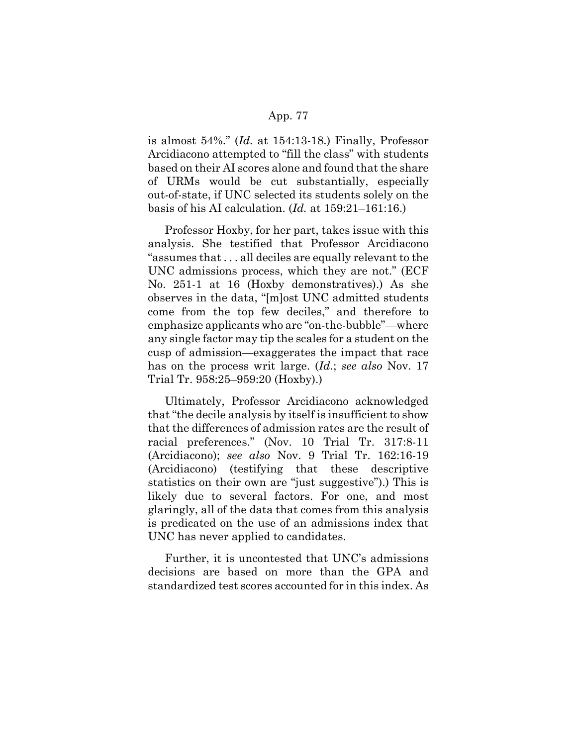is almost 54%." (*Id.* at 154:13-18.) Finally, Professor Arcidiacono attempted to "fill the class" with students based on their AI scores alone and found that the share of URMs would be cut substantially, especially out-of-state, if UNC selected its students solely on the basis of his AI calculation. (*Id.* at 159:21–161:16.)

Professor Hoxby, for her part, takes issue with this analysis. She testified that Professor Arcidiacono "assumes that . . . all deciles are equally relevant to the UNC admissions process, which they are not." (ECF No. 251-1 at 16 (Hoxby demonstratives).) As she observes in the data, "[m]ost UNC admitted students come from the top few deciles," and therefore to emphasize applicants who are "on-the-bubble"—where any single factor may tip the scales for a student on the cusp of admission—exaggerates the impact that race has on the process writ large. (*Id.*; *see also* Nov. 17 Trial Tr. 958:25–959:20 (Hoxby).)

Ultimately, Professor Arcidiacono acknowledged that "the decile analysis by itself is insufficient to show that the differences of admission rates are the result of racial preferences." (Nov. 10 Trial Tr. 317:8-11 (Arcidiacono); *see also* Nov. 9 Trial Tr. 162:16-19 (Arcidiacono) (testifying that these descriptive statistics on their own are "just suggestive").) This is likely due to several factors. For one, and most glaringly, all of the data that comes from this analysis is predicated on the use of an admissions index that UNC has never applied to candidates.

Further, it is uncontested that UNC's admissions decisions are based on more than the GPA and standardized test scores accounted for in this index. As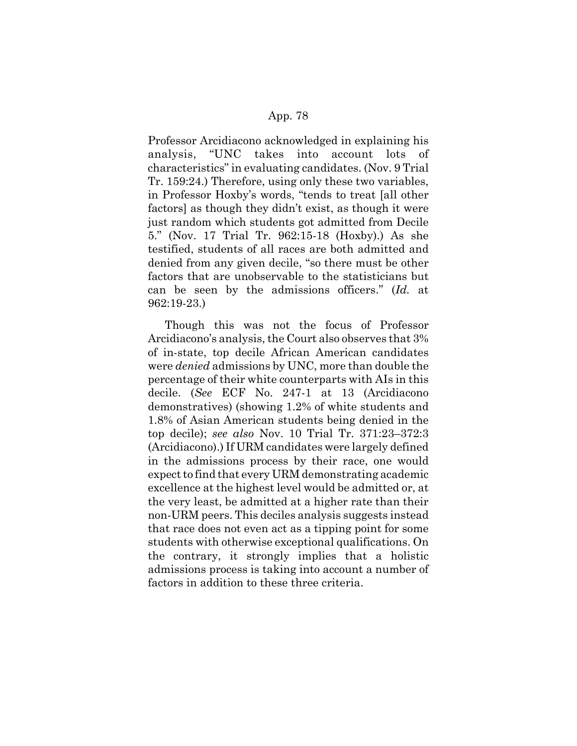Professor Arcidiacono acknowledged in explaining his analysis, "UNC takes into account lots of characteristics" in evaluating candidates. (Nov. 9 Trial Tr. 159:24.) Therefore, using only these two variables, in Professor Hoxby's words, "tends to treat [all other factors] as though they didn't exist, as though it were just random which students got admitted from Decile 5." (Nov. 17 Trial Tr. 962:15-18 (Hoxby).) As she testified, students of all races are both admitted and denied from any given decile, "so there must be other factors that are unobservable to the statisticians but can be seen by the admissions officers." (*Id.* at 962:19-23.)

Though this was not the focus of Professor Arcidiacono's analysis, the Court also observes that 3% of in-state, top decile African American candidates were *denied* admissions by UNC, more than double the percentage of their white counterparts with AIs in this decile. (*See* ECF No. 247-1 at 13 (Arcidiacono demonstratives) (showing 1.2% of white students and 1.8% of Asian American students being denied in the top decile); *see also* Nov. 10 Trial Tr. 371:23–372:3 (Arcidiacono).) If URM candidates were largely defined in the admissions process by their race, one would expect to find that every URM demonstrating academic excellence at the highest level would be admitted or, at the very least, be admitted at a higher rate than their non-URM peers. This deciles analysis suggests instead that race does not even act as a tipping point for some students with otherwise exceptional qualifications. On the contrary, it strongly implies that a holistic admissions process is taking into account a number of factors in addition to these three criteria.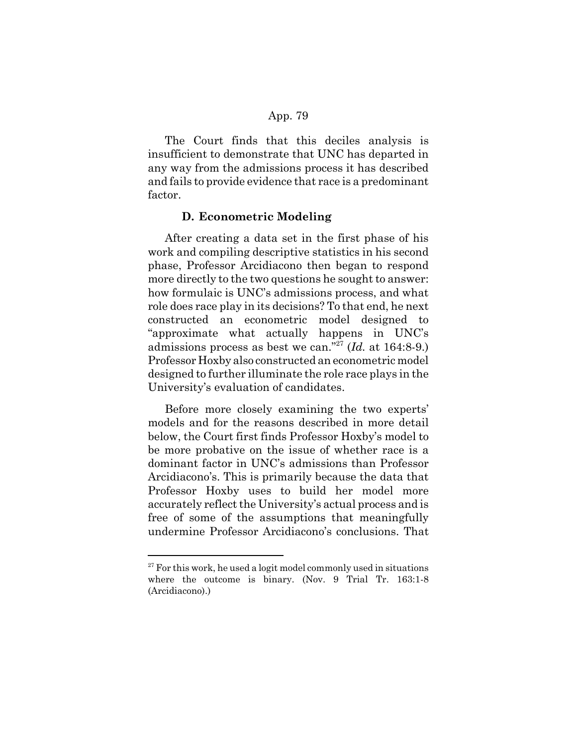The Court finds that this deciles analysis is insufficient to demonstrate that UNC has departed in any way from the admissions process it has described and fails to provide evidence that race is a predominant factor.

### **D. Econometric Modeling**

After creating a data set in the first phase of his work and compiling descriptive statistics in his second phase, Professor Arcidiacono then began to respond more directly to the two questions he sought to answer: how formulaic is UNC's admissions process, and what role does race play in its decisions? To that end, he next constructed an econometric model designed to "approximate what actually happens in UNC's admissions process as best we can."27 (*Id.* at 164:8-9.) Professor Hoxby also constructed an econometric model designed to further illuminate the role race plays in the University's evaluation of candidates.

Before more closely examining the two experts' models and for the reasons described in more detail below, the Court first finds Professor Hoxby's model to be more probative on the issue of whether race is a dominant factor in UNC's admissions than Professor Arcidiacono's. This is primarily because the data that Professor Hoxby uses to build her model more accurately reflect the University's actual process and is free of some of the assumptions that meaningfully undermine Professor Arcidiacono's conclusions. That

 $27$  For this work, he used a logit model commonly used in situations where the outcome is binary. (Nov. 9 Trial Tr. 163:1-8 (Arcidiacono).)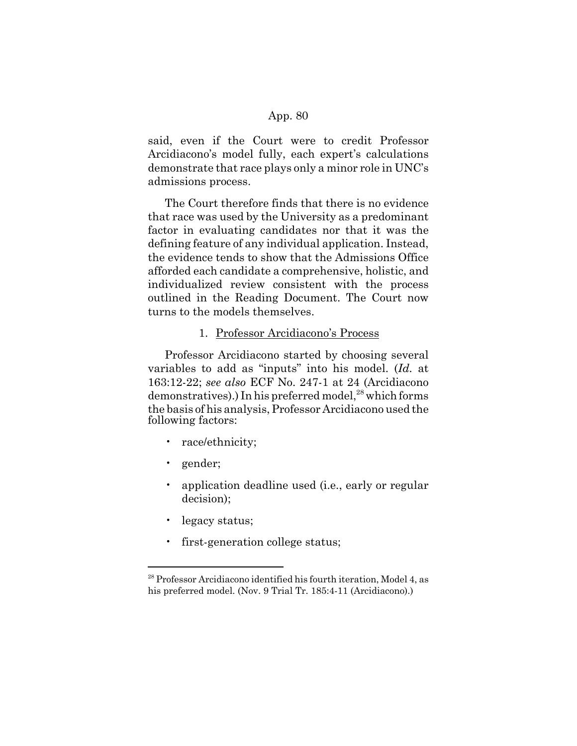said, even if the Court were to credit Professor Arcidiacono's model fully, each expert's calculations demonstrate that race plays only a minor role in UNC's admissions process.

The Court therefore finds that there is no evidence that race was used by the University as a predominant factor in evaluating candidates nor that it was the defining feature of any individual application. Instead, the evidence tends to show that the Admissions Office afforded each candidate a comprehensive, holistic, and individualized review consistent with the process outlined in the Reading Document. The Court now turns to the models themselves.

# 1. Professor Arcidiacono's Process

Professor Arcidiacono started by choosing several variables to add as "inputs" into his model. (*Id.* at 163:12-22; *see also* ECF No. 247-1 at 24 (Arcidiacono demonstratives).) In his preferred model,<sup>28</sup> which forms the basis of his analysis, Professor Arcidiacono used the following factors:

- race/ethnicity;
- gender;
- application deadline used (i.e., early or regular decision);
- legacy status;
- first-generation college status;

<sup>&</sup>lt;sup>28</sup> Professor Arcidiacono identified his fourth iteration, Model 4, as his preferred model. (Nov. 9 Trial Tr. 185:4-11 (Arcidiacono).)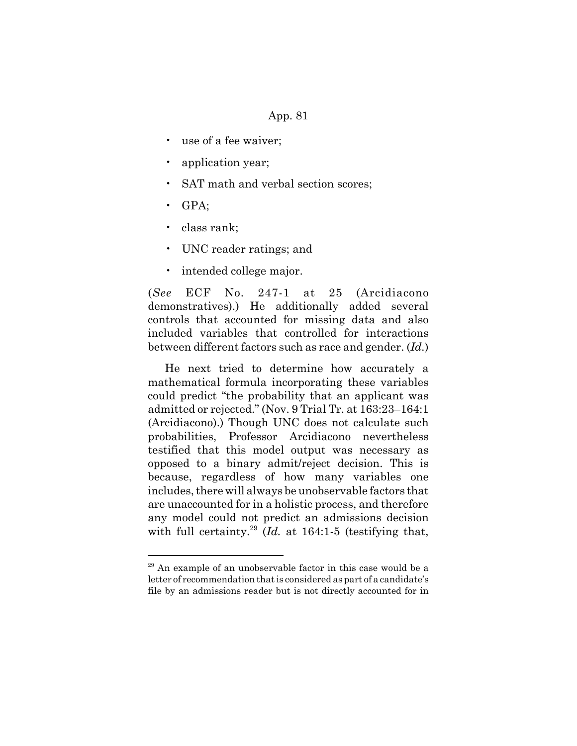- use of a fee waiver;
- application year;
- SAT math and verbal section scores;
- GPA;
- class rank;
- UNC reader ratings; and
- intended college major.

(*See* ECF No. 247-1 at 25 (Arcidiacono demonstratives).) He additionally added several controls that accounted for missing data and also included variables that controlled for interactions between different factors such as race and gender. (*Id.*)

He next tried to determine how accurately a mathematical formula incorporating these variables could predict "the probability that an applicant was admitted or rejected." (Nov. 9 Trial Tr. at 163:23–164:1 (Arcidiacono).) Though UNC does not calculate such probabilities, Professor Arcidiacono nevertheless testified that this model output was necessary as opposed to a binary admit/reject decision. This is because, regardless of how many variables one includes, there will always be unobservable factors that are unaccounted for in a holistic process, and therefore any model could not predict an admissions decision with full certainty.<sup>29</sup> (*Id.* at 164:1-5 (testifying that,

 $29$  An example of an unobservable factor in this case would be a letter of recommendation that is considered as part of a candidate's file by an admissions reader but is not directly accounted for in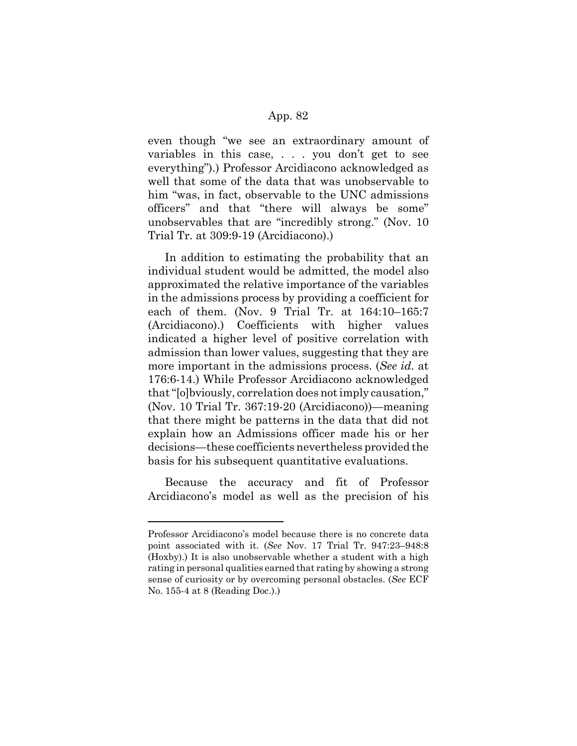even though "we see an extraordinary amount of variables in this case, . . . you don't get to see everything").) Professor Arcidiacono acknowledged as well that some of the data that was unobservable to him "was, in fact, observable to the UNC admissions officers" and that "there will always be some" unobservables that are "incredibly strong." (Nov. 10 Trial Tr. at 309:9-19 (Arcidiacono).)

In addition to estimating the probability that an individual student would be admitted, the model also approximated the relative importance of the variables in the admissions process by providing a coefficient for each of them. (Nov. 9 Trial Tr. at 164:10–165:7 (Arcidiacono).) Coefficients with higher values indicated a higher level of positive correlation with admission than lower values, suggesting that they are more important in the admissions process. (*See id.* at 176:6-14.) While Professor Arcidiacono acknowledged that "[o]bviously, correlation does not imply causation," (Nov. 10 Trial Tr. 367:19-20 (Arcidiacono))—meaning that there might be patterns in the data that did not explain how an Admissions officer made his or her decisions—these coefficients nevertheless provided the basis for his subsequent quantitative evaluations.

Because the accuracy and fit of Professor Arcidiacono's model as well as the precision of his

Professor Arcidiacono's model because there is no concrete data point associated with it. (*See* Nov. 17 Trial Tr. 947:23–948:8 (Hoxby).) It is also unobservable whether a student with a high rating in personal qualities earned that rating by showing a strong sense of curiosity or by overcoming personal obstacles. (*See* ECF No. 155-4 at 8 (Reading Doc.).)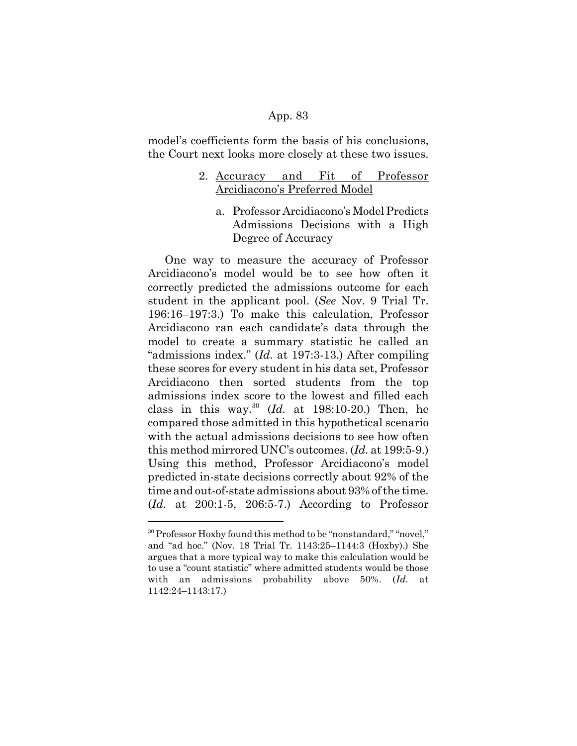model's coefficients form the basis of his conclusions, the Court next looks more closely at these two issues.

# 2. Accuracy and Fit of Professor Arcidiacono's Preferred Model

a. Professor Arcidiacono's Model Predicts Admissions Decisions with a High Degree of Accuracy

One way to measure the accuracy of Professor Arcidiacono's model would be to see how often it correctly predicted the admissions outcome for each student in the applicant pool. (*See* Nov. 9 Trial Tr. 196:16–197:3.) To make this calculation, Professor Arcidiacono ran each candidate's data through the model to create a summary statistic he called an "admissions index." (*Id.* at 197:3-13.) After compiling these scores for every student in his data set, Professor Arcidiacono then sorted students from the top admissions index score to the lowest and filled each class in this way.30 (*Id.* at 198:10-20.) Then, he compared those admitted in this hypothetical scenario with the actual admissions decisions to see how often this method mirrored UNC's outcomes. (*Id.* at 199:5-9.) Using this method, Professor Arcidiacono's model predicted in-state decisions correctly about 92% of the time and out-of-state admissions about 93% of the time. (*Id.* at 200:1-5, 206:5-7.) According to Professor

<sup>&</sup>lt;sup>30</sup> Professor Hoxby found this method to be "nonstandard," "novel," and "ad hoc." (Nov. 18 Trial Tr. 1143:25–1144:3 (Hoxby).) She argues that a more typical way to make this calculation would be to use a "count statistic" where admitted students would be those with an admissions probability above 50%. (*Id.* at 1142:24–1143:17.)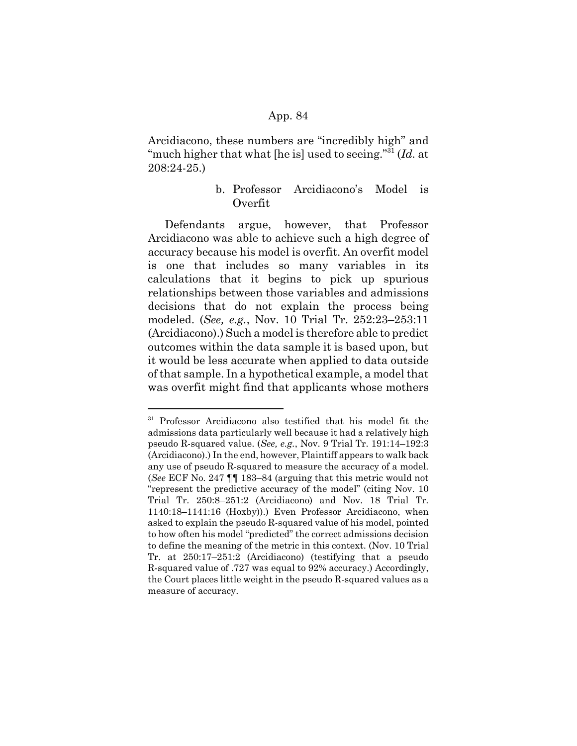Arcidiacono, these numbers are "incredibly high" and "much higher that what [he is] used to seeing."31 (*Id.* at 208:24-25.)

# b. Professor Arcidiacono's Model is Overfit

Defendants argue, however, that Professor Arcidiacono was able to achieve such a high degree of accuracy because his model is overfit. An overfit model is one that includes so many variables in its calculations that it begins to pick up spurious relationships between those variables and admissions decisions that do not explain the process being modeled. (*See, e.g.*, Nov. 10 Trial Tr. 252:23–253:11 (Arcidiacono).) Such a model is therefore able to predict outcomes within the data sample it is based upon, but it would be less accurate when applied to data outside of that sample. In a hypothetical example, a model that was overfit might find that applicants whose mothers

<sup>&</sup>lt;sup>31</sup> Professor Arcidiacono also testified that his model fit the admissions data particularly well because it had a relatively high pseudo R-squared value. (*See, e.g.*, Nov. 9 Trial Tr. 191:14–192:3 (Arcidiacono).) In the end, however, Plaintiff appears to walk back any use of pseudo R-squared to measure the accuracy of a model. (*See* ECF No. 247 ¶¶ 183–84 (arguing that this metric would not "represent the predictive accuracy of the model" (citing Nov. 10 Trial Tr. 250:8–251:2 (Arcidiacono) and Nov. 18 Trial Tr. 1140:18–1141:16 (Hoxby)).) Even Professor Arcidiacono, when asked to explain the pseudo R-squared value of his model, pointed to how often his model "predicted" the correct admissions decision to define the meaning of the metric in this context. (Nov. 10 Trial Tr. at 250:17–251:2 (Arcidiacono) (testifying that a pseudo R-squared value of .727 was equal to 92% accuracy.) Accordingly, the Court places little weight in the pseudo R-squared values as a measure of accuracy.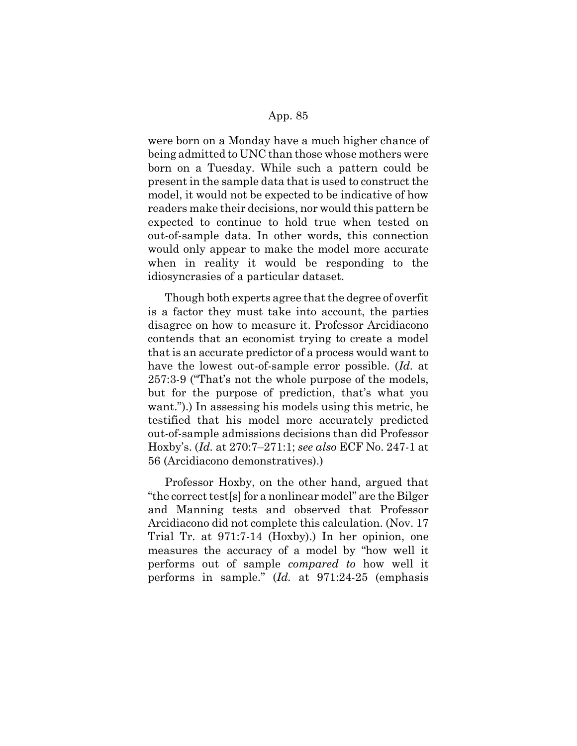were born on a Monday have a much higher chance of being admitted to UNC than those whose mothers were born on a Tuesday. While such a pattern could be present in the sample data that is used to construct the model, it would not be expected to be indicative of how readers make their decisions, nor would this pattern be expected to continue to hold true when tested on out-of-sample data. In other words, this connection would only appear to make the model more accurate when in reality it would be responding to the idiosyncrasies of a particular dataset.

Though both experts agree that the degree of overfit is a factor they must take into account, the parties disagree on how to measure it. Professor Arcidiacono contends that an economist trying to create a model that is an accurate predictor of a process would want to have the lowest out-of-sample error possible. (*Id.* at 257:3-9 ("That's not the whole purpose of the models, but for the purpose of prediction, that's what you want.").) In assessing his models using this metric, he testified that his model more accurately predicted out-of-sample admissions decisions than did Professor Hoxby's. (*Id.* at 270:7–271:1; *see also* ECF No. 247-1 at 56 (Arcidiacono demonstratives).)

Professor Hoxby, on the other hand, argued that "the correct test[s] for a nonlinear model" are the Bilger and Manning tests and observed that Professor Arcidiacono did not complete this calculation. (Nov. 17 Trial Tr. at 971:7-14 (Hoxby).) In her opinion, one measures the accuracy of a model by "how well it performs out of sample *compared to* how well it performs in sample." (*Id.* at 971:24-25 (emphasis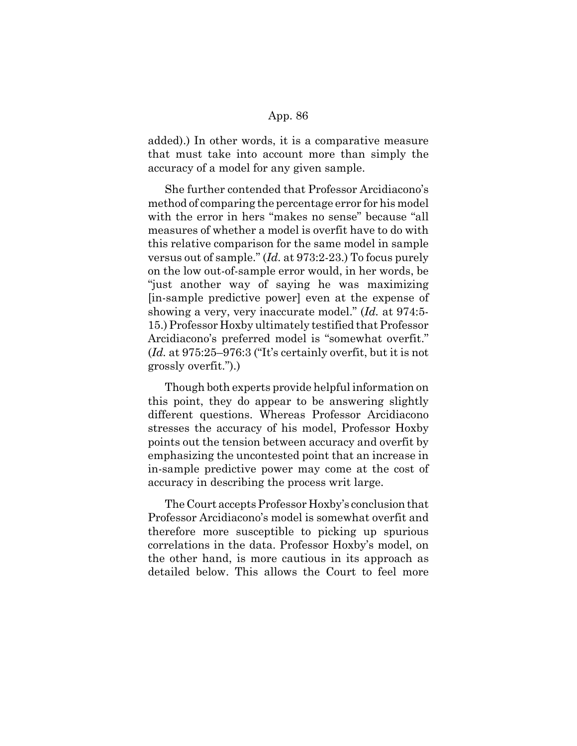added).) In other words, it is a comparative measure that must take into account more than simply the accuracy of a model for any given sample.

She further contended that Professor Arcidiacono's method of comparing the percentage error for his model with the error in hers "makes no sense" because "all measures of whether a model is overfit have to do with this relative comparison for the same model in sample versus out of sample." (*Id.* at 973:2-23.) To focus purely on the low out-of-sample error would, in her words, be "just another way of saying he was maximizing [in-sample predictive power] even at the expense of showing a very, very inaccurate model." (*Id.* at 974:5- 15.) Professor Hoxby ultimately testified that Professor Arcidiacono's preferred model is "somewhat overfit." (*Id.* at 975:25–976:3 ("It's certainly overfit, but it is not grossly overfit.").)

Though both experts provide helpful information on this point, they do appear to be answering slightly different questions. Whereas Professor Arcidiacono stresses the accuracy of his model, Professor Hoxby points out the tension between accuracy and overfit by emphasizing the uncontested point that an increase in in-sample predictive power may come at the cost of accuracy in describing the process writ large.

The Court accepts Professor Hoxby's conclusion that Professor Arcidiacono's model is somewhat overfit and therefore more susceptible to picking up spurious correlations in the data. Professor Hoxby's model, on the other hand, is more cautious in its approach as detailed below. This allows the Court to feel more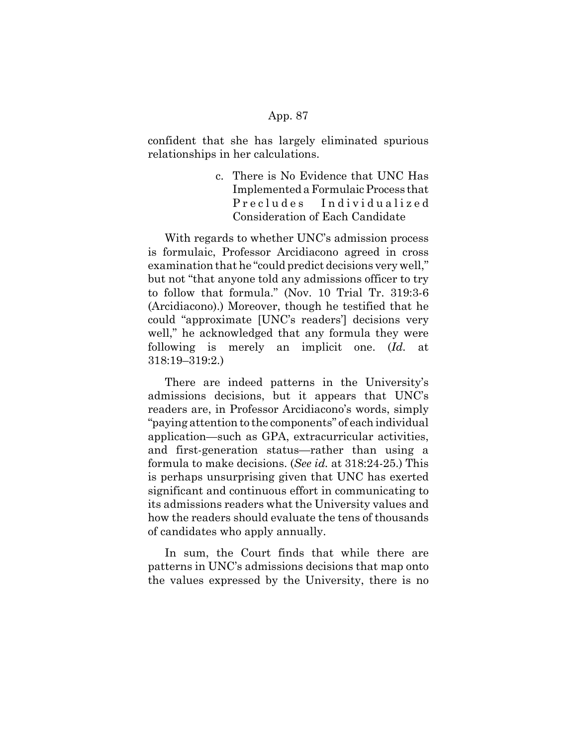confident that she has largely eliminated spurious relationships in her calculations.

> c. There is No Evidence that UNC Has Implemented a Formulaic Process that Precludes Individualized Consideration of Each Candidate

With regards to whether UNC's admission process is formulaic, Professor Arcidiacono agreed in cross examination that he "could predict decisions very well," but not "that anyone told any admissions officer to try to follow that formula." (Nov. 10 Trial Tr. 319:3-6 (Arcidiacono).) Moreover, though he testified that he could "approximate [UNC's readers'] decisions very well," he acknowledged that any formula they were following is merely an implicit one. (*Id.* at 318:19–319:2.)

There are indeed patterns in the University's admissions decisions, but it appears that UNC's readers are, in Professor Arcidiacono's words, simply "paying attention to the components" of each individual application—such as GPA, extracurricular activities, and first-generation status—rather than using a formula to make decisions. (*See id.* at 318:24-25.) This is perhaps unsurprising given that UNC has exerted significant and continuous effort in communicating to its admissions readers what the University values and how the readers should evaluate the tens of thousands of candidates who apply annually.

In sum, the Court finds that while there are patterns in UNC's admissions decisions that map onto the values expressed by the University, there is no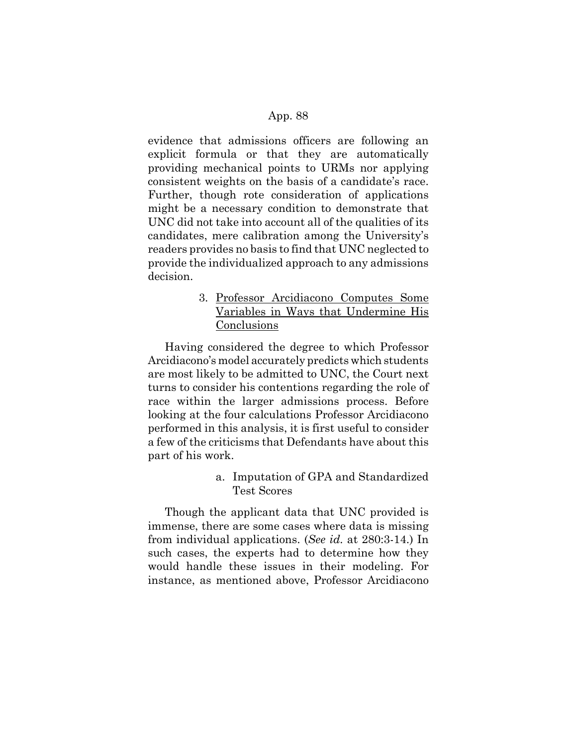evidence that admissions officers are following an explicit formula or that they are automatically providing mechanical points to URMs nor applying consistent weights on the basis of a candidate's race. Further, though rote consideration of applications might be a necessary condition to demonstrate that UNC did not take into account all of the qualities of its candidates, mere calibration among the University's readers provides no basis to find that UNC neglected to provide the individualized approach to any admissions decision.

> 3. Professor Arcidiacono Computes Some Variables in Ways that Undermine His **Conclusions**

Having considered the degree to which Professor Arcidiacono's model accurately predicts which students are most likely to be admitted to UNC, the Court next turns to consider his contentions regarding the role of race within the larger admissions process. Before looking at the four calculations Professor Arcidiacono performed in this analysis, it is first useful to consider a few of the criticisms that Defendants have about this part of his work.

> a. Imputation of GPA and Standardized Test Scores

Though the applicant data that UNC provided is immense, there are some cases where data is missing from individual applications. (*See id.* at 280:3-14.) In such cases, the experts had to determine how they would handle these issues in their modeling. For instance, as mentioned above, Professor Arcidiacono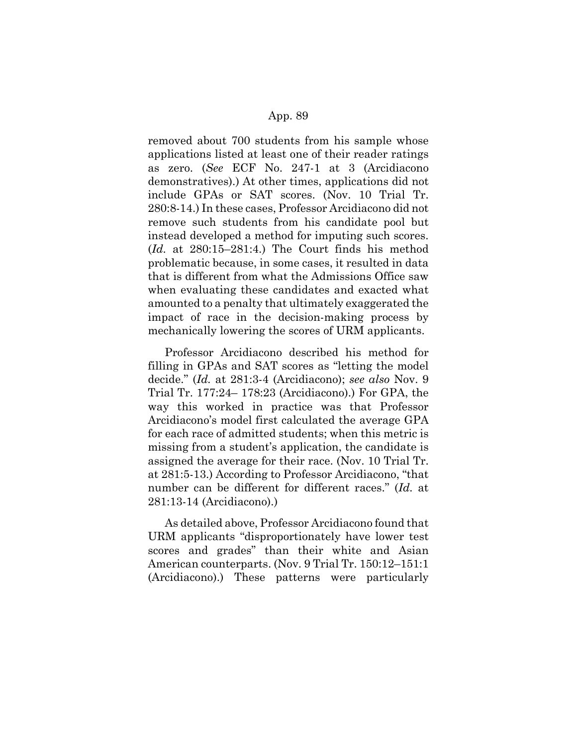removed about 700 students from his sample whose applications listed at least one of their reader ratings as zero. (*See* ECF No. 247-1 at 3 (Arcidiacono demonstratives).) At other times, applications did not include GPAs or SAT scores. (Nov. 10 Trial Tr. 280:8-14.) In these cases, Professor Arcidiacono did not remove such students from his candidate pool but instead developed a method for imputing such scores. (*Id.* at 280:15–281:4.) The Court finds his method problematic because, in some cases, it resulted in data that is different from what the Admissions Office saw when evaluating these candidates and exacted what amounted to a penalty that ultimately exaggerated the impact of race in the decision-making process by mechanically lowering the scores of URM applicants.

Professor Arcidiacono described his method for filling in GPAs and SAT scores as "letting the model decide." (*Id.* at 281:3-4 (Arcidiacono); *see also* Nov. 9 Trial Tr. 177:24– 178:23 (Arcidiacono).) For GPA, the way this worked in practice was that Professor Arcidiacono's model first calculated the average GPA for each race of admitted students; when this metric is missing from a student's application, the candidate is assigned the average for their race. (Nov. 10 Trial Tr. at 281:5-13.) According to Professor Arcidiacono, "that number can be different for different races." (*Id.* at 281:13-14 (Arcidiacono).)

As detailed above, Professor Arcidiacono found that URM applicants "disproportionately have lower test scores and grades" than their white and Asian American counterparts. (Nov. 9 Trial Tr. 150:12–151:1 (Arcidiacono).) These patterns were particularly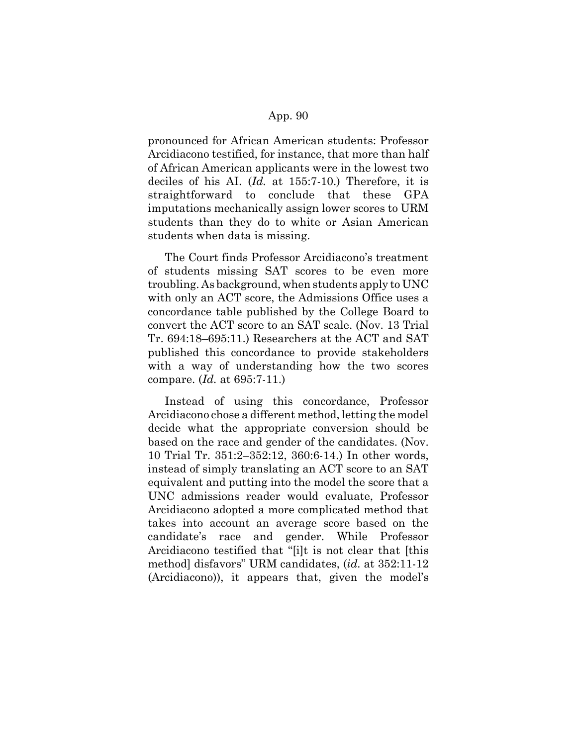pronounced for African American students: Professor Arcidiacono testified, for instance, that more than half of African American applicants were in the lowest two deciles of his AI. (*Id.* at 155:7-10.) Therefore, it is straightforward to conclude that these GPA imputations mechanically assign lower scores to URM students than they do to white or Asian American students when data is missing.

The Court finds Professor Arcidiacono's treatment of students missing SAT scores to be even more troubling. As background, when students apply to UNC with only an ACT score, the Admissions Office uses a concordance table published by the College Board to convert the ACT score to an SAT scale. (Nov. 13 Trial Tr. 694:18–695:11.) Researchers at the ACT and SAT published this concordance to provide stakeholders with a way of understanding how the two scores compare. (*Id.* at 695:7-11.)

Instead of using this concordance, Professor Arcidiacono chose a different method, letting the model decide what the appropriate conversion should be based on the race and gender of the candidates. (Nov. 10 Trial Tr. 351:2–352:12, 360:6-14.) In other words, instead of simply translating an ACT score to an SAT equivalent and putting into the model the score that a UNC admissions reader would evaluate, Professor Arcidiacono adopted a more complicated method that takes into account an average score based on the candidate's race and gender. While Professor Arcidiacono testified that "[i]t is not clear that [this method] disfavors" URM candidates, (*id.* at 352:11-12 (Arcidiacono)), it appears that, given the model's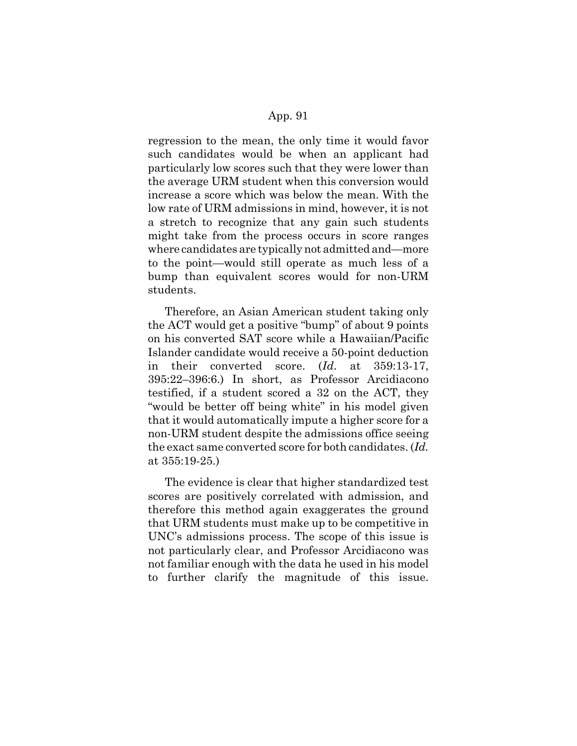regression to the mean, the only time it would favor such candidates would be when an applicant had particularly low scores such that they were lower than the average URM student when this conversion would increase a score which was below the mean. With the low rate of URM admissions in mind, however, it is not a stretch to recognize that any gain such students might take from the process occurs in score ranges where candidates are typically not admitted and—more to the point—would still operate as much less of a bump than equivalent scores would for non-URM students.

Therefore, an Asian American student taking only the ACT would get a positive "bump" of about 9 points on his converted SAT score while a Hawaiian/Pacific Islander candidate would receive a 50-point deduction in their converted score. (*Id.* at 359:13-17, 395:22–396:6.) In short, as Professor Arcidiacono testified, if a student scored a 32 on the ACT, they "would be better off being white" in his model given that it would automatically impute a higher score for a non-URM student despite the admissions office seeing the exact same converted score for both candidates. (*Id.* at 355:19-25.)

The evidence is clear that higher standardized test scores are positively correlated with admission, and therefore this method again exaggerates the ground that URM students must make up to be competitive in UNC's admissions process. The scope of this issue is not particularly clear, and Professor Arcidiacono was not familiar enough with the data he used in his model to further clarify the magnitude of this issue.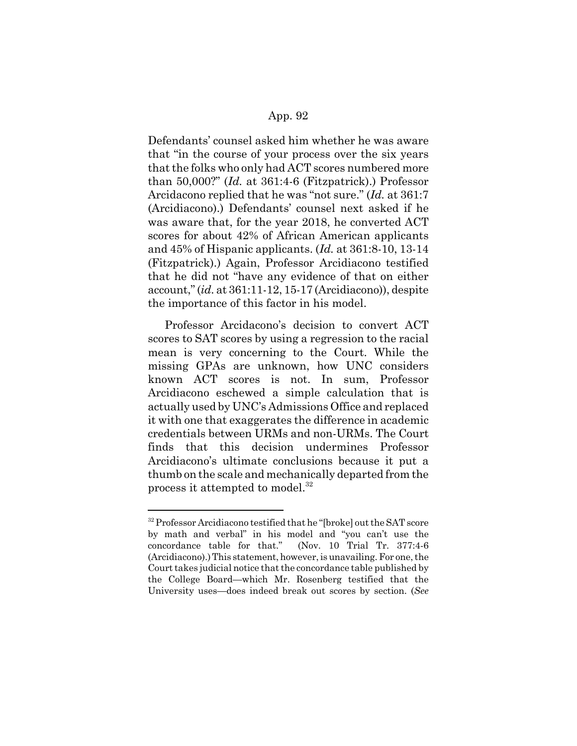Defendants' counsel asked him whether he was aware that "in the course of your process over the six years that the folks who only had ACT scores numbered more than 50,000?" (*Id.* at 361:4-6 (Fitzpatrick).) Professor Arcidacono replied that he was "not sure." (*Id.* at 361:7 (Arcidiacono).) Defendants' counsel next asked if he was aware that, for the year 2018, he converted ACT scores for about 42% of African American applicants and 45% of Hispanic applicants. (*Id.* at 361:8-10, 13-14 (Fitzpatrick).) Again, Professor Arcidiacono testified that he did not "have any evidence of that on either account," (*id.* at 361:11-12, 15-17 (Arcidiacono)), despite the importance of this factor in his model.

Professor Arcidacono's decision to convert ACT scores to SAT scores by using a regression to the racial mean is very concerning to the Court. While the missing GPAs are unknown, how UNC considers known ACT scores is not. In sum, Professor Arcidiacono eschewed a simple calculation that is actually used by UNC's Admissions Office and replaced it with one that exaggerates the difference in academic credentials between URMs and non-URMs. The Court finds that this decision undermines Professor Arcidiacono's ultimate conclusions because it put a thumb on the scale and mechanically departed from the process it attempted to model.<sup>32</sup>

<sup>&</sup>lt;sup>32</sup> Professor Arcidiacono testified that he "[broke] out the SAT score by math and verbal" in his model and "you can't use the concordance table for that." (Nov. 10 Trial Tr. 377:4-6 (Arcidiacono).) This statement, however, is unavailing. For one, the Court takes judicial notice that the concordance table published by the College Board—which Mr. Rosenberg testified that the University uses—does indeed break out scores by section. (*See*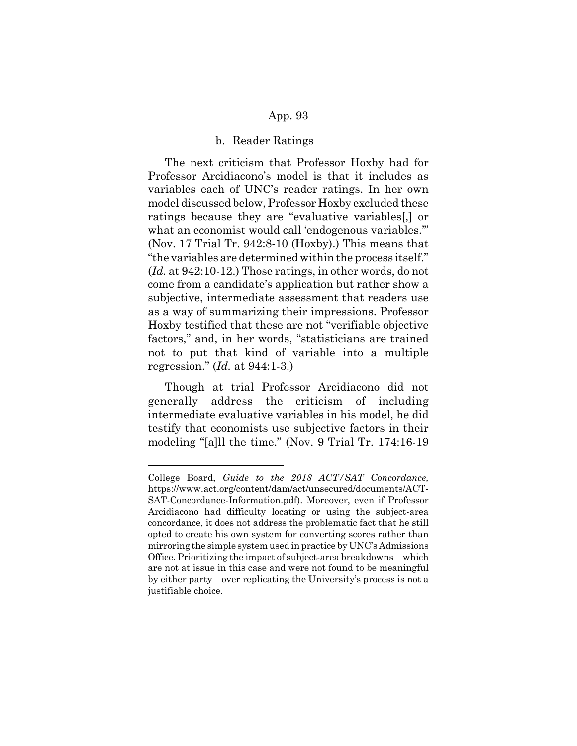#### b. Reader Ratings

The next criticism that Professor Hoxby had for Professor Arcidiacono's model is that it includes as variables each of UNC's reader ratings. In her own model discussed below, Professor Hoxby excluded these ratings because they are "evaluative variables[,] or what an economist would call 'endogenous variables." (Nov. 17 Trial Tr. 942:8-10 (Hoxby).) This means that "the variables are determined within the process itself." (*Id.* at 942:10-12.) Those ratings, in other words, do not come from a candidate's application but rather show a subjective, intermediate assessment that readers use as a way of summarizing their impressions. Professor Hoxby testified that these are not "verifiable objective factors," and, in her words, "statisticians are trained not to put that kind of variable into a multiple regression." (*Id.* at 944:1-3.)

Though at trial Professor Arcidiacono did not generally address the criticism of including intermediate evaluative variables in his model, he did testify that economists use subjective factors in their modeling "[a]ll the time." (Nov. 9 Trial Tr. 174:16-19

College Board, *Guide to the 2018 ACT/SAT Concordance,* https://www.act.org/content/dam/act/unsecured/documents/ACT-SAT-Concordance-Information.pdf). Moreover, even if Professor Arcidiacono had difficulty locating or using the subject-area concordance, it does not address the problematic fact that he still opted to create his own system for converting scores rather than mirroring the simple system used in practice by UNC's Admissions Office. Prioritizing the impact of subject-area breakdowns—which are not at issue in this case and were not found to be meaningful by either party—over replicating the University's process is not a justifiable choice.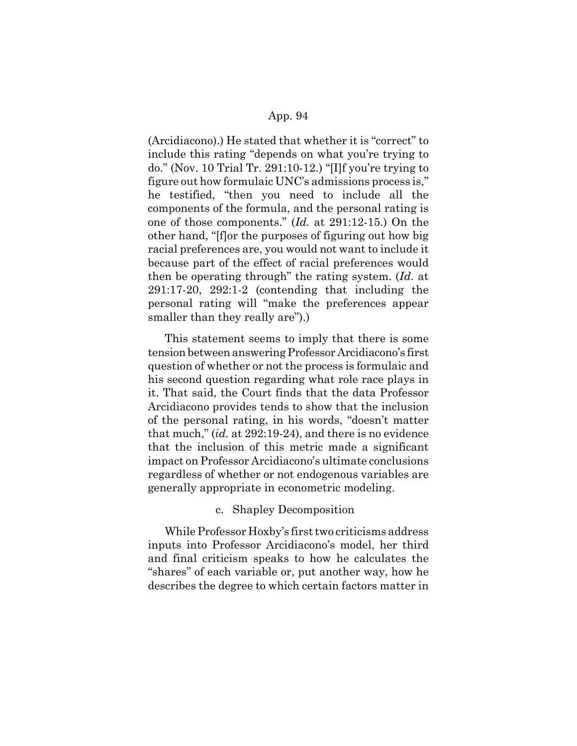(Arcidiacono).) He stated that whether it is "correct" to include this rating "depends on what you're trying to do." (Nov. 10 Trial Tr. 291:10-12.) "[I]f you're trying to figure out how formulaic UNC's admissions process is," he testified, "then you need to include all the components of the formula, and the personal rating is one of those components." (*Id.* at 291:12-15.) On the other hand, "[f]or the purposes of figuring out how big racial preferences are, you would not want to include it because part of the effect of racial preferences would then be operating through" the rating system. (*Id.* at 291:17-20, 292:1-2 (contending that including the personal rating will "make the preferences appear smaller than they really are").)

This statement seems to imply that there is some tension between answering Professor Arcidiacono's first question of whether or not the process is formulaic and his second question regarding what role race plays in it. That said, the Court finds that the data Professor Arcidiacono provides tends to show that the inclusion of the personal rating, in his words, "doesn't matter that much," (*id.* at 292:19-24), and there is no evidence that the inclusion of this metric made a significant impact on Professor Arcidiacono's ultimate conclusions regardless of whether or not endogenous variables are generally appropriate in econometric modeling.

### c. Shapley Decomposition

While Professor Hoxby's first two criticisms address inputs into Professor Arcidiacono's model, her third and final criticism speaks to how he calculates the "shares" of each variable or, put another way, how he describes the degree to which certain factors matter in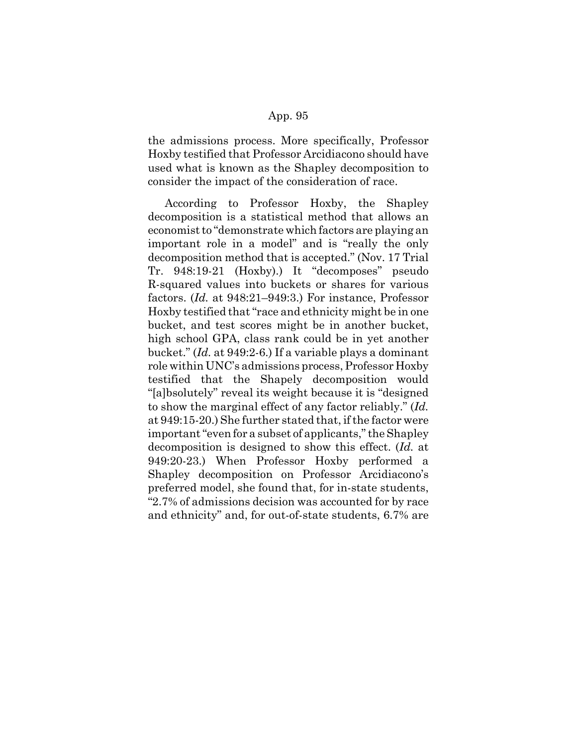the admissions process. More specifically, Professor Hoxby testified that Professor Arcidiacono should have used what is known as the Shapley decomposition to consider the impact of the consideration of race.

According to Professor Hoxby, the Shapley decomposition is a statistical method that allows an economist to "demonstrate which factors are playing an important role in a model" and is "really the only decomposition method that is accepted." (Nov. 17 Trial Tr. 948:19-21 (Hoxby).) It "decomposes" pseudo R-squared values into buckets or shares for various factors. (*Id.* at 948:21–949:3.) For instance, Professor Hoxby testified that "race and ethnicity might be in one bucket, and test scores might be in another bucket, high school GPA, class rank could be in yet another bucket." (*Id.* at 949:2-6.) If a variable plays a dominant role within UNC's admissions process, Professor Hoxby testified that the Shapely decomposition would "[a]bsolutely" reveal its weight because it is "designed to show the marginal effect of any factor reliably." (*Id.* at 949:15-20.) She further stated that, if the factor were important "even for a subset of applicants," the Shapley decomposition is designed to show this effect. (*Id.* at 949:20-23.) When Professor Hoxby performed a Shapley decomposition on Professor Arcidiacono's preferred model, she found that, for in-state students, "2.7% of admissions decision was accounted for by race and ethnicity" and, for out-of-state students, 6.7% are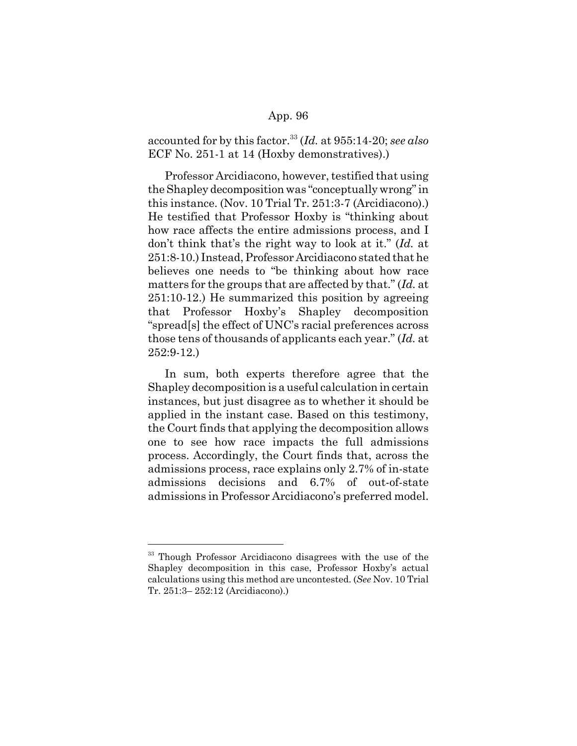accounted for by this factor.33 (*Id.* at 955:14-20; *see also* ECF No. 251-1 at 14 (Hoxby demonstratives).)

Professor Arcidiacono, however, testified that using the Shapley decomposition was "conceptually wrong" in this instance. (Nov. 10 Trial Tr. 251:3-7 (Arcidiacono).) He testified that Professor Hoxby is "thinking about how race affects the entire admissions process, and I don't think that's the right way to look at it." (*Id.* at 251:8-10.) Instead, Professor Arcidiacono stated that he believes one needs to "be thinking about how race matters for the groups that are affected by that." (*Id.* at 251:10-12.) He summarized this position by agreeing that Professor Hoxby's Shapley decomposition "spread[s] the effect of UNC's racial preferences across those tens of thousands of applicants each year." (*Id.* at 252:9-12.)

In sum, both experts therefore agree that the Shapley decomposition is a useful calculation in certain instances, but just disagree as to whether it should be applied in the instant case. Based on this testimony, the Court finds that applying the decomposition allows one to see how race impacts the full admissions process. Accordingly, the Court finds that, across the admissions process, race explains only 2.7% of in-state admissions decisions and 6.7% of out-of-state admissions in Professor Arcidiacono's preferred model.

<sup>&</sup>lt;sup>33</sup> Though Professor Arcidiacono disagrees with the use of the Shapley decomposition in this case, Professor Hoxby's actual calculations using this method are uncontested. (*See* Nov. 10 Trial Tr. 251:3– 252:12 (Arcidiacono).)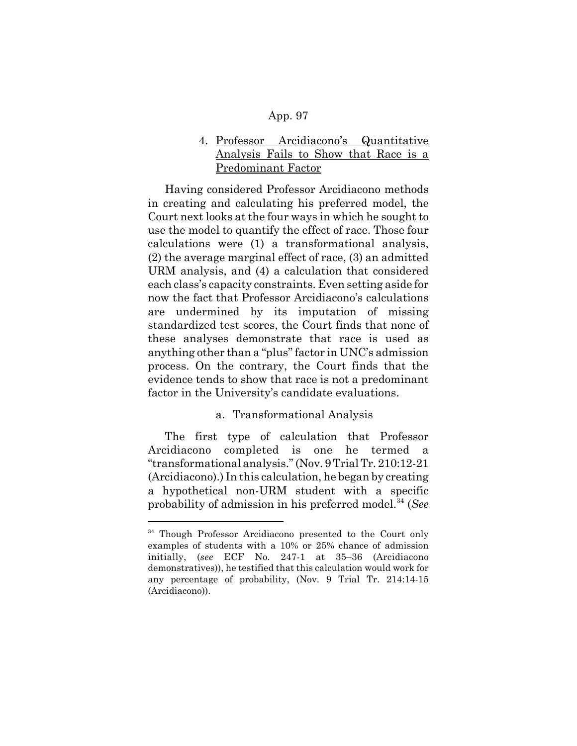# 4. Professor Arcidiacono's Quantitative Analysis Fails to Show that Race is a Predominant Factor

Having considered Professor Arcidiacono methods in creating and calculating his preferred model, the Court next looks at the four ways in which he sought to use the model to quantify the effect of race. Those four calculations were (1) a transformational analysis, (2) the average marginal effect of race, (3) an admitted URM analysis, and (4) a calculation that considered each class's capacity constraints. Even setting aside for now the fact that Professor Arcidiacono's calculations are undermined by its imputation of missing standardized test scores, the Court finds that none of these analyses demonstrate that race is used as anything other than a "plus" factor in UNC's admission process. On the contrary, the Court finds that the evidence tends to show that race is not a predominant factor in the University's candidate evaluations.

# a. Transformational Analysis

The first type of calculation that Professor Arcidiacono completed is one he termed a "transformational analysis." (Nov. 9 Trial Tr. 210:12-21 (Arcidiacono).) In this calculation, he began by creating a hypothetical non-URM student with a specific probability of admission in his preferred model.34 (*See*

<sup>&</sup>lt;sup>34</sup> Though Professor Arcidiacono presented to the Court only examples of students with a 10% or 25% chance of admission initially, (*see* ECF No. 247-1 at 35–36 (Arcidiacono demonstratives)), he testified that this calculation would work for any percentage of probability, (Nov. 9 Trial Tr. 214:14-15 (Arcidiacono)).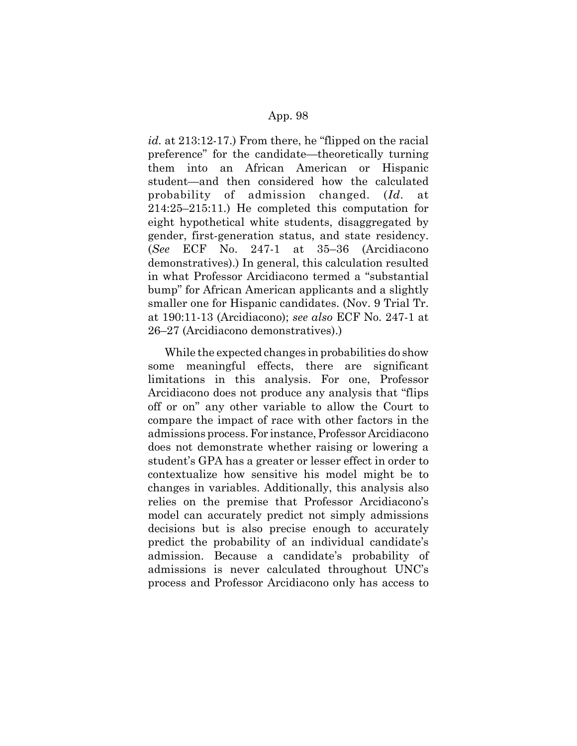*id.* at 213:12-17.) From there, he "flipped on the racial preference" for the candidate—theoretically turning them into an African American or Hispanic student—and then considered how the calculated probability of admission changed. (*Id.* at 214:25–215:11.) He completed this computation for eight hypothetical white students, disaggregated by gender, first-generation status, and state residency. (*See* ECF No. 247-1 at 35–36 (Arcidiacono demonstratives).) In general, this calculation resulted in what Professor Arcidiacono termed a "substantial bump" for African American applicants and a slightly smaller one for Hispanic candidates. (Nov. 9 Trial Tr. at 190:11-13 (Arcidiacono); *see also* ECF No. 247-1 at 26–27 (Arcidiacono demonstratives).)

While the expected changes in probabilities do show some meaningful effects, there are significant limitations in this analysis. For one, Professor Arcidiacono does not produce any analysis that "flips off or on" any other variable to allow the Court to compare the impact of race with other factors in the admissions process. For instance, Professor Arcidiacono does not demonstrate whether raising or lowering a student's GPA has a greater or lesser effect in order to contextualize how sensitive his model might be to changes in variables. Additionally, this analysis also relies on the premise that Professor Arcidiacono's model can accurately predict not simply admissions decisions but is also precise enough to accurately predict the probability of an individual candidate's admission. Because a candidate's probability of admissions is never calculated throughout UNC's process and Professor Arcidiacono only has access to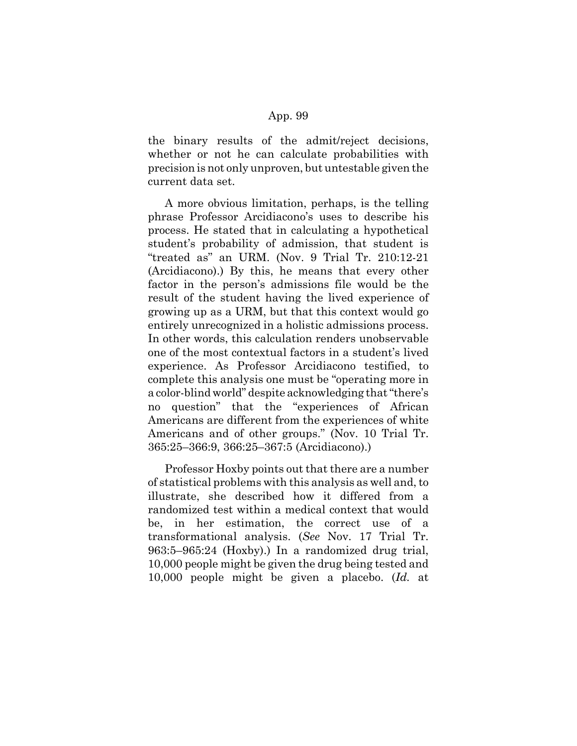the binary results of the admit/reject decisions, whether or not he can calculate probabilities with precision is not only unproven, but untestable given the current data set.

A more obvious limitation, perhaps, is the telling phrase Professor Arcidiacono's uses to describe his process. He stated that in calculating a hypothetical student's probability of admission, that student is "treated as" an URM. (Nov. 9 Trial Tr. 210:12-21 (Arcidiacono).) By this, he means that every other factor in the person's admissions file would be the result of the student having the lived experience of growing up as a URM, but that this context would go entirely unrecognized in a holistic admissions process. In other words, this calculation renders unobservable one of the most contextual factors in a student's lived experience. As Professor Arcidiacono testified, to complete this analysis one must be "operating more in a color-blind world" despite acknowledging that "there's no question" that the "experiences of African Americans are different from the experiences of white Americans and of other groups." (Nov. 10 Trial Tr. 365:25–366:9, 366:25–367:5 (Arcidiacono).)

Professor Hoxby points out that there are a number of statistical problems with this analysis as well and, to illustrate, she described how it differed from a randomized test within a medical context that would be, in her estimation, the correct use of a transformational analysis. (*See* Nov. 17 Trial Tr. 963:5–965:24 (Hoxby).) In a randomized drug trial, 10,000 people might be given the drug being tested and 10,000 people might be given a placebo. (*Id.* at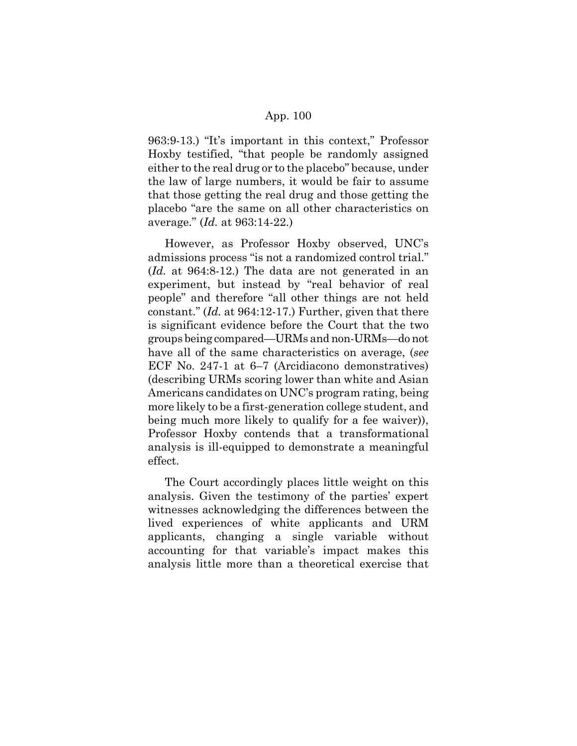963:9-13.) "It's important in this context," Professor Hoxby testified, "that people be randomly assigned either to the real drug or to the placebo" because, under the law of large numbers, it would be fair to assume that those getting the real drug and those getting the placebo "are the same on all other characteristics on average." (*Id.* at 963:14-22.)

However, as Professor Hoxby observed, UNC's admissions process "is not a randomized control trial." (*Id.* at 964:8-12.) The data are not generated in an experiment, but instead by "real behavior of real people" and therefore "all other things are not held constant." (*Id.* at 964:12-17.) Further, given that there is significant evidence before the Court that the two groups being compared—URMs and non-URMs—do not have all of the same characteristics on average, (*see* ECF No. 247-1 at 6–7 (Arcidiacono demonstratives) (describing URMs scoring lower than white and Asian Americans candidates on UNC's program rating, being more likely to be a first-generation college student, and being much more likely to qualify for a fee waiver)), Professor Hoxby contends that a transformational analysis is ill-equipped to demonstrate a meaningful effect.

The Court accordingly places little weight on this analysis. Given the testimony of the parties' expert witnesses acknowledging the differences between the lived experiences of white applicants and URM applicants, changing a single variable without accounting for that variable's impact makes this analysis little more than a theoretical exercise that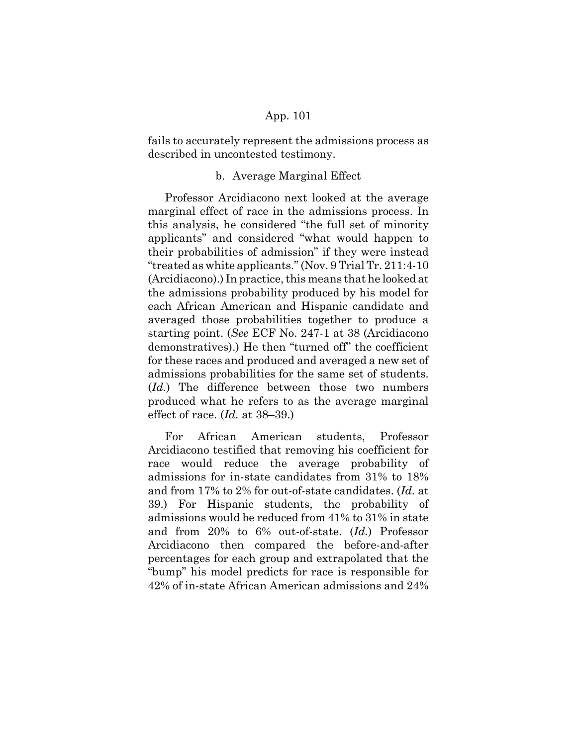fails to accurately represent the admissions process as described in uncontested testimony.

### b. Average Marginal Effect

Professor Arcidiacono next looked at the average marginal effect of race in the admissions process. In this analysis, he considered "the full set of minority applicants" and considered "what would happen to their probabilities of admission" if they were instead "treated as white applicants." (Nov. 9 Trial Tr. 211:4-10 (Arcidiacono).) In practice, this means that he looked at the admissions probability produced by his model for each African American and Hispanic candidate and averaged those probabilities together to produce a starting point. (*See* ECF No. 247-1 at 38 (Arcidiacono demonstratives).) He then "turned off" the coefficient for these races and produced and averaged a new set of admissions probabilities for the same set of students. (*Id.*) The difference between those two numbers produced what he refers to as the average marginal effect of race. (*Id.* at 38–39.)

For African American students, Professor Arcidiacono testified that removing his coefficient for race would reduce the average probability of admissions for in-state candidates from 31% to 18% and from 17% to 2% for out-of-state candidates. (*Id.* at 39.) For Hispanic students, the probability of admissions would be reduced from 41% to 31% in state and from 20% to 6% out-of-state. (*Id.*) Professor Arcidiacono then compared the before-and-after percentages for each group and extrapolated that the "bump" his model predicts for race is responsible for 42% of in-state African American admissions and 24%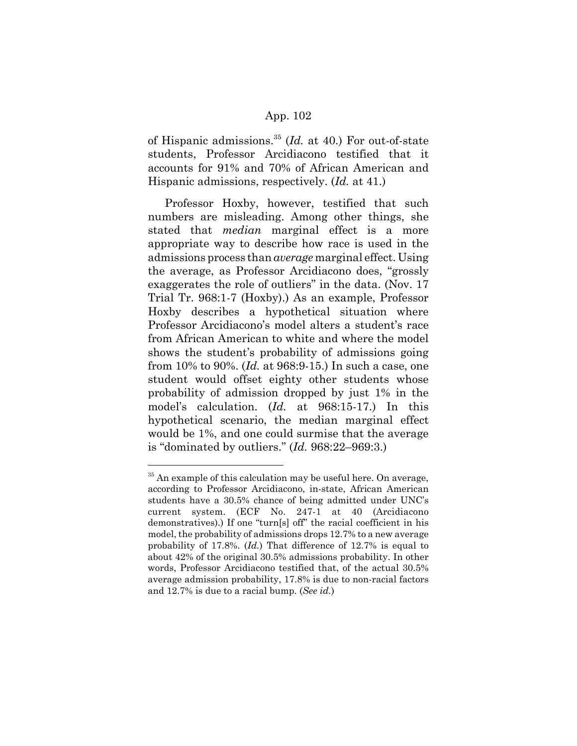of Hispanic admissions.35 (*Id.* at 40.) For out-of-state students, Professor Arcidiacono testified that it accounts for 91% and 70% of African American and Hispanic admissions, respectively. (*Id.* at 41.)

Professor Hoxby, however, testified that such numbers are misleading. Among other things, she stated that *median* marginal effect is a more appropriate way to describe how race is used in the admissions process than *average* marginal effect. Using the average, as Professor Arcidiacono does, "grossly exaggerates the role of outliers" in the data. (Nov. 17 Trial Tr. 968:1-7 (Hoxby).) As an example, Professor Hoxby describes a hypothetical situation where Professor Arcidiacono's model alters a student's race from African American to white and where the model shows the student's probability of admissions going from 10% to 90%. (*Id.* at 968:9-15.) In such a case, one student would offset eighty other students whose probability of admission dropped by just 1% in the model's calculation. (*Id.* at 968:15-17.) In this hypothetical scenario, the median marginal effect would be 1%, and one could surmise that the average is "dominated by outliers." (*Id.* 968:22–969:3.)

 $35$  An example of this calculation may be useful here. On average, according to Professor Arcidiacono, in-state, African American students have a 30.5% chance of being admitted under UNC's current system. (ECF No. 247-1 at 40 (Arcidiacono demonstratives).) If one "turn[s] off" the racial coefficient in his model, the probability of admissions drops 12.7% to a new average probability of 17.8%. (*Id.*) That difference of 12.7% is equal to about 42% of the original 30.5% admissions probability. In other words, Professor Arcidiacono testified that, of the actual 30.5% average admission probability, 17.8% is due to non-racial factors and 12.7% is due to a racial bump. (*See id.*)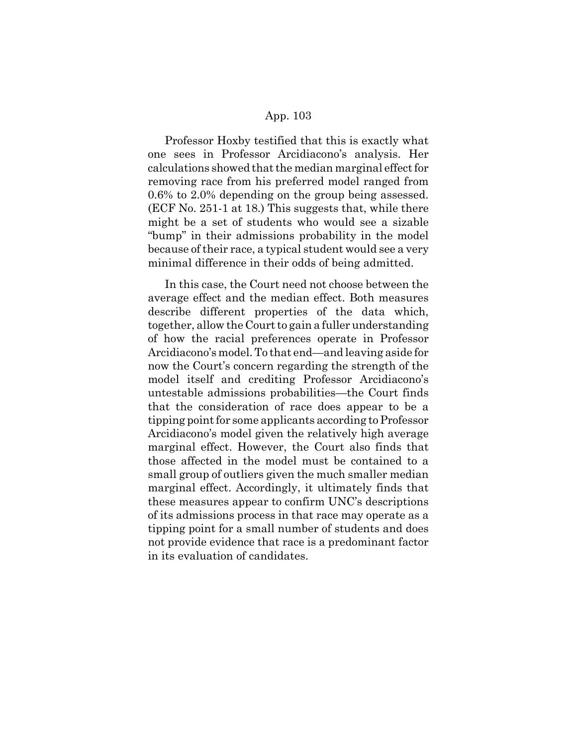Professor Hoxby testified that this is exactly what one sees in Professor Arcidiacono's analysis. Her calculations showed that the median marginal effect for removing race from his preferred model ranged from 0.6% to 2.0% depending on the group being assessed. (ECF No. 251-1 at 18.) This suggests that, while there might be a set of students who would see a sizable "bump" in their admissions probability in the model because of their race, a typical student would see a very minimal difference in their odds of being admitted.

In this case, the Court need not choose between the average effect and the median effect. Both measures describe different properties of the data which, together, allow the Court to gain a fuller understanding of how the racial preferences operate in Professor Arcidiacono's model. To that end—and leaving aside for now the Court's concern regarding the strength of the model itself and crediting Professor Arcidiacono's untestable admissions probabilities—the Court finds that the consideration of race does appear to be a tipping point for some applicants according to Professor Arcidiacono's model given the relatively high average marginal effect. However, the Court also finds that those affected in the model must be contained to a small group of outliers given the much smaller median marginal effect. Accordingly, it ultimately finds that these measures appear to confirm UNC's descriptions of its admissions process in that race may operate as a tipping point for a small number of students and does not provide evidence that race is a predominant factor in its evaluation of candidates.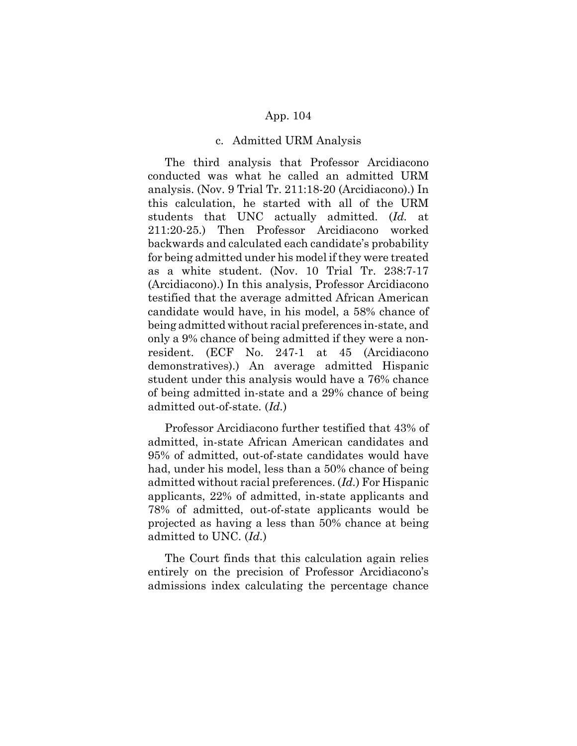#### c. Admitted URM Analysis

The third analysis that Professor Arcidiacono conducted was what he called an admitted URM analysis. (Nov. 9 Trial Tr. 211:18-20 (Arcidiacono).) In this calculation, he started with all of the URM students that UNC actually admitted. (*Id.* at 211:20-25.) Then Professor Arcidiacono worked backwards and calculated each candidate's probability for being admitted under his model if they were treated as a white student. (Nov. 10 Trial Tr. 238:7-17 (Arcidiacono).) In this analysis, Professor Arcidiacono testified that the average admitted African American candidate would have, in his model, a 58% chance of being admitted without racial preferences in-state, and only a 9% chance of being admitted if they were a nonresident. (ECF No. 247-1 at 45 (Arcidiacono demonstratives).) An average admitted Hispanic student under this analysis would have a 76% chance of being admitted in-state and a 29% chance of being admitted out-of-state. (*Id.*)

Professor Arcidiacono further testified that 43% of admitted, in-state African American candidates and 95% of admitted, out-of-state candidates would have had, under his model, less than a 50% chance of being admitted without racial preferences. (*Id.*) For Hispanic applicants, 22% of admitted, in-state applicants and 78% of admitted, out-of-state applicants would be projected as having a less than 50% chance at being admitted to UNC. (*Id.*)

The Court finds that this calculation again relies entirely on the precision of Professor Arcidiacono's admissions index calculating the percentage chance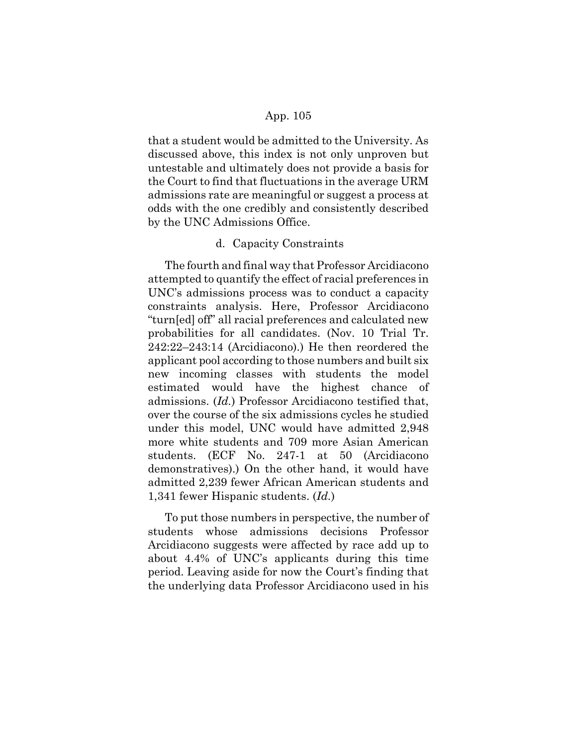that a student would be admitted to the University. As discussed above, this index is not only unproven but untestable and ultimately does not provide a basis for the Court to find that fluctuations in the average URM admissions rate are meaningful or suggest a process at odds with the one credibly and consistently described by the UNC Admissions Office.

### d. Capacity Constraints

The fourth and final way that Professor Arcidiacono attempted to quantify the effect of racial preferences in UNC's admissions process was to conduct a capacity constraints analysis. Here, Professor Arcidiacono "turn[ed] off" all racial preferences and calculated new probabilities for all candidates. (Nov. 10 Trial Tr. 242:22–243:14 (Arcidiacono).) He then reordered the applicant pool according to those numbers and built six new incoming classes with students the model estimated would have the highest chance of admissions. (*Id.*) Professor Arcidiacono testified that, over the course of the six admissions cycles he studied under this model, UNC would have admitted 2,948 more white students and 709 more Asian American students. (ECF No. 247-1 at 50 (Arcidiacono demonstratives).) On the other hand, it would have admitted 2,239 fewer African American students and 1,341 fewer Hispanic students. (*Id.*)

To put those numbers in perspective, the number of students whose admissions decisions Professor Arcidiacono suggests were affected by race add up to about 4.4% of UNC's applicants during this time period. Leaving aside for now the Court's finding that the underlying data Professor Arcidiacono used in his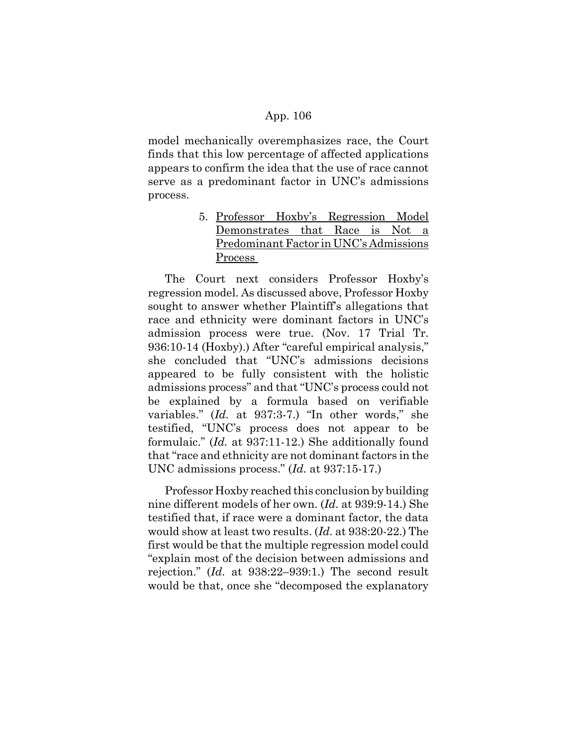model mechanically overemphasizes race, the Court finds that this low percentage of affected applications appears to confirm the idea that the use of race cannot serve as a predominant factor in UNC's admissions process.

> 5. Professor Hoxby's Regression Model Demonstrates that Race is Not a Predominant Factor in UNC's Admissions Process

The Court next considers Professor Hoxby's regression model. As discussed above, Professor Hoxby sought to answer whether Plaintiff's allegations that race and ethnicity were dominant factors in UNC's admission process were true. (Nov. 17 Trial Tr. 936:10-14 (Hoxby).) After "careful empirical analysis," she concluded that "UNC's admissions decisions appeared to be fully consistent with the holistic admissions process" and that "UNC's process could not be explained by a formula based on verifiable variables." (*Id.* at 937:3-7.) "In other words," she testified, "UNC's process does not appear to be formulaic." (*Id.* at 937:11-12.) She additionally found that "race and ethnicity are not dominant factors in the UNC admissions process." (*Id.* at 937:15-17.)

Professor Hoxby reached this conclusion by building nine different models of her own. (*Id.* at 939:9-14.) She testified that, if race were a dominant factor, the data would show at least two results. (*Id.* at 938:20-22.) The first would be that the multiple regression model could "explain most of the decision between admissions and rejection." (*Id.* at 938:22–939:1.) The second result would be that, once she "decomposed the explanatory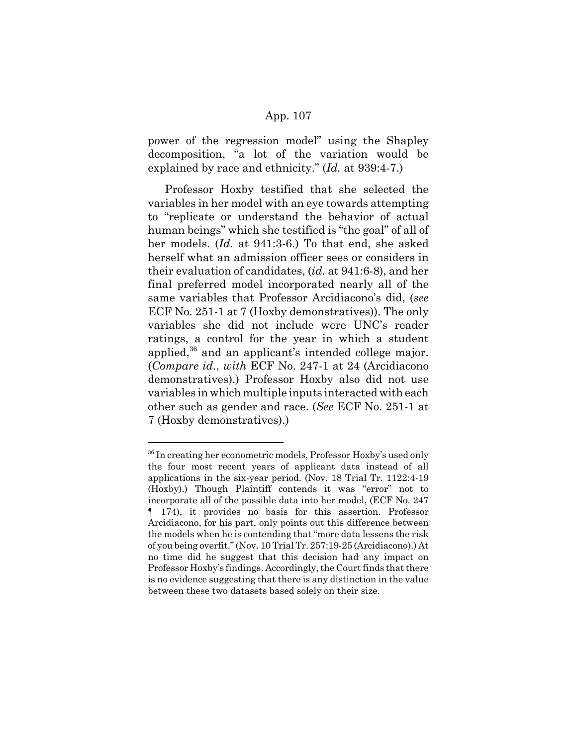power of the regression model" using the Shapley decomposition, "a lot of the variation would be explained by race and ethnicity." (*Id.* at 939:4-7.)

Professor Hoxby testified that she selected the variables in her model with an eye towards attempting to "replicate or understand the behavior of actual human beings" which she testified is "the goal" of all of her models. (*Id.* at 941:3-6.) To that end, she asked herself what an admission officer sees or considers in their evaluation of candidates, (*id.* at 941:6-8), and her final preferred model incorporated nearly all of the same variables that Professor Arcidiacono's did, (*see* ECF No. 251-1 at 7 (Hoxby demonstratives)). The only variables she did not include were UNC's reader ratings, a control for the year in which a student applied,<sup>36</sup> and an applicant's intended college major. (*Compare id.*, *with* ECF No. 247-1 at 24 (Arcidiacono demonstratives).) Professor Hoxby also did not use variables in which multiple inputs interacted with each other such as gender and race. (*See* ECF No. 251-1 at 7 (Hoxby demonstratives).)

<sup>&</sup>lt;sup>36</sup> In creating her econometric models, Professor Hoxby's used only the four most recent years of applicant data instead of all applications in the six-year period. (Nov. 18 Trial Tr. 1122:4-19 (Hoxby).) Though Plaintiff contends it was "error" not to incorporate all of the possible data into her model, (ECF No. 247 ¶ 174), it provides no basis for this assertion. Professor Arcidiacono, for his part, only points out this difference between the models when he is contending that "more data lessens the risk of you being overfit." (Nov. 10 Trial Tr. 257:19-25 (Arcidiacono).) At no time did he suggest that this decision had any impact on Professor Hoxby's findings. Accordingly, the Court finds that there is no evidence suggesting that there is any distinction in the value between these two datasets based solely on their size.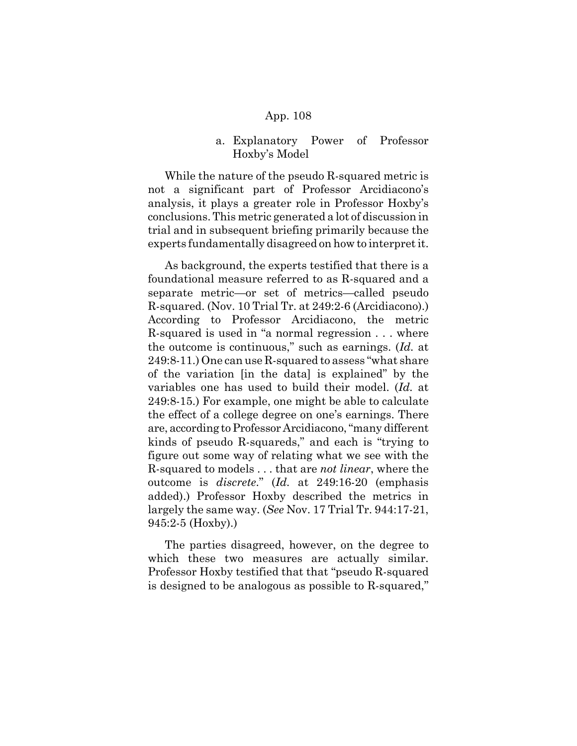## a. Explanatory Power of Professor Hoxby's Model

While the nature of the pseudo R-squared metric is not a significant part of Professor Arcidiacono's analysis, it plays a greater role in Professor Hoxby's conclusions. This metric generated a lot of discussion in trial and in subsequent briefing primarily because the experts fundamentally disagreed on how to interpret it.

As background, the experts testified that there is a foundational measure referred to as R-squared and a separate metric—or set of metrics—called pseudo R-squared. (Nov. 10 Trial Tr. at 249:2-6 (Arcidiacono).) According to Professor Arcidiacono, the metric R-squared is used in "a normal regression . . . where the outcome is continuous," such as earnings. (*Id.* at 249:8-11.) One can use R-squared to assess "what share of the variation [in the data] is explained" by the variables one has used to build their model. (*Id.* at 249:8-15.) For example, one might be able to calculate the effect of a college degree on one's earnings. There are, according to Professor Arcidiacono, "many different kinds of pseudo R-squareds," and each is "trying to figure out some way of relating what we see with the R-squared to models . . . that are *not linear*, where the outcome is *discrete*." (*Id.* at 249:16-20 (emphasis added).) Professor Hoxby described the metrics in largely the same way. (*See* Nov. 17 Trial Tr. 944:17-21, 945:2-5 (Hoxby).)

The parties disagreed, however, on the degree to which these two measures are actually similar. Professor Hoxby testified that that "pseudo R-squared is designed to be analogous as possible to R-squared,"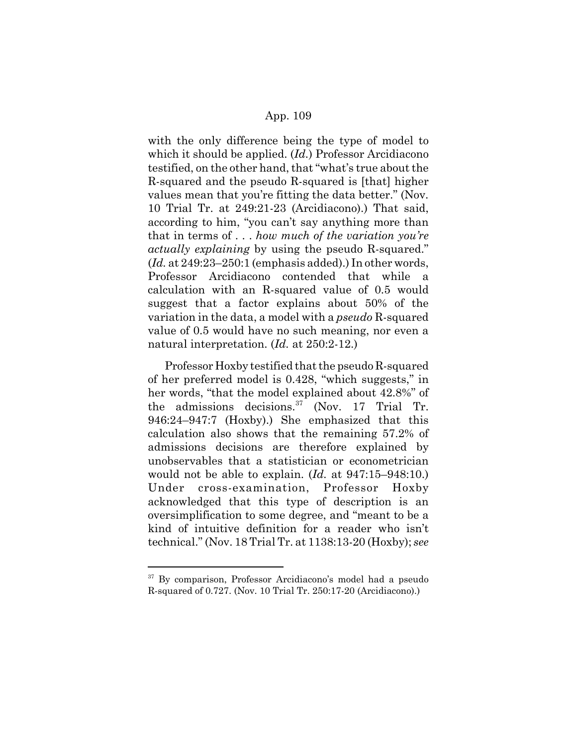with the only difference being the type of model to which it should be applied. (*Id.*) Professor Arcidiacono testified, on the other hand, that "what's true about the R-squared and the pseudo R-squared is [that] higher values mean that you're fitting the data better." (Nov. 10 Trial Tr. at 249:21-23 (Arcidiacono).) That said, according to him, "you can't say anything more than that in terms of . . . *how much of the variation you're actually explaining* by using the pseudo R-squared." (*Id.* at 249:23–250:1 (emphasis added).) In other words, Professor Arcidiacono contended that while a calculation with an R-squared value of 0.5 would suggest that a factor explains about 50% of the variation in the data, a model with a *pseudo* R-squared value of 0.5 would have no such meaning, nor even a natural interpretation. (*Id.* at 250:2-12.)

Professor Hoxby testified that the pseudo R-squared of her preferred model is 0.428, "which suggests," in her words, "that the model explained about 42.8%" of the admissions decisions. $37 \text{ (Nov. 17 Trial Tr.}$ 946:24–947:7 (Hoxby).) She emphasized that this calculation also shows that the remaining 57.2% of admissions decisions are therefore explained by unobservables that a statistician or econometrician would not be able to explain. (*Id.* at 947:15–948:10.) Under cross-examination, Professor Hoxby acknowledged that this type of description is an oversimplification to some degree, and "meant to be a kind of intuitive definition for a reader who isn't technical." (Nov. 18 Trial Tr. at 1138:13-20 (Hoxby); *see*

<sup>&</sup>lt;sup>37</sup> By comparison, Professor Arcidiacono's model had a pseudo R-squared of 0.727. (Nov. 10 Trial Tr. 250:17-20 (Arcidiacono).)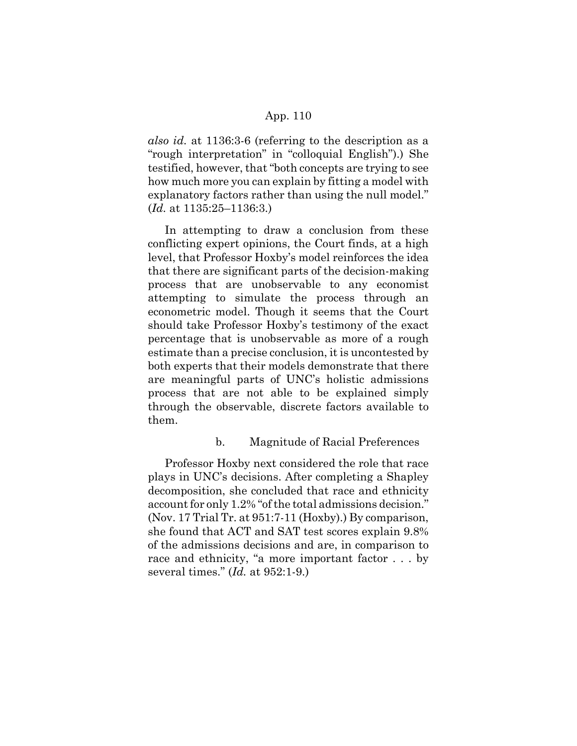*also id.* at 1136:3-6 (referring to the description as a "rough interpretation" in "colloquial English").) She testified, however, that "both concepts are trying to see how much more you can explain by fitting a model with explanatory factors rather than using the null model." (*Id.* at 1135:25–1136:3.)

In attempting to draw a conclusion from these conflicting expert opinions, the Court finds, at a high level, that Professor Hoxby's model reinforces the idea that there are significant parts of the decision-making process that are unobservable to any economist attempting to simulate the process through an econometric model. Though it seems that the Court should take Professor Hoxby's testimony of the exact percentage that is unobservable as more of a rough estimate than a precise conclusion, it is uncontested by both experts that their models demonstrate that there are meaningful parts of UNC's holistic admissions process that are not able to be explained simply through the observable, discrete factors available to them.

# b. Magnitude of Racial Preferences

Professor Hoxby next considered the role that race plays in UNC's decisions. After completing a Shapley decomposition, she concluded that race and ethnicity account for only 1.2% "of the total admissions decision." (Nov. 17 Trial Tr. at 951:7-11 (Hoxby).) By comparison, she found that ACT and SAT test scores explain 9.8% of the admissions decisions and are, in comparison to race and ethnicity, "a more important factor . . . by several times." (*Id.* at 952:1-9.)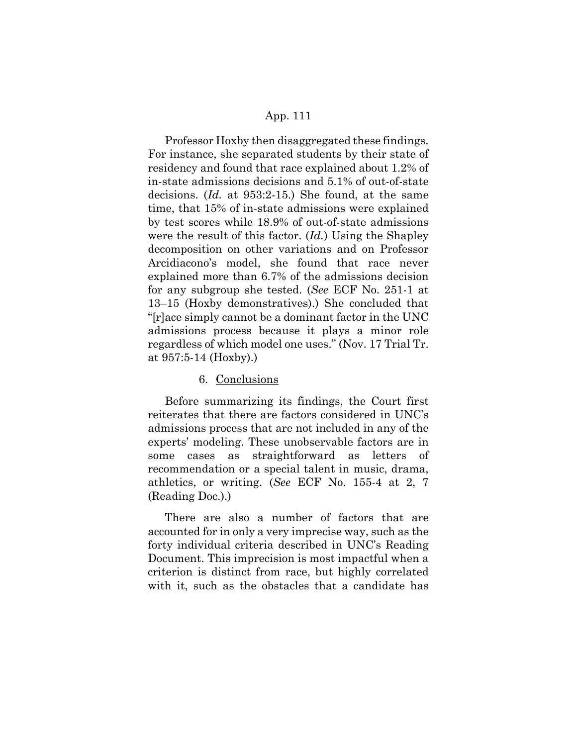Professor Hoxby then disaggregated these findings. For instance, she separated students by their state of residency and found that race explained about 1.2% of in-state admissions decisions and 5.1% of out-of-state decisions. (*Id.* at 953:2-15.) She found, at the same time, that 15% of in-state admissions were explained by test scores while 18.9% of out-of-state admissions were the result of this factor. (*Id.*) Using the Shapley decomposition on other variations and on Professor Arcidiacono's model, she found that race never explained more than 6.7% of the admissions decision for any subgroup she tested. (*See* ECF No. 251-1 at 13–15 (Hoxby demonstratives).) She concluded that "[r]ace simply cannot be a dominant factor in the UNC admissions process because it plays a minor role regardless of which model one uses." (Nov. 17 Trial Tr. at 957:5-14 (Hoxby).)

### 6. Conclusions

Before summarizing its findings, the Court first reiterates that there are factors considered in UNC's admissions process that are not included in any of the experts' modeling. These unobservable factors are in some cases as straightforward as letters of recommendation or a special talent in music, drama, athletics, or writing. (*See* ECF No. 155-4 at 2, 7 (Reading Doc.).)

There are also a number of factors that are accounted for in only a very imprecise way, such as the forty individual criteria described in UNC's Reading Document. This imprecision is most impactful when a criterion is distinct from race, but highly correlated with it, such as the obstacles that a candidate has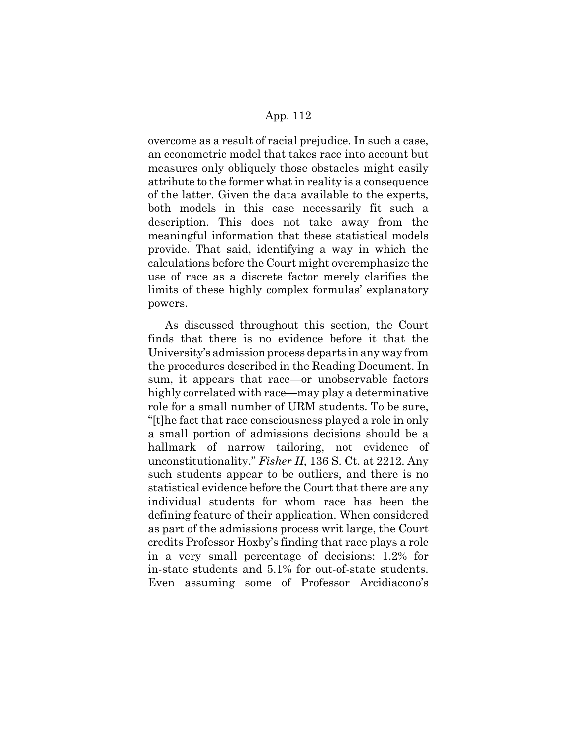overcome as a result of racial prejudice. In such a case, an econometric model that takes race into account but measures only obliquely those obstacles might easily attribute to the former what in reality is a consequence of the latter. Given the data available to the experts, both models in this case necessarily fit such a description. This does not take away from the meaningful information that these statistical models provide. That said, identifying a way in which the calculations before the Court might overemphasize the use of race as a discrete factor merely clarifies the limits of these highly complex formulas' explanatory powers.

As discussed throughout this section, the Court finds that there is no evidence before it that the University's admission process departs in any way from the procedures described in the Reading Document. In sum, it appears that race—or unobservable factors highly correlated with race—may play a determinative role for a small number of URM students. To be sure, "[t]he fact that race consciousness played a role in only a small portion of admissions decisions should be a hallmark of narrow tailoring, not evidence of unconstitutionality." *Fisher II*, 136 S. Ct. at 2212. Any such students appear to be outliers, and there is no statistical evidence before the Court that there are any individual students for whom race has been the defining feature of their application. When considered as part of the admissions process writ large, the Court credits Professor Hoxby's finding that race plays a role in a very small percentage of decisions: 1.2% for in-state students and 5.1% for out-of-state students. Even assuming some of Professor Arcidiacono's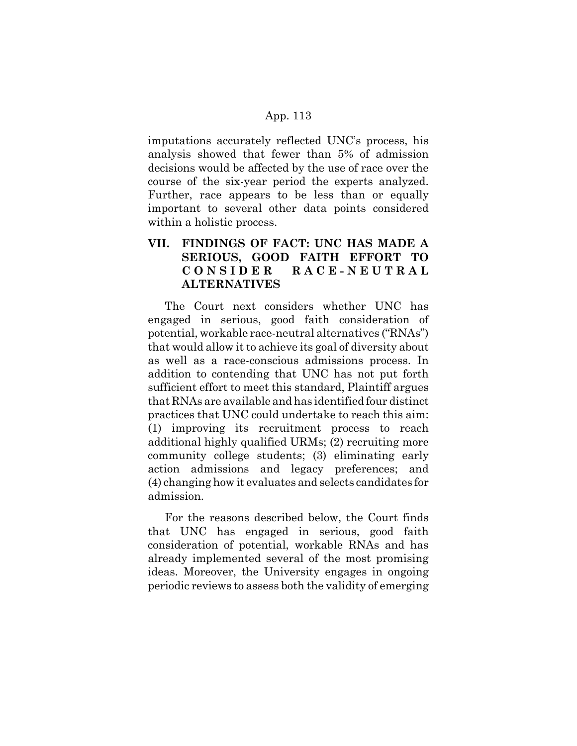imputations accurately reflected UNC's process, his analysis showed that fewer than 5% of admission decisions would be affected by the use of race over the course of the six-year period the experts analyzed. Further, race appears to be less than or equally important to several other data points considered within a holistic process.

# **VII. FINDINGS OF FACT: UNC HAS MADE A SERIOUS, GOOD FAITH EFFORT TO CONSIDER RACE-NEUTRAL ALTERNATIVES**

The Court next considers whether UNC has engaged in serious, good faith consideration of potential, workable race-neutral alternatives ("RNAs") that would allow it to achieve its goal of diversity about as well as a race-conscious admissions process. In addition to contending that UNC has not put forth sufficient effort to meet this standard, Plaintiff argues that RNAs are available and has identified four distinct practices that UNC could undertake to reach this aim: (1) improving its recruitment process to reach additional highly qualified URMs; (2) recruiting more community college students; (3) eliminating early action admissions and legacy preferences; and (4) changing how it evaluates and selects candidates for admission.

For the reasons described below, the Court finds that UNC has engaged in serious, good faith consideration of potential, workable RNAs and has already implemented several of the most promising ideas. Moreover, the University engages in ongoing periodic reviews to assess both the validity of emerging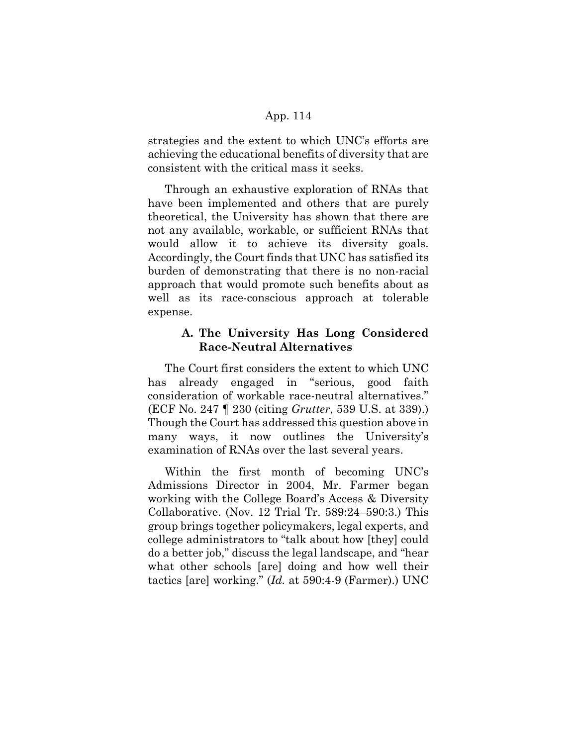strategies and the extent to which UNC's efforts are achieving the educational benefits of diversity that are consistent with the critical mass it seeks.

Through an exhaustive exploration of RNAs that have been implemented and others that are purely theoretical, the University has shown that there are not any available, workable, or sufficient RNAs that would allow it to achieve its diversity goals. Accordingly, the Court finds that UNC has satisfied its burden of demonstrating that there is no non-racial approach that would promote such benefits about as well as its race-conscious approach at tolerable expense.

# **A. The University Has Long Considered Race-Neutral Alternatives**

The Court first considers the extent to which UNC has already engaged in "serious, good faith consideration of workable race-neutral alternatives." (ECF No. 247 ¶ 230 (citing *Grutter*, 539 U.S. at 339).) Though the Court has addressed this question above in many ways, it now outlines the University's examination of RNAs over the last several years.

Within the first month of becoming UNC's Admissions Director in 2004, Mr. Farmer began working with the College Board's Access & Diversity Collaborative. (Nov. 12 Trial Tr. 589:24–590:3.) This group brings together policymakers, legal experts, and college administrators to "talk about how [they] could do a better job," discuss the legal landscape, and "hear what other schools [are] doing and how well their tactics [are] working." (*Id.* at 590:4-9 (Farmer).) UNC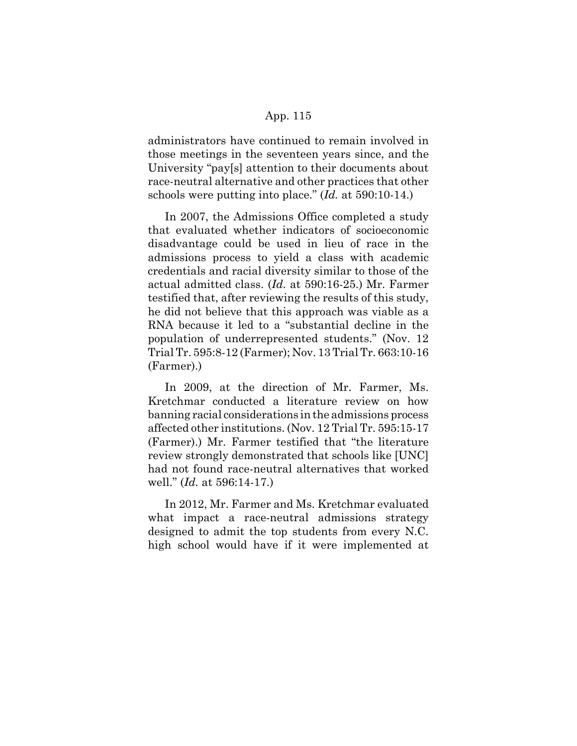administrators have continued to remain involved in those meetings in the seventeen years since, and the University "pay[s] attention to their documents about race-neutral alternative and other practices that other schools were putting into place." (*Id.* at 590:10-14.)

In 2007, the Admissions Office completed a study that evaluated whether indicators of socioeconomic disadvantage could be used in lieu of race in the admissions process to yield a class with academic credentials and racial diversity similar to those of the actual admitted class. (*Id.* at 590:16-25.) Mr. Farmer testified that, after reviewing the results of this study, he did not believe that this approach was viable as a RNA because it led to a "substantial decline in the population of underrepresented students." (Nov. 12 Trial Tr. 595:8-12 (Farmer); Nov. 13 Trial Tr. 663:10-16 (Farmer).)

In 2009, at the direction of Mr. Farmer, Ms. Kretchmar conducted a literature review on how banning racial considerations in the admissions process affected other institutions. (Nov. 12 Trial Tr. 595:15-17 (Farmer).) Mr. Farmer testified that "the literature review strongly demonstrated that schools like [UNC] had not found race-neutral alternatives that worked well." (*Id.* at 596:14-17.)

In 2012, Mr. Farmer and Ms. Kretchmar evaluated what impact a race-neutral admissions strategy designed to admit the top students from every N.C. high school would have if it were implemented at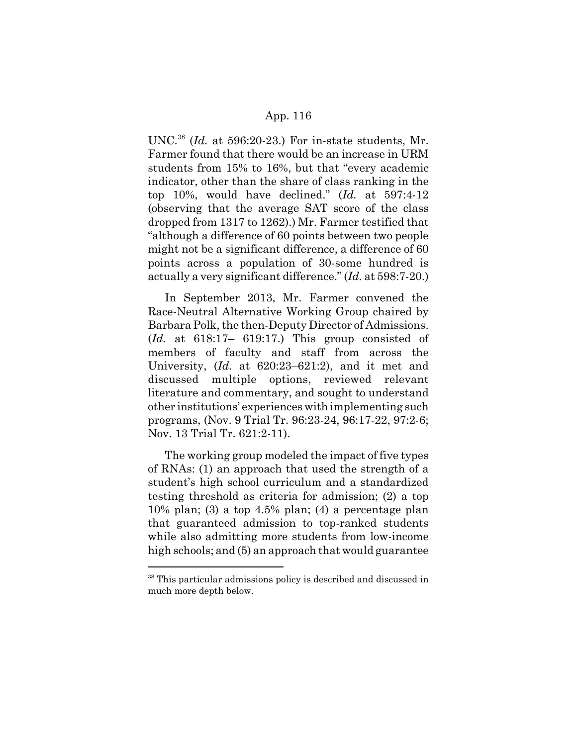UNC.38 (*Id.* at 596:20-23.) For in-state students, Mr. Farmer found that there would be an increase in URM students from 15% to 16%, but that "every academic indicator, other than the share of class ranking in the top 10%, would have declined." (*Id.* at 597:4-12 (observing that the average SAT score of the class dropped from 1317 to 1262).) Mr. Farmer testified that "although a difference of 60 points between two people might not be a significant difference, a difference of 60 points across a population of 30-some hundred is actually a very significant difference." (*Id.* at 598:7-20.)

In September 2013, Mr. Farmer convened the Race-Neutral Alternative Working Group chaired by Barbara Polk, the then-Deputy Director of Admissions. (*Id.* at 618:17– 619:17.) This group consisted of members of faculty and staff from across the University, (*Id.* at 620:23–621:2), and it met and discussed multiple options, reviewed relevant literature and commentary, and sought to understand other institutions' experiences with implementing such programs, (Nov. 9 Trial Tr. 96:23-24, 96:17-22, 97:2-6; Nov. 13 Trial Tr. 621:2-11).

The working group modeled the impact of five types of RNAs: (1) an approach that used the strength of a student's high school curriculum and a standardized testing threshold as criteria for admission; (2) a top  $10\%$  plan; (3) a top  $4.5\%$  plan; (4) a percentage plan that guaranteed admission to top-ranked students while also admitting more students from low-income high schools; and (5) an approach that would guarantee

<sup>38</sup> This particular admissions policy is described and discussed in much more depth below.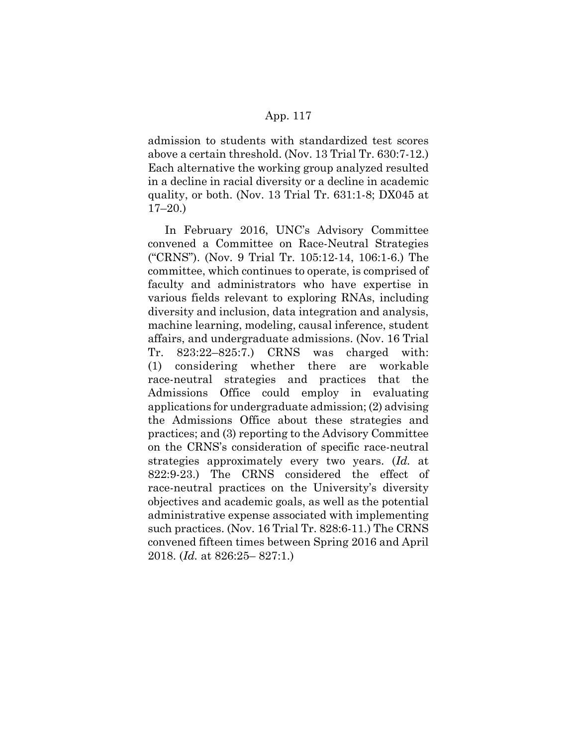admission to students with standardized test scores above a certain threshold. (Nov. 13 Trial Tr. 630:7-12.) Each alternative the working group analyzed resulted in a decline in racial diversity or a decline in academic quality, or both. (Nov. 13 Trial Tr. 631:1-8; DX045 at 17–20.)

In February 2016, UNC's Advisory Committee convened a Committee on Race-Neutral Strategies ("CRNS"). (Nov. 9 Trial Tr. 105:12-14, 106:1-6.) The committee, which continues to operate, is comprised of faculty and administrators who have expertise in various fields relevant to exploring RNAs, including diversity and inclusion, data integration and analysis, machine learning, modeling, causal inference, student affairs, and undergraduate admissions. (Nov. 16 Trial Tr. 823:22–825:7.) CRNS was charged with: (1) considering whether there are workable race-neutral strategies and practices that the Admissions Office could employ in evaluating applications for undergraduate admission; (2) advising the Admissions Office about these strategies and practices; and (3) reporting to the Advisory Committee on the CRNS's consideration of specific race-neutral strategies approximately every two years. (*Id.* at 822:9-23.) The CRNS considered the effect of race-neutral practices on the University's diversity objectives and academic goals, as well as the potential administrative expense associated with implementing such practices. (Nov. 16 Trial Tr. 828:6-11.) The CRNS convened fifteen times between Spring 2016 and April 2018. (*Id.* at 826:25– 827:1.)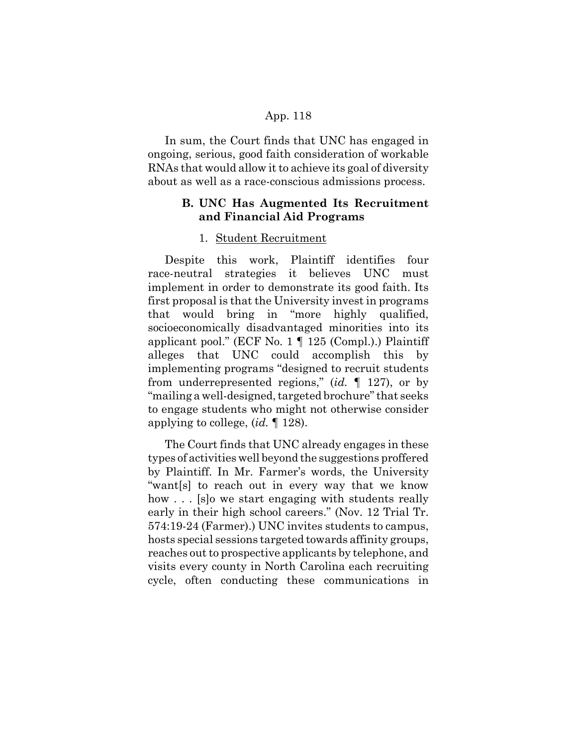In sum, the Court finds that UNC has engaged in ongoing, serious, good faith consideration of workable RNAs that would allow it to achieve its goal of diversity about as well as a race-conscious admissions process.

# **B. UNC Has Augmented Its Recruitment and Financial Aid Programs**

### 1. Student Recruitment

Despite this work, Plaintiff identifies four race-neutral strategies it believes UNC must implement in order to demonstrate its good faith. Its first proposal is that the University invest in programs that would bring in "more highly qualified, socioeconomically disadvantaged minorities into its applicant pool." (ECF No. 1 ¶ 125 (Compl.).) Plaintiff alleges that UNC could accomplish this by implementing programs "designed to recruit students from underrepresented regions," (*id.* ¶ 127), or by "mailing a well-designed, targeted brochure" that seeks to engage students who might not otherwise consider applying to college, (*id.* ¶ 128).

The Court finds that UNC already engages in these types of activities well beyond the suggestions proffered by Plaintiff. In Mr. Farmer's words, the University "want[s] to reach out in every way that we know how . . . [s] o we start engaging with students really early in their high school careers." (Nov. 12 Trial Tr. 574:19-24 (Farmer).) UNC invites students to campus, hosts special sessions targeted towards affinity groups, reaches out to prospective applicants by telephone, and visits every county in North Carolina each recruiting cycle, often conducting these communications in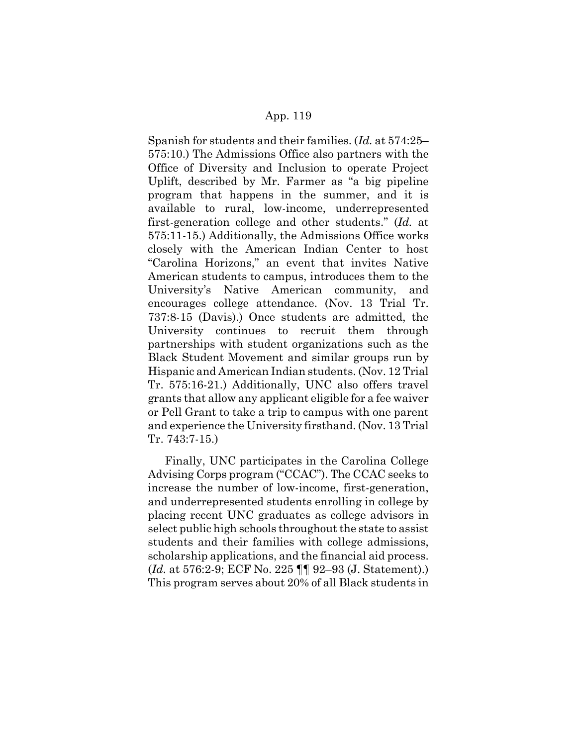Spanish for students and their families. (*Id.* at 574:25– 575:10.) The Admissions Office also partners with the Office of Diversity and Inclusion to operate Project Uplift, described by Mr. Farmer as "a big pipeline program that happens in the summer, and it is available to rural, low-income, underrepresented first-generation college and other students." (*Id.* at 575:11-15.) Additionally, the Admissions Office works closely with the American Indian Center to host "Carolina Horizons," an event that invites Native American students to campus, introduces them to the University's Native American community, and encourages college attendance. (Nov. 13 Trial Tr. 737:8-15 (Davis).) Once students are admitted, the University continues to recruit them through partnerships with student organizations such as the Black Student Movement and similar groups run by Hispanic and American Indian students. (Nov. 12 Trial Tr. 575:16-21.) Additionally, UNC also offers travel grants that allow any applicant eligible for a fee waiver or Pell Grant to take a trip to campus with one parent and experience the University firsthand. (Nov. 13 Trial Tr. 743:7-15.)

Finally, UNC participates in the Carolina College Advising Corps program ("CCAC"). The CCAC seeks to increase the number of low-income, first-generation, and underrepresented students enrolling in college by placing recent UNC graduates as college advisors in select public high schools throughout the state to assist students and their families with college admissions, scholarship applications, and the financial aid process. (*Id.* at 576:2-9; ECF No. 225 ¶¶ 92–93 (J. Statement).) This program serves about 20% of all Black students in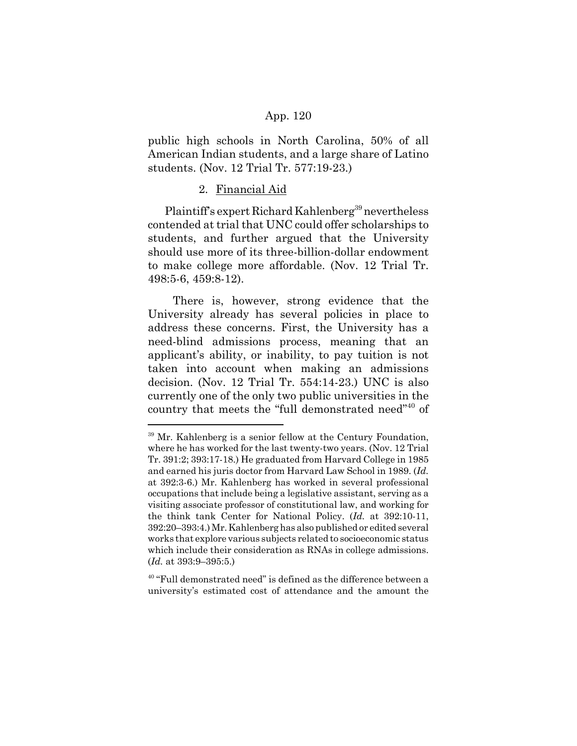public high schools in North Carolina, 50% of all American Indian students, and a large share of Latino students. (Nov. 12 Trial Tr. 577:19-23.)

### 2. Financial Aid

Plaintiff's expert Richard Kahlenberg<sup>39</sup> nevertheless contended at trial that UNC could offer scholarships to students, and further argued that the University should use more of its three-billion-dollar endowment to make college more affordable. (Nov. 12 Trial Tr. 498:5-6, 459:8-12).

 There is, however, strong evidence that the University already has several policies in place to address these concerns. First, the University has a need-blind admissions process, meaning that an applicant's ability, or inability, to pay tuition is not taken into account when making an admissions decision. (Nov. 12 Trial Tr. 554:14-23.) UNC is also currently one of the only two public universities in the country that meets the "full demonstrated need"40 of

 $39$  Mr. Kahlenberg is a senior fellow at the Century Foundation, where he has worked for the last twenty-two years. (Nov. 12 Trial Tr. 391:2; 393:17-18.) He graduated from Harvard College in 1985 and earned his juris doctor from Harvard Law School in 1989. (*Id.* at 392:3-6.) Mr. Kahlenberg has worked in several professional occupations that include being a legislative assistant, serving as a visiting associate professor of constitutional law, and working for the think tank Center for National Policy. (*Id.* at 392:10-11, 392:20–393:4.) Mr. Kahlenberg has also published or edited several works that explore various subjects related to socioeconomic status which include their consideration as RNAs in college admissions. (*Id.* at 393:9–395:5.)

 $40$  "Full demonstrated need" is defined as the difference between a university's estimated cost of attendance and the amount the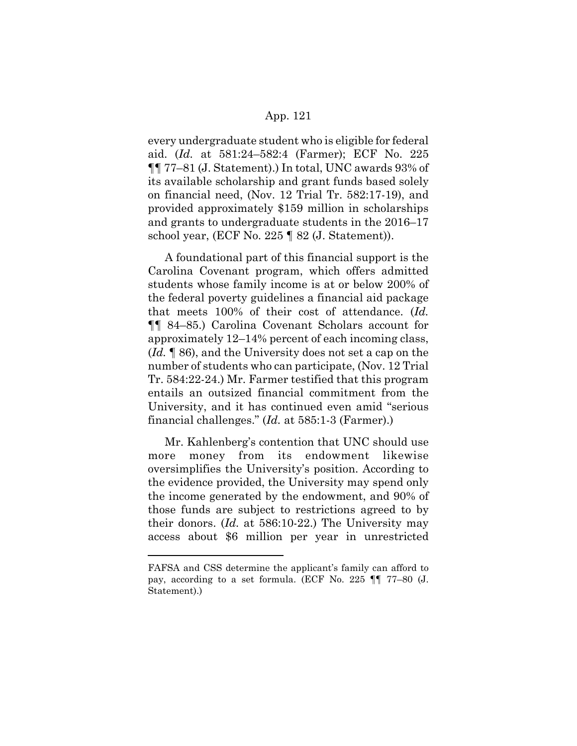every undergraduate student who is eligible for federal aid. (*Id.* at 581:24–582:4 (Farmer); ECF No. 225 ¶¶ 77–81 (J. Statement).) In total, UNC awards 93% of its available scholarship and grant funds based solely on financial need, (Nov. 12 Trial Tr. 582:17-19), and provided approximately \$159 million in scholarships and grants to undergraduate students in the 2016–17 school year, (ECF No. 225 ¶ 82 (J. Statement)).

A foundational part of this financial support is the Carolina Covenant program, which offers admitted students whose family income is at or below 200% of the federal poverty guidelines a financial aid package that meets 100% of their cost of attendance. (*Id.* ¶¶ 84–85.) Carolina Covenant Scholars account for approximately 12–14% percent of each incoming class, (*Id.* ¶ 86), and the University does not set a cap on the number of students who can participate, (Nov. 12 Trial Tr. 584:22-24.) Mr. Farmer testified that this program entails an outsized financial commitment from the University, and it has continued even amid "serious financial challenges." (*Id.* at 585:1-3 (Farmer).)

Mr. Kahlenberg's contention that UNC should use more money from its endowment likewise oversimplifies the University's position. According to the evidence provided, the University may spend only the income generated by the endowment, and 90% of those funds are subject to restrictions agreed to by their donors. (*Id.* at 586:10-22.) The University may access about \$6 million per year in unrestricted

FAFSA and CSS determine the applicant's family can afford to pay, according to a set formula. (ECF No. 225 ¶¶ 77–80 (J. Statement).)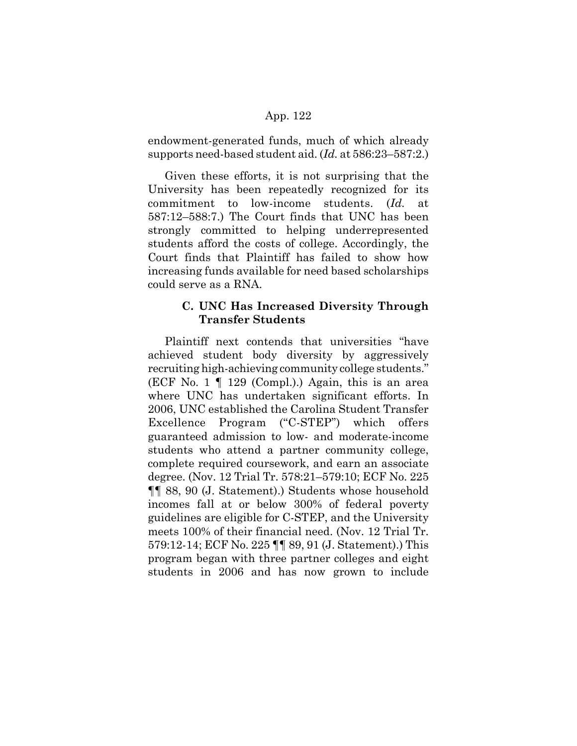endowment-generated funds, much of which already supports need-based student aid. (*Id.* at 586:23–587:2.)

Given these efforts, it is not surprising that the University has been repeatedly recognized for its commitment to low-income students. (*Id.* at 587:12–588:7.) The Court finds that UNC has been strongly committed to helping underrepresented students afford the costs of college. Accordingly, the Court finds that Plaintiff has failed to show how increasing funds available for need based scholarships could serve as a RNA.

# **C. UNC Has Increased Diversity Through Transfer Students**

Plaintiff next contends that universities "have achieved student body diversity by aggressively recruiting high-achieving community college students." (ECF No. 1 ¶ 129 (Compl.).) Again, this is an area where UNC has undertaken significant efforts. In 2006, UNC established the Carolina Student Transfer Excellence Program ("C-STEP") which offers guaranteed admission to low- and moderate-income students who attend a partner community college, complete required coursework, and earn an associate degree. (Nov. 12 Trial Tr. 578:21–579:10; ECF No. 225 ¶¶ 88, 90 (J. Statement).) Students whose household incomes fall at or below 300% of federal poverty guidelines are eligible for C-STEP, and the University meets 100% of their financial need. (Nov. 12 Trial Tr. 579:12-14; ECF No. 225 ¶¶ 89, 91 (J. Statement).) This program began with three partner colleges and eight students in 2006 and has now grown to include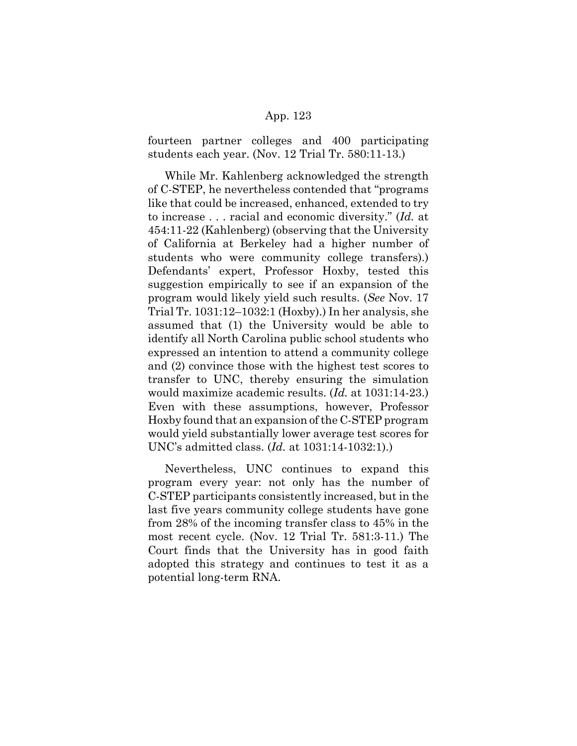fourteen partner colleges and 400 participating students each year. (Nov. 12 Trial Tr. 580:11-13.)

While Mr. Kahlenberg acknowledged the strength of C-STEP, he nevertheless contended that "programs like that could be increased, enhanced, extended to try to increase . . . racial and economic diversity." (*Id.* at 454:11-22 (Kahlenberg) (observing that the University of California at Berkeley had a higher number of students who were community college transfers).) Defendants' expert, Professor Hoxby, tested this suggestion empirically to see if an expansion of the program would likely yield such results. (*See* Nov. 17 Trial Tr. 1031:12–1032:1 (Hoxby).) In her analysis, she assumed that (1) the University would be able to identify all North Carolina public school students who expressed an intention to attend a community college and (2) convince those with the highest test scores to transfer to UNC, thereby ensuring the simulation would maximize academic results. (*Id.* at 1031:14-23.) Even with these assumptions, however, Professor Hoxby found that an expansion of the C-STEP program would yield substantially lower average test scores for UNC's admitted class. (*Id.* at 1031:14-1032:1).)

Nevertheless, UNC continues to expand this program every year: not only has the number of C-STEP participants consistently increased, but in the last five years community college students have gone from 28% of the incoming transfer class to 45% in the most recent cycle. (Nov. 12 Trial Tr. 581:3-11.) The Court finds that the University has in good faith adopted this strategy and continues to test it as a potential long-term RNA.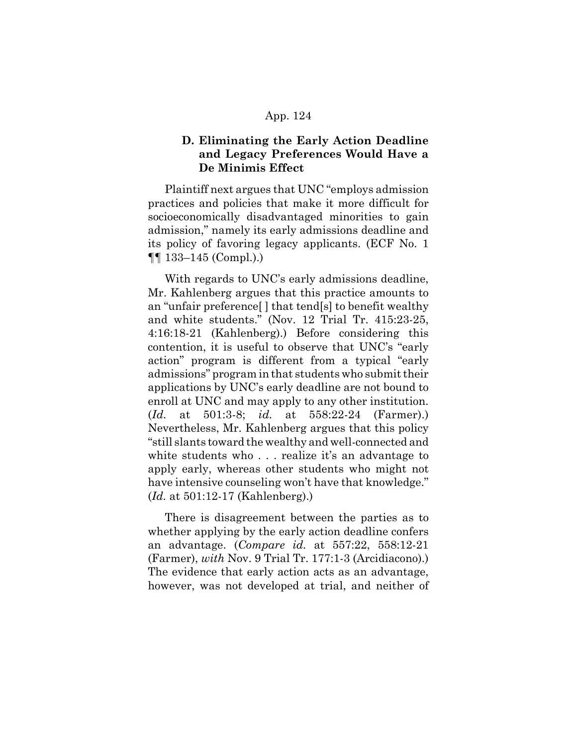# **D. Eliminating the Early Action Deadline and Legacy Preferences Would Have a De Minimis Effect**

Plaintiff next argues that UNC "employs admission practices and policies that make it more difficult for socioeconomically disadvantaged minorities to gain admission," namely its early admissions deadline and its policy of favoring legacy applicants. (ECF No. 1  $\P\P$  133–145 (Compl.).

With regards to UNC's early admissions deadline, Mr. Kahlenberg argues that this practice amounts to an "unfair preference[ ] that tend[s] to benefit wealthy and white students." (Nov. 12 Trial Tr. 415:23-25, 4:16:18-21 (Kahlenberg).) Before considering this contention, it is useful to observe that UNC's "early action" program is different from a typical "early admissions" program in that students who submit their applications by UNC's early deadline are not bound to enroll at UNC and may apply to any other institution. (*Id.* at 501:3-8; *id.* at 558:22-24 (Farmer).) Nevertheless, Mr. Kahlenberg argues that this policy "still slants toward the wealthy and well-connected and white students who . . . realize it's an advantage to apply early, whereas other students who might not have intensive counseling won't have that knowledge." (*Id.* at 501:12-17 (Kahlenberg).)

There is disagreement between the parties as to whether applying by the early action deadline confers an advantage. (*Compare id.* at 557:22, 558:12-21 (Farmer), *with* Nov. 9 Trial Tr. 177:1-3 (Arcidiacono).) The evidence that early action acts as an advantage, however, was not developed at trial, and neither of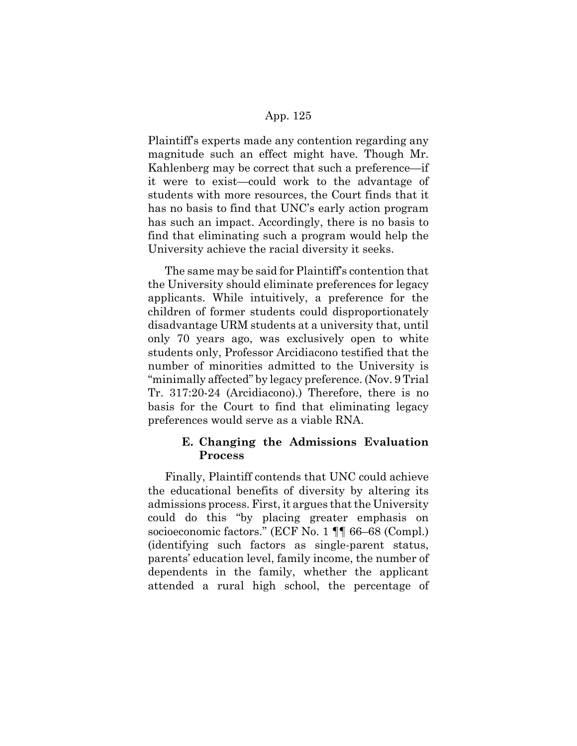Plaintiff's experts made any contention regarding any magnitude such an effect might have. Though Mr. Kahlenberg may be correct that such a preference—if it were to exist—could work to the advantage of students with more resources, the Court finds that it has no basis to find that UNC's early action program has such an impact. Accordingly, there is no basis to find that eliminating such a program would help the University achieve the racial diversity it seeks.

The same may be said for Plaintiff's contention that the University should eliminate preferences for legacy applicants. While intuitively, a preference for the children of former students could disproportionately disadvantage URM students at a university that, until only 70 years ago, was exclusively open to white students only, Professor Arcidiacono testified that the number of minorities admitted to the University is "minimally affected" by legacy preference. (Nov. 9 Trial Tr. 317:20-24 (Arcidiacono).) Therefore, there is no basis for the Court to find that eliminating legacy preferences would serve as a viable RNA.

# **E. Changing the Admissions Evaluation Process**

Finally, Plaintiff contends that UNC could achieve the educational benefits of diversity by altering its admissions process. First, it argues that the University could do this "by placing greater emphasis on socioeconomic factors." (ECF No. 1 ¶¶ 66–68 (Compl.) (identifying such factors as single-parent status, parents' education level, family income, the number of dependents in the family, whether the applicant attended a rural high school, the percentage of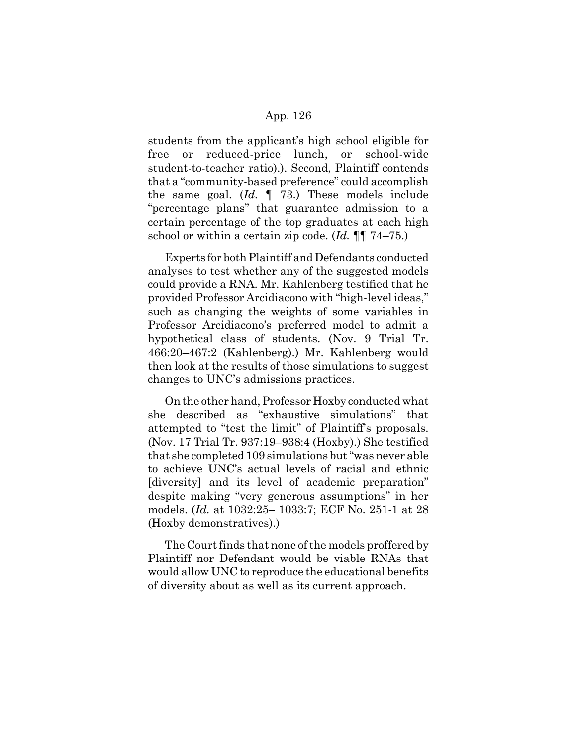students from the applicant's high school eligible for free or reduced-price lunch, or school-wide student-to-teacher ratio).). Second, Plaintiff contends that a "community-based preference" could accomplish the same goal. (*Id.* ¶ 73.) These models include "percentage plans" that guarantee admission to a certain percentage of the top graduates at each high school or within a certain zip code. (*Id.* ¶¶ 74–75.)

Experts for both Plaintiff and Defendants conducted analyses to test whether any of the suggested models could provide a RNA. Mr. Kahlenberg testified that he provided Professor Arcidiacono with "high-level ideas," such as changing the weights of some variables in Professor Arcidiacono's preferred model to admit a hypothetical class of students. (Nov. 9 Trial Tr. 466:20–467:2 (Kahlenberg).) Mr. Kahlenberg would then look at the results of those simulations to suggest changes to UNC's admissions practices.

On the other hand, Professor Hoxby conducted what she described as "exhaustive simulations" that attempted to "test the limit" of Plaintiff's proposals. (Nov. 17 Trial Tr. 937:19–938:4 (Hoxby).) She testified that she completed 109 simulations but "was never able to achieve UNC's actual levels of racial and ethnic [diversity] and its level of academic preparation" despite making "very generous assumptions" in her models. (*Id.* at 1032:25– 1033:7; ECF No. 251-1 at 28 (Hoxby demonstratives).)

The Court finds that none of the models proffered by Plaintiff nor Defendant would be viable RNAs that would allow UNC to reproduce the educational benefits of diversity about as well as its current approach.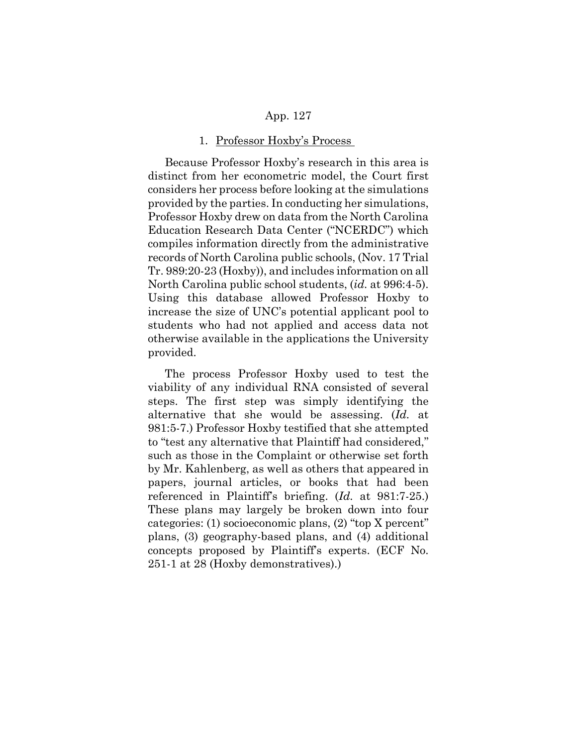#### 1. Professor Hoxby's Process

Because Professor Hoxby's research in this area is distinct from her econometric model, the Court first considers her process before looking at the simulations provided by the parties. In conducting her simulations, Professor Hoxby drew on data from the North Carolina Education Research Data Center ("NCERDC") which compiles information directly from the administrative records of North Carolina public schools, (Nov. 17 Trial Tr. 989:20-23 (Hoxby)), and includes information on all North Carolina public school students, (*id.* at 996:4-5). Using this database allowed Professor Hoxby to increase the size of UNC's potential applicant pool to students who had not applied and access data not otherwise available in the applications the University provided.

The process Professor Hoxby used to test the viability of any individual RNA consisted of several steps. The first step was simply identifying the alternative that she would be assessing. (*Id.* at 981:5-7.) Professor Hoxby testified that she attempted to "test any alternative that Plaintiff had considered," such as those in the Complaint or otherwise set forth by Mr. Kahlenberg, as well as others that appeared in papers, journal articles, or books that had been referenced in Plaintiff's briefing. (*Id.* at 981:7-25.) These plans may largely be broken down into four categories: (1) socioeconomic plans, (2) "top X percent" plans, (3) geography-based plans, and (4) additional concepts proposed by Plaintiff's experts. (ECF No. 251-1 at 28 (Hoxby demonstratives).)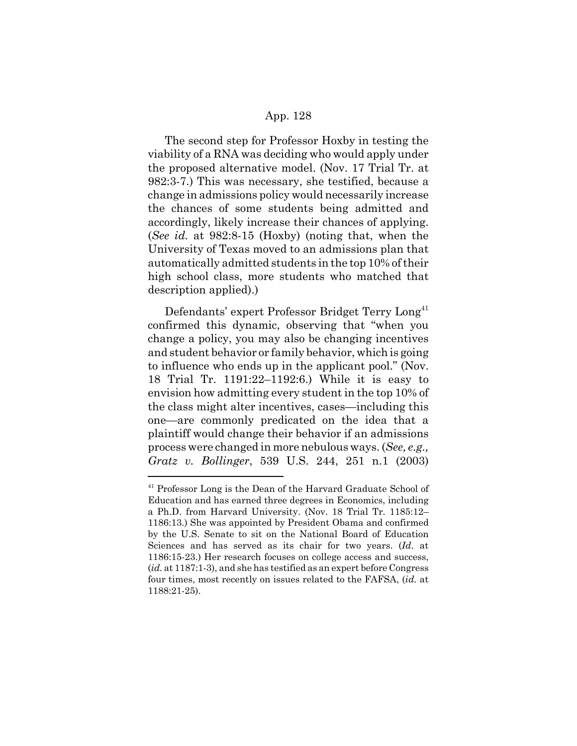The second step for Professor Hoxby in testing the viability of a RNA was deciding who would apply under the proposed alternative model. (Nov. 17 Trial Tr. at 982:3-7.) This was necessary, she testified, because a change in admissions policy would necessarily increase the chances of some students being admitted and accordingly, likely increase their chances of applying. (*See id.* at 982:8-15 (Hoxby) (noting that, when the University of Texas moved to an admissions plan that automatically admitted students in the top 10% of their high school class, more students who matched that description applied).)

Defendants' expert Professor Bridget Terry Long<sup>41</sup> confirmed this dynamic, observing that "when you change a policy, you may also be changing incentives and student behavior or family behavior, which is going to influence who ends up in the applicant pool." (Nov. 18 Trial Tr. 1191:22–1192:6.) While it is easy to envision how admitting every student in the top 10% of the class might alter incentives, cases—including this one—are commonly predicated on the idea that a plaintiff would change their behavior if an admissions process were changed in more nebulous ways. (*See, e.g., Gratz v. Bollinger*, 539 U.S. 244, 251 n.1 (2003)

<sup>&</sup>lt;sup>41</sup> Professor Long is the Dean of the Harvard Graduate School of Education and has earned three degrees in Economics, including a Ph.D. from Harvard University. (Nov. 18 Trial Tr. 1185:12– 1186:13.) She was appointed by President Obama and confirmed by the U.S. Senate to sit on the National Board of Education Sciences and has served as its chair for two years. (*Id.* at 1186:15-23.) Her research focuses on college access and success, (*id.* at 1187:1-3), and she has testified as an expert before Congress four times, most recently on issues related to the FAFSA, (*id.* at 1188:21-25).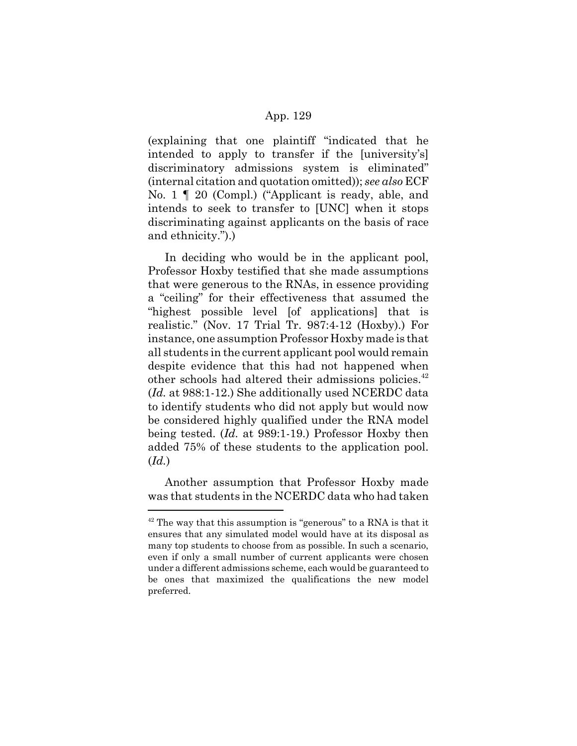(explaining that one plaintiff "indicated that he intended to apply to transfer if the [university's] discriminatory admissions system is eliminated" (internal citation and quotation omitted)); *see also* ECF No. 1 ¶ 20 (Compl.) ("Applicant is ready, able, and intends to seek to transfer to [UNC] when it stops discriminating against applicants on the basis of race and ethnicity.").)

In deciding who would be in the applicant pool, Professor Hoxby testified that she made assumptions that were generous to the RNAs, in essence providing a "ceiling" for their effectiveness that assumed the "highest possible level [of applications] that is realistic." (Nov. 17 Trial Tr. 987:4-12 (Hoxby).) For instance, one assumption Professor Hoxby made is that all students in the current applicant pool would remain despite evidence that this had not happened when other schools had altered their admissions policies.<sup>42</sup> (*Id.* at 988:1-12.) She additionally used NCERDC data to identify students who did not apply but would now be considered highly qualified under the RNA model being tested. (*Id.* at 989:1-19.) Professor Hoxby then added 75% of these students to the application pool. (*Id.*)

Another assumption that Professor Hoxby made was that students in the NCERDC data who had taken

 $42$  The way that this assumption is "generous" to a RNA is that it ensures that any simulated model would have at its disposal as many top students to choose from as possible. In such a scenario, even if only a small number of current applicants were chosen under a different admissions scheme, each would be guaranteed to be ones that maximized the qualifications the new model preferred.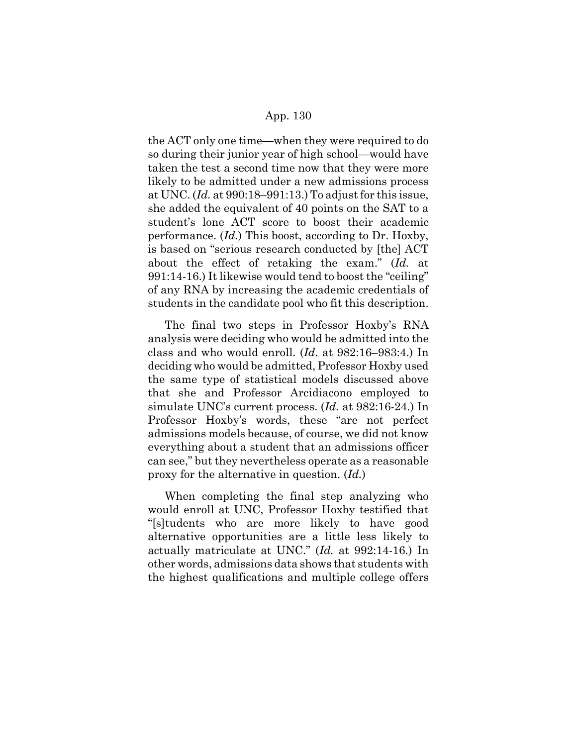the ACT only one time—when they were required to do so during their junior year of high school—would have taken the test a second time now that they were more likely to be admitted under a new admissions process at UNC. (*Id.* at 990:18–991:13.) To adjust for this issue, she added the equivalent of 40 points on the SAT to a student's lone ACT score to boost their academic performance. (*Id.*) This boost, according to Dr. Hoxby, is based on "serious research conducted by [the] ACT about the effect of retaking the exam." (*Id.* at 991:14-16.) It likewise would tend to boost the "ceiling" of any RNA by increasing the academic credentials of students in the candidate pool who fit this description.

The final two steps in Professor Hoxby's RNA analysis were deciding who would be admitted into the class and who would enroll. (*Id.* at 982:16–983:4.) In deciding who would be admitted, Professor Hoxby used the same type of statistical models discussed above that she and Professor Arcidiacono employed to simulate UNC's current process. (*Id.* at 982:16-24.) In Professor Hoxby's words, these "are not perfect admissions models because, of course, we did not know everything about a student that an admissions officer can see," but they nevertheless operate as a reasonable proxy for the alternative in question. (*Id.*)

When completing the final step analyzing who would enroll at UNC, Professor Hoxby testified that "[s]tudents who are more likely to have good alternative opportunities are a little less likely to actually matriculate at UNC." (*Id.* at 992:14-16.) In other words, admissions data shows that students with the highest qualifications and multiple college offers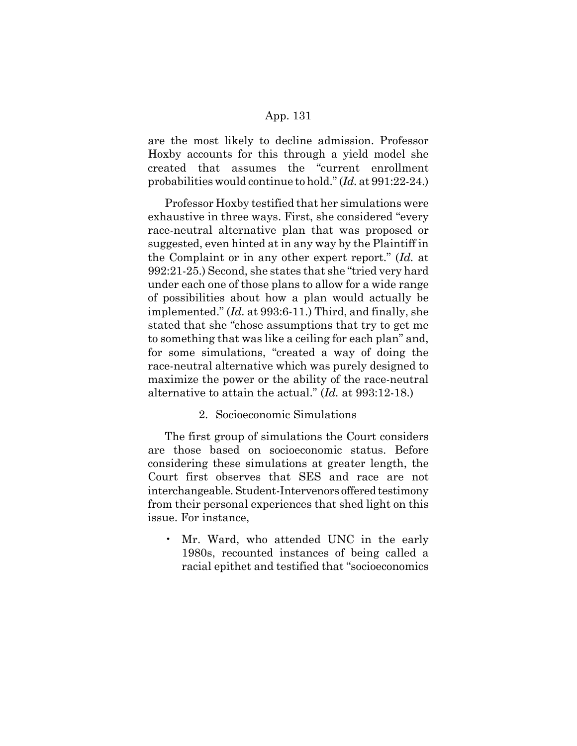are the most likely to decline admission. Professor Hoxby accounts for this through a yield model she created that assumes the "current enrollment probabilities would continue to hold." (*Id.* at 991:22-24.)

Professor Hoxby testified that her simulations were exhaustive in three ways. First, she considered "every race-neutral alternative plan that was proposed or suggested, even hinted at in any way by the Plaintiff in the Complaint or in any other expert report." (*Id.* at 992:21-25.) Second, she states that she "tried very hard under each one of those plans to allow for a wide range of possibilities about how a plan would actually be implemented." (*Id.* at 993:6-11.) Third, and finally, she stated that she "chose assumptions that try to get me to something that was like a ceiling for each plan" and, for some simulations, "created a way of doing the race-neutral alternative which was purely designed to maximize the power or the ability of the race-neutral alternative to attain the actual." (*Id.* at 993:12-18.)

## 2. Socioeconomic Simulations

The first group of simulations the Court considers are those based on socioeconomic status. Before considering these simulations at greater length, the Court first observes that SES and race are not interchangeable. Student-Intervenors offered testimony from their personal experiences that shed light on this issue. For instance,

• Mr. Ward, who attended UNC in the early 1980s, recounted instances of being called a racial epithet and testified that "socioeconomics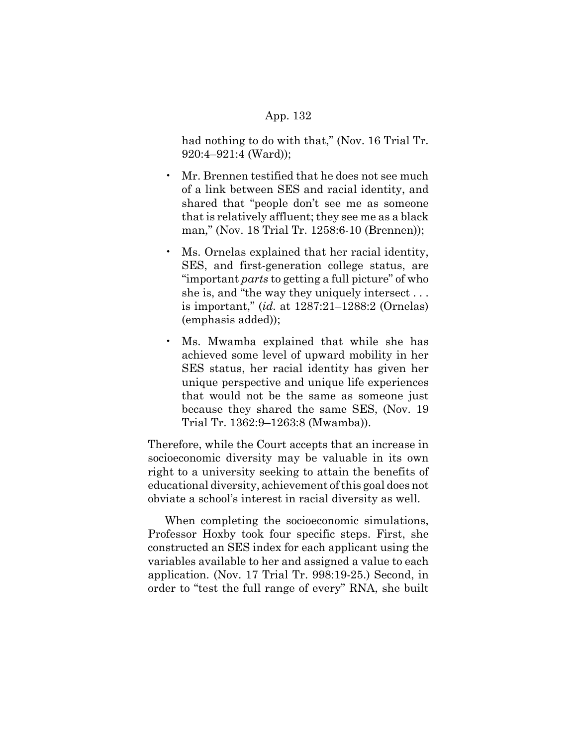had nothing to do with that," (Nov. 16 Trial Tr. 920:4–921:4 (Ward));

- Mr. Brennen testified that he does not see much of a link between SES and racial identity, and shared that "people don't see me as someone that is relatively affluent; they see me as a black man," (Nov. 18 Trial Tr. 1258:6-10 (Brennen));
- Ms. Ornelas explained that her racial identity, SES, and first-generation college status, are "important *parts* to getting a full picture" of who she is, and "the way they uniquely intersect . . . is important," (*id.* at 1287:21–1288:2 (Ornelas) (emphasis added));
- Ms. Mwamba explained that while she has achieved some level of upward mobility in her SES status, her racial identity has given her unique perspective and unique life experiences that would not be the same as someone just because they shared the same SES, (Nov. 19 Trial Tr. 1362:9–1263:8 (Mwamba)).

Therefore, while the Court accepts that an increase in socioeconomic diversity may be valuable in its own right to a university seeking to attain the benefits of educational diversity, achievement of this goal does not obviate a school's interest in racial diversity as well.

When completing the socioeconomic simulations, Professor Hoxby took four specific steps. First, she constructed an SES index for each applicant using the variables available to her and assigned a value to each application. (Nov. 17 Trial Tr. 998:19-25.) Second, in order to "test the full range of every" RNA, she built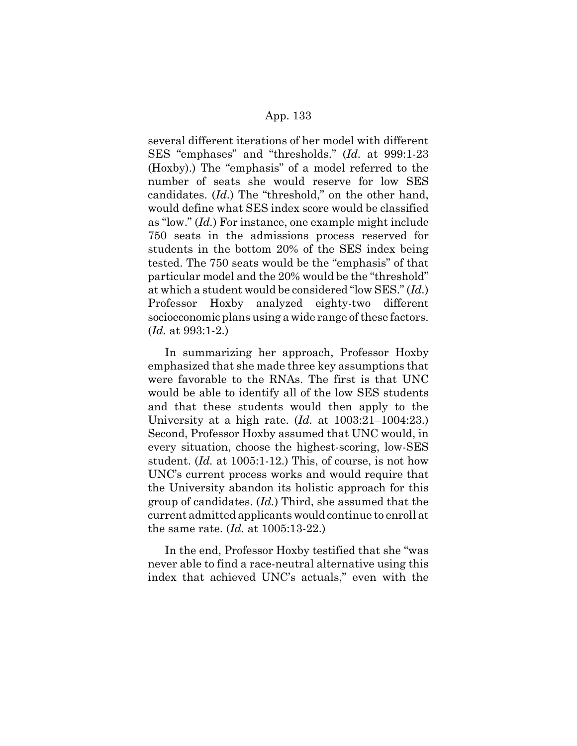several different iterations of her model with different SES "emphases" and "thresholds." (*Id.* at 999:1-23 (Hoxby).) The "emphasis" of a model referred to the number of seats she would reserve for low SES candidates. (*Id.*) The "threshold," on the other hand, would define what SES index score would be classified as "low." (*Id.*) For instance, one example might include 750 seats in the admissions process reserved for students in the bottom 20% of the SES index being tested. The 750 seats would be the "emphasis" of that particular model and the 20% would be the "threshold" at which a student would be considered "low SES." (*Id.*) Professor Hoxby analyzed eighty-two different socioeconomic plans using a wide range of these factors. (*Id.* at 993:1-2.)

In summarizing her approach, Professor Hoxby emphasized that she made three key assumptions that were favorable to the RNAs. The first is that UNC would be able to identify all of the low SES students and that these students would then apply to the University at a high rate. (*Id.* at 1003:21–1004:23.) Second, Professor Hoxby assumed that UNC would, in every situation, choose the highest-scoring, low-SES student. (*Id.* at 1005:1-12.) This, of course, is not how UNC's current process works and would require that the University abandon its holistic approach for this group of candidates. (*Id.*) Third, she assumed that the current admitted applicants would continue to enroll at the same rate. (*Id.* at 1005:13-22.)

In the end, Professor Hoxby testified that she "was never able to find a race-neutral alternative using this index that achieved UNC's actuals," even with the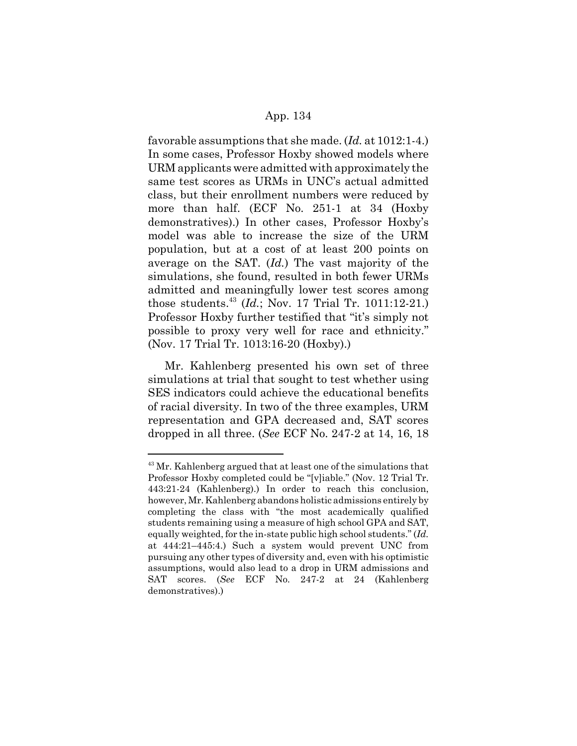favorable assumptions that she made. (*Id.* at 1012:1-4.) In some cases, Professor Hoxby showed models where URM applicants were admitted with approximately the same test scores as URMs in UNC's actual admitted class, but their enrollment numbers were reduced by more than half. (ECF No. 251-1 at 34 (Hoxby demonstratives).) In other cases, Professor Hoxby's model was able to increase the size of the URM population, but at a cost of at least 200 points on average on the SAT. (*Id.*) The vast majority of the simulations, she found, resulted in both fewer URMs admitted and meaningfully lower test scores among those students.43 (*Id.*; Nov. 17 Trial Tr. 1011:12-21.) Professor Hoxby further testified that "it's simply not possible to proxy very well for race and ethnicity." (Nov. 17 Trial Tr. 1013:16-20 (Hoxby).)

Mr. Kahlenberg presented his own set of three simulations at trial that sought to test whether using SES indicators could achieve the educational benefits of racial diversity. In two of the three examples, URM representation and GPA decreased and, SAT scores dropped in all three. (*See* ECF No. 247-2 at 14, 16, 18

<sup>&</sup>lt;sup>43</sup> Mr. Kahlenberg argued that at least one of the simulations that Professor Hoxby completed could be "[v]iable." (Nov. 12 Trial Tr. 443:21-24 (Kahlenberg).) In order to reach this conclusion, however, Mr. Kahlenberg abandons holistic admissions entirely by completing the class with "the most academically qualified students remaining using a measure of high school GPA and SAT, equally weighted, for the in-state public high school students." (*Id.* at 444:21–445:4.) Such a system would prevent UNC from pursuing any other types of diversity and, even with his optimistic assumptions, would also lead to a drop in URM admissions and SAT scores. (*See* ECF No. 247-2 at 24 (Kahlenberg demonstratives).)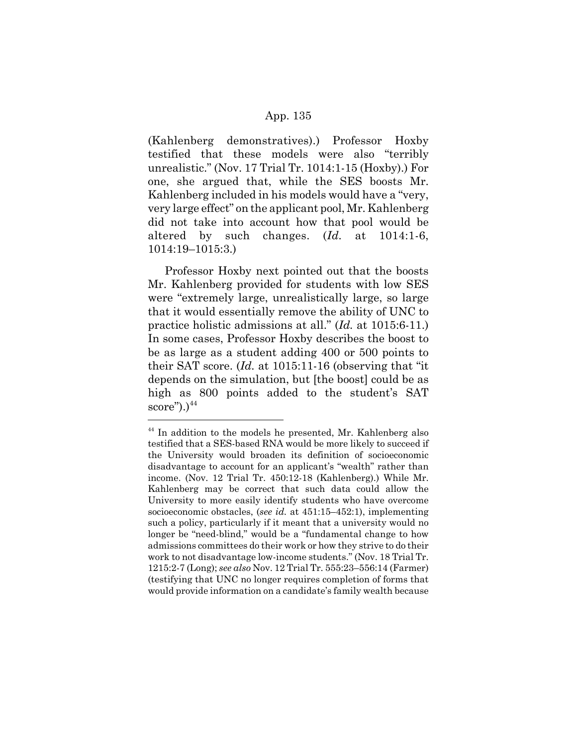(Kahlenberg demonstratives).) Professor Hoxby testified that these models were also "terribly unrealistic." (Nov. 17 Trial Tr. 1014:1-15 (Hoxby).) For one, she argued that, while the SES boosts Mr. Kahlenberg included in his models would have a "very, very large effect" on the applicant pool, Mr. Kahlenberg did not take into account how that pool would be altered by such changes. (*Id.* at 1014:1-6, 1014:19–1015:3.)

Professor Hoxby next pointed out that the boosts Mr. Kahlenberg provided for students with low SES were "extremely large, unrealistically large, so large that it would essentially remove the ability of UNC to practice holistic admissions at all." (*Id.* at 1015:6-11.) In some cases, Professor Hoxby describes the boost to be as large as a student adding 400 or 500 points to their SAT score. (*Id.* at 1015:11-16 (observing that "it depends on the simulation, but [the boost] could be as high as 800 points added to the student's SAT  $score$ ").) $^{44}$ 

<sup>&</sup>lt;sup>44</sup> In addition to the models he presented, Mr. Kahlenberg also testified that a SES-based RNA would be more likely to succeed if the University would broaden its definition of socioeconomic disadvantage to account for an applicant's "wealth" rather than income. (Nov. 12 Trial Tr. 450:12-18 (Kahlenberg).) While Mr. Kahlenberg may be correct that such data could allow the University to more easily identify students who have overcome socioeconomic obstacles, (*see id.* at 451:15–452:1), implementing such a policy, particularly if it meant that a university would no longer be "need-blind," would be a "fundamental change to how admissions committees do their work or how they strive to do their work to not disadvantage low-income students." (Nov. 18 Trial Tr. 1215:2-7 (Long); *see also* Nov. 12 Trial Tr. 555:23–556:14 (Farmer) (testifying that UNC no longer requires completion of forms that would provide information on a candidate's family wealth because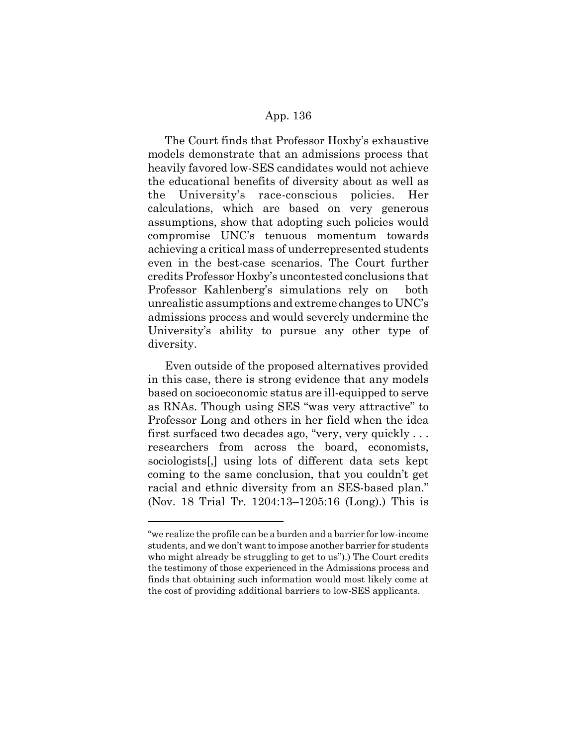The Court finds that Professor Hoxby's exhaustive models demonstrate that an admissions process that heavily favored low-SES candidates would not achieve the educational benefits of diversity about as well as the University's race-conscious policies. Her calculations, which are based on very generous assumptions, show that adopting such policies would compromise UNC's tenuous momentum towards achieving a critical mass of underrepresented students even in the best-case scenarios. The Court further credits Professor Hoxby's uncontested conclusions that Professor Kahlenberg's simulations rely on both unrealistic assumptions and extreme changes to UNC's admissions process and would severely undermine the University's ability to pursue any other type of diversity.

Even outside of the proposed alternatives provided in this case, there is strong evidence that any models based on socioeconomic status are ill-equipped to serve as RNAs. Though using SES "was very attractive" to Professor Long and others in her field when the idea first surfaced two decades ago, "very, very quickly . . . researchers from across the board, economists, sociologists[,] using lots of different data sets kept coming to the same conclusion, that you couldn't get racial and ethnic diversity from an SES-based plan." (Nov. 18 Trial Tr. 1204:13–1205:16 (Long).) This is

<sup>&</sup>quot;we realize the profile can be a burden and a barrier for low-income students, and we don't want to impose another barrier for students who might already be struggling to get to us").) The Court credits the testimony of those experienced in the Admissions process and finds that obtaining such information would most likely come at the cost of providing additional barriers to low-SES applicants.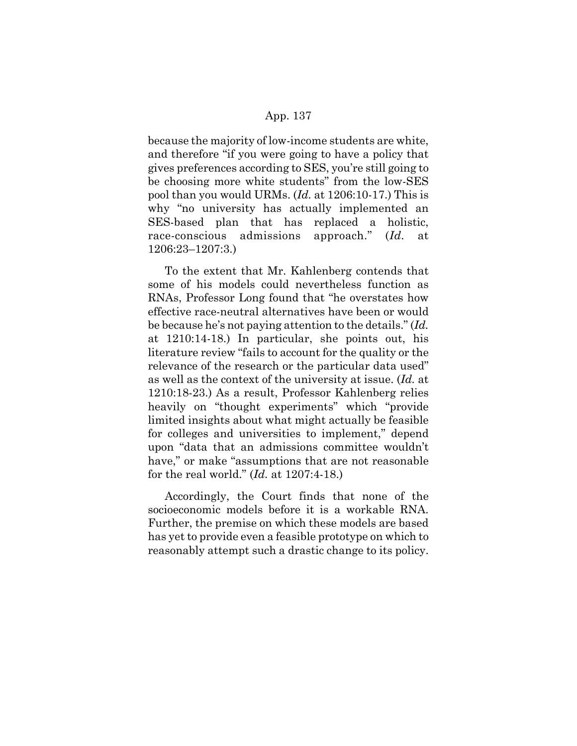because the majority of low-income students are white, and therefore "if you were going to have a policy that gives preferences according to SES, you're still going to be choosing more white students" from the low-SES pool than you would URMs. (*Id.* at 1206:10-17.) This is why "no university has actually implemented an SES-based plan that has replaced a holistic, race-conscious admissions approach." (*Id.* at 1206:23–1207:3.)

To the extent that Mr. Kahlenberg contends that some of his models could nevertheless function as RNAs, Professor Long found that "he overstates how effective race-neutral alternatives have been or would be because he's not paying attention to the details." (*Id.* at 1210:14-18.) In particular, she points out, his literature review "fails to account for the quality or the relevance of the research or the particular data used" as well as the context of the university at issue. (*Id.* at 1210:18-23.) As a result, Professor Kahlenberg relies heavily on "thought experiments" which "provide limited insights about what might actually be feasible for colleges and universities to implement," depend upon "data that an admissions committee wouldn't have," or make "assumptions that are not reasonable for the real world." (*Id.* at 1207:4-18.)

Accordingly, the Court finds that none of the socioeconomic models before it is a workable RNA. Further, the premise on which these models are based has yet to provide even a feasible prototype on which to reasonably attempt such a drastic change to its policy.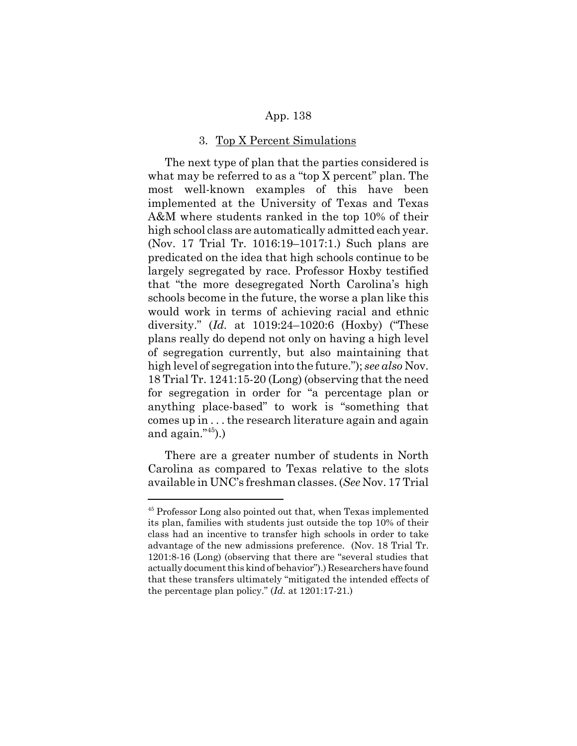#### 3. Top X Percent Simulations

The next type of plan that the parties considered is what may be referred to as a "top X percent" plan. The most well-known examples of this have been implemented at the University of Texas and Texas A&M where students ranked in the top 10% of their high school class are automatically admitted each year. (Nov. 17 Trial Tr. 1016:19–1017:1.) Such plans are predicated on the idea that high schools continue to be largely segregated by race. Professor Hoxby testified that "the more desegregated North Carolina's high schools become in the future, the worse a plan like this would work in terms of achieving racial and ethnic diversity." (*Id.* at 1019:24–1020:6 (Hoxby) ("These plans really do depend not only on having a high level of segregation currently, but also maintaining that high level of segregation into the future."); *see also* Nov. 18 Trial Tr. 1241:15-20 (Long) (observing that the need for segregation in order for "a percentage plan or anything place-based" to work is "something that comes up in . . . the research literature again and again and again."45).)

There are a greater number of students in North Carolina as compared to Texas relative to the slots available in UNC's freshman classes. (*See* Nov. 17 Trial

<sup>&</sup>lt;sup>45</sup> Professor Long also pointed out that, when Texas implemented its plan, families with students just outside the top 10% of their class had an incentive to transfer high schools in order to take advantage of the new admissions preference. (Nov. 18 Trial Tr. 1201:8-16 (Long) (observing that there are "several studies that actually document this kind of behavior").) Researchers have found that these transfers ultimately "mitigated the intended effects of the percentage plan policy." (*Id.* at 1201:17-21.)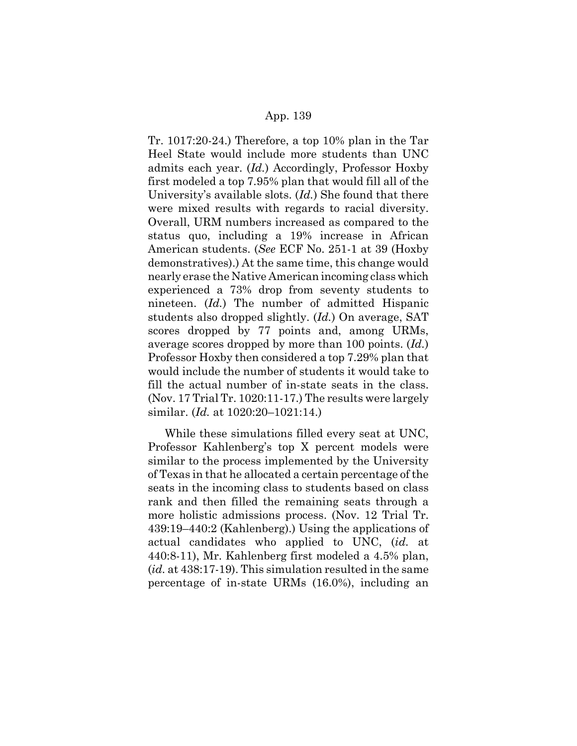Tr. 1017:20-24.) Therefore, a top 10% plan in the Tar Heel State would include more students than UNC admits each year. (*Id.*) Accordingly, Professor Hoxby first modeled a top 7.95% plan that would fill all of the University's available slots. (*Id.*) She found that there were mixed results with regards to racial diversity. Overall, URM numbers increased as compared to the status quo, including a 19% increase in African American students. (*See* ECF No. 251-1 at 39 (Hoxby demonstratives).) At the same time, this change would nearly erase the Native American incoming class which experienced a 73% drop from seventy students to nineteen. (*Id.*) The number of admitted Hispanic students also dropped slightly. (*Id.*) On average, SAT scores dropped by 77 points and, among URMs, average scores dropped by more than 100 points. (*Id.*) Professor Hoxby then considered a top 7.29% plan that would include the number of students it would take to fill the actual number of in-state seats in the class. (Nov. 17 Trial Tr. 1020:11-17.) The results were largely similar. (*Id.* at 1020:20–1021:14.)

While these simulations filled every seat at UNC, Professor Kahlenberg's top X percent models were similar to the process implemented by the University of Texas in that he allocated a certain percentage of the seats in the incoming class to students based on class rank and then filled the remaining seats through a more holistic admissions process. (Nov. 12 Trial Tr. 439:19–440:2 (Kahlenberg).) Using the applications of actual candidates who applied to UNC, (*id.* at 440:8-11), Mr. Kahlenberg first modeled a 4.5% plan, (*id.* at 438:17-19). This simulation resulted in the same percentage of in-state URMs (16.0%), including an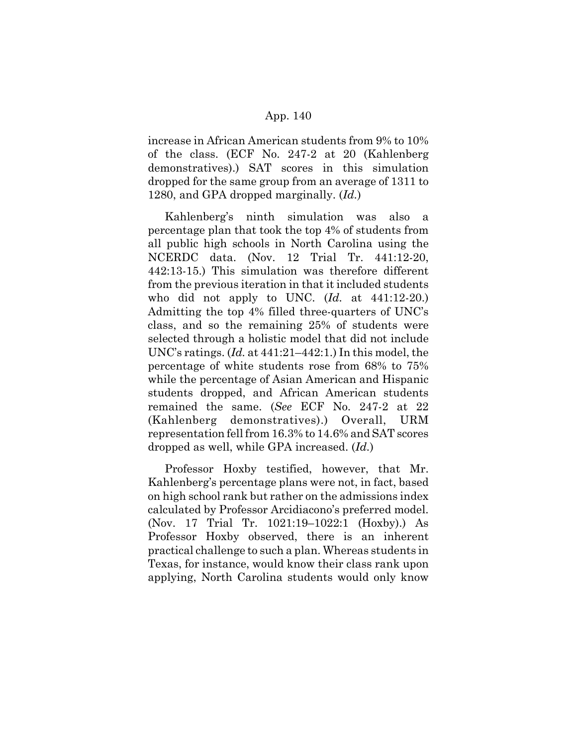increase in African American students from 9% to 10% of the class. (ECF No. 247-2 at 20 (Kahlenberg demonstratives).) SAT scores in this simulation dropped for the same group from an average of 1311 to 1280, and GPA dropped marginally. (*Id.*)

Kahlenberg's ninth simulation was also a percentage plan that took the top 4% of students from all public high schools in North Carolina using the NCERDC data. (Nov. 12 Trial Tr. 441:12-20, 442:13-15.) This simulation was therefore different from the previous iteration in that it included students who did not apply to UNC. (*Id.* at 441:12-20.) Admitting the top 4% filled three-quarters of UNC's class, and so the remaining 25% of students were selected through a holistic model that did not include UNC's ratings. (*Id.* at 441:21–442:1.) In this model, the percentage of white students rose from 68% to 75% while the percentage of Asian American and Hispanic students dropped, and African American students remained the same. (*See* ECF No. 247-2 at 22 (Kahlenberg demonstratives).) Overall, URM representation fell from 16.3% to 14.6% and SAT scores dropped as well, while GPA increased. (*Id.*)

Professor Hoxby testified, however, that Mr. Kahlenberg's percentage plans were not, in fact, based on high school rank but rather on the admissions index calculated by Professor Arcidiacono's preferred model. (Nov. 17 Trial Tr. 1021:19–1022:1 (Hoxby).) As Professor Hoxby observed, there is an inherent practical challenge to such a plan. Whereas students in Texas, for instance, would know their class rank upon applying, North Carolina students would only know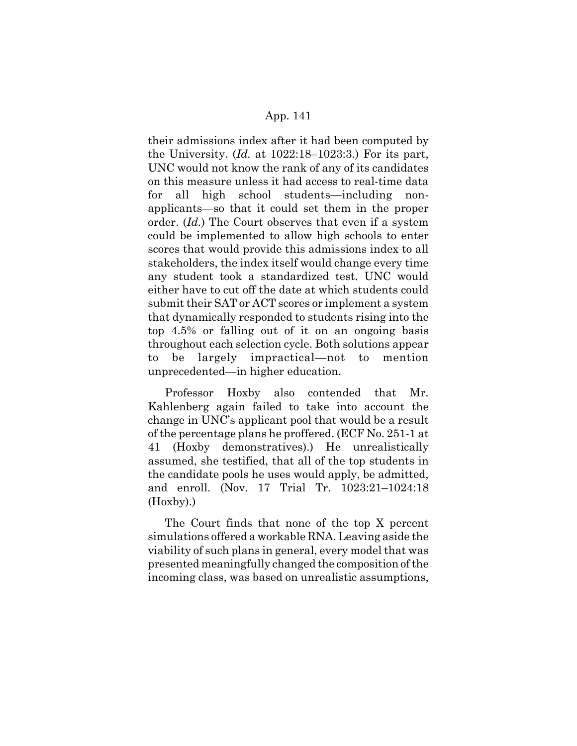their admissions index after it had been computed by the University. (*Id.* at 1022:18–1023:3.) For its part, UNC would not know the rank of any of its candidates on this measure unless it had access to real-time data for all high school students—including nonapplicants—so that it could set them in the proper order. (*Id.*) The Court observes that even if a system could be implemented to allow high schools to enter scores that would provide this admissions index to all stakeholders, the index itself would change every time any student took a standardized test. UNC would either have to cut off the date at which students could submit their SAT or ACT scores or implement a system that dynamically responded to students rising into the top 4.5% or falling out of it on an ongoing basis throughout each selection cycle. Both solutions appear to be largely impractical—not to mention unprecedented—in higher education.

Professor Hoxby also contended that Mr. Kahlenberg again failed to take into account the change in UNC's applicant pool that would be a result of the percentage plans he proffered. (ECF No. 251-1 at 41 (Hoxby demonstratives).) He unrealistically assumed, she testified, that all of the top students in the candidate pools he uses would apply, be admitted, and enroll. (Nov. 17 Trial Tr. 1023:21–1024:18 (Hoxby).)

The Court finds that none of the top X percent simulations offered a workable RNA. Leaving aside the viability of such plans in general, every model that was presented meaningfully changed the composition of the incoming class, was based on unrealistic assumptions,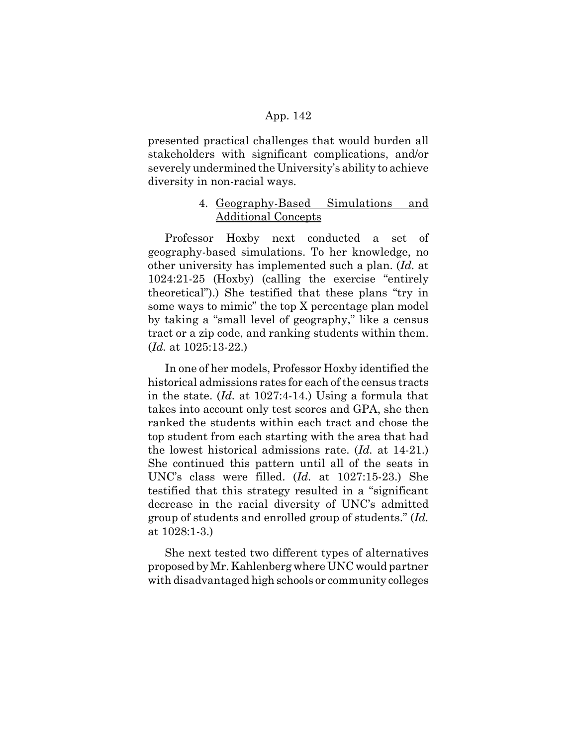presented practical challenges that would burden all stakeholders with significant complications, and/or severely undermined the University's ability to achieve diversity in non-racial ways.

# 4. Geography-Based Simulations and Additional Concepts

Professor Hoxby next conducted a set of geography-based simulations. To her knowledge, no other university has implemented such a plan. (*Id.* at 1024:21-25 (Hoxby) (calling the exercise "entirely theoretical").) She testified that these plans "try in some ways to mimic" the top X percentage plan model by taking a "small level of geography," like a census tract or a zip code, and ranking students within them. (*Id.* at 1025:13-22.)

In one of her models, Professor Hoxby identified the historical admissions rates for each of the census tracts in the state. (*Id.* at 1027:4-14.) Using a formula that takes into account only test scores and GPA, she then ranked the students within each tract and chose the top student from each starting with the area that had the lowest historical admissions rate. (*Id.* at 14-21.) She continued this pattern until all of the seats in UNC's class were filled. (*Id.* at 1027:15-23.) She testified that this strategy resulted in a "significant decrease in the racial diversity of UNC's admitted group of students and enrolled group of students." (*Id.* at 1028:1-3.)

She next tested two different types of alternatives proposed by Mr. Kahlenberg where UNC would partner with disadvantaged high schools or community colleges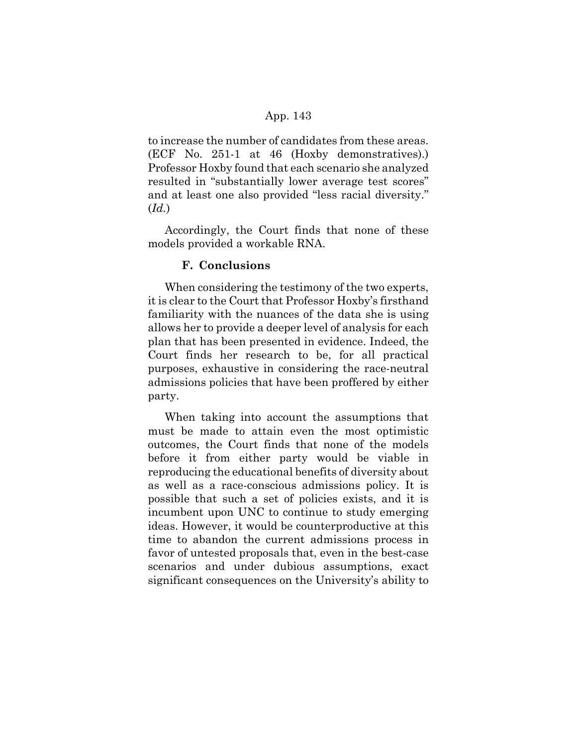to increase the number of candidates from these areas. (ECF No. 251-1 at 46 (Hoxby demonstratives).) Professor Hoxby found that each scenario she analyzed resulted in "substantially lower average test scores" and at least one also provided "less racial diversity." (*Id.*)

Accordingly, the Court finds that none of these models provided a workable RNA.

### **F. Conclusions**

When considering the testimony of the two experts, it is clear to the Court that Professor Hoxby's firsthand familiarity with the nuances of the data she is using allows her to provide a deeper level of analysis for each plan that has been presented in evidence. Indeed, the Court finds her research to be, for all practical purposes, exhaustive in considering the race-neutral admissions policies that have been proffered by either party.

When taking into account the assumptions that must be made to attain even the most optimistic outcomes, the Court finds that none of the models before it from either party would be viable in reproducing the educational benefits of diversity about as well as a race-conscious admissions policy. It is possible that such a set of policies exists, and it is incumbent upon UNC to continue to study emerging ideas. However, it would be counterproductive at this time to abandon the current admissions process in favor of untested proposals that, even in the best-case scenarios and under dubious assumptions, exact significant consequences on the University's ability to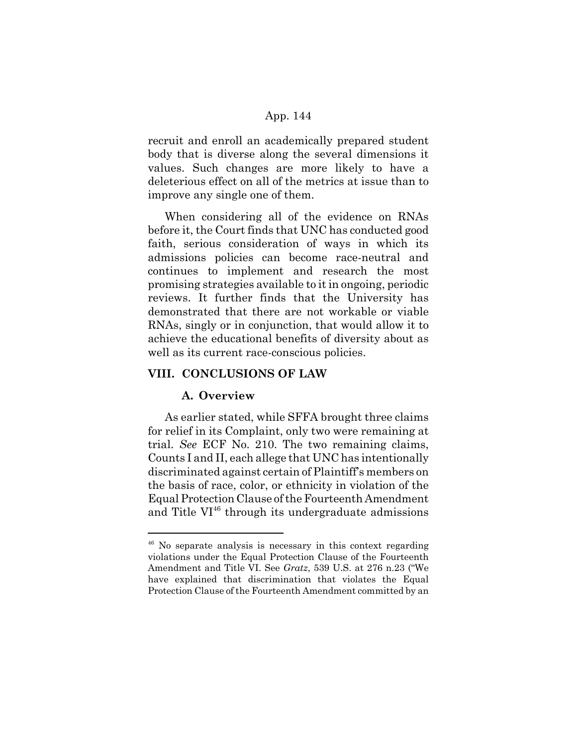recruit and enroll an academically prepared student body that is diverse along the several dimensions it values. Such changes are more likely to have a deleterious effect on all of the metrics at issue than to improve any single one of them.

When considering all of the evidence on RNAs before it, the Court finds that UNC has conducted good faith, serious consideration of ways in which its admissions policies can become race-neutral and continues to implement and research the most promising strategies available to it in ongoing, periodic reviews. It further finds that the University has demonstrated that there are not workable or viable RNAs, singly or in conjunction, that would allow it to achieve the educational benefits of diversity about as well as its current race-conscious policies.

# **VIII. CONCLUSIONS OF LAW**

### **A. Overview**

As earlier stated, while SFFA brought three claims for relief in its Complaint, only two were remaining at trial. *See* ECF No. 210. The two remaining claims, Counts I and II, each allege that UNC has intentionally discriminated against certain of Plaintiff's members on the basis of race, color, or ethnicity in violation of the Equal Protection Clause of the Fourteenth Amendment and Title  $VI^{46}$  through its undergraduate admissions

<sup>46</sup> No separate analysis is necessary in this context regarding violations under the Equal Protection Clause of the Fourteenth Amendment and Title VI. See *Gratz*, 539 U.S. at 276 n.23 ("We have explained that discrimination that violates the Equal Protection Clause of the Fourteenth Amendment committed by an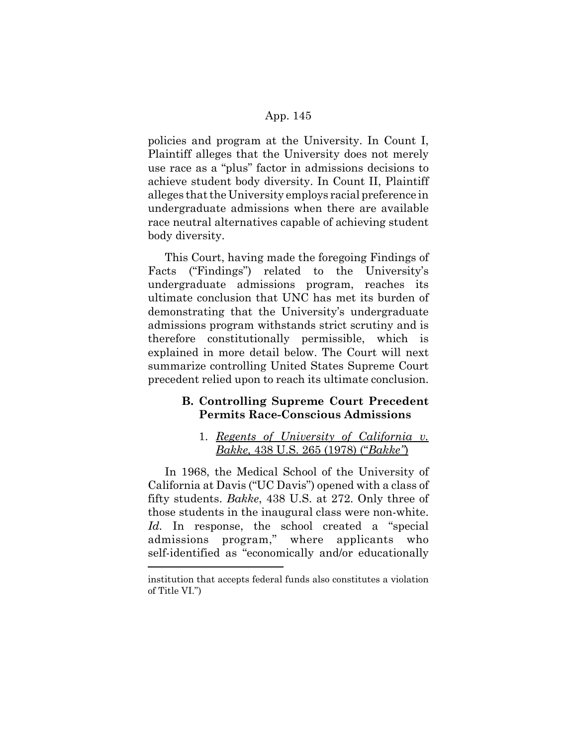policies and program at the University. In Count I, Plaintiff alleges that the University does not merely use race as a "plus" factor in admissions decisions to achieve student body diversity. In Count II, Plaintiff alleges that the University employs racial preference in undergraduate admissions when there are available race neutral alternatives capable of achieving student body diversity.

This Court, having made the foregoing Findings of Facts ("Findings") related to the University's undergraduate admissions program, reaches its ultimate conclusion that UNC has met its burden of demonstrating that the University's undergraduate admissions program withstands strict scrutiny and is therefore constitutionally permissible, which is explained in more detail below. The Court will next summarize controlling United States Supreme Court precedent relied upon to reach its ultimate conclusion.

## **B. Controlling Supreme Court Precedent Permits Race-Conscious Admissions**

## 1. *Regents of University of California v. Bakke,* 438 U.S. 265 (1978) ("*Bakke"*)

In 1968, the Medical School of the University of California at Davis ("UC Davis") opened with a class of fifty students. *Bakke*, 438 U.S. at 272. Only three of those students in the inaugural class were non-white. Id. In response, the school created a "special" admissions program," where applicants who self-identified as "economically and/or educationally

institution that accepts federal funds also constitutes a violation of Title VI.")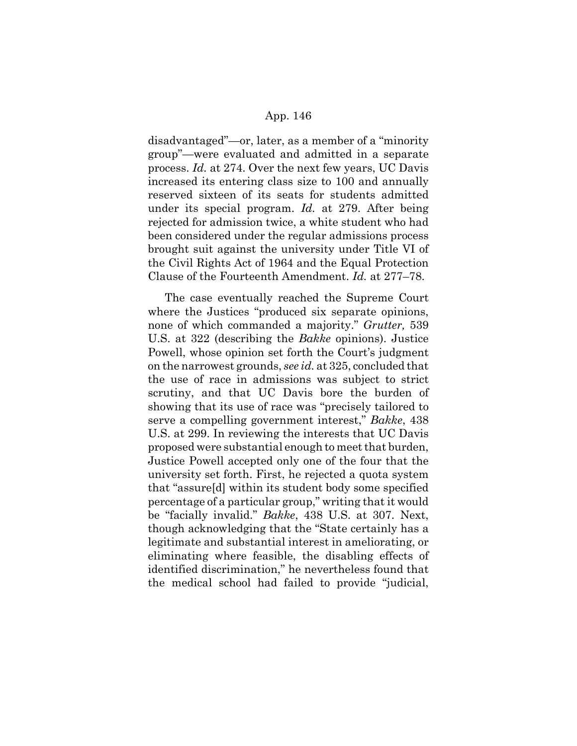disadvantaged"—or, later, as a member of a "minority group"—were evaluated and admitted in a separate process. *Id.* at 274. Over the next few years, UC Davis increased its entering class size to 100 and annually reserved sixteen of its seats for students admitted under its special program. *Id.* at 279. After being rejected for admission twice, a white student who had been considered under the regular admissions process brought suit against the university under Title VI of the Civil Rights Act of 1964 and the Equal Protection Clause of the Fourteenth Amendment. *Id.* at 277–78.

The case eventually reached the Supreme Court where the Justices "produced six separate opinions, none of which commanded a majority." *Grutter,* 539 U.S. at 322 (describing the *Bakke* opinions). Justice Powell, whose opinion set forth the Court's judgment on the narrowest grounds, *see id.* at 325, concluded that the use of race in admissions was subject to strict scrutiny, and that UC Davis bore the burden of showing that its use of race was "precisely tailored to serve a compelling government interest," *Bakke*, 438 U.S. at 299. In reviewing the interests that UC Davis proposed were substantial enough to meet that burden, Justice Powell accepted only one of the four that the university set forth. First, he rejected a quota system that "assure[d] within its student body some specified percentage of a particular group," writing that it would be "facially invalid." *Bakke*, 438 U.S. at 307. Next, though acknowledging that the "State certainly has a legitimate and substantial interest in ameliorating, or eliminating where feasible, the disabling effects of identified discrimination," he nevertheless found that the medical school had failed to provide "judicial,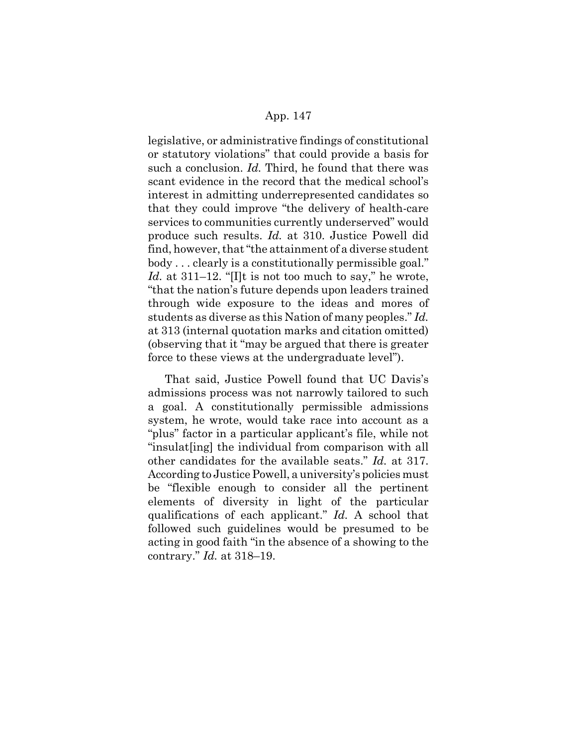legislative, or administrative findings of constitutional or statutory violations" that could provide a basis for such a conclusion. *Id.* Third, he found that there was scant evidence in the record that the medical school's interest in admitting underrepresented candidates so that they could improve "the delivery of health-care services to communities currently underserved" would produce such results. *Id.* at 310. Justice Powell did find, however, that "the attainment of a diverse student body . . . clearly is a constitutionally permissible goal." *Id.* at 311–12. "[I]t is not too much to say," he wrote, "that the nation's future depends upon leaders trained through wide exposure to the ideas and mores of students as diverse as this Nation of many peoples." *Id.* at 313 (internal quotation marks and citation omitted) (observing that it "may be argued that there is greater force to these views at the undergraduate level").

That said, Justice Powell found that UC Davis's admissions process was not narrowly tailored to such a goal. A constitutionally permissible admissions system, he wrote, would take race into account as a "plus" factor in a particular applicant's file, while not "insulat[ing] the individual from comparison with all other candidates for the available seats." *Id.* at 317. According to Justice Powell, a university's policies must be "flexible enough to consider all the pertinent elements of diversity in light of the particular qualifications of each applicant." *Id.* A school that followed such guidelines would be presumed to be acting in good faith "in the absence of a showing to the contrary." *Id.* at 318–19.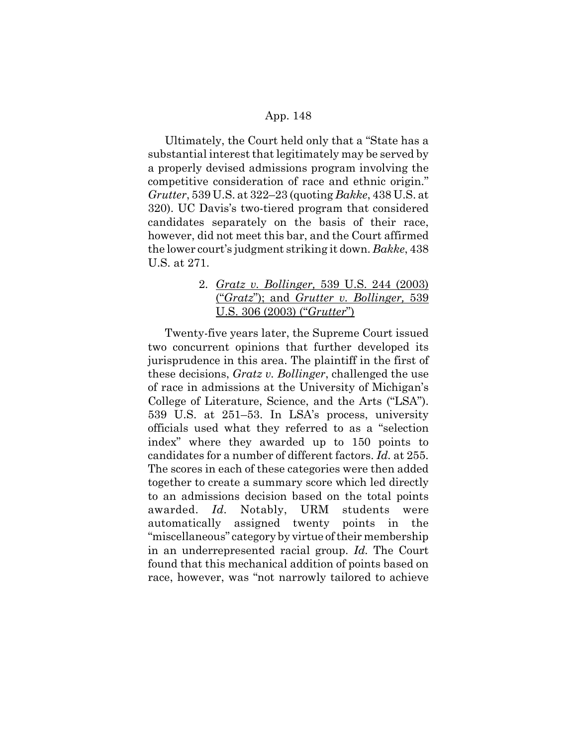Ultimately, the Court held only that a "State has a substantial interest that legitimately may be served by a properly devised admissions program involving the competitive consideration of race and ethnic origin." *Grutter*, 539 U.S. at 322–23 (quoting *Bakke*, 438 U.S. at 320). UC Davis's two-tiered program that considered candidates separately on the basis of their race, however, did not meet this bar, and the Court affirmed the lower court's judgment striking it down. *Bakke*, 438 U.S. at 271.

# 2. *Gratz v. Bollinger,* 539 U.S. 244 (2003) ("*Gratz*"); and *Grutter v. Bollinger,* 539 U.S. 306 (2003) ("*Grutter*")

Twenty-five years later, the Supreme Court issued two concurrent opinions that further developed its jurisprudence in this area. The plaintiff in the first of these decisions, *Gratz v. Bollinger*, challenged the use of race in admissions at the University of Michigan's College of Literature, Science, and the Arts ("LSA"). 539 U.S. at 251–53. In LSA's process, university officials used what they referred to as a "selection index" where they awarded up to 150 points to candidates for a number of different factors. *Id.* at 255. The scores in each of these categories were then added together to create a summary score which led directly to an admissions decision based on the total points awarded. *Id.* Notably, URM students were automatically assigned twenty points in the "miscellaneous" category by virtue of their membership in an underrepresented racial group. *Id.* The Court found that this mechanical addition of points based on race, however, was "not narrowly tailored to achieve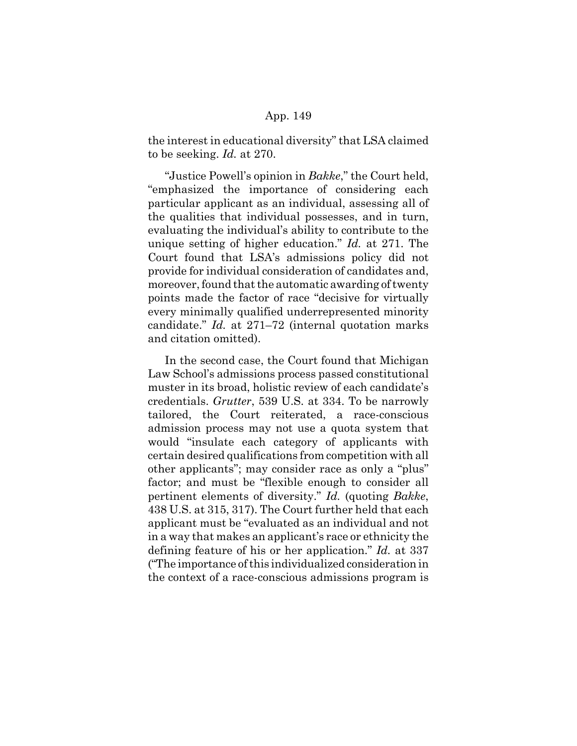the interest in educational diversity" that LSA claimed to be seeking. *Id.* at 270.

"Justice Powell's opinion in *Bakke*," the Court held, "emphasized the importance of considering each particular applicant as an individual, assessing all of the qualities that individual possesses, and in turn, evaluating the individual's ability to contribute to the unique setting of higher education." *Id.* at 271. The Court found that LSA's admissions policy did not provide for individual consideration of candidates and, moreover, found that the automatic awarding of twenty points made the factor of race "decisive for virtually every minimally qualified underrepresented minority candidate." *Id.* at 271–72 (internal quotation marks and citation omitted).

In the second case, the Court found that Michigan Law School's admissions process passed constitutional muster in its broad, holistic review of each candidate's credentials. *Grutter*, 539 U.S. at 334. To be narrowly tailored, the Court reiterated, a race-conscious admission process may not use a quota system that would "insulate each category of applicants with certain desired qualifications from competition with all other applicants"; may consider race as only a "plus" factor; and must be "flexible enough to consider all pertinent elements of diversity." *Id.* (quoting *Bakke*, 438 U.S. at 315, 317). The Court further held that each applicant must be "evaluated as an individual and not in a way that makes an applicant's race or ethnicity the defining feature of his or her application." *Id.* at 337 ("The importance of this individualized consideration in the context of a race-conscious admissions program is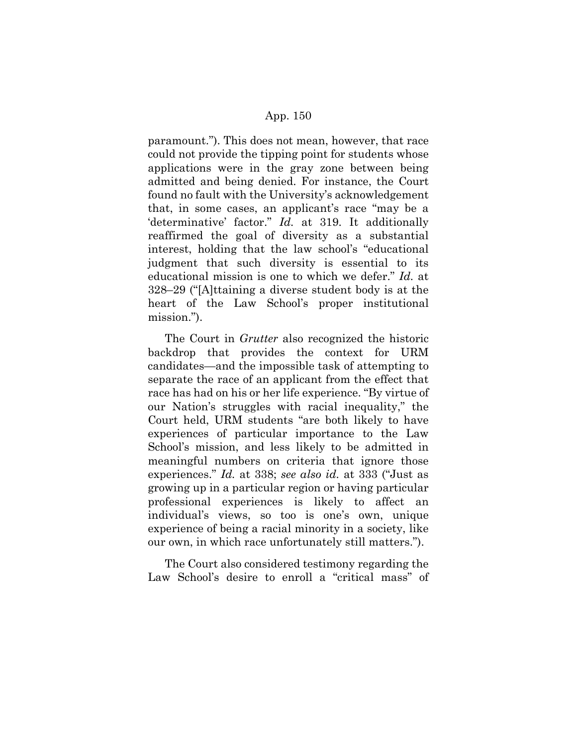paramount."). This does not mean, however, that race could not provide the tipping point for students whose applications were in the gray zone between being admitted and being denied. For instance, the Court found no fault with the University's acknowledgement that, in some cases, an applicant's race "may be a 'determinative' factor." *Id.* at 319. It additionally reaffirmed the goal of diversity as a substantial interest, holding that the law school's "educational judgment that such diversity is essential to its educational mission is one to which we defer." *Id.* at 328–29 ("[A]ttaining a diverse student body is at the heart of the Law School's proper institutional mission.").

The Court in *Grutter* also recognized the historic backdrop that provides the context for URM candidates—and the impossible task of attempting to separate the race of an applicant from the effect that race has had on his or her life experience. "By virtue of our Nation's struggles with racial inequality," the Court held, URM students "are both likely to have experiences of particular importance to the Law School's mission, and less likely to be admitted in meaningful numbers on criteria that ignore those experiences." *Id.* at 338; *see also id.* at 333 ("Just as growing up in a particular region or having particular professional experiences is likely to affect an individual's views, so too is one's own, unique experience of being a racial minority in a society, like our own, in which race unfortunately still matters.").

The Court also considered testimony regarding the Law School's desire to enroll a "critical mass" of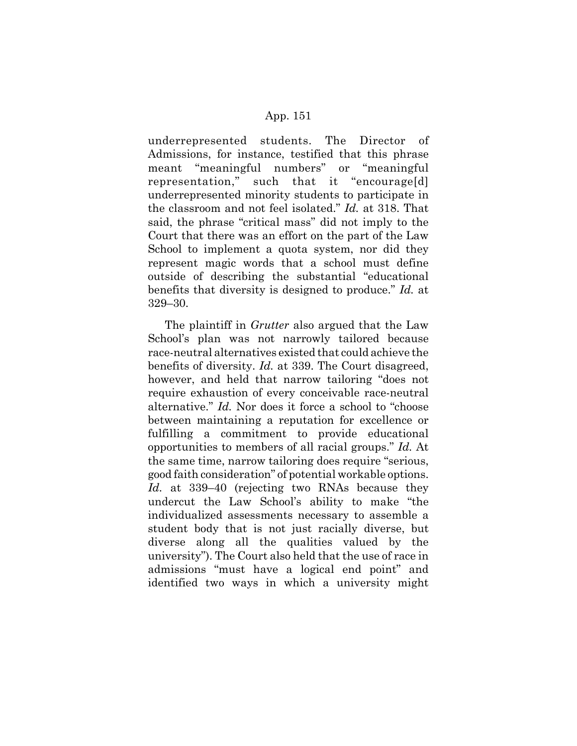underrepresented students. The Director of Admissions, for instance, testified that this phrase meant "meaningful numbers" or "meaningful representation," such that it "encourage[d] underrepresented minority students to participate in the classroom and not feel isolated." *Id.* at 318. That said, the phrase "critical mass" did not imply to the Court that there was an effort on the part of the Law School to implement a quota system, nor did they represent magic words that a school must define outside of describing the substantial "educational benefits that diversity is designed to produce." *Id.* at 329–30.

The plaintiff in *Grutter* also argued that the Law School's plan was not narrowly tailored because race-neutral alternatives existed that could achieve the benefits of diversity. *Id.* at 339. The Court disagreed, however, and held that narrow tailoring "does not require exhaustion of every conceivable race-neutral alternative." *Id.* Nor does it force a school to "choose between maintaining a reputation for excellence or fulfilling a commitment to provide educational opportunities to members of all racial groups." *Id.* At the same time, narrow tailoring does require "serious, good faith consideration" of potential workable options. *Id.* at 339–40 (rejecting two RNAs because they undercut the Law School's ability to make "the individualized assessments necessary to assemble a student body that is not just racially diverse, but diverse along all the qualities valued by the university"). The Court also held that the use of race in admissions "must have a logical end point" and identified two ways in which a university might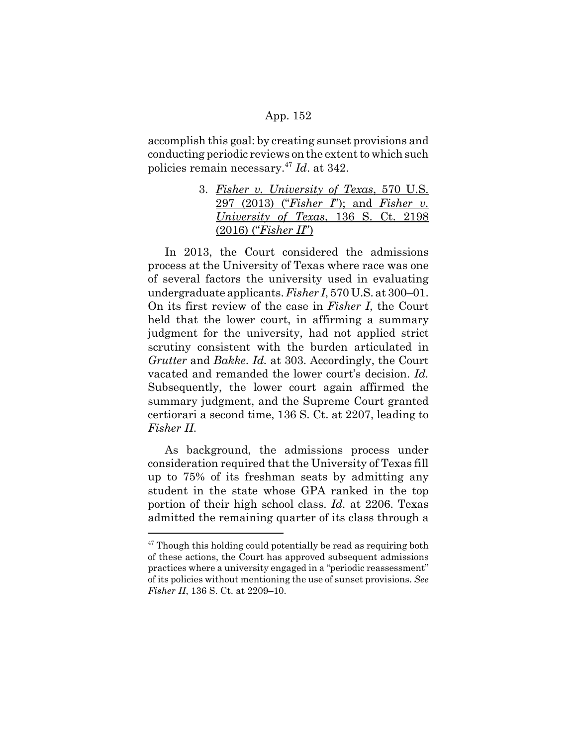accomplish this goal: by creating sunset provisions and conducting periodic reviews on the extent to which such policies remain necessary.47 *Id*. at 342.

> 3. *Fisher v. University of Texas*, 570 U.S. 297 (2013) ("*Fisher I*"); and *Fisher v. University of Texas*, 136 S. Ct. 2198 (2016) ("*Fisher II*")

In 2013, the Court considered the admissions process at the University of Texas where race was one of several factors the university used in evaluating undergraduate applicants. *Fisher I*, 570 U.S. at 300–01. On its first review of the case in *Fisher I*, the Court held that the lower court, in affirming a summary judgment for the university, had not applied strict scrutiny consistent with the burden articulated in *Grutter* and *Bakke*. *Id.* at 303. Accordingly, the Court vacated and remanded the lower court's decision. *Id.* Subsequently, the lower court again affirmed the summary judgment, and the Supreme Court granted certiorari a second time, 136 S. Ct. at 2207, leading to *Fisher II*.

As background, the admissions process under consideration required that the University of Texas fill up to 75% of its freshman seats by admitting any student in the state whose GPA ranked in the top portion of their high school class. *Id.* at 2206. Texas admitted the remaining quarter of its class through a

 $47$  Though this holding could potentially be read as requiring both of these actions, the Court has approved subsequent admissions practices where a university engaged in a "periodic reassessment" of its policies without mentioning the use of sunset provisions. *See Fisher II*, 136 S. Ct. at 2209–10.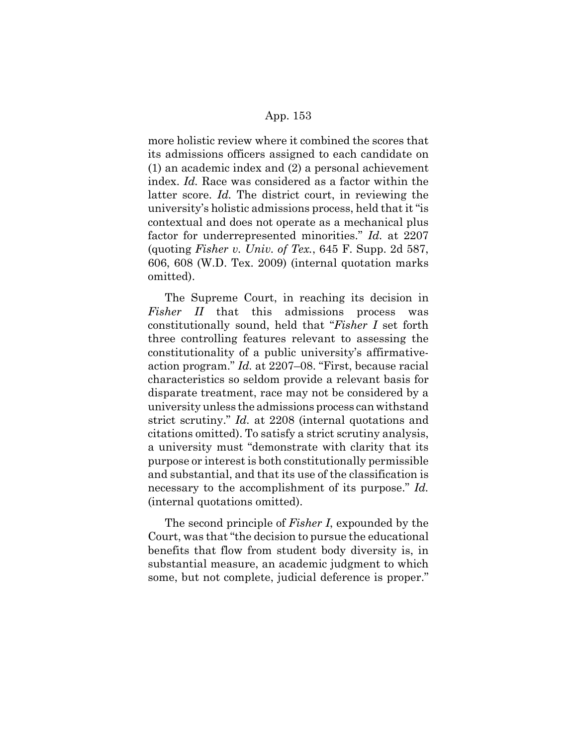more holistic review where it combined the scores that its admissions officers assigned to each candidate on (1) an academic index and (2) a personal achievement index. *Id.* Race was considered as a factor within the latter score. *Id.* The district court, in reviewing the university's holistic admissions process, held that it "is contextual and does not operate as a mechanical plus factor for underrepresented minorities." *Id.* at 2207 (quoting *Fisher v. Univ. of Tex.*, 645 F. Supp. 2d 587, 606, 608 (W.D. Tex. 2009) (internal quotation marks omitted).

The Supreme Court, in reaching its decision in *Fisher II* that this admissions process was constitutionally sound, held that "*Fisher I* set forth three controlling features relevant to assessing the constitutionality of a public university's affirmativeaction program." *Id.* at 2207–08. "First, because racial characteristics so seldom provide a relevant basis for disparate treatment, race may not be considered by a university unless the admissions process can withstand strict scrutiny." *Id.* at 2208 (internal quotations and citations omitted). To satisfy a strict scrutiny analysis, a university must "demonstrate with clarity that its purpose or interest is both constitutionally permissible and substantial, and that its use of the classification is necessary to the accomplishment of its purpose." *Id.* (internal quotations omitted).

The second principle of *Fisher I*, expounded by the Court, was that "the decision to pursue the educational benefits that flow from student body diversity is, in substantial measure, an academic judgment to which some, but not complete, judicial deference is proper."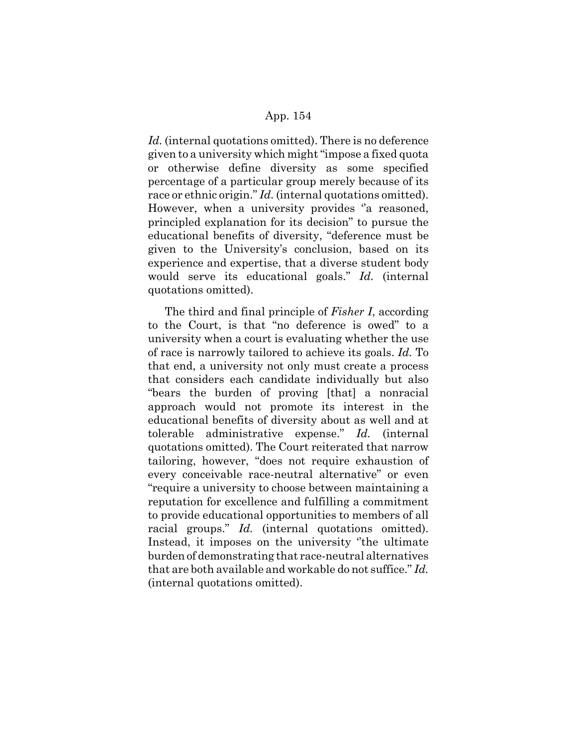*Id.* (internal quotations omitted). There is no deference given to a university which might "impose a fixed quota or otherwise define diversity as some specified percentage of a particular group merely because of its race or ethnic origin." *Id.* (internal quotations omitted). However, when a university provides "a reasoned, principled explanation for its decision" to pursue the educational benefits of diversity, "deference must be given to the University's conclusion, based on its experience and expertise, that a diverse student body would serve its educational goals." *Id.* (internal quotations omitted).

The third and final principle of *Fisher I*, according to the Court, is that "no deference is owed" to a university when a court is evaluating whether the use of race is narrowly tailored to achieve its goals. *Id.* To that end, a university not only must create a process that considers each candidate individually but also "bears the burden of proving [that] a nonracial approach would not promote its interest in the educational benefits of diversity about as well and at tolerable administrative expense." *Id.* (internal quotations omitted). The Court reiterated that narrow tailoring, however, "does not require exhaustion of every conceivable race-neutral alternative" or even "require a university to choose between maintaining a reputation for excellence and fulfilling a commitment to provide educational opportunities to members of all racial groups." *Id.* (internal quotations omitted). Instead, it imposes on the university ''the ultimate burden of demonstrating that race-neutral alternatives that are both available and workable do not suffice." *Id.* (internal quotations omitted).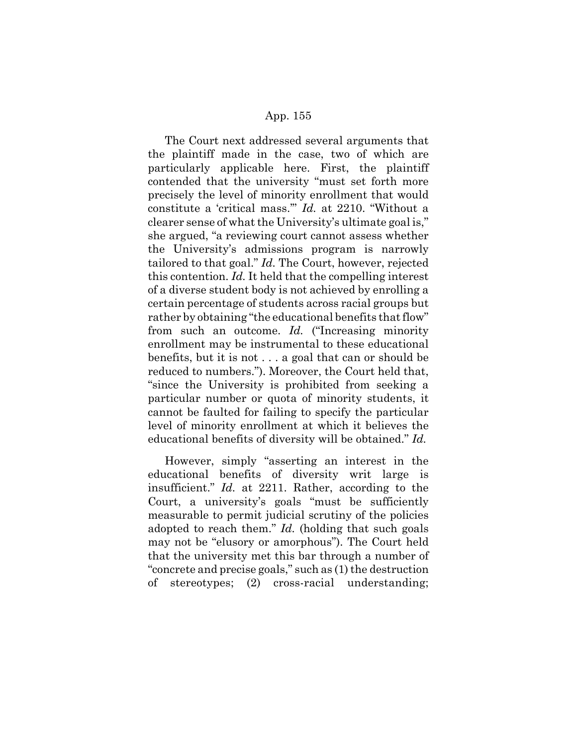The Court next addressed several arguments that the plaintiff made in the case, two of which are particularly applicable here. First, the plaintiff contended that the university "must set forth more precisely the level of minority enrollment that would constitute a 'critical mass.'" *Id.* at 2210. "Without a clearer sense of what the University's ultimate goal is," she argued, "a reviewing court cannot assess whether the University's admissions program is narrowly tailored to that goal." *Id.* The Court, however, rejected this contention. *Id.* It held that the compelling interest of a diverse student body is not achieved by enrolling a certain percentage of students across racial groups but rather by obtaining "the educational benefits that flow" from such an outcome. *Id.* ("Increasing minority enrollment may be instrumental to these educational benefits, but it is not . . . a goal that can or should be reduced to numbers."). Moreover, the Court held that, "since the University is prohibited from seeking a particular number or quota of minority students, it cannot be faulted for failing to specify the particular level of minority enrollment at which it believes the educational benefits of diversity will be obtained." *Id.*

However, simply "asserting an interest in the educational benefits of diversity writ large is insufficient." *Id.* at 2211. Rather, according to the Court, a university's goals "must be sufficiently measurable to permit judicial scrutiny of the policies adopted to reach them." *Id.* (holding that such goals may not be "elusory or amorphous"). The Court held that the university met this bar through a number of "concrete and precise goals," such as (1) the destruction of stereotypes; (2) cross-racial understanding;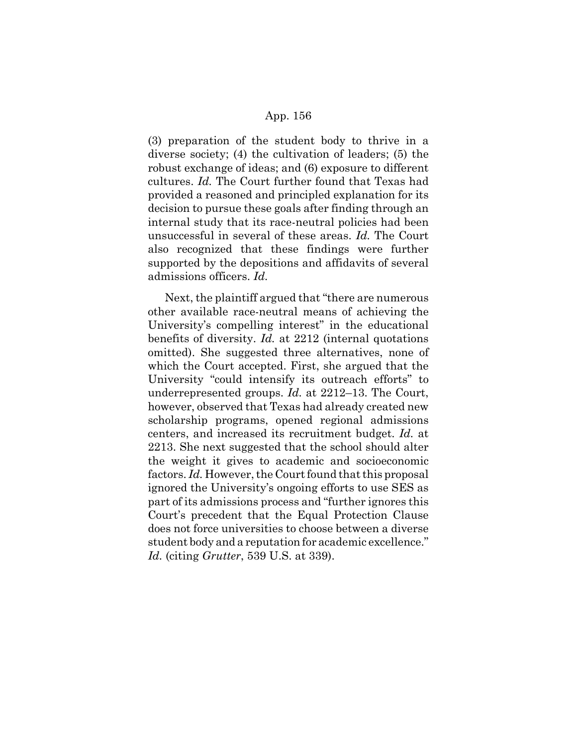(3) preparation of the student body to thrive in a diverse society; (4) the cultivation of leaders; (5) the robust exchange of ideas; and (6) exposure to different cultures. *Id.* The Court further found that Texas had provided a reasoned and principled explanation for its decision to pursue these goals after finding through an internal study that its race-neutral policies had been unsuccessful in several of these areas. *Id.* The Court also recognized that these findings were further supported by the depositions and affidavits of several admissions officers. *Id.*

Next, the plaintiff argued that "there are numerous other available race-neutral means of achieving the University's compelling interest" in the educational benefits of diversity. *Id.* at 2212 (internal quotations omitted). She suggested three alternatives, none of which the Court accepted. First, she argued that the University "could intensify its outreach efforts" to underrepresented groups. *Id.* at 2212–13. The Court, however, observed that Texas had already created new scholarship programs, opened regional admissions centers, and increased its recruitment budget. *Id.* at 2213. She next suggested that the school should alter the weight it gives to academic and socioeconomic factors. *Id.* However, the Court found that this proposal ignored the University's ongoing efforts to use SES as part of its admissions process and "further ignores this Court's precedent that the Equal Protection Clause does not force universities to choose between a diverse student body and a reputation for academic excellence." *Id.* (citing *Grutter*, 539 U.S. at 339).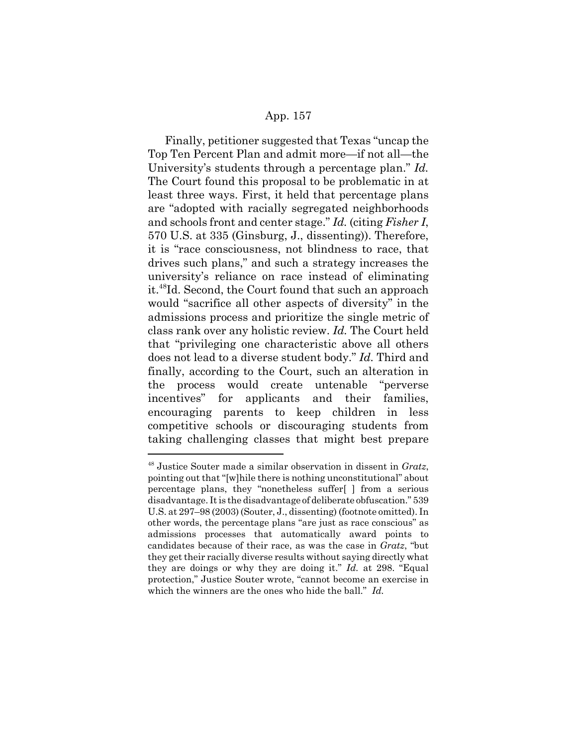Finally, petitioner suggested that Texas "uncap the Top Ten Percent Plan and admit more—if not all—the University's students through a percentage plan." *Id.* The Court found this proposal to be problematic in at least three ways. First, it held that percentage plans are "adopted with racially segregated neighborhoods and schools front and center stage." *Id.* (citing *Fisher I*, 570 U.S. at 335 (Ginsburg, J., dissenting)). Therefore, it is "race consciousness, not blindness to race, that drives such plans," and such a strategy increases the university's reliance on race instead of eliminating it.48Id. Second, the Court found that such an approach would "sacrifice all other aspects of diversity" in the admissions process and prioritize the single metric of class rank over any holistic review. *Id.* The Court held that "privileging one characteristic above all others does not lead to a diverse student body." *Id.* Third and finally, according to the Court, such an alteration in the process would create untenable "perverse incentives" for applicants and their families, encouraging parents to keep children in less competitive schools or discouraging students from taking challenging classes that might best prepare

<sup>48</sup> Justice Souter made a similar observation in dissent in *Gratz*, pointing out that "[w]hile there is nothing unconstitutional" about percentage plans, they "nonetheless suffer[ ] from a serious disadvantage. It is the disadvantage of deliberate obfuscation." 539 U.S. at 297–98 (2003) (Souter, J., dissenting) (footnote omitted). In other words, the percentage plans "are just as race conscious" as admissions processes that automatically award points to candidates because of their race, as was the case in *Gratz*, "but they get their racially diverse results without saying directly what they are doings or why they are doing it." *Id.* at 298. "Equal protection," Justice Souter wrote, "cannot become an exercise in which the winners are the ones who hide the ball." *Id.*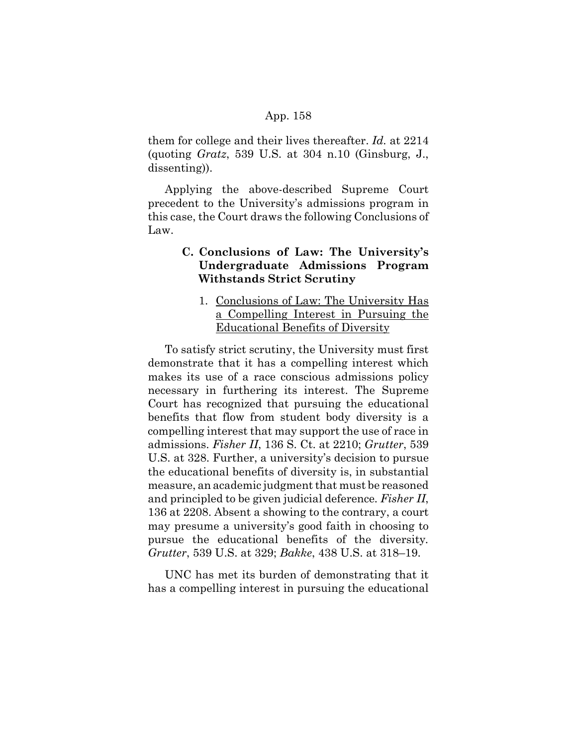them for college and their lives thereafter. *Id.* at 2214 (quoting *Gratz*, 539 U.S. at 304 n.10 (Ginsburg, J., dissenting)).

Applying the above-described Supreme Court precedent to the University's admissions program in this case, the Court draws the following Conclusions of Law.

# **C. Conclusions of Law: The University's Undergraduate Admissions Program Withstands Strict Scrutiny**

1. Conclusions of Law: The University Has a Compelling Interest in Pursuing the Educational Benefits of Diversity

To satisfy strict scrutiny, the University must first demonstrate that it has a compelling interest which makes its use of a race conscious admissions policy necessary in furthering its interest. The Supreme Court has recognized that pursuing the educational benefits that flow from student body diversity is a compelling interest that may support the use of race in admissions. *Fisher II*, 136 S. Ct. at 2210; *Grutter*, 539 U.S. at 328. Further, a university's decision to pursue the educational benefits of diversity is, in substantial measure, an academic judgment that must be reasoned and principled to be given judicial deference*. Fisher II*, 136 at 2208. Absent a showing to the contrary, a court may presume a university's good faith in choosing to pursue the educational benefits of the diversity*. Grutter*, 539 U.S. at 329; *Bakke*, 438 U.S. at 318–19.

UNC has met its burden of demonstrating that it has a compelling interest in pursuing the educational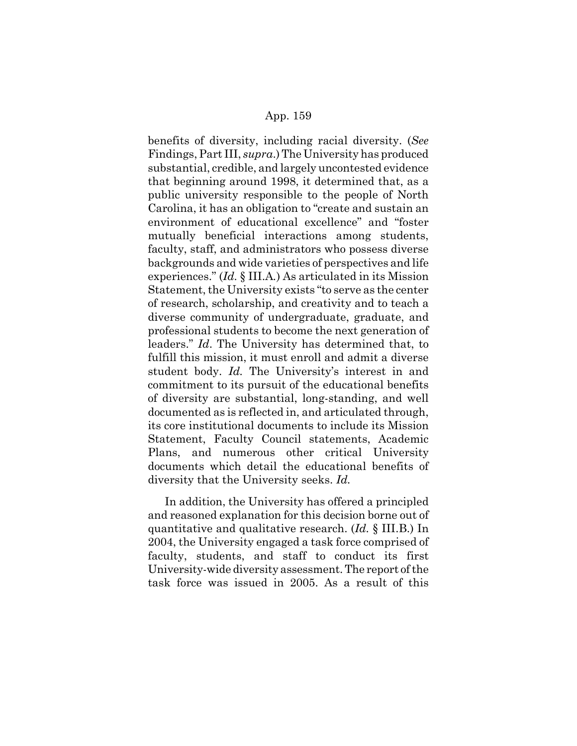benefits of diversity, including racial diversity. (*See* Findings, Part III, *supra*.) The University has produced substantial, credible, and largely uncontested evidence that beginning around 1998, it determined that, as a public university responsible to the people of North Carolina, it has an obligation to "create and sustain an environment of educational excellence" and "foster mutually beneficial interactions among students, faculty, staff, and administrators who possess diverse backgrounds and wide varieties of perspectives and life experiences." (*Id.* § III.A*.*) As articulated in its Mission Statement, the University exists "to serve as the center of research, scholarship, and creativity and to teach a diverse community of undergraduate, graduate, and professional students to become the next generation of leaders." *Id*. The University has determined that, to fulfill this mission, it must enroll and admit a diverse student body. *Id.* The University's interest in and commitment to its pursuit of the educational benefits of diversity are substantial, long-standing, and well documented as is reflected in, and articulated through, its core institutional documents to include its Mission Statement, Faculty Council statements, Academic Plans, and numerous other critical University documents which detail the educational benefits of diversity that the University seeks. *Id.*

In addition, the University has offered a principled and reasoned explanation for this decision borne out of quantitative and qualitative research. (*Id.* § III.B.) In 2004, the University engaged a task force comprised of faculty, students, and staff to conduct its first University-wide diversity assessment. The report of the task force was issued in 2005. As a result of this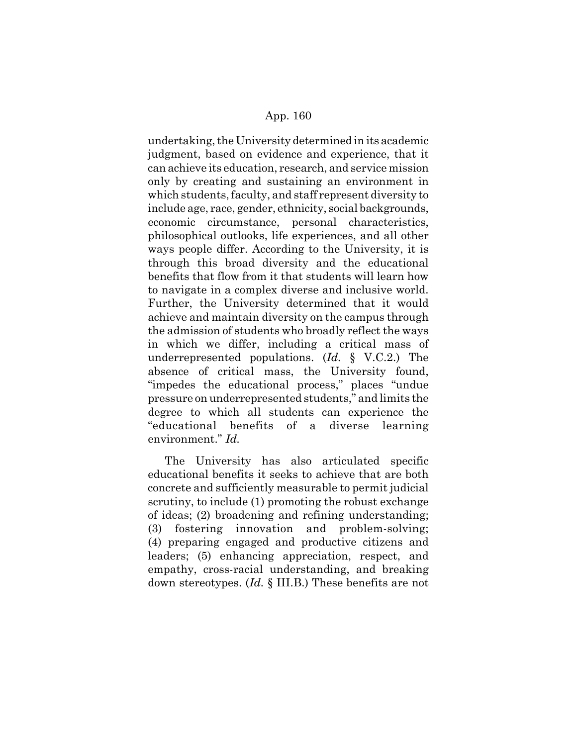undertaking, the University determined in its academic judgment, based on evidence and experience, that it can achieve its education, research, and service mission only by creating and sustaining an environment in which students, faculty, and staff represent diversity to include age, race, gender, ethnicity, social backgrounds, economic circumstance, personal characteristics, philosophical outlooks, life experiences, and all other ways people differ. According to the University, it is through this broad diversity and the educational benefits that flow from it that students will learn how to navigate in a complex diverse and inclusive world. Further, the University determined that it would achieve and maintain diversity on the campus through the admission of students who broadly reflect the ways in which we differ, including a critical mass of underrepresented populations. (*Id.* § V.C.2.) The absence of critical mass, the University found, "impedes the educational process," places "undue pressure on underrepresented students," and limits the degree to which all students can experience the "educational benefits of a diverse learning environment." *Id.*

The University has also articulated specific educational benefits it seeks to achieve that are both concrete and sufficiently measurable to permit judicial scrutiny, to include (1) promoting the robust exchange of ideas; (2) broadening and refining understanding; (3) fostering innovation and problem-solving; (4) preparing engaged and productive citizens and leaders; (5) enhancing appreciation, respect, and empathy, cross-racial understanding, and breaking down stereotypes. (*Id.* § III.B.) These benefits are not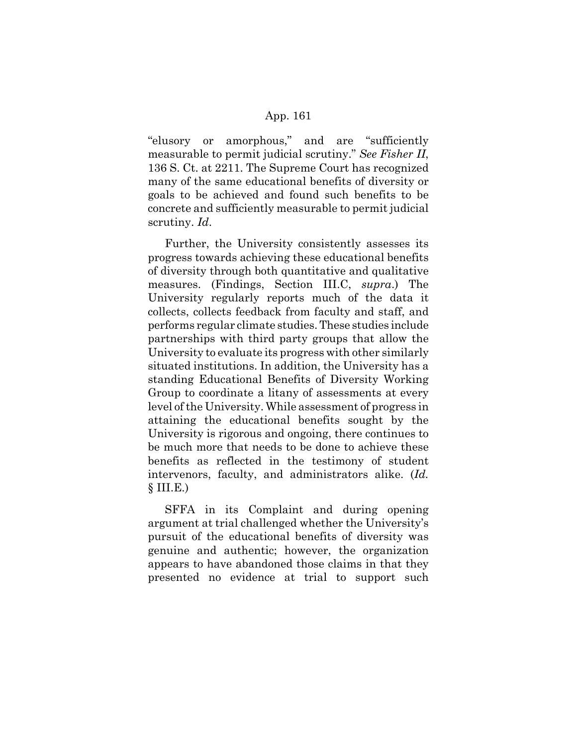"elusory or amorphous," and are "sufficiently measurable to permit judicial scrutiny." *See Fisher II*, 136 S. Ct. at 2211. The Supreme Court has recognized many of the same educational benefits of diversity or goals to be achieved and found such benefits to be concrete and sufficiently measurable to permit judicial scrutiny. *Id*.

Further, the University consistently assesses its progress towards achieving these educational benefits of diversity through both quantitative and qualitative measures. (Findings, Section III.C, *supra*.) The University regularly reports much of the data it collects, collects feedback from faculty and staff, and performs regular climate studies. These studies include partnerships with third party groups that allow the University to evaluate its progress with other similarly situated institutions. In addition, the University has a standing Educational Benefits of Diversity Working Group to coordinate a litany of assessments at every level of the University. While assessment of progress in attaining the educational benefits sought by the University is rigorous and ongoing, there continues to be much more that needs to be done to achieve these benefits as reflected in the testimony of student intervenors, faculty, and administrators alike. (*Id.*  $$ III.E.)$ 

SFFA in its Complaint and during opening argument at trial challenged whether the University's pursuit of the educational benefits of diversity was genuine and authentic; however, the organization appears to have abandoned those claims in that they presented no evidence at trial to support such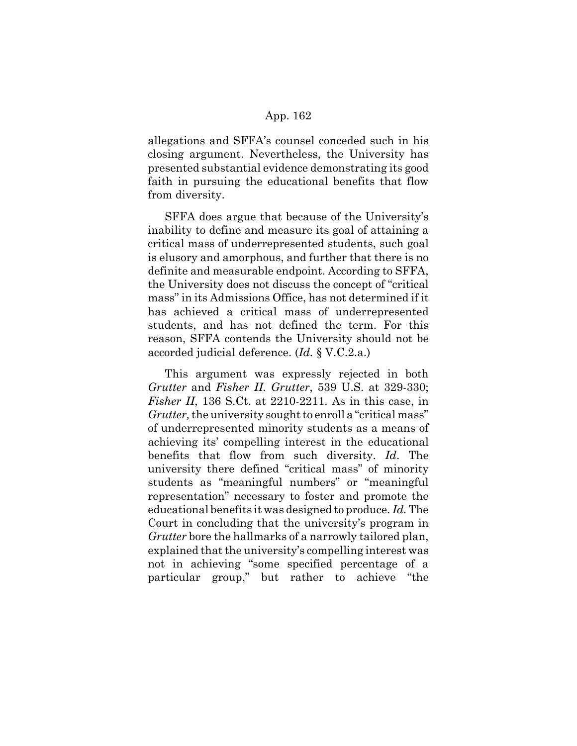allegations and SFFA's counsel conceded such in his closing argument. Nevertheless, the University has presented substantial evidence demonstrating its good faith in pursuing the educational benefits that flow from diversity.

SFFA does argue that because of the University's inability to define and measure its goal of attaining a critical mass of underrepresented students, such goal is elusory and amorphous, and further that there is no definite and measurable endpoint. According to SFFA, the University does not discuss the concept of "critical mass" in its Admissions Office, has not determined if it has achieved a critical mass of underrepresented students, and has not defined the term. For this reason, SFFA contends the University should not be accorded judicial deference. (*Id.* § V.C.2.a.)

This argument was expressly rejected in both *Grutter* and *Fisher II. Grutter*, 539 U.S. at 329-330; *Fisher II*, 136 S.Ct. at 2210-2211. As in this case, in *Grutter,* the university sought to enroll a "critical mass" of underrepresented minority students as a means of achieving its' compelling interest in the educational benefits that flow from such diversity. *Id*. The university there defined "critical mass" of minority students as "meaningful numbers" or "meaningful representation" necessary to foster and promote the educational benefits it was designed to produce. *Id.* The Court in concluding that the university's program in *Grutter* bore the hallmarks of a narrowly tailored plan, explained that the university's compelling interest was not in achieving "some specified percentage of a particular group," but rather to achieve "the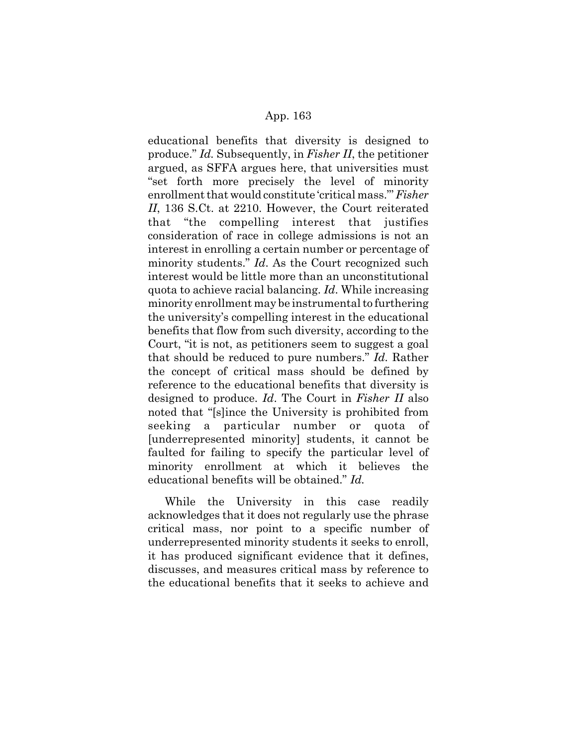educational benefits that diversity is designed to produce." *Id.* Subsequently, in *Fisher II*, the petitioner argued, as SFFA argues here, that universities must "set forth more precisely the level of minority enrollment that would constitute 'critical mass."' *Fisher II*, 136 S.Ct. at 2210. However, the Court reiterated that "the compelling interest that justifies consideration of race in college admissions is not an interest in enrolling a certain number or percentage of minority students." *Id*. As the Court recognized such interest would be little more than an unconstitutional quota to achieve racial balancing. *Id*. While increasing minority enrollment may be instrumental to furthering the university's compelling interest in the educational benefits that flow from such diversity, according to the Court, "it is not, as petitioners seem to suggest a goal that should be reduced to pure numbers." *Id.* Rather the concept of critical mass should be defined by reference to the educational benefits that diversity is designed to produce. *Id*. The Court in *Fisher II* also noted that "[s]ince the University is prohibited from seeking a particular number or quota of [underrepresented minority] students, it cannot be faulted for failing to specify the particular level of minority enrollment at which it believes the educational benefits will be obtained." *Id.*

While the University in this case readily acknowledges that it does not regularly use the phrase critical mass, nor point to a specific number of underrepresented minority students it seeks to enroll, it has produced significant evidence that it defines, discusses, and measures critical mass by reference to the educational benefits that it seeks to achieve and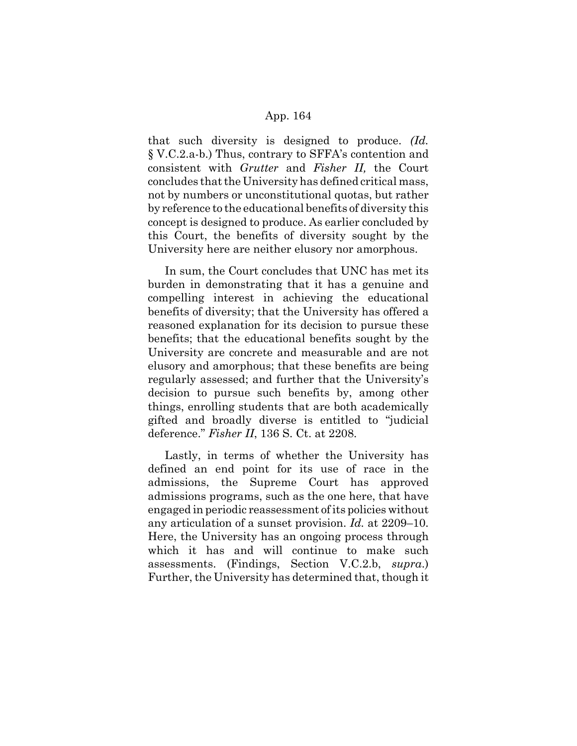that such diversity is designed to produce. *(Id.* § V.C.2.a-b.) Thus, contrary to SFFA's contention and consistent with *Grutter* and *Fisher II,* the Court concludes that the University has defined critical mass, not by numbers or unconstitutional quotas, but rather by reference to the educational benefits of diversity this concept is designed to produce. As earlier concluded by this Court, the benefits of diversity sought by the University here are neither elusory nor amorphous.

In sum, the Court concludes that UNC has met its burden in demonstrating that it has a genuine and compelling interest in achieving the educational benefits of diversity; that the University has offered a reasoned explanation for its decision to pursue these benefits; that the educational benefits sought by the University are concrete and measurable and are not elusory and amorphous; that these benefits are being regularly assessed; and further that the University's decision to pursue such benefits by, among other things, enrolling students that are both academically gifted and broadly diverse is entitled to "judicial deference." *Fisher II*, 136 S. Ct. at 2208.

Lastly, in terms of whether the University has defined an end point for its use of race in the admissions, the Supreme Court has approved admissions programs, such as the one here, that have engaged in periodic reassessment of its policies without any articulation of a sunset provision. *Id.* at 2209–10. Here, the University has an ongoing process through which it has and will continue to make such assessments. (Findings, Section V.C.2.b, *supra*.) Further, the University has determined that, though it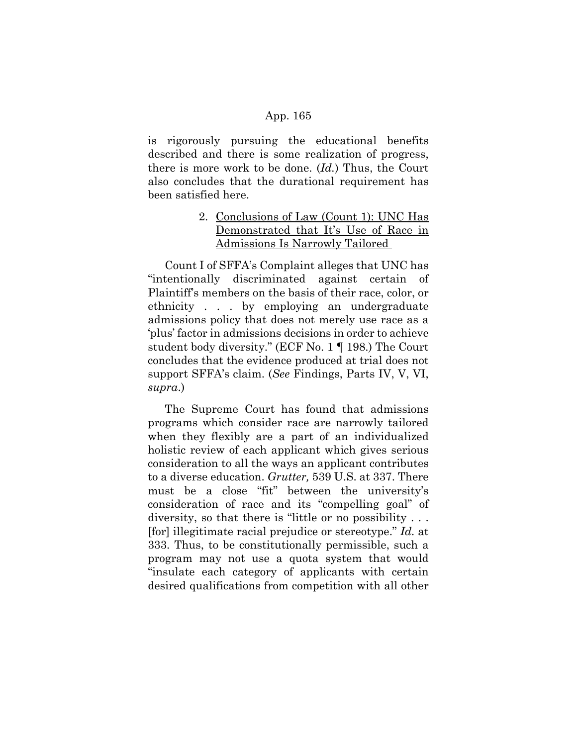is rigorously pursuing the educational benefits described and there is some realization of progress, there is more work to be done. (*Id.*) Thus, the Court also concludes that the durational requirement has been satisfied here.

# 2. Conclusions of Law (Count 1): UNC Has Demonstrated that It's Use of Race in Admissions Is Narrowly Tailored

Count I of SFFA's Complaint alleges that UNC has "intentionally discriminated against certain of Plaintiff's members on the basis of their race, color, or ethnicity . . . by employing an undergraduate admissions policy that does not merely use race as a 'plus' factor in admissions decisions in order to achieve student body diversity." (ECF No. 1 ¶ 198.) The Court concludes that the evidence produced at trial does not support SFFA's claim. (*See* Findings, Parts IV, V, VI, *supra*.)

The Supreme Court has found that admissions programs which consider race are narrowly tailored when they flexibly are a part of an individualized holistic review of each applicant which gives serious consideration to all the ways an applicant contributes to a diverse education. *Grutter,* 539 U.S. at 337. There must be a close "fit" between the university's consideration of race and its "compelling goal" of diversity, so that there is "little or no possibility . . . [for] illegitimate racial prejudice or stereotype." *Id.* at 333. Thus, to be constitutionally permissible, such a program may not use a quota system that would "insulate each category of applicants with certain desired qualifications from competition with all other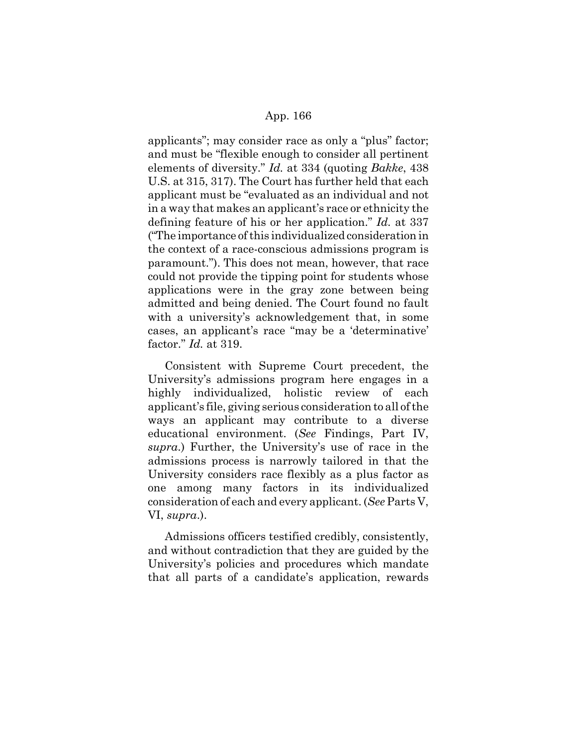applicants"; may consider race as only a "plus" factor; and must be "flexible enough to consider all pertinent elements of diversity." *Id.* at 334 (quoting *Bakke*, 438 U.S. at 315, 317). The Court has further held that each applicant must be "evaluated as an individual and not in a way that makes an applicant's race or ethnicity the defining feature of his or her application." *Id.* at 337 ("The importance of this individualized consideration in the context of a race-conscious admissions program is paramount."). This does not mean, however, that race could not provide the tipping point for students whose applications were in the gray zone between being admitted and being denied. The Court found no fault with a university's acknowledgement that, in some cases, an applicant's race "may be a 'determinative' factor." *Id.* at 319.

Consistent with Supreme Court precedent, the University's admissions program here engages in a highly individualized, holistic review of each applicant's file, giving serious consideration to all of the ways an applicant may contribute to a diverse educational environment. (*See* Findings, Part IV, *supra*.) Further, the University's use of race in the admissions process is narrowly tailored in that the University considers race flexibly as a plus factor as one among many factors in its individualized consideration of each and every applicant. (*See* Parts V, VI, *supra*.).

Admissions officers testified credibly, consistently, and without contradiction that they are guided by the University's policies and procedures which mandate that all parts of a candidate's application, rewards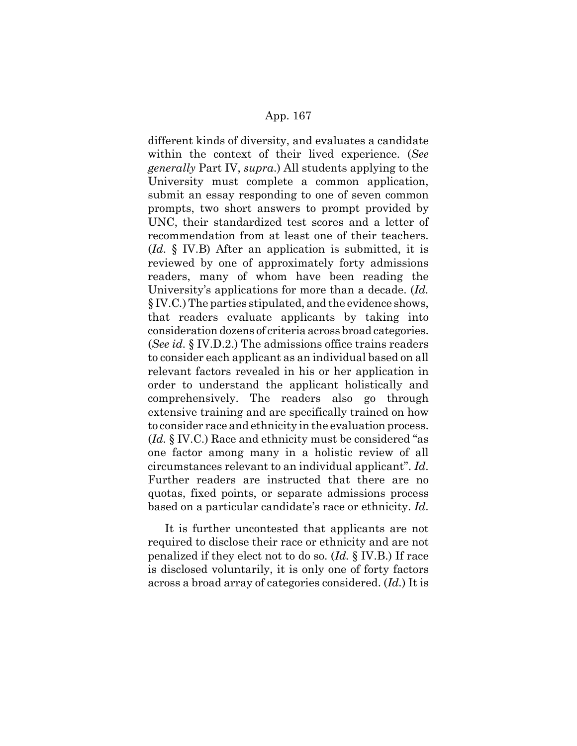different kinds of diversity, and evaluates a candidate within the context of their lived experience. (*See generally* Part IV, *supra*.) All students applying to the University must complete a common application, submit an essay responding to one of seven common prompts, two short answers to prompt provided by UNC, their standardized test scores and a letter of recommendation from at least one of their teachers. (*Id*. § IV.B) After an application is submitted, it is reviewed by one of approximately forty admissions readers, many of whom have been reading the University's applications for more than a decade. (*Id.* § IV.C*.*) The parties stipulated, and the evidence shows, that readers evaluate applicants by taking into consideration dozens of criteria across broad categories. (*See id.* § IV.D.2.) The admissions office trains readers to consider each applicant as an individual based on all relevant factors revealed in his or her application in order to understand the applicant holistically and comprehensively. The readers also go through extensive training and are specifically trained on how to consider race and ethnicity in the evaluation process. (*Id.* § IV.C.) Race and ethnicity must be considered "as one factor among many in a holistic review of all circumstances relevant to an individual applicant". *Id*. Further readers are instructed that there are no quotas, fixed points, or separate admissions process based on a particular candidate's race or ethnicity. *Id*.

It is further uncontested that applicants are not required to disclose their race or ethnicity and are not penalized if they elect not to do so. (*Id.* § IV.B.) If race is disclosed voluntarily, it is only one of forty factors across a broad array of categories considered. (*Id.*) It is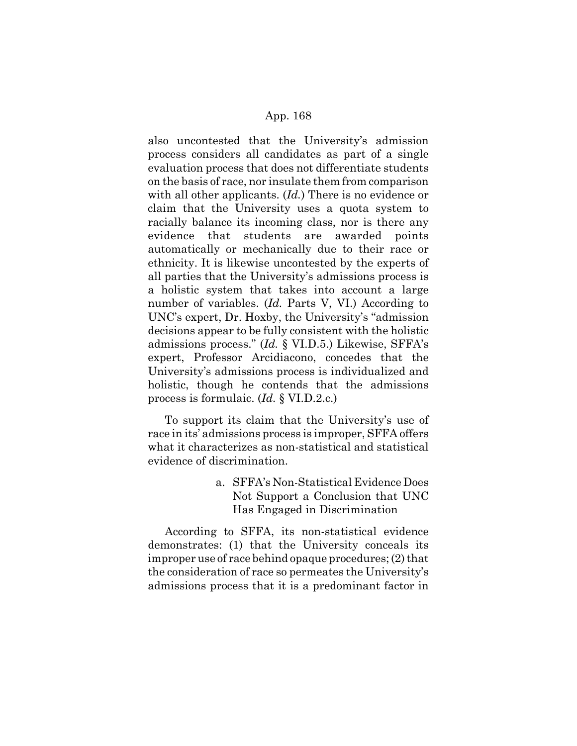also uncontested that the University's admission process considers all candidates as part of a single evaluation process that does not differentiate students on the basis of race, nor insulate them from comparison with all other applicants. (*Id.*) There is no evidence or claim that the University uses a quota system to racially balance its incoming class, nor is there any evidence that students are awarded points automatically or mechanically due to their race or ethnicity. It is likewise uncontested by the experts of all parties that the University's admissions process is a holistic system that takes into account a large number of variables. (*Id.* Parts V, VI.) According to UNC's expert, Dr. Hoxby, the University's "admission decisions appear to be fully consistent with the holistic admissions process." (*Id.* § VI.D.5.) Likewise, SFFA's expert, Professor Arcidiacono, concedes that the University's admissions process is individualized and holistic, though he contends that the admissions process is formulaic. (*Id.* § VI.D.2.c.)

To support its claim that the University's use of race in its' admissions process is improper, SFFA offers what it characterizes as non-statistical and statistical evidence of discrimination.

> a. SFFA's Non-Statistical Evidence Does Not Support a Conclusion that UNC Has Engaged in Discrimination

According to SFFA, its non-statistical evidence demonstrates: (1) that the University conceals its improper use of race behind opaque procedures; (2) that the consideration of race so permeates the University's admissions process that it is a predominant factor in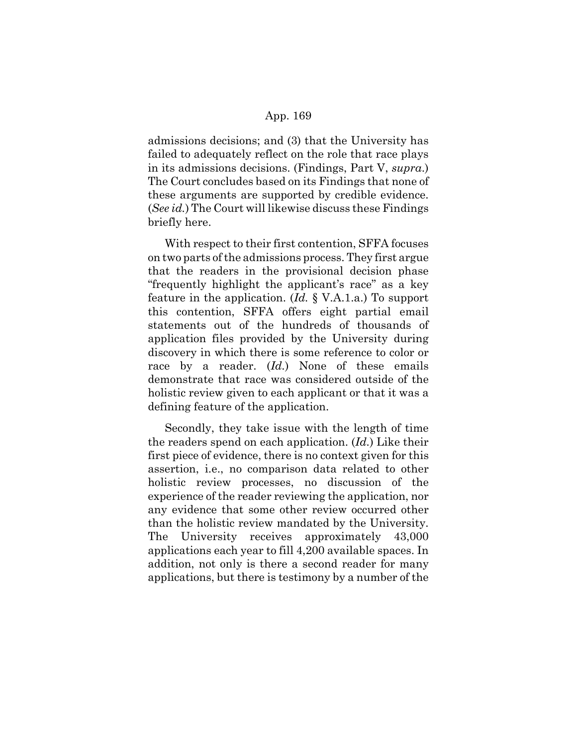admissions decisions; and (3) that the University has failed to adequately reflect on the role that race plays in its admissions decisions. (Findings, Part V, *supra*.) The Court concludes based on its Findings that none of these arguments are supported by credible evidence. (*See id.*) The Court will likewise discuss these Findings briefly here.

With respect to their first contention, SFFA focuses on two parts of the admissions process. They first argue that the readers in the provisional decision phase "frequently highlight the applicant's race" as a key feature in the application. (*Id.* § V.A.1.a.) To support this contention, SFFA offers eight partial email statements out of the hundreds of thousands of application files provided by the University during discovery in which there is some reference to color or race by a reader. (*Id.*) None of these emails demonstrate that race was considered outside of the holistic review given to each applicant or that it was a defining feature of the application.

Secondly, they take issue with the length of time the readers spend on each application. (*Id.*) Like their first piece of evidence, there is no context given for this assertion, i.e., no comparison data related to other holistic review processes, no discussion of the experience of the reader reviewing the application, nor any evidence that some other review occurred other than the holistic review mandated by the University. The University receives approximately 43,000 applications each year to fill 4,200 available spaces. In addition, not only is there a second reader for many applications, but there is testimony by a number of the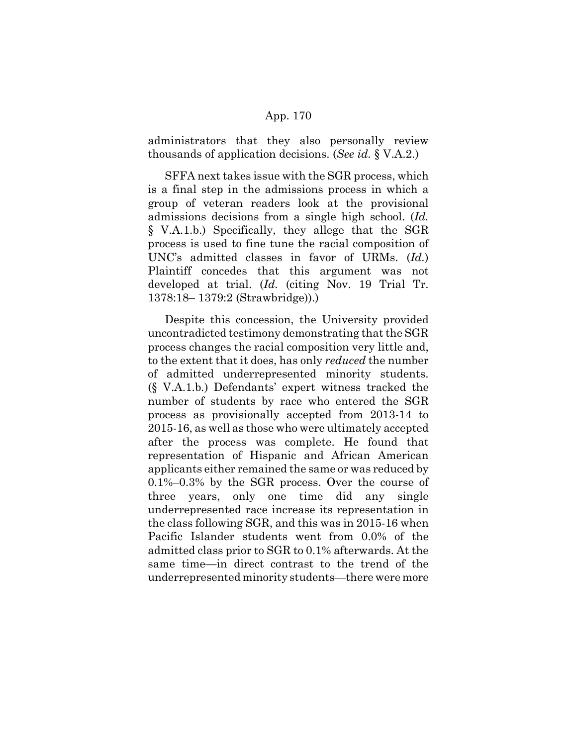administrators that they also personally review thousands of application decisions. (*See id.* § V.A.2.)

SFFA next takes issue with the SGR process, which is a final step in the admissions process in which a group of veteran readers look at the provisional admissions decisions from a single high school. (*Id.* § V.A.1.b.) Specifically, they allege that the SGR process is used to fine tune the racial composition of UNC's admitted classes in favor of URMs. (*Id.*) Plaintiff concedes that this argument was not developed at trial. (*Id.* (citing Nov. 19 Trial Tr. 1378:18– 1379:2 (Strawbridge)).)

Despite this concession, the University provided uncontradicted testimony demonstrating that the SGR process changes the racial composition very little and, to the extent that it does, has only *reduced* the number of admitted underrepresented minority students. (§ V.A.1.b*.*) Defendants' expert witness tracked the number of students by race who entered the SGR process as provisionally accepted from 2013-14 to 2015-16, as well as those who were ultimately accepted after the process was complete. He found that representation of Hispanic and African American applicants either remained the same or was reduced by 0.1%–0.3% by the SGR process. Over the course of three years, only one time did any single underrepresented race increase its representation in the class following SGR, and this was in 2015-16 when Pacific Islander students went from 0.0% of the admitted class prior to SGR to 0.1% afterwards. At the same time—in direct contrast to the trend of the underrepresented minority students—there were more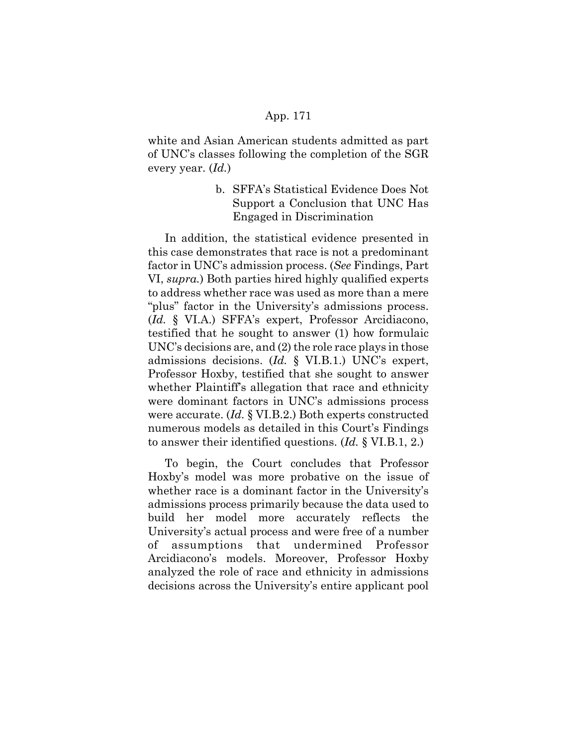white and Asian American students admitted as part of UNC's classes following the completion of the SGR every year. (*Id.*)

> b. SFFA's Statistical Evidence Does Not Support a Conclusion that UNC Has Engaged in Discrimination

In addition, the statistical evidence presented in this case demonstrates that race is not a predominant factor in UNC's admission process. (*See* Findings, Part VI, *supra.*) Both parties hired highly qualified experts to address whether race was used as more than a mere "plus" factor in the University's admissions process. (*Id.* § VI.A.) SFFA's expert, Professor Arcidiacono, testified that he sought to answer (1) how formulaic UNC's decisions are, and (2) the role race plays in those admissions decisions. (*Id.* § VI.B.1.) UNC's expert, Professor Hoxby, testified that she sought to answer whether Plaintiff's allegation that race and ethnicity were dominant factors in UNC's admissions process were accurate. (*Id.* § VI.B.2.) Both experts constructed numerous models as detailed in this Court's Findings to answer their identified questions. (*Id.* § VI.B.1, 2.)

To begin, the Court concludes that Professor Hoxby's model was more probative on the issue of whether race is a dominant factor in the University's admissions process primarily because the data used to build her model more accurately reflects the University's actual process and were free of a number of assumptions that undermined Professor Arcidiacono's models. Moreover, Professor Hoxby analyzed the role of race and ethnicity in admissions decisions across the University's entire applicant pool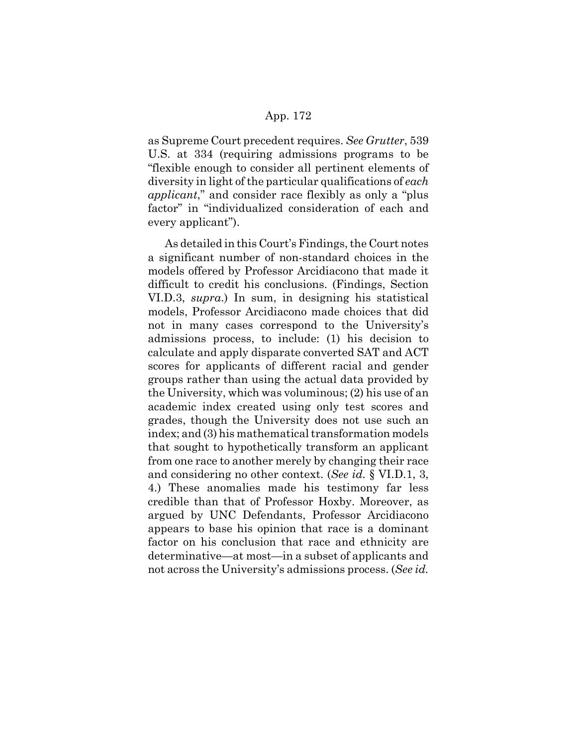as Supreme Court precedent requires. *See Grutter*, 539 U.S. at 334 (requiring admissions programs to be "flexible enough to consider all pertinent elements of diversity in light of the particular qualifications of *each applicant*," and consider race flexibly as only a "plus factor" in "individualized consideration of each and every applicant").

As detailed in this Court's Findings, the Court notes a significant number of non-standard choices in the models offered by Professor Arcidiacono that made it difficult to credit his conclusions. (Findings, Section VI.D.3, *supra*.) In sum, in designing his statistical models, Professor Arcidiacono made choices that did not in many cases correspond to the University's admissions process, to include: (1) his decision to calculate and apply disparate converted SAT and ACT scores for applicants of different racial and gender groups rather than using the actual data provided by the University, which was voluminous; (2) his use of an academic index created using only test scores and grades, though the University does not use such an index; and (3) his mathematical transformation models that sought to hypothetically transform an applicant from one race to another merely by changing their race and considering no other context. (*See id.* § VI.D.1, 3, 4.) These anomalies made his testimony far less credible than that of Professor Hoxby. Moreover, as argued by UNC Defendants, Professor Arcidiacono appears to base his opinion that race is a dominant factor on his conclusion that race and ethnicity are determinative—at most—in a subset of applicants and not across the University's admissions process. (*See id.*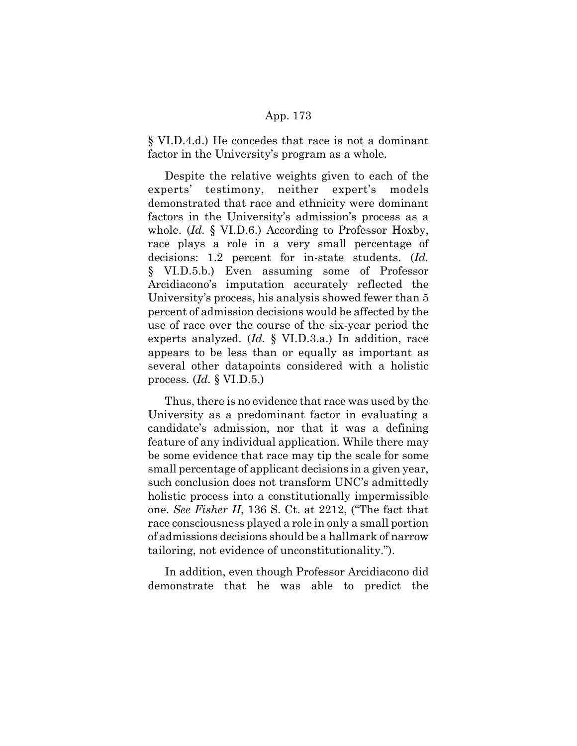§ VI.D.4.d.) He concedes that race is not a dominant factor in the University's program as a whole.

Despite the relative weights given to each of the experts' testimony, neither expert's models demonstrated that race and ethnicity were dominant factors in the University's admission's process as a whole. (*Id.* § VI.D.6.) According to Professor Hoxby, race plays a role in a very small percentage of decisions: 1.2 percent for in-state students. (*Id.* § VI.D.5.b.) Even assuming some of Professor Arcidiacono's imputation accurately reflected the University's process, his analysis showed fewer than 5 percent of admission decisions would be affected by the use of race over the course of the six-year period the experts analyzed. (*Id.* § VI.D.3.a.) In addition, race appears to be less than or equally as important as several other datapoints considered with a holistic process. (*Id.* § VI.D.5.)

Thus, there is no evidence that race was used by the University as a predominant factor in evaluating a candidate's admission, nor that it was a defining feature of any individual application. While there may be some evidence that race may tip the scale for some small percentage of applicant decisions in a given year, such conclusion does not transform UNC's admittedly holistic process into a constitutionally impermissible one. *See Fisher II*, 136 S. Ct. at 2212, ("The fact that race consciousness played a role in only a small portion of admissions decisions should be a hallmark of narrow tailoring, not evidence of unconstitutionality.").

In addition, even though Professor Arcidiacono did demonstrate that he was able to predict the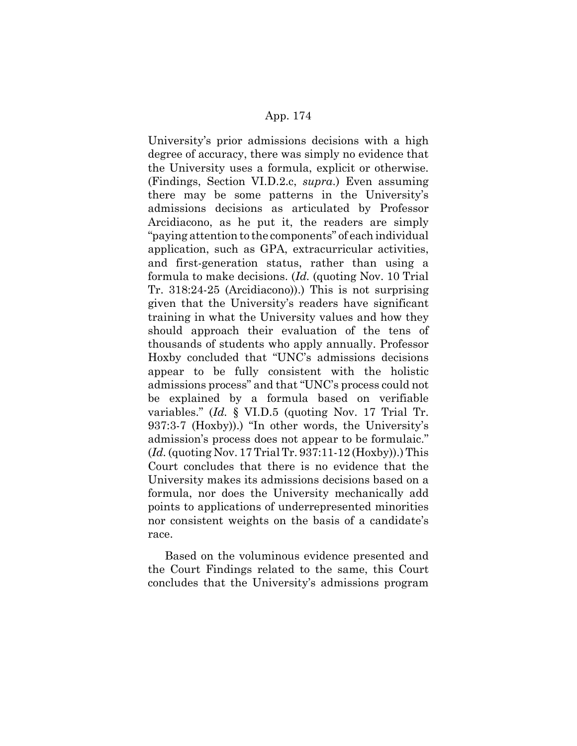University's prior admissions decisions with a high degree of accuracy, there was simply no evidence that the University uses a formula, explicit or otherwise. (Findings, Section VI.D.2.c, *supra*.) Even assuming there may be some patterns in the University's admissions decisions as articulated by Professor Arcidiacono, as he put it, the readers are simply "paying attention to the components" of each individual application, such as GPA, extracurricular activities, and first-generation status, rather than using a formula to make decisions. (*Id.* (quoting Nov. 10 Trial Tr. 318:24-25 (Arcidiacono)).) This is not surprising given that the University's readers have significant training in what the University values and how they should approach their evaluation of the tens of thousands of students who apply annually. Professor Hoxby concluded that "UNC's admissions decisions appear to be fully consistent with the holistic admissions process" and that "UNC's process could not be explained by a formula based on verifiable variables." (*Id.* § VI.D.5 (quoting Nov. 17 Trial Tr. 937:3-7 (Hoxby)).) "In other words, the University's admission's process does not appear to be formulaic." (*Id.* (quoting Nov. 17 Trial Tr. 937:11-12 (Hoxby)).) This Court concludes that there is no evidence that the University makes its admissions decisions based on a formula, nor does the University mechanically add points to applications of underrepresented minorities nor consistent weights on the basis of a candidate's race.

Based on the voluminous evidence presented and the Court Findings related to the same, this Court concludes that the University's admissions program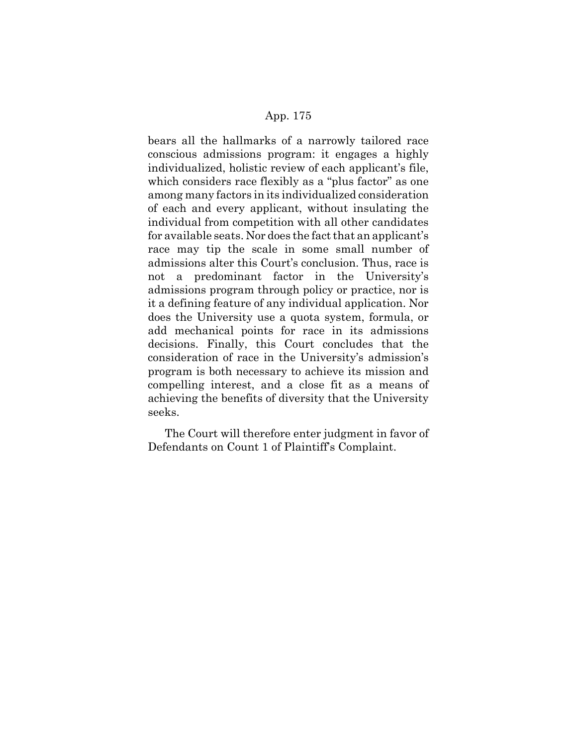bears all the hallmarks of a narrowly tailored race conscious admissions program: it engages a highly individualized, holistic review of each applicant's file, which considers race flexibly as a "plus factor" as one among many factors in its individualized consideration of each and every applicant, without insulating the individual from competition with all other candidates for available seats. Nor does the fact that an applicant's race may tip the scale in some small number of admissions alter this Court's conclusion. Thus, race is not a predominant factor in the University's admissions program through policy or practice, nor is it a defining feature of any individual application. Nor does the University use a quota system, formula, or add mechanical points for race in its admissions decisions. Finally, this Court concludes that the consideration of race in the University's admission's program is both necessary to achieve its mission and compelling interest, and a close fit as a means of achieving the benefits of diversity that the University seeks.

The Court will therefore enter judgment in favor of Defendants on Count 1 of Plaintiff's Complaint.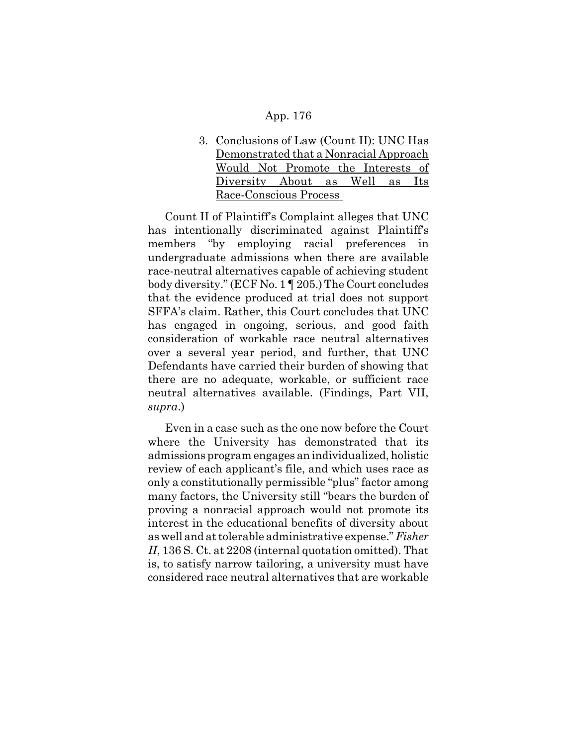3. Conclusions of Law (Count II): UNC Has Demonstrated that a Nonracial Approach Would Not Promote the Interests of Diversity About as Well as Its Race-Conscious Process

Count II of Plaintiff's Complaint alleges that UNC has intentionally discriminated against Plaintiff's members "by employing racial preferences in undergraduate admissions when there are available race-neutral alternatives capable of achieving student body diversity." (ECF No. 1 ¶ 205.) The Court concludes that the evidence produced at trial does not support SFFA's claim. Rather, this Court concludes that UNC has engaged in ongoing, serious, and good faith consideration of workable race neutral alternatives over a several year period, and further, that UNC Defendants have carried their burden of showing that there are no adequate, workable, or sufficient race neutral alternatives available. (Findings, Part VII, *supra*.)

Even in a case such as the one now before the Court where the University has demonstrated that its admissions program engages an individualized, holistic review of each applicant's file, and which uses race as only a constitutionally permissible "plus" factor among many factors, the University still "bears the burden of proving a nonracial approach would not promote its interest in the educational benefits of diversity about as well and at tolerable administrative expense." *Fisher II*, 136 S. Ct. at 2208 (internal quotation omitted). That is, to satisfy narrow tailoring, a university must have considered race neutral alternatives that are workable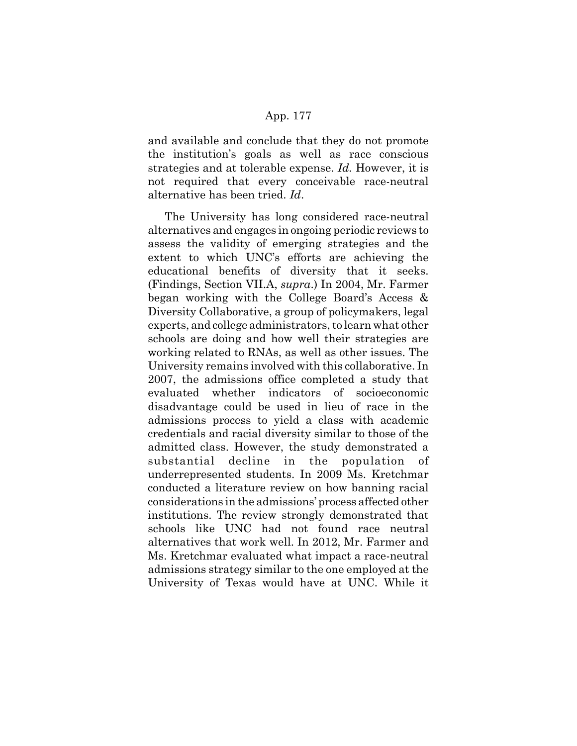and available and conclude that they do not promote the institution's goals as well as race conscious strategies and at tolerable expense. *Id.* However, it is not required that every conceivable race-neutral alternative has been tried. *Id*.

The University has long considered race-neutral alternatives and engages in ongoing periodic reviews to assess the validity of emerging strategies and the extent to which UNC's efforts are achieving the educational benefits of diversity that it seeks. (Findings, Section VII.A, *supra*.) In 2004, Mr. Farmer began working with the College Board's Access & Diversity Collaborative, a group of policymakers, legal experts, and college administrators, to learn what other schools are doing and how well their strategies are working related to RNAs, as well as other issues. The University remains involved with this collaborative. In 2007, the admissions office completed a study that evaluated whether indicators of socioeconomic disadvantage could be used in lieu of race in the admissions process to yield a class with academic credentials and racial diversity similar to those of the admitted class. However, the study demonstrated a substantial decline in the population of underrepresented students. In 2009 Ms. Kretchmar conducted a literature review on how banning racial considerations in the admissions' process affected other institutions. The review strongly demonstrated that schools like UNC had not found race neutral alternatives that work well. In 2012, Mr. Farmer and Ms. Kretchmar evaluated what impact a race-neutral admissions strategy similar to the one employed at the University of Texas would have at UNC. While it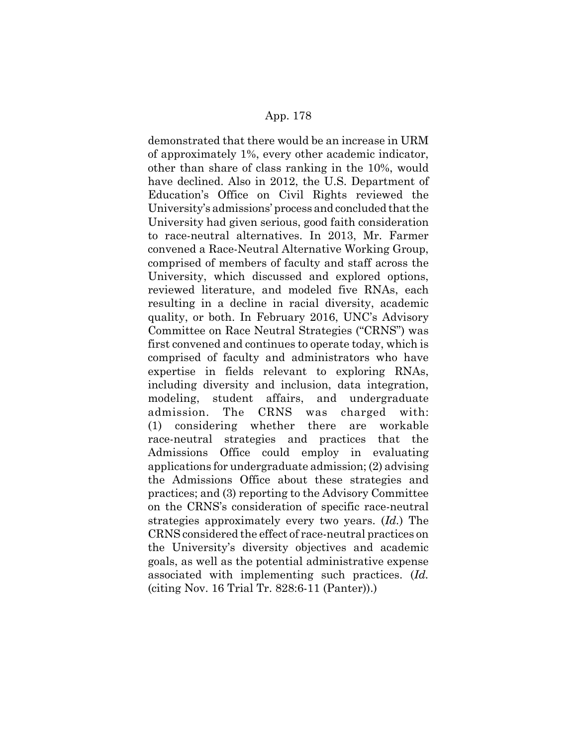demonstrated that there would be an increase in URM of approximately 1%, every other academic indicator, other than share of class ranking in the 10%, would have declined. Also in 2012, the U.S. Department of Education's Office on Civil Rights reviewed the University's admissions' process and concluded that the University had given serious, good faith consideration to race-neutral alternatives. In 2013, Mr. Farmer convened a Race-Neutral Alternative Working Group, comprised of members of faculty and staff across the University, which discussed and explored options, reviewed literature, and modeled five RNAs, each resulting in a decline in racial diversity, academic quality, or both. In February 2016, UNC's Advisory Committee on Race Neutral Strategies ("CRNS") was first convened and continues to operate today, which is comprised of faculty and administrators who have expertise in fields relevant to exploring RNAs, including diversity and inclusion, data integration, modeling, student affairs, and undergraduate admission. The CRNS was charged with: (1) considering whether there are workable race-neutral strategies and practices that the Admissions Office could employ in evaluating applications for undergraduate admission; (2) advising the Admissions Office about these strategies and practices; and (3) reporting to the Advisory Committee on the CRNS's consideration of specific race-neutral strategies approximately every two years. (*Id.*) The CRNS considered the effect of race-neutral practices on the University's diversity objectives and academic goals, as well as the potential administrative expense associated with implementing such practices. (*Id.* (citing Nov. 16 Trial Tr. 828:6-11 (Panter)).)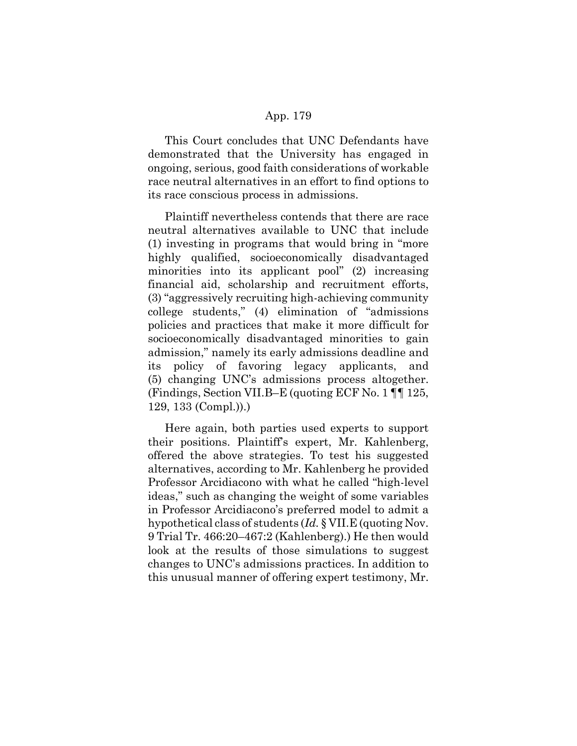This Court concludes that UNC Defendants have demonstrated that the University has engaged in ongoing, serious, good faith considerations of workable race neutral alternatives in an effort to find options to its race conscious process in admissions.

Plaintiff nevertheless contends that there are race neutral alternatives available to UNC that include (1) investing in programs that would bring in "more highly qualified, socioeconomically disadvantaged minorities into its applicant pool" (2) increasing financial aid, scholarship and recruitment efforts, (3) "aggressively recruiting high-achieving community college students," (4) elimination of "admissions policies and practices that make it more difficult for socioeconomically disadvantaged minorities to gain admission," namely its early admissions deadline and its policy of favoring legacy applicants, and (5) changing UNC's admissions process altogether. (Findings, Section VII.B–E (quoting ECF No. 1 ¶¶ 125, 129, 133 (Compl.)).)

Here again, both parties used experts to support their positions. Plaintiff's expert, Mr. Kahlenberg, offered the above strategies. To test his suggested alternatives, according to Mr. Kahlenberg he provided Professor Arcidiacono with what he called "high-level ideas," such as changing the weight of some variables in Professor Arcidiacono's preferred model to admit a hypothetical class of students (*Id.* § VII.E (quoting Nov. 9 Trial Tr. 466:20–467:2 (Kahlenberg).) He then would look at the results of those simulations to suggest changes to UNC's admissions practices. In addition to this unusual manner of offering expert testimony, Mr.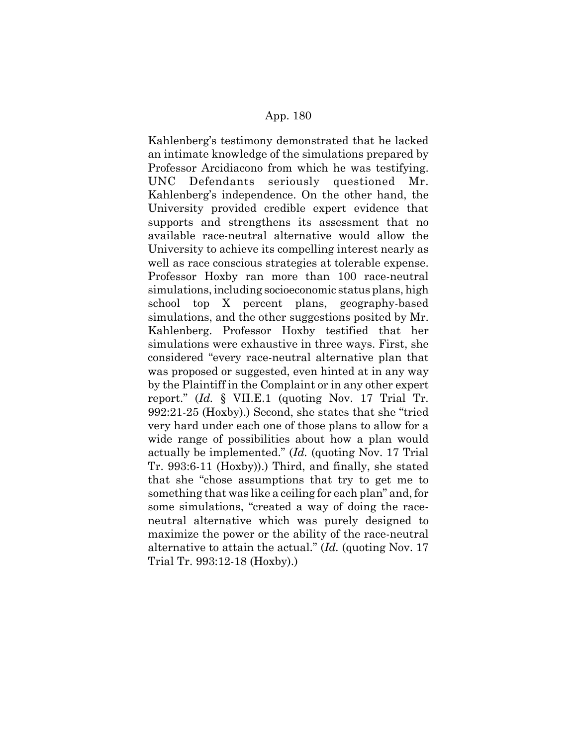Kahlenberg's testimony demonstrated that he lacked an intimate knowledge of the simulations prepared by Professor Arcidiacono from which he was testifying. UNC Defendants seriously questioned Mr. Kahlenberg's independence. On the other hand, the University provided credible expert evidence that supports and strengthens its assessment that no available race-neutral alternative would allow the University to achieve its compelling interest nearly as well as race conscious strategies at tolerable expense. Professor Hoxby ran more than 100 race-neutral simulations, including socioeconomic status plans, high school top X percent plans, geography-based simulations, and the other suggestions posited by Mr. Kahlenberg. Professor Hoxby testified that her simulations were exhaustive in three ways. First, she considered "every race-neutral alternative plan that was proposed or suggested, even hinted at in any way by the Plaintiff in the Complaint or in any other expert report." (*Id.* § VII.E.1 (quoting Nov. 17 Trial Tr. 992:21-25 (Hoxby).) Second, she states that she "tried very hard under each one of those plans to allow for a wide range of possibilities about how a plan would actually be implemented." (*Id.* (quoting Nov. 17 Trial Tr. 993:6-11 (Hoxby)).) Third, and finally, she stated that she "chose assumptions that try to get me to something that was like a ceiling for each plan" and, for some simulations, "created a way of doing the raceneutral alternative which was purely designed to maximize the power or the ability of the race-neutral alternative to attain the actual." (*Id.* (quoting Nov. 17 Trial Tr. 993:12-18 (Hoxby).)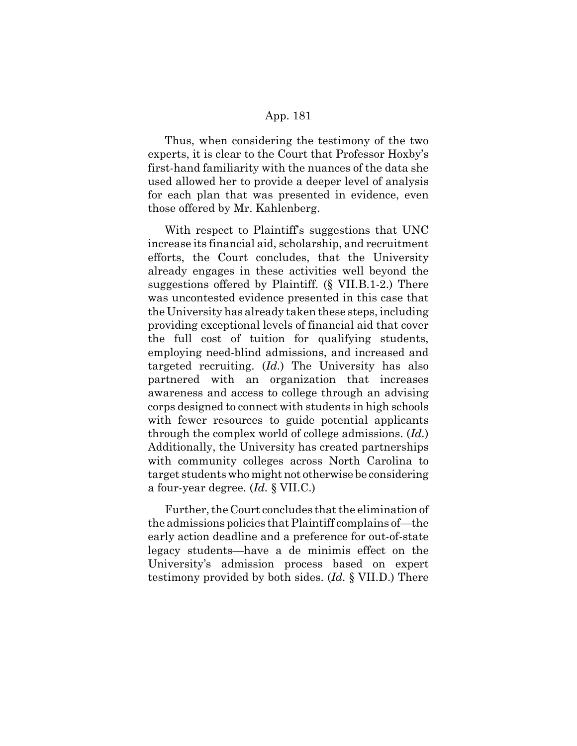Thus, when considering the testimony of the two experts, it is clear to the Court that Professor Hoxby's first-hand familiarity with the nuances of the data she used allowed her to provide a deeper level of analysis for each plan that was presented in evidence, even those offered by Mr. Kahlenberg.

With respect to Plaintiff's suggestions that UNC increase its financial aid, scholarship, and recruitment efforts, the Court concludes, that the University already engages in these activities well beyond the suggestions offered by Plaintiff. (§ VII.B.1-2.) There was uncontested evidence presented in this case that the University has already taken these steps, including providing exceptional levels of financial aid that cover the full cost of tuition for qualifying students, employing need-blind admissions, and increased and targeted recruiting. (*Id.*) The University has also partnered with an organization that increases awareness and access to college through an advising corps designed to connect with students in high schools with fewer resources to guide potential applicants through the complex world of college admissions. (*Id.*) Additionally, the University has created partnerships with community colleges across North Carolina to target students who might not otherwise be considering a four-year degree. (*Id.* § VII.C.)

Further, the Court concludes that the elimination of the admissions policies that Plaintiff complains of—the early action deadline and a preference for out-of-state legacy students—have a de minimis effect on the University's admission process based on expert testimony provided by both sides. (*Id.* § VII.D.) There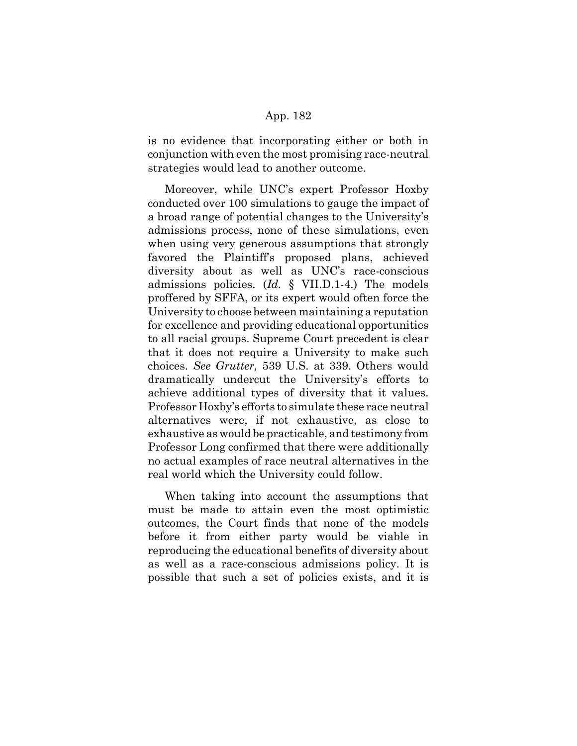is no evidence that incorporating either or both in conjunction with even the most promising race-neutral strategies would lead to another outcome.

Moreover, while UNC's expert Professor Hoxby conducted over 100 simulations to gauge the impact of a broad range of potential changes to the University's admissions process, none of these simulations, even when using very generous assumptions that strongly favored the Plaintiff's proposed plans, achieved diversity about as well as UNC's race-conscious admissions policies. (*Id.* § VII.D.1-4.) The models proffered by SFFA, or its expert would often force the University to choose between maintaining a reputation for excellence and providing educational opportunities to all racial groups. Supreme Court precedent is clear that it does not require a University to make such choices. *See Grutter,* 539 U.S. at 339. Others would dramatically undercut the University's efforts to achieve additional types of diversity that it values. Professor Hoxby's efforts to simulate these race neutral alternatives were, if not exhaustive, as close to exhaustive as would be practicable, and testimony from Professor Long confirmed that there were additionally no actual examples of race neutral alternatives in the real world which the University could follow.

When taking into account the assumptions that must be made to attain even the most optimistic outcomes, the Court finds that none of the models before it from either party would be viable in reproducing the educational benefits of diversity about as well as a race-conscious admissions policy. It is possible that such a set of policies exists, and it is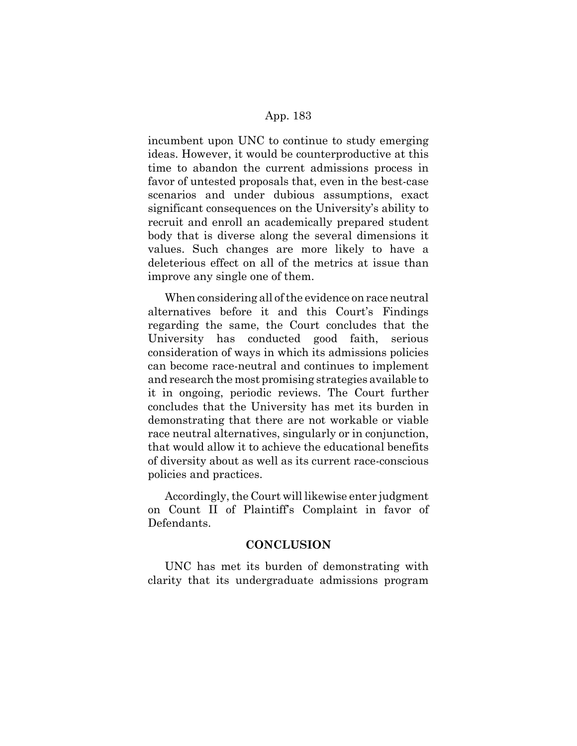incumbent upon UNC to continue to study emerging ideas. However, it would be counterproductive at this time to abandon the current admissions process in favor of untested proposals that, even in the best-case scenarios and under dubious assumptions, exact significant consequences on the University's ability to recruit and enroll an academically prepared student body that is diverse along the several dimensions it values. Such changes are more likely to have a deleterious effect on all of the metrics at issue than improve any single one of them.

When considering all of the evidence on race neutral alternatives before it and this Court's Findings regarding the same, the Court concludes that the University has conducted good faith, serious consideration of ways in which its admissions policies can become race-neutral and continues to implement and research the most promising strategies available to it in ongoing, periodic reviews. The Court further concludes that the University has met its burden in demonstrating that there are not workable or viable race neutral alternatives, singularly or in conjunction, that would allow it to achieve the educational benefits of diversity about as well as its current race-conscious policies and practices.

Accordingly, the Court will likewise enter judgment on Count II of Plaintiff's Complaint in favor of Defendants.

# **CONCLUSION**

UNC has met its burden of demonstrating with clarity that its undergraduate admissions program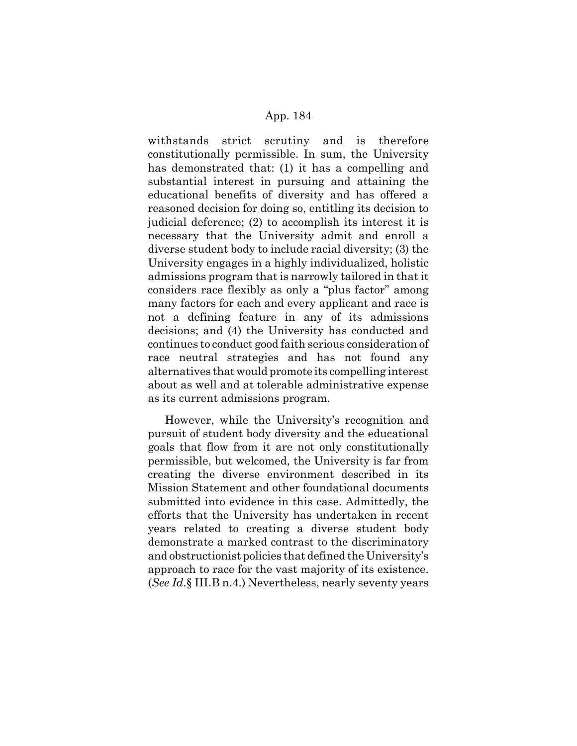withstands strict scrutiny and is therefore constitutionally permissible. In sum, the University has demonstrated that: (1) it has a compelling and substantial interest in pursuing and attaining the educational benefits of diversity and has offered a reasoned decision for doing so, entitling its decision to judicial deference; (2) to accomplish its interest it is necessary that the University admit and enroll a diverse student body to include racial diversity; (3) the University engages in a highly individualized, holistic admissions program that is narrowly tailored in that it considers race flexibly as only a "plus factor" among many factors for each and every applicant and race is not a defining feature in any of its admissions decisions; and (4) the University has conducted and continues to conduct good faith serious consideration of race neutral strategies and has not found any alternatives that would promote its compelling interest about as well and at tolerable administrative expense as its current admissions program.

However, while the University's recognition and pursuit of student body diversity and the educational goals that flow from it are not only constitutionally permissible, but welcomed, the University is far from creating the diverse environment described in its Mission Statement and other foundational documents submitted into evidence in this case. Admittedly, the efforts that the University has undertaken in recent years related to creating a diverse student body demonstrate a marked contrast to the discriminatory and obstructionist policies that defined the University's approach to race for the vast majority of its existence. (*See Id*.§ III.B n.4.) Nevertheless, nearly seventy years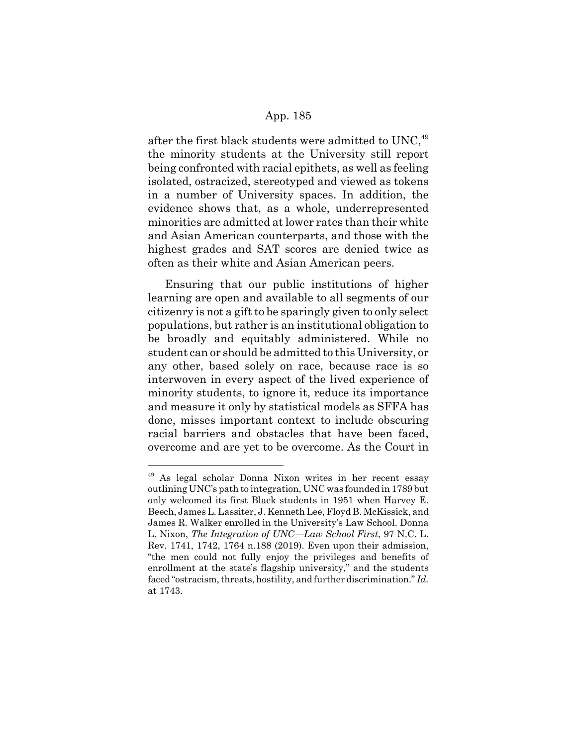after the first black students were admitted to UNC,  $49$ the minority students at the University still report being confronted with racial epithets, as well as feeling isolated, ostracized, stereotyped and viewed as tokens in a number of University spaces. In addition, the evidence shows that, as a whole, underrepresented minorities are admitted at lower rates than their white and Asian American counterparts, and those with the highest grades and SAT scores are denied twice as often as their white and Asian American peers.

Ensuring that our public institutions of higher learning are open and available to all segments of our citizenry is not a gift to be sparingly given to only select populations, but rather is an institutional obligation to be broadly and equitably administered. While no student can or should be admitted to this University, or any other, based solely on race, because race is so interwoven in every aspect of the lived experience of minority students, to ignore it, reduce its importance and measure it only by statistical models as SFFA has done, misses important context to include obscuring racial barriers and obstacles that have been faced, overcome and are yet to be overcome. As the Court in

<sup>49</sup> As legal scholar Donna Nixon writes in her recent essay outlining UNC's path to integration, UNC was founded in 1789 but only welcomed its first Black students in 1951 when Harvey E. Beech, James L. Lassiter, J. Kenneth Lee, Floyd B. McKissick, and James R. Walker enrolled in the University's Law School. Donna L. Nixon, *The Integration of UNC—Law School First*, 97 N.C. L. Rev. 1741, 1742, 1764 n.188 (2019). Even upon their admission, "the men could not fully enjoy the privileges and benefits of enrollment at the state's flagship university," and the students faced "ostracism, threats, hostility, and further discrimination." *Id.* at 1743.